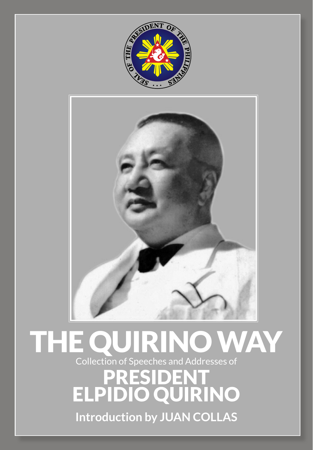



#### **THE QUIRINO WAY** Collection of Speeches and Addresses of PRESIDENT **ELPIDIO QU Introduction by JUAN COLLAS**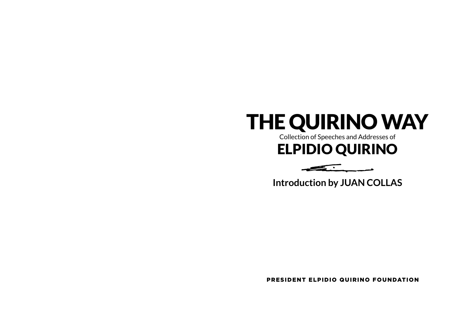## THE QUIRINO WAY

Collection of Speeches and Addresses of ELPIDIO QUIRINO



**Introduction by JUAN COLLAS**

PRESIDENT ELPIDIO QUIRINO FOUNDATION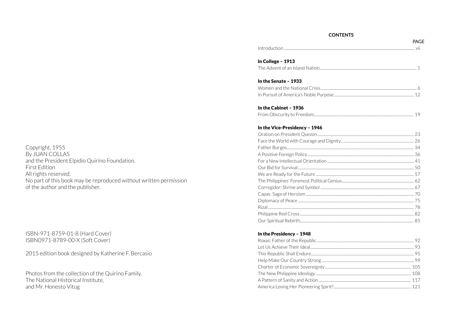Copyright, 1955 By JUAN COLLAS and the President Elpidio Quirino Foundation. First Edition All rights reserved. No part of this book may be reproduced without written permission of the author and the publisher.

ISBN-971-8759-01-8 (Hard Cover) ISBN0971-8789-00-X (Soft Cover)

2015 edition book designed by Katherine F. Bercasio

Photos from the collection of the Quirino Family, The National Historical Institute, and Mr. Honesto Vitug

#### **CONTENTS**

|                               | <b>PAGE</b> |
|-------------------------------|-------------|
|                               |             |
|                               |             |
| In College - 1913             |             |
|                               |             |
| In the Senate - 1933          |             |
|                               |             |
|                               |             |
| In the Cabinet - 1936         |             |
|                               |             |
|                               |             |
| In the Vice-Presidency - 1946 |             |
|                               |             |
|                               |             |
|                               |             |
|                               |             |
|                               |             |
|                               |             |
|                               |             |
|                               |             |
|                               |             |
|                               |             |
|                               |             |
|                               |             |
|                               |             |
|                               |             |
| In the Presidency - 1948      |             |
|                               |             |
|                               |             |
|                               |             |
|                               |             |
|                               |             |
|                               |             |
|                               |             |
|                               |             |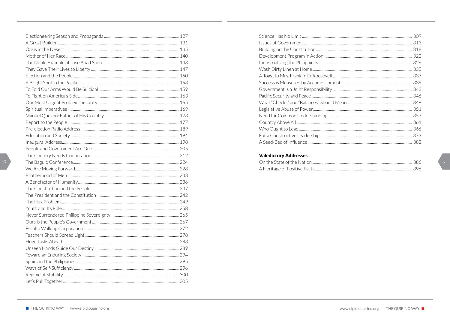#### **Valedictory Addresses**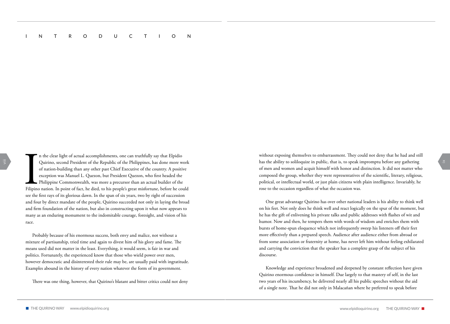Filipino n the clear light of actual accomplishments, one can truthfully say that Elpidio Quirino, second President of the Republic of the Philippines, has done more work of nation-building than any other past Chief Executive of the country. A positive exception was Manuel L. Quezon, but President Quezon, who first headed the Philippine Commonwealth, was more a precursor than an actual builder of the Filipino nation. In point of fact, he died, to his people's great misfortune, before he could see the first rays of its glorious dawn. In the span of six years, two by right of succession and four by direct mandate of the people, Quirino succeeded not only in laying the broad and firm foundation of the nation, but also in constructing upon it what now appears to many as an enduring monument to the indomitable courage, foresight, and vision of his race.

Probably because of his enormous success, both envy and malice, not without a mixture of partisanship, tried time and again to divest him of his glory and fame. The means used did not matter in the least. Everything, it would seem, is fair in war and politics. Fortunately, the experienced know that those who wield power over men, however democratic and disinterested their rule may be, are usually paid with ingratitude. Examples abound in the history of every nation whatever the form of its government.

There was one thing, however, that Quirino's blatant and bitter critics could not deny

without exposing themselves to embarrassment. They could not deny that he had and still has the ability to soliloquize in public, that is, to speak impromptu before any gathering of men and women and acquit himself with honor and distinction. It did not matter who composed the group, whether they were representatives of the scientific, literary, religious, political, or intellectual world, or just plain citizens with plain intelligence. Invariably, he rose to the occasion regardless of what the occasion was.

One great advantage Quirino has over other national leaders is his ability to think well on his feet. Not only does he think well and react logically on the spur of the moment, but he has the gift of enlivening his private talks and public addresses with flashes of wit and humor. Now and then, he tempers them with words of wisdom and enriches them with bursts of home-spun eloquence which not infrequently sweep his listeners off their feet more effectively than a prepared speech. Audience after audience either from abroad or from some association or fraternity at home, has never left him without feeling exhilarated and carrying the conviction that the speaker has a complete grasp of the subject of his discourse.

Knowledge and experience broadened and deepened by constant reflection have given Quirino enormous confidence in himself. Due largely to that mastery of self, in the last two years of his incumbency, he delivered nearly all his public speeches without the aid of a single note. That he did not only in Malacañan where he preferred to speak before

ix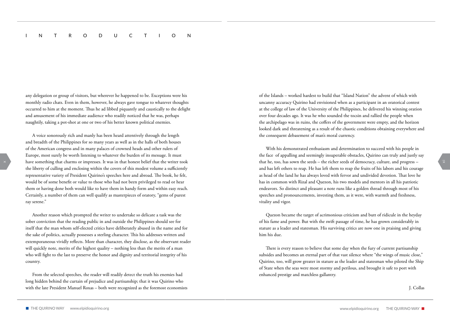any delegation or group of visitors, but wherever he happened to be. Exceptions were his monthly radio chats. Even in them, however, he always gave tongue to whatever thoughts occurred to him at the moment. Thus he ad libbed piquantly and caustically to the delight and amusement of his immediate audience who readily noticed that he was, perhaps naughtily, taking a pot-shot at one or two of his better known political enemies.

A voice sonorously rich and manly has been heard attentively through the length and breadth of the Philippines for so many years as well as in the halls of both houses of the American congress and in many palaces of crowned heads and other rulers of Europe, most surely be worth listening to whatever the burden of its message. It must have something that charms or impresses. It was in that honest belief that the writer took the liberty of culling and enclosing within the covers of this modest volume a sufficiently representative variety of President Quirino's speeches here and abroad. The book, he felt, would be of some benefit or value to those who had not been privileged to read or hear them or having done both would like to have them in handy form and within easy reach. Certainly, a number of them can well qualify as masterpieces of oratory, "gems of purest ray serene."

Another reason which prompted the writer to undertake so delicate a task was the sober conviction that the reading public in and outside the Philippines should see for itself that the man whom self-elected critics have deliberately abused in the name and for the sake of politics, actually possesses a sterling character. This his addresses written and extemporaneous vividly reflects. More than character, they disclose, as the observant reader will quickly note, merits of the highest quality – nothing less than the merits of a man who will fight to the last to preserve the honor and dignity and territorial integrity of his country.

From the selected speeches, the reader will readily detect the truth his enemies had long hidden behind the curtain of prejudice and partisanship; that it was Quirino who with the late President Manuel Roxas – both were recognized as the foremost economists of the Islands – worked hardest to build that "Island Nation" the advent of which with uncanny accuracy Quirino had envisioned when as a participant in an oratorical contest at the college of law of the University of the Philippines, he delivered his winning oration over four decades ago. It was he who sounded the tocsin and rallied the people when the archipelago was in ruins, the coffers of the government were empty, and the horizon looked dark and threatening as a result of the chaotic conditions obtaining everywhere and the consequent debasement of man's moral currency.

With his demonstrated enthusiasm and determination to succeed with his people in the face of appalling and seemingly insuperable obstacles, Quirino can truly and justly say that he, too, has sown the seeds – the richer seeds of democracy, culture, and progress – and has left others to reap. He has left them to reap the fruits of his labors and his courage as head of the land he has always loved with fervor and undivided devotion. That love he has in common with Rizal and Quezon, his two models and mentors in all his patriotic endeavors. So distinct and pleasant a note runs like a golden thread through most of his speeches and pronouncements, investing them, as it were, with warmth and freshness, vitality and vigor.

Quezon became the target of acrimonious criticism and butt of ridicule in the heyday of his fame and power. But with the swift passage of time, he has grown considerably in stature as a leader and statesman. His surviving critics are now one in praising and giving him his due.

There is every reason to believe that some day when the fury of current partisanship subsides and becomes an eternal part of that vast silence where "the wings of music close," Quirino, too, will grow greater in stature as the leader and statesman who piloted the Ship of State when the seas were most stormy and perilous, and brought it safe to port with enhanced prestige and matchless gallantry.

J. Collas

ix

x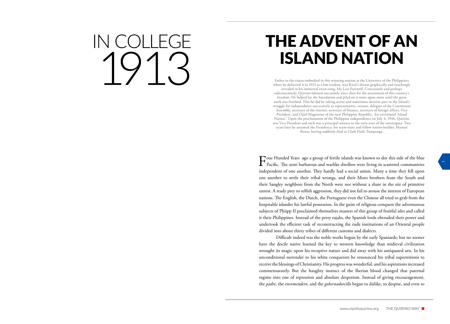# IN CC 1913

#### THE ADVENT OF AN ISLAND NATION

Father to the vision embodied in this winning oration at the University of the Philippines where he delivered it in 1913 as a law student, was Rizal's dream graphically and touchingly revealed in his immortal swan-song, My Last Farewell. Consciously and perhaps subconsciously, Quirino labored unceasinly since then for the attainment of this country's freedom. He helped lay the foundation and piled on it stone upon stone until the great work was finished. This he did by taking active and sometimes decisive part in the Island's struggle for independence successively as representative, senator, delegate of the Constituent Assembly, secretary of the interior, secretary of finance, secretary of foreign affairs, Vice President, and Chief Magistrate of the new Philippine Republic, his envisioned 'Island Nation." Upon the proclamation of the Philippine independence on July 4, 1946, Quirino was Vice President and such was a principal witness to the turn-over of the sovereignty. Two years later he assumed the Presidency, his team-mate and fellow nation-builder, Manuel Roxas, having suddenly died at Clark Field, Pampanga.

Four Hunded Years ago a group of fertile islands was known to dot this side of the blue<br>Pacific. The semi barbarous and warlike dwellers were living in scattered communities independent of one another. They hardly had a social union. Many a time they fell upon one another to settle their tribal wrongs, and their Moro brothers from the South and their Sangley neighbors from the North were not without a share in the stir of primitive unrest. A ready prey to selfish aggression, they did not fail to arouse the interest of European nations. The English, the Dutch, the Portuguese even the Chinese all tried to grab from the hospitable islander his lawful possession. In the guise of religious conquest the adventurous subjects of Phiipp II proclaimed themselves masters of this group of fruitful isles and called it their Philippines. Instead of the petty rajahs, the Spanish lords obtruded their power and undertook the efficient task of reconstructing the rude institutions of an Oriental people divided into about thirty tribes of different customs and dialects.

Difficult indeed was the noble works begun by the early Spaniards; but no sooner have the docile native learned the key to western knowledge than midieval civilization wrought its magic upon his receptive nature and did away with his antiquated arts. In his unconditional surrender to his white conquerors he renounced his tribal superstitions to receive the blessings of Christianity. His progress was wonderful, and his aspirations increased commensurately. But the haughty instinct of the Iberian blood changed that paternal regime into one of repression and absolute despotism. Instead of giving encouragement, the *padre,* the *encomendero*, and the *gobernadorcillo* began to dislike, to despise, and even to

 $\overline{ }$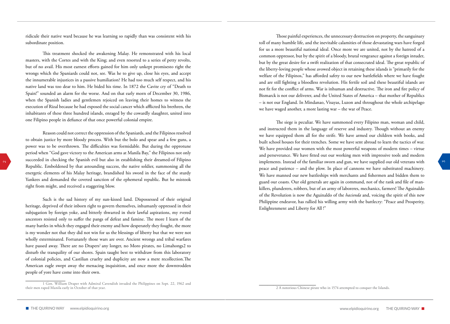ridicule their native ward because he was learning so rapidly than was consistent with his subordinate position.

This treatment shocked the awakening Malay. He remonstrated with his local masters, with the Cortes and with the King; and even resorted to a series of petty revolts, but of no avail. His most earnest efforts gained for him only unkept promisesto right the wrongs which the Spaniards could not, see. Was he to give up, close his eyes, and accept the innumerable injustices in a passive humiliation? He had too much self respect, and his native land was too dear to him. He bided his time. In 1872 the Cavite cry of "Death to Spain!" sounded an alarm for the worse. And on that early morn of December 30, 1986, when the Spanish ladies and gentlemen rejoiced on leaving their homes to witness the execution of Rizal because he had exposed the social cancer which afflicted his brethren, the inhabitants of these three hundred islands, enraged by the cowardly slaughter, united into one Filipino people in defiance of that once powerful colonial empire.

Reason could not correct the oppression of the Spaniards, and the Filipinos resolved to obtain justice by more bloody process. With but the bolo and spear and a few guns, a power was to be overthrown. The difficulties was formidable. But during the opprotune period when "God gave victory to the American arms at Manila Bay," the Filipinos not only succeeded in checking the Spanish evil but also in establishing their dreamed-of Filipino Republic. Emboldened by that astounding success, the native soldier, summoning all the energetic elements of his Malay heritage, brandished his sword in the face of the sturdy Yankees and demanded the coveted sanction of the ephemeral republic. But he mistook right from might, and received a staggering blow.

Such is the sad history of my sun-kissed land. Dispossessed of their original heritage, deprived of their inborn right to govern themselves, inhumanly oppressed in their subjugation by foreign yoke, and bitterly thwarted in their lawful aspirations, my rvered ancestors resisted only to suffer the pangs of defeat and famine. The more I learn of the many battles in which they engaged their enemy and how desperately they fought, the more is my wonder not that they did not win for us the blessings of liberty but that we were not wholly exterminated. Fortunately those wars are over. Ancient wrongs and tribal warfares have passed away. There are no Drapers<sup>1</sup> any longer, no Moro pirates, no Limahongs2 to disturb the tranquility of our shores. Spain taught best to withdraw from this laboratory of colonial policies, and Castilian cruelty and duplicity are now a mere recollection.The American eagle swept away the menacing inquisition, and once more the downtrodden people of yore have come into their own.

Those painful experiences, the unnecessary destruction on property, the sanguinary toll of many humble life, and the inevitable calamities of those devastating wars have forged for us a more beautiful national ideal. Once more we are united, not by the hatreed of a common oppressor, but by the spirit of a bloody, brutal vengeance against a foreign intuder, but by the great desire for a swift realization of that consecrated ideal. The great republic of the liberty-loving people whose avowed object in retaining these islands is "primarily for the welfare of the Filipinos," has afforded safety to our new battlefields where we have fought and are still fighting a bloodless revolution. His fertile soil and these beautiful islands are not fit for the conflict of arms. War is inhuman and destructive. The iron and fire policy of Bismarck is not our deliverer, and the United States of America – that mother of Republics – is not our England. In Mindanao, Visayas, Luzon and throughout the whole archipelago we have waged another, a more lasting war – the war of Peace.

The siege is peculiar. We have summoned every Filipino man, woman and child, and instructed them in the language of reserve and industry. Though without an enemy we have equipped them all for the strife. We have armed our children with books, and built school houses for their trenches. Some we have sent abroad to learn the tactics of war. We have provided our women with the most powerful weapons of modern times – virtue and perseverance. We have fitted out our working men with impressive tools and modern implements. Instead of the familiar sworn and gun, we have supplied our old veterans with peace and patience – and the plow. In place of cannons we have substituted machinery. We have manned our new battleships with merchants and fishermen and bidden them to guard our coasts. Our old generals are again in command, not of the rank and file of mankillers, plunderers, robbers, but of an army of laboreres, mechanics, farmers! The Aguinaldo of the Revolution is now the Aguinaldo of the *hacienda* and, voicing the spirit of this new Philippine endeavor, has rallied his willing army with the battlecry: "Peace and Prosperity, Enlightenment and Liberty for All !"

 $\overline{\phantom{a}}$  , where  $\overline{\phantom{a}}$ 2 A notorious Chinese pirate who in 1574 attempted to conquer the Islands.

 $\overline{\phantom{a}}$  , where  $\overline{\phantom{a}}$ 

<sup>1</sup> Gen. William Draper with Admiral Cavendish invaded the Philippines on Sept. 22, 1962 and their men raped Manila early in October of that year.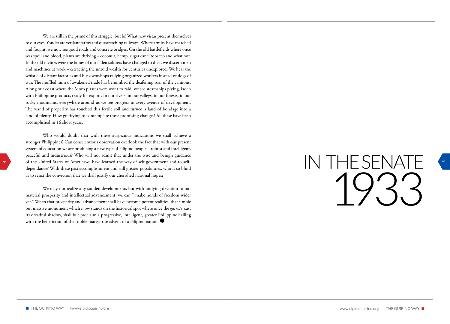We are still in the prime of this struggle, but lo! What new vistas present themselves to our eyes! Yonder are verdant farms and outstretching railways. Where armies have marched and fought, we now see good roads and concrete bridges. On the old battlefields where once was spoil and blood, plants are thriving – coconut, hemp, sugar cane, tobacco and what not. In the old ravines were the bones of our fallen soldiers have changed to dust, we discern men and machines at work – estracting the untold wealth for centuries unexplored. We hear the whistle of distant factories and busy worshops rallying organized workers instead of dogs of war. The muffled hum of awakened trade has benumbed the deafening roar of the cannons. Along our coast where the Moro pirates were wont to raid, we see steamships plying, laden with Philippine products ready for export. In our rivers, in our valleys, in our forests, in our rocky mountains, everywhere around us we see progress in avery avenue of development. The wand of properity has touched this fertile soil and turned a land of bondage into a land of plenty. How gratifying to contemplate these promising changes! All these have been accomplished in 16 short years.

Who would doubt that with these auspicious indications we shall achieve a stronger Philippines? Can conscientious observation overlook the fact that with our present system of education we are producing a new type of Filipino people – robust and intelligent, peaceful and industrious? Who will not admit that under the wise and benign guidance of the United States of Americawe have learned the way of self-government and to selfdependance? With these past accomplishment and still greater possibilities, who is so blind as to resist the conviction that we shall justify our cherished national hopes?

We may not realize any sudden developments but with undying devotion to our material prosperity and intellectual advancement, we can " make nonds of freedom wider yet." When that prosperity and advancement shall have become potent realities, that simple but massive monument which n ow stands on the historical spot where once the *garrote* cast its dreadful shadow, shall but proclaim a progressive, intelligent, greater Philippine hailing with the benetiction of that noble martyr the advent of a Filipino nation.  $\blacklozenge$ 

In thesenate 1933

٢٢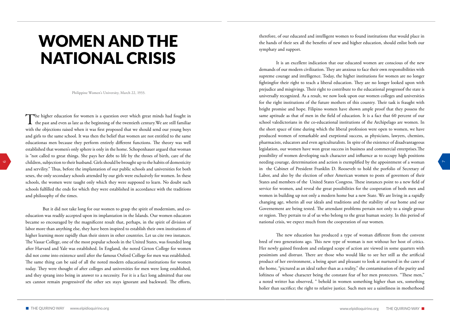#### WOMEN AND THE NATIONAL CRISIS

Philippine Women's University, March 22, 1933.

The higher education for women is a question over which great minds had fought in the past and even as late as the beginning of the twentieth century. We are still familiar with the objections raised when it was first proposed that we should send our young boys and girls to the same school. It was then the belief that women are not entitled to the same educationas men because they perform entirely different functions. The theory was well established that women's only sphere is only in the home. Schopenhauer argued that woman is "not called to great things. She pays her debt to life by the throes of birth, care of the children, subjection to their husband. Girls should be brought up to the habits of domesticity and servility." Thus, before the implantation of our public schools and universities for both sexes, the only secondary schools attended by our girls were exclusively for women. In these schools, the women were taught only which they were supposed to learn. No doubt such schools fulfilled the ends for which they were established in accordance with the traditions and philosophy of the times.

But it did not take long for our women to grasp the spirit of modernism, and coeducation was readily accepted upon its implantation in the Islands. Our women educators became so encouraged by the magnificent result that, perhaps, in the spirit of division of labor more than anything else, they have been inspired to establish their own institutions of higher learning more rapidly than their sisters in other countries. Let us cite two instances. The Vassar College, one of the most popular schools in the United States, was founded long after Harvard and Yale was established. In England, the noted Girton College for women did not come into existence until after the famous Oxford College for men was established. The same thing can be said of all the noted modern educational institutions for women today. They were thought of after colleges and universities for men were long established, and they sprang into being in answer to a necessity. For it is a fact long admitted that one sex cannot remain progressiveif the other sex stays ignorant and backward. The efforts,

therefore, of our educated and intelligent women to found institutions that would place in the hands of their sex all the benefits of new and higher education, should enlist both our symphaty and support.

It is an excellent indication that our educated women are conscious of the new demands of our modern civilization. They are anxious to face their own responsibilities with supreme courage and intelligence. Today, the higher institutions for women are no longer fightingfor their right to teach a liberal education. They are no longer looked upon with prejudice and misgivings. Their right to contribute to the educational progressof the state is universally recognized. As a result, we now look upon our women colleges and universities for the right institutions of the future mothers of this country. Their task is fraught with bright promise and hope. Filipino women have shown ample proof that they possess the same aptitude as that of men in the field of education. It is a fact that 60 percent of our school valedictorians in the co-educational institutions of the Archipelago are women. In the short space of time during which the liberal profession were open to women, we have produced women of remarkable and exeptional success, as physicians, lawyers, chemists, pharmacists, educators and even agriculturalists. In spite of the existence of disadvantageous legislation, our women have won great success in business and commercial enterprises.The possibility of women developing such character and influence as to occupy high positions needing courage, determination and action is exemplified by the appointment of a woman in the Cabinet of President Franklin D. Roosevelt to hold the porfolio of Secretary of Labor, and also by the election of other American women to posts of governors of their States and members of the United States Congress. These instances point to a new field of service for women, and reveal the great possibilities for the cooperation of both men and women in building up not only a modern home but a new State. We are living in a rapidly changing age, wherin all our ideals and traditions and the stability of our home and our Governement are being tested. The attendant problems pertain not only to a single grouo or region. They pertain to al of us who belong to the great human society. In this period of national crisis, we expect much from the cooperation of our women.

The new education has produced a type of woman different from the convent bred of two generations ago. This new type of woman is not without her host of critics. Her newly gained freedom and enlarged scope of action are viewed in some quarters with pessimism and distrust. There are those who would like to see her still as the artificial product of her environment, a being apart and pleasant to look at nurtured in the cares of the home, "pictured as an ideal rather than as a reality," the contamination of the purity and loftiness of whose character being the constant fear of her men protectors. "These men," a noted writter has observed, " behold in women something higher than sex, something holier than sacrifice; the right to relative justice. Such men see a saintliness in motherhood

 $\overline{\phantom{0}}$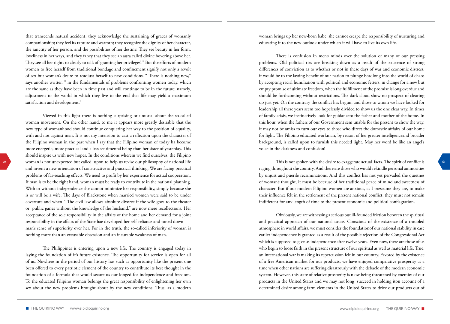that transcends natural accident; they acknowledge the sustaining of graces of womanly companionship; they feel its rapture and warmth; they recognize the dignity of her character, the sanctity of her person, and the possibilities of her destiny. They see beauty in her form, loveliness in her ways, and they fancy that they see an aura called divine hovering above her. They see all her rights to clearly to talk of 'granting her privileges'." But the efforts of modern women to free herself from traditional bondage and confinement signify not only a revolt of sex but woman's desire to readjust herself to new conditions. " There is nothing new," says another writter, " in the fundamentals of problems confronting women today, which are the same as they have been in time past and will continue to be in the future; namely, adjustment to the world in which they live to the end that life may yield a maximum satisfaction and development."

Viewed in this light there is nothing surprising or unusual about the so-called woman movement. On the other hand, to me it appears more greatly desirable that the new type of womanhood should continue conquering her way to the position of equality, with and not against man. It is not my intension to cast a reflection upon the character of the Filipino woman in the past when I say that the Filipino woman of today ha become more energetic, more practical and a less sentimental being than her sister of yesterday. This should inspire us with new hopes. In the conditions wherein we find ourselves, the Filipino woman is not unexpected but called upon to help us revise our philosophy of national life and invent a new orientation of constructive and practical thinking. We are facing practical problems of far-reaching effects. We need to profit by her experience for actual cooperation. If man is to be the right hand, woman must be ready to contribute in the national planning. With or without independence she cannot minimize her responsibility, simply because she is or will be a wife. The days of Blackstone when married women were said to be under coverture and when " The civil law allows absolute divorce if the wife goes to the theater or public ganes without the knowledge of the husband," are now mere recollections. Her acceptance of the sole responsibility in the affairs of the home and her demand for a joint responsibility in the affairs of the State hae developed her self-reliance and toned down man's sense of superiority over her. For in the truth, the so-called inferiority of woman is nothing more than an excusable obsession and an incurable weakness of man.

The Philippines is entering upon a new life. The country is engaged today in laying the foundation of it's future existence. The opportunity for service is open for all of us. Nowhere in the period of our history has such as opportunity like the present one been offered to every patriotic element of the country to contribute its best thought in the foundation of a formula that would secure us our longed-for independence and freedom. To the educated Filipino woman belongs the great responsibility of enlightening her own sex about the new problems brought about by the new conditions. Thus, as a modern

woman brings up her new-born babe, she cannot escape the responsibility of nurturing and educating it to the new outlook under which it will have to live its own life.

There is confusion in men's minds over the solution of many of our pressing problems. Old political ties are breaking down as a result of the existence of strong differences of conviction as to whether or not in these days of war and economic distress, it would be to the lasting benefit of our nation to plunge headlong into the world of chaos by accepting racial humiliation with political and economic fetters, in change for a new but empty promise of ultimate freedom, when the fulfillment of the promise is long overdue and should be forthcoming without restrictions. The dark cloud show no prospect of clearing up just yet. On the contrary the conflict has begun, and those to whom we have looked for leadership all these years seem too hopelessly divided to show us the one clear way. In times of family crisis, we instinctively look for guidanceto the father and mother of the home. In this hour, when the fathers of our Government sem unable for the present to show the way, it may not be amiss to turn our eyes to those who direct the domestic afffairs of our home for light. The Filipino educated workman, by reason of her greater intelligenceand broader background, is called upon to furnish this needed light. May her word be like an angel's voice in the darkness and confusion!

This is not spoken with the desire to exaggerate actual facts. The spirit of conflict is raging throughout the country. And there are those who would rekindle personal animosities by unjust and puerile recriminations. And this conflict has not yet pervaded the quietnes of woman's thought, it must be because of her traditional peace of mind and sweetness of character. But if our modern Filipino women are anxious, as I pressume they are, to make their influence felt in the settlement of the present national conflict, they must not remain indifferent for any length of time to the present economic and political conflagration.

Obviously, we are witnessing a serious but ill-founded friction between the spiritual and practical approach of our national cause. Conscious of the existence of a troubled atmosphere in world affairs, we must consider the foundationof our national stability in case earlier independence is granted as a result of the possible rejection of the Congressional Act which is supposed to give us independence after twelve years. Even now, there are those of us who begin to loose faith in the present structure of our spiritual as well as material life. True, an international war is making its repercussion felt in our country. Favored by the existence of a free American market for our products, we have enjoyed comparative prosperity at a time when other nations are suffering disastrously with the debacle of the modern economic system. However, this state of relative prosperity is n ow being threatened by enemies of our products in the United States and we may not long succeed in holding iton account of a determined desire among farm elements in the United States to drive our products out of

 $\sigma$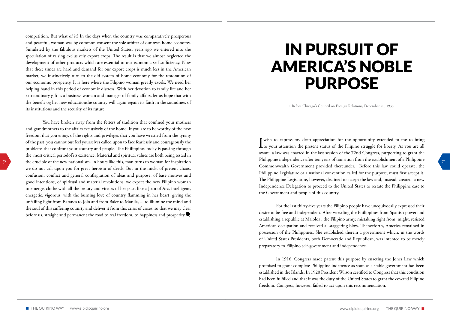competition. But what of it? In the days when the country was comparatively prosperous and peaceful, woman was by common consent the sole arbiter of our own home economy. Simulated by the fabulous markets of the United States, years ago we entered into the speculation of raising exclusively export crops. The result is that we almost neglected the development of other products which are essential to our economic self-sufficiency. Now that these times are hard and demand for our export crops is much less in the American market, we instinctively turn to the old system of home economy for the restoration of our economic prosperity. It is here where the Filipino woman greatly excels. We need her helping hand in this period of economic distress. With her devotion to family life and her extraordinary gift as a business woman and manager of family affairs, let us hope that with the benefit og her new educationthe country will again regain its faith in the soundness of its institutions and the security of its future.

You have broken away from the fetters of tradition that confined your mothers and grandmothers to the affairs exclusively of the home. If you are to be worthy of the new freedom that you enjoy, of the rights and privileges that you have wrestled from the tyrany of the past, you cannot but feel yourselves called upon to face fearlessly and courageously the problems that confront your country and people. The Philippines today is passing through the most critical periodof its existence. Material and spiritual values are both being tested in the crucible of the new nationalism. In hours like this, man turns to woman for inspiration we do not call upon you for great heroism of deeds. But in the midst of present chaos, confusion, conflict and general conflagration of ideas and purpose, of base motives and good intentions, of spiritual and material revolutions, we expect the new Filipino woman to emerge, clothe with all the beauty and virtues of her past, like a Joan of Arc, intelligent, energetic, vigorous, with the burning love of country flamming in her heart, giving the unfailing light from Batanes to Jolo and from Baler to Manila, – to illumine the mind and the soul of this suffering counrty and deliver it from this crisis of crises, so that we may clear before us, straight and permanent the road to real freedom, to happiness and prosperity.

#### IN PURSUIT OF AMERICA'S NOBLE PURPOSE

1 Before Chicago's Council on Foreign Relations, December 20, 1933.

 $\Gamma$  wish to express my deep appreciation for the opportunity extended to me to bring to your attention the present status of the Filipino struggle for liberty. As you are all aware, a law was enacted in the last session of the 72nd Congress, purporting to grant the Philippine independence after ten years of transition from the establishment of a Philippine Commonwealth Government provided thereunder. Before this law could operate, the Philippine Legislature or a national convention called for the purpose, must first accept it. The Philippine Legislature, however, declined to accept the law and, instead, created a new Independence Delegation to proceed to the United States to restate the Philippine case to the Government and people of this country.

For the last thirty-five years the Filipino people have unequivocally expressed their desire to be free and independent. After wrestling the Philippines from Spanish power and establishing a republic at Malolos , the Filipino army, mistaking right from might, resisted American occupation and received a staggering blow. Thenceforth, America remained in possession of the Philippines. She established therein a government which, in the words of United States Presidents, both Democratic and Republican, was intented to be merely preparatory to Filipino self-government and independence.

In 1916, Congress made patent this purpose by enacting the Jones Law which promised to grant complete Philippine indepence as soon as a stable government has been established in the Islands. In 1920 President Wilson certified to Congress that this condition had been fulfilled and that it was the duty of the United States to grant the coveted Filipino freedom. Congress, however, failed to act upon this recommendation.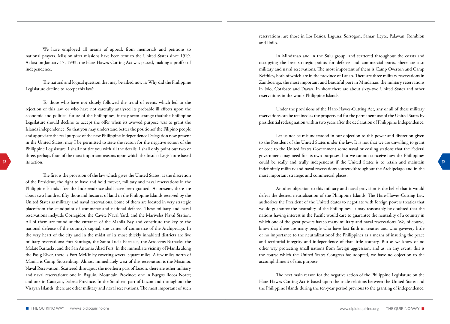We have employed all means of appeal, from memorials and petitions to national prayers. Mission after missions have been sent to the United States since 1919. At last on January 17, 1933, the Hare-Hawes-Cutting Act was passed, making a proffer of independence.

The natural and logical question that may be asked now is: Why did the Philippine Legislature decline to accept this law?

To those who have not closely followed the trend of events which led to the rejection of this law, or who have not carefully analyzed its probable ill effects upon the economic and political future of the Philippines, it may seem strange thatbthe Philippine Legislature should decline to accept the offer when its avowed purpose was to grant the Islands independence. So that you may understand better the positionof the Filipino people and appreciate the real purpose of the new Philippine Independence Delegation now present in the United States, may I be permitted to state the reason for the negative action of the Philippine Legislature. I shall not tire you with all the details. I shall only point out two or three, perhaps four, of the most important reasons upon which the Insular Legislature based its action.

The first is the provision of the law which gives the United States, at the discretion of the President, the right to have and hold forever, military and naval reservations in the Philippine Islands after the Independence shall have been granted. At present, there are about two hundred fifty thousand hectares of land in the Philippine Islands reserved by the United States as military and naval reservations. Some of them are located in very strategic placesfrom the standpoint of commerce and national defense. These military and naval reservations inclyude Corregidor, the Cavite Naval Yard, and the Mariveles Naval Station. All of them are found at the entrance of the Manila Bay and constitute the key to the national defense of the country's capital, the center of commerce of the Archipelago. In the very heart of the city and in the midst of its most thickly inhabited districts are five military reservations: Fort Santiago, the Santa Lucia Barracks, the Arroceros Barracks, the Malate Barracks, and the San Antonio Abad Fort. In the immediate vicinity of Manila along the Pasig River, there is Fort McKinley covering several square miles. A few miles north of Manila is Camp Stotsenburg. Almost immediately west of this reservation is the Masinloc Naval Reservation. Scattered througout the northern part of Luzon, there are other military and naval reservations: one in Baguio, Mountain Province; one in Burgos Ilocos Norte; and one in Cauayan, Isabela Province. In the Southern part of Luzon and throughout the Visayan Islands, there are other military and naval reservations. The most important of such

reservations, are those in Los Baños, Laguna; Sorsogon, Samar, Leyte, Palawan, Romblon and Iloilo.

In Mindanao and in the Sulu group, and scattered throughout the coasts and occupying the best strategic points for defense and commercial ports, there are also military and naval reservations. The most important of them is Camp Overton and Camp Keithley, both of which are in the province of Lanao. There are three military reservations in Zamboanga, the most important and beautiful port in Mindanao, the military reservations in Jolo, Cotabato and Davao. In short there are about sixty-two United States and other reservations in the whole Philippine Islands.

Under the provisions of the Hare-Hawes-Cutting Act, any or all of these military reservations can be retained as the property nd for the permanent use of the United States by presidential redesignation within two years after the declaration of Philippine Independence.

Let us not be misunderstood in our objection to this power and discretion given to the President of the United States under the law. It is not that we are unwilling to grant or cede to the United States Government some naval or coaling stations that the Federal government may need for its own purposes, but we cannot conceive how the Philippines could be really and trully independent if the United States is to retain and maintain indefinitely military and naval reservations scatteredthroughout the Archipelago and in the most important strategic and commercial places.

Another objection to this military and naval provision is the belief that it would defeat the desired neutralization of the Philippine Islands. The Hare-Hawes-Cutting Law authorizes the President of the United States to negotiate with foreign powers treaties that would guarantee the neutrality of the Philippines. It may reasonably be doubted that the nations having interest in the Pacific would care to guarantee the neutrality of a country in which one of the great powers has so many military and naval reservations. We, of course, know that there are many people who have lost faith in treaties and who gavevery little or no importance to the neutralizationof the Philippines as a means of insuring the peace and territorial integrity and independence of that little country. But as we know of no other way protecting small nations from foreign aggression, and as, in any event, this is the course which the United States Congress has adopted, we have no objection to the accomplishment of this purpose.

The next main reason for the negative action of the Philippine Legislature on the Hare-Hawes-Cutting Act is based upon the trade relations between the United States and the Philippine Islands during the ten-year period previous to the granting of independence.

 $\Xi$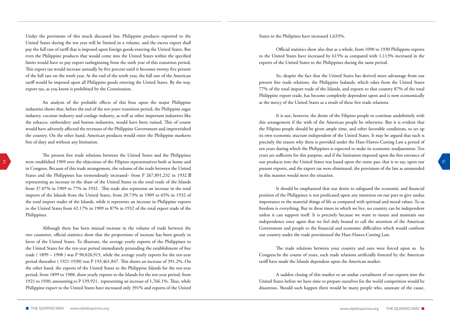Under the provisions of this much discussed law, Philippine products exported to the United States during the ten year will be limited in a volume, and the excess export shall pay the full rate of tariff that is imposed upon foreign goods entering the United States. But even the Philippine products that would come into the United States within the specified limits would have to pay export taxbeginning from the sixth year of this transition period. This export tax would increase annually by five percent until it becomes twenty five persent of the full rate on the tenth year. At the end of the tenth year, the full rate of the American tariff would be imposed upon all Philippine goods entering the United States. By the way, export tax, as you know is prohibited by the Constitution.

An analysis of the probable effects of this btax upon the major Philippine industries shows that, before the end of the ten-yearv transition period, the Philippine sugar industry, coconut industry and cordage industry, as well as other important industries like the tobacco, embroidery and button industries, would have been ruined. This of course would have adversely affected the revenues of the Philippine Government and impoverished the country. On the other hand, American products would enter the Philippine markerts free of duty and without any limitation.

The present free trade relations between the United States and the Philippines were established 1909 over the objections of the Filipino representatives both at home and in Congress. Because of this trade arrangement, the volume of the trade between the United States and the Philippines has tremendously increased– from P 267,891,232 in 1932 representing an increase in the share of the United States in the total trade of the Islands from 37.07% in 1909 to 77% in 1932. This trade also represents an increase in the total imports of the Islands from the United States, from 20.73% in 1909 to 65% in 1932 of the total import trades of the Islands, while it represents an increase in Philippine exports to the United States from 42.17% in 1909 to 87% in 1932 of the total export trade of the Philippines.

Although there has been mutual increase in the volume of trade between the two countries, official statistics show that the proportions of increase has been greatly in favor of the United States. To illustrate, the average yearly exports of the Philippines to the United States for the ten-year period immediately preseeding the establishment of free trade ( 1899 – 1908 ) was P 90,026,915, while the average yearly exports for the ten-year period thereafter ( 1921-1930) was P 193,461,847. This shows an increase of 391.2%. On the other hand, the exports of the United States to the Philippine Islands for the ten-year period, from 1899 to 1908, show yearly exports to the Islands for the ten-year period, from 1921 to 1930, amounting to P 139,921, representing an increase of 1,766.1%. Thus, while Philippine export to the United States have increased only 391% and exports of the United

States to the Philipines have increased 1,633%.

Official statistics show also that as a whole, from 1090 to 1930 Philippine exports to the United States have increased by 615% as compared with 1,113% increased in the exports of the United States to the Philippines during the same period.

So, despite the fact that the United States has derived more advantage from our present free trade relations, the Philippine Isalands, which takes from the United States 77% of the total import trade of the Islands, and exports to that country 87% of the total Philippine export trade, has become completely dependent upon and is now economically at the mercy of the United States as a result of these free trade relations.

It is not, however, the desire of the Filipino people to continue undefinitely with this arrangement if the wish of the American people be otherwise. But it is evident that the Filipino people should be given ample time, and other favorable conditions, to set up its own economic stucture independent of the United States. It may be argued that such is precisely the reason why there is provided under the Hare-Hawes-Cutting Law a period of ten years during which the Philippines is expected to make its economic readjustment. Ten years are sufficient for this purpose, and if the limitation imposed upon the free entrance of our products into the United States was based upon the *status quo*, that is to say, upon our present exports, and the export tax were eliminated, the provisions of the law as ammended in this manner would meet the situation.

It should be emphasized that our desire to safeguard the economic and financial position of the Philippines is not predicated upon any intention on our part to give undue importance to the material things of life as compared with spiritual and moral values. To us freedom is everything. But in these times in which we live, no country can be independent unless it can support itself. It is precisely because we want to insure and maintain our independence once again that we feel duly bound to call the attention of the American Government and people to the financial and economic difficulties which would confront our country under the trade provisionsof the Hare-Hawes-Cutting Law.

The trade relations between your country and ours were forced upon us by Congress.In the course of years, such trade relations artificially fostered by the American tariff have made the Islands dependent upon the American market.

A sudden closing of this market or an undue curtailment of our exports into the United States before we have time to prepare ourselves for the world competition would be disastrous. Should such happen there would be many people who, unaware of the cause,

14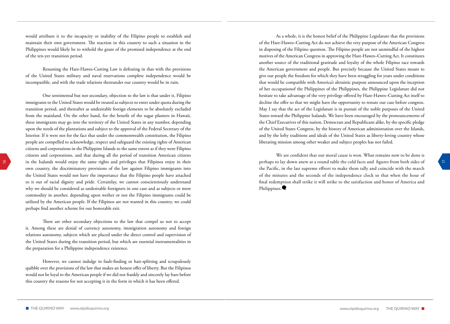would attribute it to the incapacity or inability of the Filipino people to establish and maintain their own government. The reaction in this counrty to such a situation in the Philippines would likely be to withold the grant of the promised independence at the end of the ten-yer transition period.

Resuming the Hare-Hawes-Cutting Law is defeating in that with the provisions of the United States military and naval reservations complete independence would be incompatible, and with the trade relations thereunder our country would be in ruin.

One sentimental but not secondary, objection to the law is that under it, Filipino immigrants to the United States would be treated as subjects to enter under quota during the transition period, and thereafter as undesirable foreign elements to be absolutely excluded from the mainland. On the other hand, for the benefit of the sugar planters in Hawaii, these immigrants may go into the territory of the United States in any number, depending upon the needs of the plantations and subject to the approval of the Federal Secretary of the Interior. If it were not for the fact that under the commonwealth constitution, the Filipino people are compelled to acknowledge, respect and safeguard the existing rights of American citizens and corporations in the Philippine Islands to the same extent as if they were Filipino citizens and corporations, and that during all the period of transition American citizens in the Isalands would enjoy the same rights and privileges that Filipinos enjoy in their own country, the discriminatory provisions of the law against Filipino immigrants into the United States would not have the importance that the Filipino people have attached to it out of racial dignity and pride. Certainlay, we cannot conscientiously understand why we should be considered as undesirable foreigners in one case and as subjects or mere commodity in another, depending upon wether or not the Filipino immigrants could be utilized by the American people. If the Filipinos are not wanted in this country, we could perhaps find another scheme for our honorable exit.

There are other secondary objections to the law that compel us not to accept it. Among these are denial of currency autonomy, immigration autonomy and foreign relations autonomy, subjects which are placed under the direct control and supervision of the United States during the transition period, but which are essential instrumentalities in the preparation for a Philippine independence existence.

However, we cannot indulge in fault-finding or hair-splitting and scrupulously quibble over the provisions of the law that makes an honest offer of liberty. But the Filipinos would not be loyal to the American people if we did not frankly and sincerely lay bare before this country the reasons for not accepting it in the form in which it has been offered.

As a whole, it is the honest belief of the Philippine Legislature that the provisions of the Hare-Hawes–Cutting Act do not achieve the very purpose of the American Congress in disposing of the Filipino question. The Filipino people are not unmindful of the highest motives of the American Congress in approving the Hare-Hawes–Cutting Act. It constitutes another source of the traditional gratitude and loyalty of the whole Filipino race towards the American government and people. But precisely because the United States meant to give our people the freedom for which they have been struggling for years under conditions that would be compatible with America's altruistic purpose announced upon the inception of her occupationof the Philippines of the Philippines, the Philippine Legislature did not hesitate to take advantage of the very privilege offered by Hare-Hawes–Cutting Act itself to decline the offer so that we might have the opportunity to restate our case before congress. May I say that the act of the Legislature is in pursuit of the noble purposes of the United States toward the Philippine Isalands. We have been encouraged by the pronouncements of the Chief Executives of this nation, Democrats and Republicans alike, by the specific pledge of the United States Congress, by the history of American administration over the Islands, and by the lofty traditions and ideals of the United States as liberty-loving country whose liberating mission among other weaker and subject peoples has not failed.

We are confident that our moral cause is won. What remains now to be done is perhaps to lay down anew at a round table the cold facts and figures from both sides of the Pacific, in the last supreme effrort to make them tally and coincide with the march of the minutes and the seconds of the independence clock so that when the hour of final redemption shall strike it will strike to the satisfaction and honor of America and Philippines.

 $\overline{\circ}$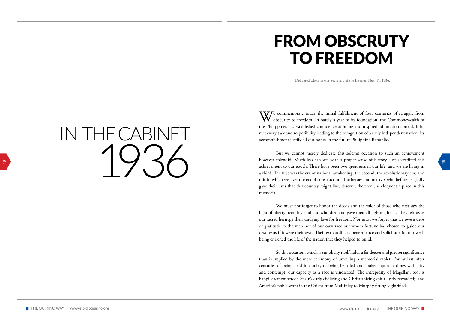### FROM OBSCRUTY TO FREEDOM

Delivered when he was Secretary of the Interior, Nov. 15, 1936.

 $\mathbf{W}$  commemorate today the initial fulfillment of four centuries of struggle from  $\mathbf{V}$  obscurity to freedom. In barely a year of its foundation, the Commonewealth of the Philippines has established confidence at home and inspired admiration abroad. It ha met every task and resposibility leading to the recognition of a truly independent nation. Its accomplishment justify all our hopes in the future Philippine Republic.

But we cannot merely dedicate this solemn occasion to such an achievement however splendid. Much less can we, with a proper sense of history, just accredited this achievement to our epoch. There have been two great eras in our life, and we are living in a third. The first was the era of national awakening; the second, the revolutionary era; and this in which we live, the era of construction. The heroes and martyrs who before us gladly gave their lives that this country might live, deserve, therefore, as eloquent a place in this memorial.

We must not forget to honor the deeds and the valor of those who first saw the light of liberty over this land and who died and gave their all fighting for it. They left us as our sacred heritage their undying love for freedom. Nor must we forget that we owe a debt of gratitude to the men not of our own race but whom fortune has chosen to guide our destiny as if it were their own. Their extraordinary benevolence and solicitude for our wellbeing enriched the life of the nation that they helped to build.

So this occasion, which is simplicity itself holds a far deeper and greater significance than is implied by the mere ceremony of unveiling a memorial tablet. For, at last, after centuries of being held in doubt, of being belittled and looked upon at times with pity and contempt, our capacity as a race is vindicated. The intrepidity of Magellan, too, is happily remembered; Spain's early civilizing and Christianizing spirit justly rewarded; and America's noble work in the Orient from McKinley to Murphy fittingly glorified.

# IN THE CABINFT 1936

 $\overline{9}$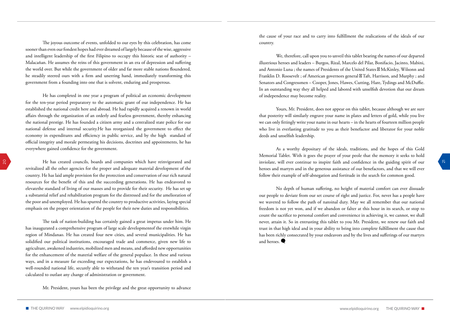The joyous outcome of events, unfolded to our eyes by this celebration, has come sooner than even our fondest hopes had ever dreamed of largely because of the wise, aggressive and intelligent leadership of the first Filipino to occupy this historic seat of authority – Malacañan. He assumes the reins of this government in an era of depression and suffering the world over. But while the government of older and far more stable nations floundered, he steadily steered ours with a firm and unerring hand, immediately transforming this government from a founding into one that is solvent, enduring and prosperous.

He has completed in one year a program of political an economic development for the ten-year period preparatory to the automatic grant of our independence. He has established the national credit here and abroad. He had rapidly acquired a renown in world affairs through the organization of an orderly and fearless government, thereby enhancing the national prestige. He has founded a citizen army and a centralized state police for our national defense and internal security.He has reorganized the government to effect the economy in expenditures and efficiency in public service, and by the high standard of official integrity and morale permeating his decisions, doctrines and appointments, he has everywhere gained confidence for the government.

He has created councils, boards and companies which have reinvigorated and revitalized all the other agencies for the proper and adequate material development of the country. He has laid ample provision for the protection and conservation of our rich natural resources for the benefit of this and the succeeding generations. He has endeavored to elevatethe standard of living of our masses and to provide for their security. He has set up a substantial relief and rehabilitation program for the distressed and for the amelioration of the poor and unemployed. He has spurred the country to productive activities, laying special emphasis on the proper orientation of the people for their new duties and responsibilities.

The task of nation-building has certainly gained a great impetus under him. He has inaugurated a comprehensive program of large scale developmentof the erstwhile virgin region of Mindanao. He has created four new cities, and several municipalities. He has solidified our political institutions, encouraged trade and commerce, given new life to agriculture, awakened industries, mobilized men and means, and afforded new opportunities for the enhancement of the material welfare of the general populace. In these and various ways, and in a measure far exceeding our expectations, he has endevoured to establish a well-rounded national life, securely able to withstand the ten year's transition period and calculated to outlast any change of administration or government.

Mr. President, yours has been the privilege and the great opportunity to advance

the cause of your race and to carry into fulfillment the realications of the ideals of our country.

We, therefore, call upon you to unveil this tablet bearing the names of our departed illustrious heroes and leaders – Burgos, Rizal, Marcelo del Pilar, Bonifacio, Jacinto, Mabini, and Antonio Luna ; the names of Presidents of the United States McKinley, Wilsonn and Franklin D. Roosevelt ; of American governors general Taft, Harrison, and Murphy ; and Senators and Congressmen – Cooper, Jones, Hawes, Cutting, Hare, Tydings and McDuffie. In an outstanding way they all helped and labored with unselfish devotion that our dream of independence may become reality.

Yours, Mr. President, does not appear on this tablet, because although we are sure that posterity will similarly engrave your name in plates and letters of gold, while you live we can only fittingly write your name in our hearts – in the hearts of fourteen million people who live in everlasting gratitude to you as their benefactor and liberator for your noble deeds and unselfish leadership.

As a worthy depositary of the ideals, traditions, and the hopes of this Gold Memorial Tablet. With it goes the prayer of your peole that the memory it seeks to hold inviolate, will ever continue to inspire faith and confidence in the guiding spirit of our heroes and martyrs and in the generous assistance of our benefactors, and that we will ever follow their example of self-abnegation and fortitude in the search for common good.

No depth of human suffering, no height of material comfort can ever dissuade our people to deviate from our set course of right and justice. For, never has a people have we wavered to follow the path of natoinal duty. May we all remember that our national freedom is not yet won, and if we abandon or falter at this hour in its search, or stop to count the sacrifice to personal comfort and convenience in achieving it, we cannot, we shall never, attain it. So in entrusting this tablet to you Mr. President, we renew our faith and trust in that high ideal and in your ability to bring into complete fulfillment the cause that has been richly consecrated by your endeavors and by the lives and sufferings of our martyrs and heroes.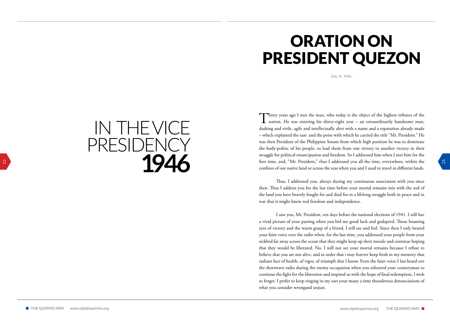### ORATION ON PRESIDENT QUEZON

July 31, 1946.

Thirty years ago I met the man, who today is the object of the highest tributes of the nation. He was entering his thirty-eight year – an extraordinarily handsome man, dashing and virile, agile and intellectually alert with a name and a reputation already made – which explained the ease and the poise with which he carried the title "Mr. President." He was then President of the Philippine Senate from which high position he was to dominate the body-politic of his people, to lead them from one victory to another victory in their struggle for political emancipation and freedom. So I addressed him when I met him for the first time, and, "Mr. President," thus I addressed you all the time, everywhere, within the confines of our native land or across the seas when you and I used to travel in different lands.

Thus, I addressed you, always during my continuous association with you since then. Thus I address you for the last time before your mortal remains mix with the sod of the land you have bravely fought for and died for in a lifelong struggle both in peace and in war that it might know real freedom and independence.

I saw you, Mr. President, ten days before the national elections of 1941. I still hav a vivid picture of your parting when you bid me good luck and godspeed. Those beaming eyes of victory and the warm grasp of a friend, I still see and feel. Since then I only heared your faint voice over the radio when, for the last time, you addressed your people from your sickbed far away across the ocean that they might keep up their morale and continue hoping that they would be liberated. No, I will not see your mortal remains because I refuse to believe that you are not alive, and in order that i may forever keep fresh in my memory that radiant face of health, of vigor, of triumph that I know. Even the faint voice I last heard ove the shortwave radio during the enemy occupation when you exhorted your countryman to continue the fight for the liberation and inspired us with the hope of final redemption, I wish to forget. I prefer to keep ringing in my ears your many a time thunderous denunciations of what you consider wrongand unjust.

### In thevice PRESIDENC **1946**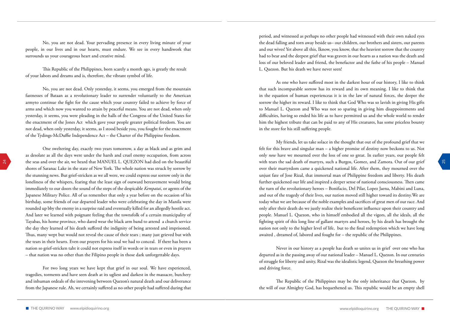No, you are not dead. Your pervading presence in every living minute of your people, in our lives and in our hearts, must endure. We see in every handiwork that surrounds us your courageous heart and creative mind.

This Republic of the Philippines, born scarely a month ago, is greatly the result of your labors and dreams and is, therefore, the vibrant symbol of life.

No, you are not dead. Only yesterday, it seems, you emerged from the mountain fastnesses of Bataan as a revolutionary leader to surrender voluntarily to the American armyto continue the fight for the cause which your country failed to achieve by force of arms and which now you wanted to attain by peaceful means. You are not dead, when only yesterday, it seems, you were pleading in the halls of the Congress of the United States for the enactment of the Jones Act which gave your people greater political freedom. You are not dead, when only yesterday, it seems, as I stood beside you, you fought for the enactment of the Tydings-McDuffie Independence Act – the Charter of the Philippine freedom.

One sweltering day, exactly two years tomorrow, a day as black and as grim and as desolate as all the days were under the harsh and cruel enemy occupation, from across the seas and over the air, we heard that MANUEL L. QUEZON had died on the beautiful shores of Saranac Lake in the state of New York. The whole nation was struck by sorrow by the stunning news. But grief-stricken as we all were, we could express our sorrow only in the loneliness of the whispers, fearing that the least sign of outward bereavement would bring immediately to our doors the sound of the steps of the despicable *Kempatai*, or agents of the Japanese Military Police. All of us remember that only a year before on the occasion of his birthday, some friends of our departed leader who were celebrating the day in Manila were rounded up bby the enemy in a surprise raid and eventually killed for an allegedly hostile act. And later we learned with poignant feeling that the townsfolk of a certain municipality of Tayabas, his home province, who dared wear the black arm band to attend a church service the day they learned of his death suffered the indignity of being arrested and imprisoned. Thus, many wept but would not reveal the cause of their tears ; many just grieved but with the tears in their hearts. Even our prayers for his soul we had to conceal. If there has been a nation so grief-stricken taht it could not express itself in words or in tears or even in prayers – that nation was no other than the Filipino people in those dark unforgettable days.

For two long years we have kept that grief in our soul. We have experienced, tragedies, torments and have seen death at its ugliest and darkest in the massacre, butchery and inhuman ordeals of the intevening between Quezon's natural death and our deliverance from the Japanese rule. Ah, we certainly suffered as no other people had suffered during that

period, and witnessed as perhaps no other people had witnessed with their own naked eyes the dead falling and torn away beside us– our children, our brothers and sisters, our parents and our wives! Yet above all this, Iknow, you know, that the heaviest sorrow that the country had to bear and the deepest grief that was graven in our hearts as a nation was the death and loss of our beloved leader and friend, the benefactor and the fathe of his people – Manuel L. Quezon. But his death we have never seen!

As one who have suffered most in the darkest hour of our history, I like to think that such incomparable sorrow has its reward and its own meaning. I like to think that in the equation of human experienceas it is in the law of natural forces, the deeper the sorrow the higher its reward. I like to think that God Who was so lavish in giving His gifts to Manuel L. Quezon and Who was not so sparing in giving him disappointments and difficulties, having so ended his life as to have permitted us and the whole world to render him the highest tribute that can be paid to any of His creatures, has some priceless bounty in the store for his still suffering people.

My friends, let us take solace in the thought that out of the profound grief that we felt for this brave and singular man – a higher promise of destiny now beckons to us. Not only *now* have we mourned over the loss of one so great. In earlier years, our people felt with tears the sad death of martyrs, such a Burgos, Gomez, and Zamora. Out of our grief over their martyrdom came a quickened national life. After them, they mourned over the unjust fate of Jose Rizal, that immortal man of Philippine freedom and liberty. His death further quickened our life and inspired a deeper sense of national consciousness. Then came the turn of the revolutionary heroes – Bonifacio, Del Pilar, Lopez Jaena, Mabini and Luna, and out of the tragedy of their lives, our nation moved still higher toward its destiny.We are today what we are because of the noble examples and sacrifices of great men of our race. And only after their death do we justly realize their beneficent influence upon their country and people. Manuel L. Quezon, who in himself embodied all the vigors, all the ideals, all the fighting spirit of this long line of gallant martyrs and heroes, by his death has brought the nation not only to the higher level of life, but to the final redemption which we have long awaited , dreamed of, labored and fought for – the republic of the Philippines.

Never in our history as a people has death so unites us in grief over one who has departed as in the passing away of our national leader – Manuel L. Quezon. In our centuries of struggle for liberty and unity, Rizal was the idealistic legend, Quezon the breathing power and driving force.

The Republic of the Philippines may be the only inheritance that Quezon, by the will of our Almighty God, has bequethened us. This republic would be an empty shell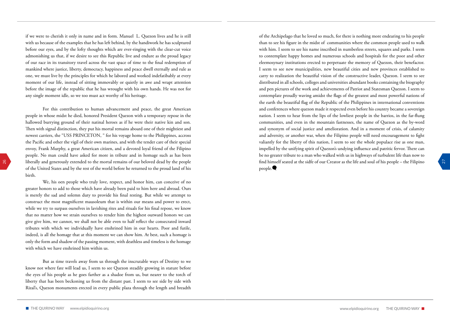if we were to cherish it only in name and in form. Manuel L. Quezon lives and he is still with us because of the examples that he has left behind, by the handiwork he has sculptured before our eyes, and by the lofty thoughts which are ever-ringing with the clear-cut voice admonishing us that, if we desire to see this Republic live and endure as the proud legacy of our race in its transitory travel across the vast space of time to the final redemption of mankind where justice, liberty, democracy, happiness and peace dwell eternally and rule as one, we must live by the principles for which he labored and worked indefatibably at every moment of our life, instead of sitting immovably or quietly in awe and wrapt attention before the image of the republic that he has wrought with his own hands. He was not for any single moment idle, so we too must act worthy of his heritage.

For this contribution to human advancement and peace, the great American people in whose midst he died, honored President Quezon with a temporary repose in the hallowed burrying ground of their natinal heroes as if he were their native kin and son. Then with signal distinction, they put his mortal remains aboard one of their mightiest and newest carriers, the "USS PRINCETON, " for his voyage home to the Philippines, accross the Pacific and other the vigil of their own marines, and with the tender care of their special envoy, Frank Murphy, a great American citizen, and a devoted loyal friend of the Filipino people. No man could have asked for more in tribute and in homage such as has been liberally and generously extended to the mortal remains of our beloved dead by the people of the United States and by the rest of the world before he returned to the proud land of his birth.

We, his oen people who truly love, respect, and honor him, can conceive of no greater honors to add to those which have already been paid to him here and abroad. Ours is merely the sad and solemn duty to provide his final resting. But while we attempt to construct the most magnificent mausoleum that is within our means and power to erect, while we try to surpass ourselves in lavishing rites and rituals for his final repose, we know that no matter how we strain ourselves to render him the highest outward honors we can give give him, we cannot, we shall not be able even to half reflect the consecrated inward tributes with which we individually have enshrined him in our hearts. Poor and futile, indeed, is all the homage that at this moment we can show him. At best, such a homage is only the form and shadow of the passing moment, with deathless and timeless is the homage with which we have enshrined him within us.

But as time travels away from us through the inscrutable ways of Destiny to we know not where fate will lead us, I seem to see Quezon steadily growing in stature before the eyes of his people as he goes farther as a shadoe from us, but nearer to the torch of liberty that has been beckoning us from the distant past. I seem to see side by side with Rizal's, Quezon monuments erected in every public plaza through the length and breadth

of the Archipelago that he loved so much, for there is nothing more endearing to his people than to see his figure in the midst of communities where the common people used to walk with him. I seem to see his name inscribed in numberless streets, squares and parks. I seem to contemplate happy homes and numerous schools and hospitals for the poor and other eleemosynary institutions erected to perpetuate the memory of Quezon, their benefactor. I seem to see new municipalities, new beautiful cities and new provinces established to carry to realization the beautiful vision of the constructive leader, Quezon. I seem to see distributed in all schools, colleges and universities abundant books containing the biography and pen pictures of the work and achievements of Patriot and Statesman Quezon. I seem to contemplate proudly waving amidst the flags of the greatest and most powerful nations of the earth the beautiful flag of the Republic of the Philippines in international conventions and conferences where quezon made it respected even before his country became a sovereign nation. I seem to hear from the lips of the lowliest people in the barrios, in the far-flung communities, and even in the mountain fastnesses, the name of Quezon as the by-word and synonym of social justice and amelioration. And in a moment of crisis, of calamity and adversity, or another war, when the Filipino people will need encouragement to fight valiantly for the liberty of this nation, I seem to see the whole populace rise as one man, impelled by the unifying spirit of Quezon's undying influence and patritic fervor. There can be no greater tribute to a man who walked with us in highways of turbulent life than now to find himself seated at the sidfe of our Creator as the life and soul of his people – the Filipino people.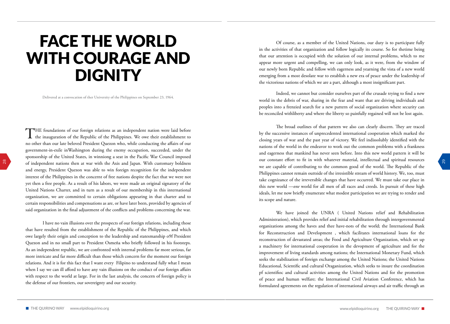#### FAC E THE WORLD WITH COURAGE AND DIGNITY

Delivered at a convocation of ther University of the Philippines on September 23, 1964.

THE foundations of our foreign relations as an independent nation were laid before **L** the inauguration of the Republic of the Philippines. We owe their establishment to no other than our late beloved President Quezon who, while conducting the affairs of our government-in-exile inWashington during the enemy occupation, succeeded, under the sponsorship of the United States, in winniong a seat in the Pacific War Council imposed of independent nations then at war with the Axis and Japan. With customary boldness and energy, President Quezon was able to win foreign recognition for the independent interest of the Philippines in the concernt of free nations despite the fact that we were not yet then a free people. As a result of his labors, we were made an original signatory of the United Nations Charter, and in turn as a result of our membership in this international organization, we are committed to certain obligations appearing in that charter and to certain responsibilities and compensations as are, or have later been, provided by agencies of said organization in the final adjustment of the conflicts and problems concerning the war.

I have no vain illusions over the prospects of our foreign relations, including those that have resulted from the establishment of the Republic of the Philippines, and which owe largely their origin and conception to the leadership and statesmanship o9f President Quezon and in no small part to President Osmeña who briefly followed in his footsteps. As an independent republic, we are confronted with internal problems far more serious, far more intricate and far more difficult than those which concern for the moment our foreign relations. And it is for this fact that I want every Filipino to understand fully what I mean when I say we can ill afford to have any vain illusions on the conduct of our foreign affairs with respect to the world at large. For in the last analysis, the concern of foreign policy is the defense of our frontiers, our sovereignty and our security.

Of course, as a member of the United Nations, our duty is to participate fully in the activities of that organization and follow logically its course. So for thetime being that our attention is occupied with the solution of our internal problems, which to me appear more urgent and compelling, we can only look, as it were, from the window of our newly born Republic and follow with eagerness and yearning the vista of a new world emerging from a most desolate war to establish a new era of peace under the leadership of the victorious nations of which we are a part, although a most insignificant part.

Indeed, we cannot but consider ourselves part of the crusade trying to find a new world in the debris of war, sharing in the fear and want that are driving individuals and peoples into a frenzied search for a new pattern of social organization where security can be reconciled withliberty and where the liberty so painfully regained will not be lost again.

The broad outlines of that pattern we also can clearly discern. They are traced by the successive instances of unprecedented international cooperation which marked the closing years of war and the past year of victory. We feel indissolubly identified with the nations of the world in the endeavor to work out the common problems with a frankness and eagerness that mankind has never seen before. Into this new world pattern it will be our constant effort to fit in with whatever material, intellectual and spiritual resources we are capable of contributing to the common good of the world. The Republic of the Philippines cannot remain outtside of the irresistible stream of world history. We, too, must take cognizance of the irreversible changes that have occurred. We must take our place in this new world ––*one* world for all men of all races and creeds. In pursuit of these high ideals, let me now briefly enumerate what modest participation we are trying to render and its scope and nature.

We have joined the UNRA ( United Nations relief and Rehabilitation Administration), which provides relief and initial rehabilitation through intergovernmental organizations among the haves and thee have-nots of the world; the International Bank for Reconstruction and Development , which facilitates international loans for the reconstruction of devastated areas; the Food and Agriculture Organization, which set up a machinery for international cooperation in the devopment of agriculture and for the improvement of living standards among nations; the International Monetary Fund, which seeks the stabilization of foreign exchange among the United Nations; the United Nations Educational, Scientific and cultural Oraganization, which seeks to insure the coordination pf scientifioc and cultural activities among the United Nations and for the promotion of peace and human welfare; the International Civil Aviation Conference, which has formulated agreements on the regulation of international airways and air traffic through an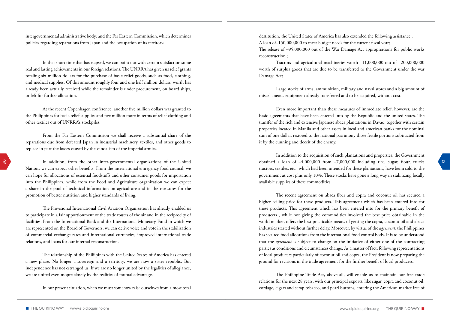intergovernmental administrative body; and the Far Eastern Commission, which determines policies regarding reparations from Japan and the occupation of its territory.

In that short time that has elapsed, we can point out with certain satisfaction some real and lasting achievements in our foreign relations. The UNRRA has given us relief grants totaling six million dollars for the purchase of basic relief goods, such as food, clothing, and medical supplies. Of this amount roughly four and one half million dollars' worth has already been actually received while the remainder is under procurement, on board ships, or left for further allocation.

At the recent Copenhagen conference, another five million dollars was granted to the Philippines for basic relief supplies and five million more in terms of relief clothing and other textiles out of UNRRA's stockpiles.

From the Far Eastern Commission we shall receive a substantial share of the reparations due from defeated Japan in industrial machinery, textiles, and other goods to replace in part the losses caused by the vandalism of the imperial armies.

In addition, from the other inter-governmental organizations of the United Nations we can expect other benefits. From the international emregency food council, we can hope for allocations of essential foodstuffs and other consumer goods for importation into the Philippines, while from the Food and Agriculture organization we can expect a share in the pool of technical information on agriculture and in the measures for the promotion of better nutrition and higher standards of living.

The Provisional International Civil Aviation Organization has already enabled us to participate in a fair apportionment of the trade routes of the air and in the reciprocity of facilities. From the International Bank and the International Monetary Fund in which we are represented on the Board of Governors, we can derive voice and vote in the stabilization of commercial exchange rates and international currencies, improved international trade relations, and loans for our internal reconstruction.

The relationship of the Philiipines with the United States of America has entered a new phase. No longer a sovereign and a territory, we are now a sister republic. But independence has not estranged us. If we are no longer united by the legalities of allegiance, we are united even mopre closely by the realities of mutual advantage.

In our present situation, when we must somehow raise oursekves from almost total

destitution, the United States of America has also extended the following assistance : A loan of–150,000,000 to meet budget needs for the current fiscal year;

The release of –95,000,000 out of the War Damage Act appropriations for public works reconstruction ;

Tractors and agricultural machineries worth –11,000,000 out of –200,000,000 worth of surplus goods that are due to be transferred to the Government under the war Damage Act;

Large stocks of arms, ammunition, military and naval stores and a big amount of miscellaneous equipment already transferred and to be acquired, without cost.

Even more important than these measures of immediate relief, however, are the basic agreements that have been entered into by the Republic and the united states. The transfer of the rich and extensive Japanese abaca plantations in Davao, together with certain properties located in Manila and other assets in local and american banks for the nominal sum of one dollar, restored to the national patrimony those fertile portions subtracted from it by the cunning and deceit of the enemy.

In addition to the acquisition of such plantations and properties, the Government obtained a loan of –4,000,000 from –7,000,000 including rice, sugar, flour, trucks tractors, textiles, etc., which had been intended for these plantations, have benn sold to the government at cost plus only 10%. These stocks have gone a long way in stabilizing locally available supplies of these commodities.

The recent agreement on abaca fiber and copra and coconut oil has secured a higher ceiling price for these products. This agreement which has been entered into for these products. This agreement which has been entered into for the primary benefit of producers , while not giving the commodities involved the best price obtainable in the world market, offers the best practicable means of getting the copra, coconut oil and abaca industries started without further delay. Moreover, by virtue of the *agrement*, the Philippines has secured food allocations from the international food control body. It is to be understood that the *agrement* is subject to change on the initiative of either one of the contracting parties as conditions and cicumstances change. As a matter of fact, following representations of local producers particularly of coconut oil and copra, the President is now preparing the ground for revisions in the trade agreement for the further benefit of local producers.

The Philippine Trade Act, above all, will enable us to maintain our free trade relations for the next 28 years, with our principal exports, like sugar, copra and coconut oil, cordage, cigars and scrap tobacco, and pearl buttons, entering the American market free of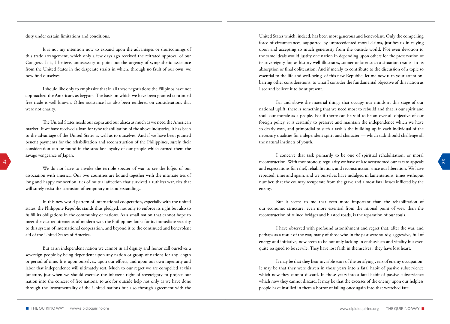duty under certain limitations and conditions.

It is not my intention now to expand upon the advantages or shortcomings of this trade arrangement, which only a few days ago received the reitrated approval of our Congress. It is, I believe, unnecessary to point out the urgency of sympathetic assistance from the United States in the desperate straits in which, through no fault of our own, we now find ourselves.

I should like only to emphasize that in all these negotiations the Filipinos have not approached the Americans as beggars. The basis on which we have been granted continued free trade is well known. Other assistance has also been rendered on considerations that were not charity.

The United States needs our copra and our abaca as much as we need the American market. If we have received a loan for tyhe rehabilitation of the above industries, it has been to the advantage of the United States as well as to ourselves. And if we have been granted benefit payments for the rehabilitation and reconstruction of the Philippines, surely their consideration can be found in the steadfast loyalty of our people which earned them the savage vengeance of Japan.

We do not have to invoke the terrible specter of war to see the lofgic of our association with america. Our two countries are bound together with the intimate ties of long and happy connection, ties of mutual affection that survived a ruthless war, ties that will surely resist the corrosion of temporary misunderstandings.

In this new world pattern of international cooperation, especially with the united states, the Philippine Republic stands thus pledged, not only to enforce its right but also to fulfill its obligations in the community of nations. As a small nation that cannot hope to meet the vast requirements of modern war, the Philippines looks for its immediate security to this system of international cooperation, and beyond it to the continued and benevolent aid of the United States of America.

But as an independent nation we cannot in all dignity and honor call ourselves a sovereign people by being dependent upon any nation or group of nations for any length or period of time. It is upon ourselves, upon our efforts, and upon our own ingenuity and labor that independence will ultimately rest. Much to our regret we are compelled at this juncture, just when we should exercise the inherent right of sovereignty to project our nation into the concert of free nations, to ask for outside help not only as we have done through the instrumentality of the United nations but also through agreement with the

United States which, indeed, has been most generous and benevolent. Only the compelling force of circumstances, supported by unprecedented moral claims, justifies us in relying upon and accepting so much generosity from the outside world. Not even devotion to the same ideals would justify one nation in depending upon others for the preservation of its sovereignty for, as history well illustrates, sooner or later such a situation results in its absorption or final obliteration. And if merely to contribute to the discussion of a topic so essential to the life and well-being of this new Republic, let me now turn your attention, barring other considerations, to what I consider the fundamental objective of this nation as I see and believe it to be at present.

Far and above the material things that occupy our minds at this stage of our national uplift, there is something that we need most to rebuild and that is our spirit and soul, our morale as a people. For if therte can be said to be an over-all objective of our foreign policy, it is certainly to preserve and maintain the independence which we have so dearly won, and primordial to such a task is the building up in each individual of the necessary qualities for independent spirit and character -- which task should challenge all the natural instincts of youth.

I conceive that task primarily to be one of spiritual rehabilitation, or moral reconstruction. With monotonous regularity we have of late accustomed our ears to appeals and expectations for relief, rehabilitation, and reconstruction since our liberation. We have repeated, time and again, and we ourselves have indulged in lamentations, times withoput number, that the country recuperate from the grave and almost fatal losses inflicted by the enemy.

But it seems to me that even more important than the rehabilitation of our economic structure, even more essential from the ntional point of view than the reconstruction of ruined bridges and blasted roads, is the reparation of our souls.

I have observed with profound astonishment and regret that, after the war, and perhaps as a result of the war, many of those who in the past were sturdy, aggressive, full of energy and initiative, now seem to be not only lacking in enthusiasm and vitality but even quite resigned to be servile. They have lost faith in themselves ; they have lost heart.

It may be that they bear invisible scars of the terrifying years of enemy occupation. It may be that they were driven in those years into a fatal habit of passive subservience which now they cannot discard. In those years into a fatal habit of passive subservience which now they cannot discard. It may be that the excesses of the enemy upon our helpless people have instilled in them a horror of falling once again into that wretched fate.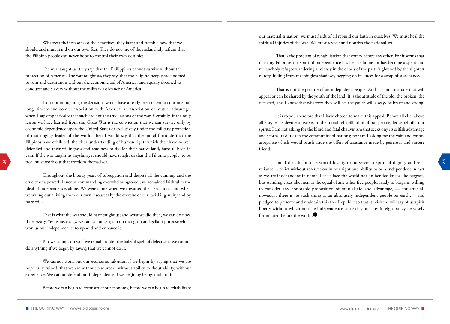Whatever their reasons or their motives, they falter and tremble now that we should and must stand on our own feet. They do not tire of the melancholy refrain that the Filipino people can never hope to control their own destinies.

The war taught us, they say, that the Philippines cannot survive without the protection of America. The war taught us, they say, that the Filipino people are doomed to ruin and destitution without the economic aid of America, and equally doomed to conquest and slavery without the military assistance of America.

I am not impugning the decisions which have already been taken to continue our long, sincere and cordial association with America, an association of mutual advantage, when I say emphatically that such are not the true lessons of the war. Certainly, if the only lesson we have learned from this Great War is the conviction that we can survive only by economic dependence upon the United States or exclusively under the military protection of that mighty leader of the world, then I would say that the moral fortitude that the Filipinos have exhibited, the clear understanding of human rights which they have so well defended and their willingness and readiness to die for their native land, have all been in vain. If the war taught us anything, it should have taught us that tha Filipino people, to be free, must work out that freedom themselves.

Throughout the bloody years of subjugation and despite all the cunning and the cruelty of a powerful enemy, commanding overwhelmingforces, we remained faithful to the ideal of independence, alone. We were alone when we thwarted their exactions, and when we wrung out a living from our own resources by the exercise of our racial ingenuity and by pure will.

That is what the war should have taught us; and what we did then, we can do now, if necessary. Yes, is necessary, we can call once again on that grim and gallant purpose which won us our independence, to uphold and enhance it.

But we cannot do so if we remain under the baleful spell of defeatism. We cannot do anything if we begin by saying that we cannot do it.

We cannot work out our economic salvation if we begin by saying that we are hopelessly ruined, that we are without resources , without ability, without ability, without experience. We cannot defend our independence if we begin by being afraid of it.

Before we can begin to reconstruct our economy, before we can begin to rehabilitate

our material situation, we must firsdt of all rebuild our faith in ourselves. We must heal the spiritual injuries of the war. We must reviver and nourish the national soul.

That is the problem of rehabilitation that comes before any other. For it seems that in many Filipinos the spirit of independence has lost its home ; it has become a spent and melancholy refugee wandering aimlessly in the debris of the past, frightened by the slightest outcry, hiding from meaningless shadows, begging on its knees for a scrap of sustenance.

That is not the posture of an indepndent people. And it is not attitude that will appeal or can be shared by the youth of the land. It is the attitude of the old, the broken, the defeated, and I know that whatever they will be, the youth will always be brave and strong.

It is to you therefore that I have chosen to make this appeal. Before all else, above all else, let us devote ourselves to the moral rehabilitation of our people, let us rebuild our spirits. I am not asking for the blind and fatal chauvinism that seeks ony its selfish advantage and scorns its duties in the community of nations; nor am I asking for the vain and empty arrogance which would brush aside the offers of assistance made by generous and sincere friends.

But I do ask for an essential loyalty to ourselves, a spirit of dignity and selfreliance, a belief without reservation in our right and ability to be a independent in fact as we are independent in name. Let us face the world not on bended knees like beggars, but standing erect like men as the equal of any other free people, ready to bargain, willing to consider any honorable proposition of mutual aid and advantage, –– for after all nowadays there is no such thing as an absolutely independent people on earth,–– and pledged to preserve and maintain this free Republic so that its citizens will say of us spirit liberty without which no true independence can exist, nor any foreign policy be wisely formulated before the world.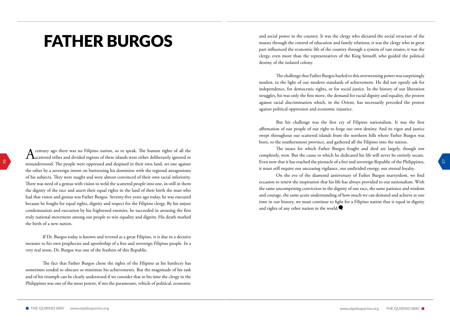#### FATHER BURGOS

A century ago there was no Filipino nation, so to speak. The human rights of all the Scattered tribes and divided regions of these islands were either deliberately ignored or misunderstood. The people were oppressed and despised in their own land, set one against the other by a sovereign intent on buttressing his dominion with the regional antagonisms of his subjects. They were taught and were almost convinced of their own racial inferiority. There was need of a genius with vision to weld the scattered people into one, in-still in them the dignity of the race and assert their equal rights in the land of their birth the man who had that vision and genius was Father Burgos. Seventy-five years ago today, he was executed because he fought for equal rights, dignity and respect for the Filipino clergy. By his unjust condemnation and execution by his frightened enemies, he succeeded in arousing the first truly national movement among our people to win equality and dignity. His death marked the birth of a new nation.

If Dr. Burgos today is known and revered as a great Filipino, it is due in a decisive measure to his own prophecies and apostleship of a free and sovereign Filipino people. In a very real sense, Dr. Burgos was one of the feathers of this Republic.

The fact that Father Burgos chose the rights of the Filipino as his battlecry has sometimes tended to obscure or minimize his achievements. But the magnitude of his task and of his triumph can be clearly understood if we consider that in his time the clergy in the Philippines was one of the most potent, if not the paramount, vehicle of political, economic and social power in the country. It was the clergy who dictated the social structure of the masses through the control of education and family relations; it was the clergy who in great part influenced the economic life of the country through a system of vast estates; it was the clergy, even more than the representatives of the King himself, who guided the political destiny of the isolated colony.

The challenge that Father Burgos hurled to this overweening power was surprisingly modest, in the light of our modern standards of achievement. He did not openly ask for independence, for democratic rights, or for social justice. In the history of our liberation struggles, his was only the first move, the demand for racial dignity and equality, the protest against racial discrimination which, in the Orient, has necessarily preceded the protest against political oppression and economic injustice.

But his challenge was the first cry of Filipino nationalism. It was the first affirmation of our people of our right to forge our own destiny. And its vigor and justice swept throughout our scattered islands from the northern hills where Father Burgos was born, to the southernmost province, and gathered all the Filipino into the nation.

The issues for which Father Burgos fought and died are largely, though not completely, won. But the cause to which he dedicated his life will never be entirely secure. Even now that it has reached the pinnacle of a free and sovereign Republic of the Philippines, it must still require our unceasing vigilance, our undivided energy, our eternal loyalty.

On the eve of the diamond anniversary of Father Burgos martyrdom, we find occasion to renew the inspiration that his life has always provided to our nationalism. With the same uncomprising conviction in the dignity of our race, the same patience and wisdom and courage, the same acute understanding of how much we can demand and achieve at one time in our history, we must continue to fight for a Filipino nation that is equal in dignity and rights of any other nation in the world.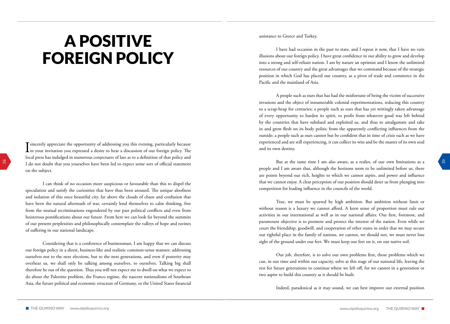### A POSITIVE FOREIGN POLICY

In your invitation you expressed a desire to hear a discussion of our foreign policy. The site of the state of the state of the state of the state of the state of the state of the state of the state of the state of the sta local press has indulged in numerous conjectures of late as to a definition of that policy and I do not doubt that you yourselves have been led to expect some sort of official statement on the subject.

I can think of no occasion more auspicious or favourable than this to dispel the speculation and satisfy the curiosities that have thus been aroused. The unique aloofness and isolation of this once beautiful city, far above the clouds of chaos and confusion that have been the natural aftermath of war, certainly lend themselves to calm thinking, free from the mutual recriminations engendered by our past political conflicts and even from boisterous pontifications about our future. From here we can look far beyond the summits of our present perplexities and philosophically contemplate the valleys of hope and ravines of suffering in our national landscape.

Considering that is a conference of businessman, I am happy that we can discuss our foreign policy in a direst, business-like and realistic common-sense manner, addressing ourselves not to the next elections, but to the next generations, and even if posterity may overhear us, we shall only be talking among ourselves, to ourselves. Talking big shall therefore be out of the question. Thus you will not expect me to dwell on what we expect to do about the Palestine problem, the Franco regime, the nascent nationalisms of Southeast Asia, the future political and economic structure of Germany, or the United States financial

assistance to Greece and Turkey.

I have had occasion in the past to state, and I repeat it now, that I have no vain illusions about our foreign policy. I have great confidence in our ability to grow and develop into a strong and self-reliant nation. I am by nature an optimist and I know the unlimited resources of our country and the great advantages that we command because of the strategic position in which God has placed our country, as a pivot of trade and commerce in the Pacific and the mainland of Asia.

A people such as ours that has had the misfortune of being the victim of successive invasions and the object of innumerable colonial experimentations, reducing this country to a scrap-heap for centuries; a people such as ours that has yet wittingly taken advantage of every opportunity to harden its spirit, to profit from whatever good was left behind by the countries that have subdued and exploited us, and thus to amalgamate and take in and grow flesh on its body politic from the apparently conflicting influences from the outside; a people such as ours cannot but be confident that in time of crisis such as we have experienced and are still experiencing, it can collect its wits and be the master of its own soul and its own destiny.

But at the same time I am also aware, as a realist, of our own limitations as a people and I am aware that, although the horizons seem to be unlimited before us, there are points beyond our rich, heights to which we cannot aspire, and power and influence that we cannot enjoy. A clear perception of our position should deter us from plunging into competition for leading influence in the councils of the world.

True, we must be spurred by high ambition. But ambition without limit or without reason is a luxury we cannot afford. A keen sense of proportion must rule our activities in our international as well as in our national affairs. Our first, foremost, and paramount objective is to promote and protect the interest of the nation. Even while we court the friendship, goodwill, and cooperation of other states in order that we may secure our rightful place in the family of nations, we cannot, we should not, we must never lose sight of the ground under our feet. We must keep our feet on it, on our native soil.

Our job, therefore, is to solve our own problems first, those problems which we can, in our time and within our capacity, solve at this stage of our national life, leaving the rest for future generations to continue where we left off, for we cannot in a generation or two aspire to build this country as it should be built.

Indeed, paradoxical as it may sound, we can best improve our external position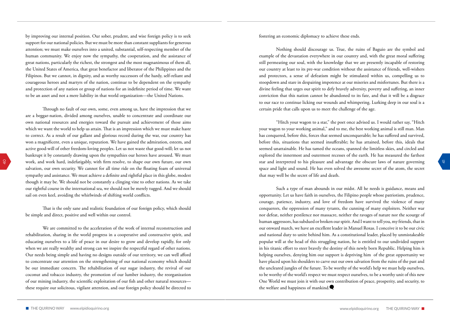by improving our internal position. Our sober, prudent, and wise foreign policy is to seek support for our national policies. But we must be more than constant suppliants for generous attention; we must make ourselves into a united, substantial, self-respecting member of the human community. We enjoy now the sympathy, the cooperation, and the assistance of great nations, particularly the richest, the strongest and the most magnanimous of them all, the United States of America, that great benefactor and liberator of the Philippines and the Filipinos. But we cannot, in dignity, and as worthy successors of the hardy, self-reliant and courageous heroes and martyrs of the nation, continue to be dependent on the sympathy and protection of any nation or group of nations for an indefinite period of time. We want to be an asset and not a mere liability in that world organization—the United Nations.

Through no fault of our own, some, even among us, have the impression that we are a beggar-nation, divided among ourselves, unable to concentrate and coordinate our own national resources and energies toward the pursuit and achievement of those aims which we want the world to help us attain. That is an impression which we must make haste to correct. As a result of our gallant and glorious record during the war, our country has won a magnificent, even a unique, reputation. We have gained the admiration, esteem, and active good-will of other freedom-loving peoples. Let us not waste that good-will; let us not bankrupt it by constantly drawing upon the sympathies our heroes have aroused. We must work, and work hard, indefatigably, with firm resolve, to shape our own future, our own salvation, our own security. We cannot for all time ride on the floating foam of universal sympathy and assistance. We must achieve a definite and rightful place in this globe, modest though it may be. We should not be constantly a clinging vine to other nations. As we take our rightful course in the international sea, we should not be merely tugged. And we should sail on even keel, avoiding the whirlwinds of shifting world conflicts.

That is the only sane and realistic foundation of our foreign policy, which should be simple and direct, positive and well within our control.

We are committed to the acceleration of the work of internal reconstruction and rehabilitation, sharing in the world progress in a cooperative and constructive spirit, and educating ourselves to a life of peace in our desire to grow and develop rapidly, for only when we are really wealthy and strong can we inspire the respectful regard of other nations. Our needs being simple and having no designs outside of our territory, we can well afford to concentrate our attention on the strengthening of our national economy which should be our immediate concern. The rehabilitation of our sugar industry, the revival of our coconut and tobacco industry, the promotion of our lumber industry, the reorganization of our mining industry, the scientific exploitation of our fish and other natural resources these require our solicitous, vigilant attention, and our foreign policy should be directed to fostering an economic diplomacy to achieve these ends.

Nothing should discourage us. True, the ruins of Baguio are the symbol and example of the devastation everywhere in our country and, with the great moral suffering still permeating our soul, with the knowledge that we are presently incapable of restoring our country at least to its pre-war condition without the assistance of friends, well-wishers and protectors, a sense of defeatism might be stimulated within us, compelling us to stoopdown and stare in despairing impotence at our miseries and misfortunes. But there is a divine feeling that urges our spirit to defy bravely adversity, poverty and suffering, an inner conviction that this nation cannot be abandoned to its fate, and that it will be a disgrace to our race to continue licking our wounds and whimpering. Lurking deep in our soul is a certain pride that calls upon us to meet the challenge of the age.

"Hitch your wagon to a star," the poet once advised us. I would rather say, "Hitch your wagon to your working animal," and to me, the best working animal is still man. Man has conquered, before this, forces that seemed unconquerable; he has suffered and survived, before this, situations that seemed insufferable; he has attained, before this, ideals that seemed unattainable. He has tamed the oceans, spanned the limitless skies, and circled and explored the innermost and outermost recesses of the earth. He has measured the farthest star and interpreted to his pleasure and advantage the obscure laws of nature governing space and light and sound. He has even solved the awesome secret of the atom, the secret that may well be the secret of life and death.

Such a type of man abounds in our midst. All he needs is guidance, means and opportunity. Let us have faith in ourselves, the Filipino people whose patriotism, prudence, courage, patience, industry, and love of freedom have survived the violence of many conquerors, the oppression of many tyrants, the cunning of many exploiters. Neither war nor defeat, neither pestilence nor massacre, neither the ravages of nature nor the scourge of human aggressors, has subdued or broken our spirit. And I want to tell you, my friends, that in our onward march, we have an excellent leader in Manuel Roxas. I conceive it to be our civic and national duty to unite behind him. As a constitutional leader, placed by unmistakeable popular will at the head of this struggling nation, he is entitled to our undivided support in his titanic effort to steer bravely the destiny of this newly born Republic. Helping him is helping ourselves, denying him our support is depriving him of the great opportunity we have placed upon his shoulders to carve out our own salvation from the ruins of the past and the uncleared jungles of the future. To be worthy of the world's help we must help ourselves, to be worthy of the world's respect we must respect ourselves, to be a worthy unit of this new One World we must join it with our own contribution of peace, prosperity, and security, to the welfare and happiness of mankind.

40

न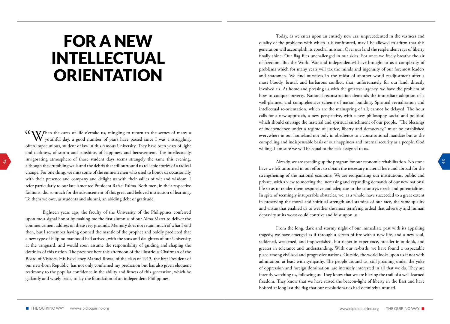#### FOR A NEW IN T ELL ECTUAL ORIENTATIC

"When the cares of life o'ertake us, mingling to return to the scenes of many a youthful day. a good number of years have passed since I was a struggling, often impecunious, student of law in this famous University. They have been years of light and darkness, of storm and sunshine, of happiness and bereavement. The intellectually invigorating atmosphere of those student days seems strangely the same this evening, although the crumbling walls and the debris that still surround us tell epic stories of a radical change. For one thing, we miss some of the eminent men who used to honor us occasionally with their presence and company and delight us with their sallies of wit and wisdom. I refer particularly to our late lamented President Rafael Palma. Both men, in their respective fashions, did so much for the advancement of this great and beloved institution of learning. To them we owe, as students and alumni, an abiding debt of gratitude.

Eighteen years ago, the faculty of the University of the Philippines conferred upon me a signal honor by making me the first alumnus of our Alma Mater to deliver the commencement address on these very grounds. Memory does not retain much of what I said then, but I remember having donned the mantle of the prophet and boldly predicted that a new type of Filipino manhood had arrived, with the sons and daughters of our University at the vanguard, and would soon assume the responsibility of guiding and shaping the destinies of this nation. The presence here this afternoon of the illustrious Chairman of the Board of Visitors, His Excellency Manuel Roxas, of the class of 1913, the first President of our new-born Republic, has not only confirmed my prediction but has also given eloquent testimony to the popular confidence in the ability and fitness of this generation, which he gallantly and wisely leads, to lay the foundation of an independent Philippines.

Today, as we enter upon an entirely new era, unprecedented in the vastness and quality of the problems with which it is confronted, may I be allowed to affirm that this generation will accomplish its epochal mission. Over our land the resplendent rays of liberty finally shine. Our flag flies unchallenged in our skies. For once we freely breathe the air of freedom. But the World War and independence4 have brought to us a complexity of problems which for many years will tax the minds and ingenuity of our foremost leaders and statesmen. We find ourselves in the midst of another world readjustment after a most bloody, brutal, and barbarous conflict, that, unfortunately for our land, directly involved us. At home and pressing us with the greatest urgency, we have the problem of how to conquer poverty. National reconstruction demands the immediate adoption of a well-planned and comprehensive scheme of nation building. Spiritual revitalization and intellectual re-orientation, which are the mainspring of all, cannot be delayed. The hour calls for a new approach, a new perspective, with a new philosophy, social and political which should envisage the material and spiritual enrichment of our people. "The blessings of independence under a regime of justice, liberty and democracy," must be established everywhere in our homeland not only in obedience to a constitutional mandate but as the compelling and indispensable basis of our happiness and internal security as a people. God willing, I am sure we will be equal to the task assigned to us.

Already, we are speeding up the program for our economic rehabilitation. No stone have we left unturned in our effort to obtain the necessary material here and abroad for the strengthening of the national economy. We are reorganizing our institutions, public and private, with a view to meeting the increasing and expanding demands of our new national life so as to render them responsive and adequate to the country's needs and potentialities. In spite of seemingly insuperable obstacles, we, as a whole, have succeeded to a great extent in preserving the moral and spiritual strength and stamina of our race, the same quality and virtue that enabled us to weather the most terrifying ordeal that adversity and human depravity at its worst could contrive and foist upon us.

From the long, dark and stormy night of our immediate past with its appalling tragedy, we have emerged as if through a screen of fire with a new life, and a new soul, saddened, weakened, and impoverished, but richer in experience, broader in outlook, and greater in tolerance and understanding. With our re-birth, we have found a respectable place among civilized and progressive nations. Outside, the world looks upon us if not with admiration, at least with sympathy. The people around us, still groaning under the yoke of oppression and foreign domination, are intensely interested in all that we do. They are intently watching us, following us. They know that we are blazing the trail of a well-learned freedom. They know that we have raised the beacon-light of liberty in the East and have hoisted at long last the flag that our revolutionaries had definitely unfurled.

4<br>4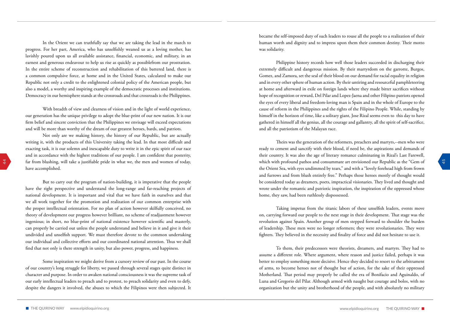In the Orient we can truthfully say that we are taking the lead in the march to progress. For her part, America, who has unselfishly weaned us as a loving mother, has lavishly poured upon us all available assistance, financial, economic, and military, in an earnest and generous endeavour to help us rise as quickly as possiblefrom our prostration. In the entire scheme of reconstruction and rehabilitation of this battered land, there is a common compulsive force, at home and in the United States, calculated to make our Republic not only a credit to the enlightened colonial policy of the American people, but also a model, a worthy and inspiring example of the democratic processes and institutions. Democracy in our hemisphere stands at the crossroads and that crossroads is the Philippines.

With breadth of view and clearness of vision and in the light of world experience, our generation has the unique privilege to adopt the blue-print of our new nation. It is our firm belief and sincere conviction that the Philippines we envisage will exceed expectations and will be more than worthy of the dream of our greatest heroes, bards, and patriots.

Not only are we making history, the history of our Republic, but are actually writing it, with the products of this University taking the lead. In that most difficult and exacting task, it is our solemn and inescapable duty to write it in the epic spirit of our race and in accordance with the highest traditions of our people. I am confident that posterity, far from blushing, will take a justifiable pride in what we, the men and women of today, have accomplished.

But to carry out the program of nation-building, it is imperative that the people have the right perspective and understand the long-range and far-reaching projects of national development. It is important and vital that we have faith in ourselves and that we all work together for the promotion and realization of our common enterprise with the proper intellectual orientation. For no plan of action however skilfully conceived, no theory of development our progress however brilliant, no scheme of readjustment however ingenious; in short, no blue-print of national existence however scientific and masterly, can properly be carried out unless the people understand and believe in it and give it their undivided and unselfish support. We must therefore devote to the common undertaking our individual and collective efforts and our coordinated national attention. Thus we shall find that not only is there strength in unity, but also power, progress, and happiness.

Some inspiration we might derive from a cursory review of our past. In the course of our country's long struggle for liberty, we passed through several stages quite distinct in character and purpose. In order to awaken national consciousness it was the supreme task of our early intellectual leaders to preach and to protest, to preach solidarity and even to defy, despite the dangers it involved, the abuses to which the Filipinos were then subjected. It

became the self-imposed duty of such leaders to rouse all the people to a realization of their human worth and dignity and to impress upon them their common destiny. Their motto was solidarity.

Philippine history records how well those leaders succeeded in discharging their extremely difficult and dangerous mission. By their martyrdom on the garrotte, Burgos, Gomez, and Zamora, set the seal of their blood on our demand for racial equality in religion and in every other sphere of human action. By their untiring and resourceful pamphleteering at home and afterward in exile on foreign lands where they made bitter sacrifices without hope of recognition or reward, Del Pilar and Lopez-Jaena and other Filipino patriots opened the eyes of every liberal and freedom-loving man is Spain and in the whole of Europe to the cause of reform in the Philippines and the rights of the Filipino People. While, standing by himself in the horizon of time, like a solitary giant, Jose Rizal seems even to this day to have gathered in himself all the genius, all the courage and gallantry, all the spirit of self-sacrifice, and all the patriotism of the Malayan race.

Theirs was the generation of the reformers, preachers and martyrs,--men who were ready to cement and sanctify with their blood, if need be, the aspirations and demands of their country. It was also the age of literary romance culminating in Rizal's Last Farewell, which with profound pathos and consummate art envisioned our Republic as the "Gem of the Orient Sea, with eyes undimmed by tears," and with a "lovely forehead high from frown and furrows and from blush entirely free." Perhaps those heroes mostly of thought would be considered today as dreamers, poets, impractical visionaries. They lived and thought and wrote under the romantic and patriotic inspiration, the inspiration of the oppressed whose home, they saw, had been ruthlessly dispossessed.

Taking impetus from the titanic labors of these unselfish leaders, events move on, carrying forward our people to the next stage in their development. That stage was the revolution against Spain. Another group of men stepped forward to shoulder the burden of leadership. These men were no longer reformers; they were revolutionaries. They were fighters. They believed in the necessity and finality of force and did not hesitate to use it.

To them, their predecessors were theorists, dreamers, and martyrs. They had to assume a different role. Where argument, where reason and justice failed, perhaps it was better to employ something more decisive. Hence they decided to resort to the arbitrament of arms, to become heroes not of thought but of action, for the sake of their oppressed Motherland. That period may properly be called the era of Bonifacio and Aguinaldo, of Luna and Gregorio del Pilar. Although armed with naught but courage and bolos, with no organization but the unity and brotherhood of the people, and with absolutely no military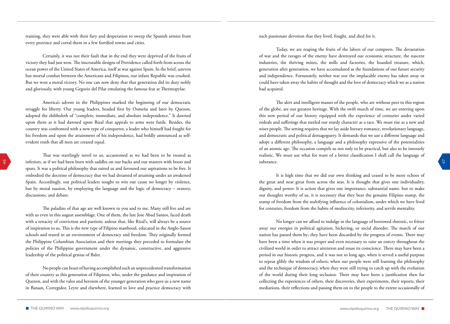training, they were able with their fury and desperation to sweep the Spanish armies from every province and corral them in a few fortified towns and cities.

Certainly, it was not their fault that in the end they were deprived of the fruits of victory they had just won. The inscrutable designs of Providence called forth from across the ocean power of the United States of America, itself at war against Spain. In the brief, uneven but mortal combat between the Americans and Filipinos, our infant Republic was crushed. But we won a moral victory. No one can now deny that that generation did its duty nobly and gloriously, with young Gegorio del Pilar emulating the famous feat at Thermopylae.

America's advent in the Philippines marked the beginning of our democratic struggle for liberty. Our young leaders, headed first by Osmeña and later by Quezon, adopted the shibboleth of "complete, immediate, and absolute independence." It dawned upon them as it had dawned upon Rizal that appeals to arms were futile. Besides, the country was confronted with a new type of conqueror, a leader who himself had fought for his freedom and upon the attainment of his independence, had boldly announced as selfevident truth that all men are created equal.

That was startlingly novel to us, accustomed as we had been to be treated as inferiors, as if we had been born with saddles on our backs and our masters with boots and spurs. It was a political philosophy that suited us and favoured our aspirations to be free. It embodied the doctrine of democracy that we had dreamed of attaining under an awakened Spain. Accordingly, our political leaders sought to win our cause no longer by violence, but by moral suasion, by employing the language and the logic of democracy – oratory, discussions, and debate.

The paladins of that age are well known to you and to me. Many still live and are with us even in this august assemblage. One of them, the late Jose Abad Santos, faced death with a tenacity of conviction and patriotic ardour that, like Rizal's, will always be a source of inspiration to us. This is the new type of Filipino manhood, educated in the Anglo-Saxon schools and reared in an environment of democracy and freedom. They originally formed the Philippine Columbian Association and their meetings they preceded to formulate the policies of the Philippine government under the dynamic, constructive, and aggressive leadership of the political genius of Baler.

No people can boast of having accomplished such an unprecedented transformation of their country as this generation of Filipinos, who, under the guidance and inspiration of Quezon, and with the valor and heroism of the younger generation who gave us a new name in Bataan, Corregidor, Leyte and elsewhere, learned to love and practice democracy with

such passionate devotion that they lived, fought, and died for it.

Today, we are reaping the fruits of the labors of our compeers. The devastation of war and the ravages of the enemy have destroyed our economic structure, the nascent industries, the thriving mines, the mills and factories, the hoarded treasure, which, generation after generation, we have accumulated as the foundations of our future security and independence. Fortunately, neither war nor the implacable enemy has taken away or could have taken away the habits of thought and the love of democracy which we as a nation had acquired.

The alert and intelligent masses of the people, who are without peer in this region of the globe, are our greatest heritage. With the swift march of time, we are entering upon this new period of our history equipped with the experience of centuries under varied ordeals and sufferings that steeled our sturdy character as a race. We must rise as a new and wiser people. The setting requires that we lay aside literary romance, revolutionary language, and democratic and political demagoguery. It demands that we use a different language and adopt a different philosophy, a language and a philosophy expressive of the potentialities of an atomic age. The occasion compels us not only to be practical, but also to be intensely realistic. We must use what for want of a better classification I shall call the language of substance.

It is high time that we did our own thinking and ceased to be more echoes of the great and near great from across the seas. It is thought that gives one individuality, dignity, and power. It is action that gives one importance, substantial name. but to make our thoughts worthy of us, it is necessary that they bear the genuine Filipino stamp, the stamp of freedom from the stultifying influence of colonialism, under which we have lived for centuries, freedom from the habits of mediocrity, inferiority, and servile mentality.

No longer can we afford to indulge in the language of borrowed rhetoric, to fritter away our energies in political agitation, bickering, or social disorder. The march of our nation has passed them by; they have been discarded by the progress of events. There may have been a time when it was proper and even necessary to raise an outcry throughout the civilized world in order to attract attention and rouse its conscience. There may have been a period in our historic progress, and it was not so long ago, when it served a useful purpose to repeat glibly the wisdom of others; when our people were still learning the philosophy and the technique of democracy, when they were still trying to catch up with the evolution of the world during their long seclusion. There may have been a justification then for collecting the experiences of others, their discoveries, their experiments, their reports, their mediations, their reflections and passing them on to the people to the extent occasionally of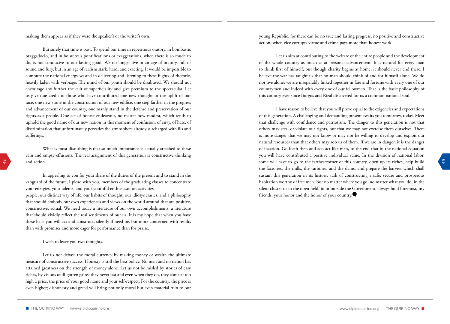making them appear as if they were the speaker's or the writer's own.

But surely that time is past. To spend our time in repetitious oratory, in bombastic braggadocio, and in boisterous pontificatiions or exaggerations, when there is so much to do, is not conducive to our lasting good. We no longer live in an age of oratory, full of sound and fury, but in an age of realism stark, hard, and exacting. It would be impossible to compute the national energy wasted in delivering and listening to these flights of rhetoric, heavily laden with verbiage. The mind of our youth should be disabused. We should not encourage any further the cult of superficiality and give premium to the spectacular. Let us give due credit to those who have contributed one new thought in the uplift of our race, one new stone in the construction of our new edifice, one step farther in the progress and advancement of our country, one manly stand in the defense and preservation of our rights as a people. One act of honest endeavour, no matter how modest, which tends to uphold the good name of our new nation in this moment of confusion, of envy, of hate, of discrimination that unfortunately pervades the atmosphere already surcharged with ills and sufferings.

What is most disturbing is that so much importance is actually attached to these vain and empty effusions. The real assignment of this generation is constructive thinking and action.

In appealing to you for your share of the duties of the present and to stand in the vanguard of the future, I plead with you, members of the graduating classes to concentrate your energies, your talents, and your youthful enthusiasm on activities

people, our distinct way of life, our habits of thought, our idiosyncrasies, and a philosophy that should embody our own experiences and views on the world around that are positive, constructive, actual. We need today a literature of our own accomplishments, a literature that should vividly reflect the real sentiments of our us. It is my hope that when you have these halls you will act and construct, silently if need be, but more concerned with results than with promises and more eager for performance than for praise.

#### I wish to leave you two thoughts.

Let us not debase the moral currency by making money or wealth the ultimate measure of constructive success. Honesty is still the best policy. No man and no nation has attained greatness on the strength of money alone. Let us not be misled by stories of easy riches, by visions of ill-gotten gains; they never last and even when they do, they come at too high a price, the price of your good name and your self-respect. For the country, the price is even higher; dishonesty and greed will bring not only moral but even material ruin to our young Republic, for there can be no true and lasting progress, no positive and constructive action, when vice corrupts virtue and crime pays more than honest work.

Let us aim at contributing to the welfare of the entire people and the development of the whole country as much as at personal advancement. It is natural for every man to think first of himself, but though charity begins at home, it should never end there. I believe the war has taught us that no man should think of and for himself alone. We do not live alone; we are inseparably linked together in fate and fortune with every one of our countrymen and indeed with every one of our fellowmen. That is the basic philosophy of this country ever since Burgos and Rizal discovered for us a common national soul.

I have reason to believe that you will prove equal to the exigencies and expectations of this generation. A challenging and demanding present awaits you tomorrow, today. Meet that challenge with confidence and patriotism. The danger to this generation is not that others may steal or violate our rights, but that we may not exercise them ourselves. There is more danger that we may not know or may not be willing to develop and exploit our natural resources than that others may rob us of them. If we are in danger, it is the danger of inaction. Go forth then and act, act like men, to the end that in the national equation you will have contributed a positive individual value. In the division of national labor, some will have to go to the farthestcorner of this country, open up its riches, help build the factories, the mills, the turbines, and the dams, and prepare the harvest which shall sustain this generation in its historic task of constructing a safe, secure and prosperous habitation worthy of free men. But no matter where you go, no matter what you do, in the silent cluster or in the open field, in or outside the Government, always hold foremost, my friends, your honor and the honor of your country.

 $\frac{1}{9}$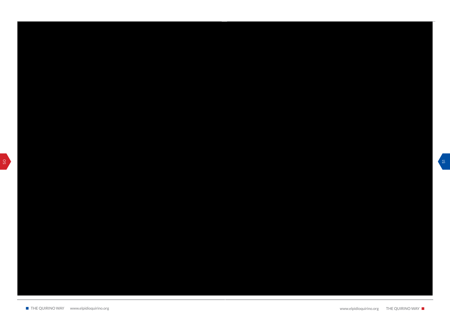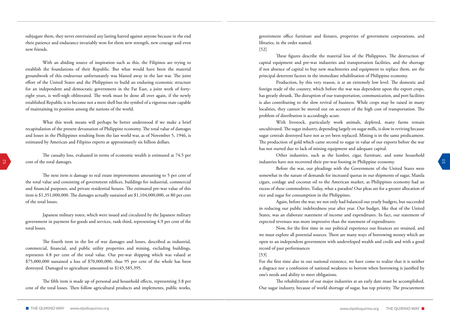subjugate them, they never entertained any lasting hatred against anyone because in the end their patience and endurance invariably won for them new strength, new courage and even new friends.

With an abiding source of inspiration such as this, the Filipinos are trying to establish the foundations of their Republic. But what would have been the material groundwork of this endeavour unfortunately was blasted away in the last war. The joint effort of the United States and the Philippines to build an enduring economic structure for an independent and democratic government in the Far East, a joint work of fortyeight years, is well-nigh obliterated. The work must be done all over again, if the newly established Republic is to become not a mere shell but the symbol of a vigorous state capable of maintaining its position among the nations of the world.

What this work means will perhaps be better understood if we make a brief recapitulation of the present devastation of Philippine economy. The total value of damages and losses in the Philippines resulting from the last world war, as of November 5, 1946, is estimated by American and Filipino experts at approximately six billion dollars.

The casualty loss, evaluated in terms of economic wealth is estimated at 74.5 per cent of the total damages.

The next item is damage to real estate improvements amounting to 5 per cent of the total value and consisting of government edifices, buildings for industrial, commercial and financial purposes, and private residential houses. The estimated pre-war value of this item is \$1,351,000,000. The damages actually sustained are \$1,104,000,000, or 80 per cent of the total losses.

Japanese military notes, which were issued and circulated by the Japanese military government in payment for goods and services, rank third, representing 4.9 per cent of the total losses.

The fourth item in the list of war damages and losses, described as industrial, commercial, financial, and public utility properties and mining, excluding buildings, represents 4.8 per cent of the total value. Our pre-war shipping which was valued at \$75,000,000 sustained a loss of \$70,000,000, thus 95 per cent of the whole has been destroyed. Damaged to agriculture amounted to \$145,585,395.

The fifth item is made up of personal and household effects, representing 3.8 per cent of the total losses. Then follow agricultural products and implements, public works,

government office furniture and fixtures, properties of government corporations, and libraries, in the order named.

[52]

These figures describe the material loss of the Philippines. The destruction of capital equipment and pre-war industries and transportation facilities, and the shortage if not absence of capital to buy new machineries and equipment to replace them, are the principal deterrent factors in the immediate rehabilitation of Philippine economy.

Production, by this very reason, is at an extremely low level. The domestic and foreign trade of the country, which before the war was dependent upon the export crops, has greatly shrunk. The disruption of our transportation, communication, and port facilities is also contributing to the slow revival of business. While crops may be raised in many localities, they cannot be moved out on account of the high cost of transportation. The problem of distribution is accordingly acute.

With livestock, particularly work animals, depleted, many farms remain uncultivated. The sugar industry, depending largely on sugar mills, is slow in reviving because sugar centrals destroyed have not as yet been replaced. Mining is in the same predicament. The production of gold which came second to sugar in value of our exports before the war has not started due to lack of mining equipment and adequate capital.

Other industries, such as the lumber, cigar, furniture, and some household industries have not recovered their pre-war footing in Philippine economy.

Before the war, our pleadings with the Government of the United States were somewhat in the nature of demands for increased quotas in our shipments of sugar, Manila cigars, cordage and coconut oil to the American market, as Philippines economy had an excess of these commodities. Today, what a paradox! Our pleas are for a greater allocation of rice and sugar for consumption in the Philippines.

Again, before the war, we not only had balanced our yearly budgets, but succeeded in reducing our public indebtedness year after year. Our budget, like that of the United States, was an elaborate statement of income and expenditures. In fact, our statement of expected revenues was more impressive than the statement of expenditures.

Now, for the first time in our political experience our finances are strained, and we must explore all potential sources. There are many ways of borrowing money which are open to an independent government with undeveloped wealth and credit and with a good record of past performances

#### [53]

For the first time also in our national existence, we have come to realize that it is neither a disgrace nor a confession of national weakness to borrow when borrowing is justified by one's needs and ability to meet obligations.

The rehabilitation of our major industries at an early date must be accomplished. Our sugar industry, because of world shortage of sugar, has top priority. The procurement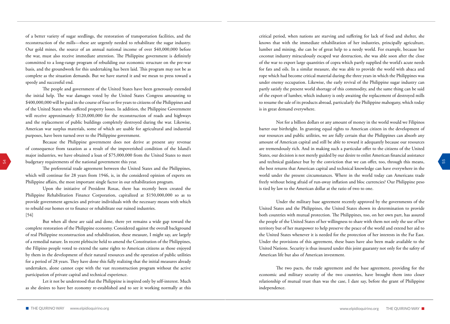of a better variety of sugar seedlings, the restoration of transportation facilities, and the reconstruction of the mills—these are urgently needed to rehabilitate the sugar industry. Our gold mines, the source of an annual national income of over \$40,000,000 before the war, must also receive immediate attention. The Philippine government is definitely committed to a long-range program of rebuilding our economic structure on the pre-war basis, and the groundwork for this undertaking has been laid. This program may not be as complete as the situation demands. But we have started it and we mean to press toward a speedy and successful end.

The people and government of the United States have been generously extended the initial help. The war damages voted by the United States Congress amounting to \$400,000,000 will be paid in the course of four or five years to citizens of the Philippines and of the United States who suffered property losses. In addition, the Philippine Government will receive approximately \$120,000,000 for the reconstruction of roads and highways and the replacement of public buildings completely destroyed during the war. Likewise, American war surplus materials, some of which are usable for agricultural and industrial purposes, have been turned over to the Philippine government.

Because the Philippine government does not derive at present any revenue of consequence from taxation as a result of the impoverished condition of the Island's major industries, we have obtained a loan of \$75,000,000 from the United States to meet budgetary requirements of the national government this year.

The preferential trade agreement between the United States and the Philippines, which will continue for 28 years from 1946, is, in the considered opinion of experts on Philippine affairs, the most important single factor in our rehabilitation program.

Upon the initiative of President Roxas, there has recently been created the Philippine Rehabilitation Finance Corporation, capitalized at \$150,000,000 so as to provide government agencies and private individuals with the necessary means with which to rebuild our homes or to finance or rehabilitate our ruined industries. [54]

But when all these are said and done, there yet remains a wide gap toward the complete restoration of the Philippine economy. Considered against the overall background of real Philippine reconstruction and rehabilitation, these measure, I might say, are largely of a remedial nature. In recent plebiscite held to amend the Constitution of the Philippines, the Filipino people voted to extend the same rights to American citizens as those enjoyed by them in the development of their natural resources and the operation of public utilities for a period of 28 years. They have done this fully realizing that the initial measures already undertaken, alone cannot cope with the vast reconstruction program without the active participation of private capital and technical experience.

Let it not be understood that the Philippine is inspired only by self-interest. Much as she desires to have her economy re-established and to see it working normally at this

critical period, when nations are starving and suffering for lack of food and shelter, she knows that with the immediate rehabilitation of her industries, principally agriculture, lumber and mining, she can be of great help to a needy world. For example, because her coconut industry miraculously escaped war destruction, she was able soon after the close of the war to export large quantities of copra which partly supplied the world's acute needs for fats and oils. In a similar measure, she was able to provide the world with abaca and rope which had become critical material during the three years in which the Philippines was under enemy occupation. Likewise, the early revival of the Philippine sugar industry can partly satisfy the present world shortage of this commodity, and the same thing can be said of the export of lumber, which industry is only awaiting the replacement of destroyed mills to resume the sale of its products abroad, particularly the Philippine mahogany, which today is in great demand everywhere.

Not for a billion dollars or any amount of money in the world would we Filipinos barter our birthright. In granting equal rights to American citizen in the development of our resources and public utilities, we are fully certain that the Philippines can absorb any amount of American capital and still be able to reward it adequately because our resources are tremendously rich. And in making such a particular offer to the citizens of the United States, our decision is not merely guided by our desire to enlist American financial assistance and technical guidance but by the conviction that we can offer, too, through this means, the best returns that American capital and technical knowledge can have everywhere in the world under the present circumstances. Where in the world today can Americans trade freely without being afraid of run-away inflation and bloc currencies? Our Philippine peso is tied by law to the American dollar at the ratio of two to one.

Under the military base agreement recently approved by the governments of the United States and the Philippines, the United States shown its determination to provide both countries with mutual protection. The Philippines, too, on her own part, has assured the people of the United States of her willingness to share with them not only the use of her territory but of her manpower to help preserve the peace of the world and extend her aid to the United States whenever it is needed for the protection of her interests in the Far East. Under the provisions of this agreement, these bases have also been made available to the United Nations. Security is thus insured under this joint guaranty not only for the safety of American life but also of American investment.

The two pacts, the trade agreement and the base agreement, providing for the economic and military security of the two countries, have brought them into closer relationship of mutual trust than was the case, I dare say, before the grant of Philippine independence.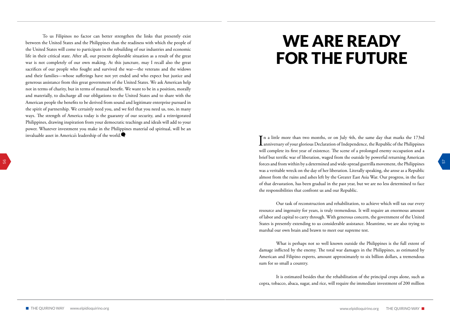To us Filipinos no factor can better strengthen the links that presently exist between the United States and the Philippines than the readiness with which the people of the United States will come to participate in the rebuilding of our industries and economic life in their critical state. After all, our present deplorable situation as a result of the great war is not completely of our own making. At this juncture, may I recall also the great sacrifices of our people who fought and survived the war—the veterans and the widows and their families—whose sufferings have not yet ended and who expect but justice and generous assistance from this great government of the United States. We ask American help not in terms of charity, but in terms of mutual benefit. We want to be in a position, morally and materially, to discharge all our obligations to the United States and to share with the American people the benefits to be derived from sound and legitimate enterprise pursued in the spirit of partnership. We certainly need you, and we feel that you need us, too, in many ways. The strength of America today is the guaranty of our security, and a reinvigorated Philippines, drawing inspiration from your democratic teachings and ideals will add to your power. Whatever investment you make in the Philippines material od spiritual, will be an invaluable asset in America's leadership of the world.

### WE ARE READY FOR THE FUTURE

In a little more than two months, or on July 4th, the same day that marks the 173rd<br>anniversary of your glorious Declaration of Independence, the Republic of the Philippines n a little more than two months, or on July 4th, the same day that marks the 173rd will complete its first year of existence. The scene of a prolonged enemy occupation and a brief but terrific war of liberation, waged from the outside by powerful returning American forces and from within by a determined and wide-spread guerrilla movement, the Philippines was a veritable wreck on the day of her liberation. Literally speaking, she arose as a Republic almost from the ruins and ashes left by the Greater East Asia War. Our progress, in the face of that devastation, has been gradual in the past year, but we are no less determined to face the responsibilities that confront us and our Republic.

Our task of reconstruction and rehabilitation, to achieve which will tax our every resource and ingenuity for years, is truly tremendous. It will require an enormous amount of labor and capital to carry through. With generous concern, the government of the United States is presently extending to us considerable assistance. Meantime, we are also trying to marshal our own brain and brawn to meet our supreme test.

What is perhaps not so well known outside the Philippines is the full extent of damage inflicted by the enemy. The total war damages in the Philippines, as estimated by American and Filipino experts, amount approximately to six billion dollars, a tremendous sum for so small a country.

It is estimated besides that the rehabilitation of the principal crops alone, such as copra, tobacco, abaca, sugar, and rice, will require the immediate investment of 200 million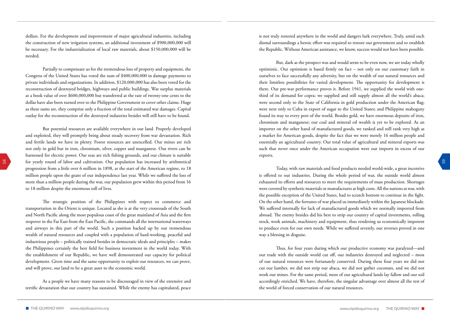dollars. For the development and improvement of major agricultural industries, including the construction of new irrigation systems, an additional investment of \$900,000,000 will be necessary. For the industrialization of local raw materials, about \$150,000,000 will be needed.

Partially to compensate us for the tremendous loss of property and equipment, the Congress of the United States has voted the sum of \$400,000,000 in damage payments to private individuals and organizations. In addition, \$120,000,000 has also been voted for the reconstruction of destroyed bridges, highways and public buildings. War surplus materials at a book value of over \$600,000,000 but transferred at the rate of twenty-one cents to the dollar have also been turned over to the Philippine Government to cover other claims. Huge as these sums are, they comprise only a fraction of the total estimated war damages. Capital outlay for the reconstruction of the destroyed industries besides will still have to be found.

But potential resources are available everywhere in our land. Properly developed and exploited, they will promptly bring about steady recovery from war devastation. Rich and fertile lands we have in plenty. Forest resources are unexcelled. Our mines are rich not only in gold but in iron, chromium, silver, copper and manganese. Our rivers can be harnessed for electric power. Our seas are rich fishing grounds, and our climate is suitable for yearly round of labor and cultivation. Our population has increased by arithmetical progression from a little over 6 million in 1898, at the start of the American regime, to 18 million people upon the grant of our independence last year. While we suffered the loss of more than a million people during the war, our population grew within this period from 16 to 18 million despite the enormous toll of lives.

The strategic position of the Philippines with respect to commerce and transportation in the Orient is unique. Located as she is at the very crossroads of the South and North Pacific along the most populous coast of the great mainland of Asia and the first stopover in the Far East from the East Pacific, she commands all the international waterways and airways in this part of the world. Such a position backed up by our tremendous wealth of natural resources and coupled with a population of hard-working, peaceful and industrious people – politically trained besides in democratic ideals and principles – makes the Philippines certainly the best field for business investment in the world today. With the establishment of our Republic, we have well demonstrated our capacity for political development. Given time and the same opportunity to exploit our resources, we can prove, and will prove, our land to be a great asset to the economic world.

As a people we have many reasons to be discouraged in view of the extensive and terrific devastation that our country has sustained. While the enemy has capitulated, peace is not truly restored anywhere in the world and dangers lurk everywhere. Truly, amid such dismal surroundings a heroic effort was required to restore our government and to establish the Republic. Without American assistance, we know, success would not have been possible.

But, dark as the prospect was and would seem to be even now, we are today wholly optimistic. Our optimism is based firmly on fact – not only on our customary faith in ourselves to face successfully any adversity, but on the wealth of our natural resources and their limitless possibilities for varied development. The opportunity for development is there. Our pre-war performance proves it. Before 1941, we supplied the world with onethird of its demand for copra; we supplied and still supply almost all the world's abaca; were second only to the State of California in gold production under the American flag; were next only to Cuba in export of sugar to the United States; and Philippine mahogany found its way to every port of the world. Besides gold, we have enormous deposits of iron, chromium and manganese; our coal and mineral oil wealth is yet to be explored. As an importer on the other hand of manufactured goods, we ranked and still rank very high as a market for American goods, despite the fact that we were merely 16 million people and essentially an agricultural country. Our total value of agricultural and mineral exports was such that never once under the American occupation were our imports in excess of our exports.

Today, with raw materials and food products needed world-wide, a great incentive is offered to our industries. During the whole period of war, the outside world almost exhausted its efforts and resources to meet the requirements of mass production. Shortages were covered by synthetic materials or manufactures at high costs. All the nations at war, with the possible exception of the United States, had to scratch bottom to continue in the fight. On the other hand, the fortunes of war placed us immediately within the Japanese blockade. We suffered internally for lack of manufactured goods which we normally imported from abroad. The enemy besides did his best to strip our country of capital investments, rolling stock, work animals, machinery and equipment, thus rendering us economically impotent to produce even for our own needs. While we suffered severely, our reverses proved in one way a blessing in disguise.

Thus, for four years during which our productive economy was paralyzed—and our trade with the outside world cut off, our industries destroyed and neglected – most of our natural resources were fortunately conserved. During these four years we did not cut our lumber, we did not strip our abaca, we did not gather coconuts, and we did not work our mines. For the same period, most of our agricultural lands lay fallow and our soil accordingly enriched. We have, therefore, the singular advantage over almost all the rest of the world of forced conservation of our natural resources.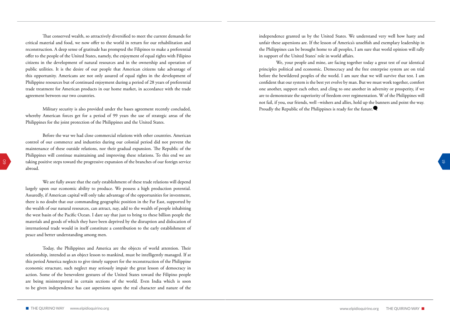That conserved wealth, so attractively diversified to meet the current demands for critical material and food, we now offer to the world in return for our rehabilitation and reconstruction. A deep sense of gratitude has prompted the Filipinos to make a preferential offer to the people of the United States, namely, the enjoyment of equal rights with Filipino citizens in the development of natural resources and in the ownership and operation of public utilities. It is the desire of our people that American citizens take advantage of this opportunity. Americans are not only assured of equal rights in the development of Philippine resources but of continued enjoyment during a period of 28 years of preferential trade treatment for American products in our home market, in accordance with the trade agreement between our two countries.

Military security is also provided under the bases agreement recently concluded, whereby American forces get for a period of 99 years the use of strategic areas of the Philippines for the joint protection of the Philippines and the United States.

Before the war we had close commercial relations with other countries. American control of our commerce and industries during our colonial period did not prevent the maintenance of these outside relations, nor their gradual expansion. The Republic of the Philippines will continue maintaining and improving these relations. To this end we are taking positive steps toward the progressive expansion of the branches of our foreign service abroad.

We are fully aware that the early establishment of these trade relations will depend largely upon our economic ability to produce. We possess a high production potential. Assuredly, if American capital will only take advantage of the opportunities for investment, there is no doubt that our commanding geographic position in the Far East, supported by the wealth of our natural resources, can attract, nay, add to the wealth of people inhabiting the west basin of the Pacific Ocean. I dare say that just to bring to these billion people the materials and goods of which they have been deprived by the disruption and dislocation of international trade would in itself constitute a contribution to the early establishment of peace and better understanding among men.

Today, the Philippines and America are the objects of world attention. Their relationship, intended as an object lesson to mankind, must be intelligently managed. If at this period America neglects to give timely support for the reconstruction of the Philippine economic structure, such neglect may seriously impair the great lesson of democracy in action. Some of the benevolent gestures of the United States toward the Filipino people are being misinterpreted in certain sections of the world. Even India which is soon to be given independence has cast aspersions upon the real character and nature of the independence granted us by the United States. We understand very well how hasty and unfair these aspersions are. If the lesson of America's unselfish and exemplary leadership in the Philippines can be brought home to all peoples, I am sure that world opinion will rally in support of the United States' role in world affairs.

We, your people and mine, are facing together today a great test of our identical principles political and economic. Democracy and the free enterprise system are on trial before the bewildered peoples of the world. I am sure that we will survive that test. I am confident that our system is the best yet evolve by man. But we must work together, comfort one another, support each other, and cling to one another in adversity or prosperity, if we are to demonstrate the superiority of freedom over regimentation. W of the Philippines will not fail, if you, our friends, well –wishers and allies, hold up the banners and point the way. Proudly the Republic of the Philippines is ready for the future.

<u>آه</u>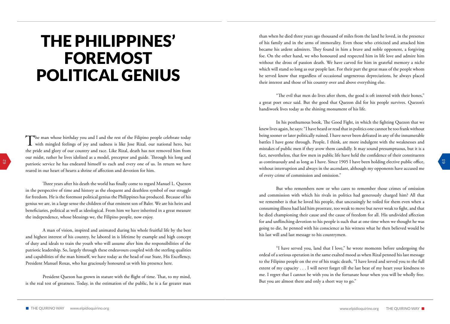# THE PHI L IPPINES' **FOREMOST** POLITICAL GENIUS

The man whose birthday you and I and the rest of the Filipino people celebrate today with mingled feelings of joy and sadness is like Jose Rizal, our national hero, but the pride and glory of our country and race. Like Rizal, death has not removed him from our midst, rather he lives idolized as a model, preceptor and guide. Through his long and patriotic service he has endeared himself to each and every one of us. In return we have reared in our heart of hearts a shrine of affection and devotion for him.

Three years after his death the world has finally come to regard Manuel L. Quezon in the perspective of time and history as the eloquent and deathless symbol of our struggle for freedom. He is the foremost political genius the Philippines has produced. Because of his genius we are, in a large sense the children of that eminent son of Baler. We are his heirs and beneficiaries, political as well as ideological. From him we have inherited in a great measure the independence, whose blessings we, the Filipino people, now enjoy.

A man of vision, inspired and animated during his whole fruitful life by the best and highest interest of his country, he labored in is lifetime by example and high concept of duty and ideals to train the youth who will assume after him the responsibilities of the patriotic leadership. So, largely through these endeavours coupled with the sterling qualities and capabilities of the man himself, we have today as the head of our State, His Excellency, President Manuel Roxas, who has graciously honoured us with his presence here.

President Quezon has grown in stature with the flight of time. That, to my mind, is the real test of greatness. Today, in the estimation of the public, he is a far greater man

than when he died three years ago thousand of miles from the land he loved, in the presence of his family and in the arms of immorality. Even those who criticized and attacked him became his ardent admirers. They found in him a brave and noble opponent, a forgiving foe. On the other hand, we who honoured and respected him in life love and admire him without the dross of passion death. We have carved for him in grateful memory a niche which will stand so long as our people last. For their part the great mass of the people whom he served know that regardless of occasional ungenerous depreciations, he always placed their interest and those of his country over and above everything else.

"The evil that men do lives after them, the good is oft interred with their bones," a great poet once said. But the good that Quezon did for his people survives. Quezon's handiwork lives today as the shining monument of his life.

In his posthumous book, The Good Fight, in which the fighting Quezon that we knew lives again, he says: "I have heard or read that in politics one cannot be too frank without being sooner or later politically ruined. I have never been defeated in any of the innumerable battles I have gone through. People, I think, are more indulgent with the weaknesses and mistakes of public men if they avow them candidly. It may sound presumptuous, but it is a fact, nevertheless, that few men in public life have held the confidence of their constituents as continuously and as long as I have. Since 1905 I have been holding elective public office, without interruption and always in the ascendant, although my opponents have accused me of every crime of commission and omission."

But who remembers now or who cares to remember those crimes of omission and commission with which his rivals in politics had generously charged him? All that we remember is that he loved his people, that unceasingly he toiled for them even when a consuming illness had laid him prostrate, too weak to move but never weak to fight, and that he died championing their cause and the cause of freedom for all. His undivided affection for and unflinching devotion to his people is such that at one time when we thought he was going to die, he penned with his conscience as his witness what he then believed would be his last will and last message to his countrymen.

"I have served you, land that I love," he wrote moments before undergoing the ordeal of a serious operation in the same exalted mood as when Rizal penned his last message to the Filipino people on the eve of his tragic death, "I have loved and served you to the full extent of my capacity . . . I will never forget till the last beat of my heart your kindness to me. I regret that I cannot be with you in the fortunate hour when you will be wholly free. But you are almost there and only a short way to go."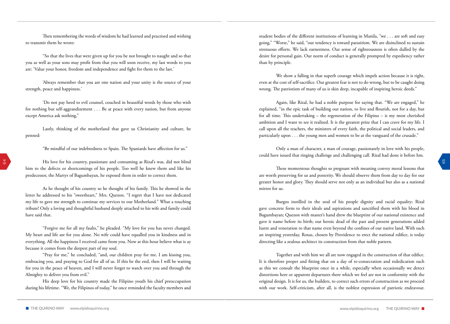Then remembering the words of wisdom he had learned and practised and wishing to transmit them he wrote:

"So that the lives that were given up for you be not brought to naught and so that you as well as your sons may profit from that you will soon receive, my last words to you are: 'Value your honor, freedom and independence and fight for them to the last.'

'Always remember that you are one nation and your unity is the source of your strength, peace and happiness.'

'Do not pay heed to evil counsel, couched in beautiful words by those who wish for nothing but self-aggrandizement . . . Be at peace with every nation, but from anyone except America ask nothing,"

Lastly, thinking of the motherland that gave us Christianity and culture, he penned:

"Be mindful of our indebtedness to Spain. The Spaniards have affection for us."

His love for his country, passionate and consuming as Rizal's was, did not blind him to the defects or shortcomings of his people. Too well he knew them and like his predecessor, the Martyr of Bagumbayan, he exposed them in order to correct them.

As he thought of his country so he thought of his family. This he showed in the letter he addressed to his "sweetheart," Mrs. Quezon. "I regret that I have not dedicated my life to gave me strength to continue my services to our Motherland." What a touching tribute! Only a loving and thoughtful husband deeply attached to his wife and family could have said that.

"Forgive me for all my faults," he pleaded. "My love for you has never changed. My heart and life are for you alone. No wife could have equalled you in kindness and in everything. All the happiness I received came from you. Now at this hour believe what is ay because it comes from the deepest part of my soul.

"Pray for me," he concluded, "and, our children pray for me. I am kissing you, embracing you, and praying to God for all of us. If this be the end, then I will be waiting for you in the peace of heaven, and I will never forget to watch over you and through the Almighty to deliver you from evil."

His deep love for his country made the Filipino youth his chief preoccupation during his lifetime. "We, the Filipinos of today," he once reminded the faculty members and

student bodies of the different institutions of learning in Manila, "we . . . are soft and easy going," "Worse," he said, "our tendency is toward parasitism. We are disinclined to sustain strenuous efforts. We lack earnestness. Our sense of righteousness is often dulled by the desire for personal gain. Our norm of conduct is generally prompted by expediency rather than by principle.

We show a falling in that superb courage which impels action because it is right, even at the cost of self-sacrifice. Our greatest fear is not to do wrong, but to be caught doing wrong. The patriotism of many of us is skin deep, incapable of inspiring heroic deeds."

Again, like Rizal, he had a noble purpose for saying that. "We are engaged," he explained, "in the epic task of building our nation, to live and flourish, not for a day, but for all time. This undertaking – the regeneration of the Filipino – is my most cherished ambition and I want to see it realized. It is the greatest prize that I can crave for my life. I call upon all the teachers, the ministers of every faith, the political and social leaders, and particularly upon . . . the young men and women to be at the vanguard of the crusade."

Only a man of character, a man of courage, passionately in love with his people, could have issued that ringing challenge and challenging call. Rizal had done it before hm.

These momentous thoughts so pregnant with meaning convey moral lessons that are worth preserving for us and posterity. We should observe them from day to day for our greater honor and glory. They should serve not only as an individual but also as a national mirror for us.

Burgos instilled in the soul of his people dignity and racial equality; Rizal gave concrete form to their ideals and aspirations and sanctified them with his blood in Bagumbayan; Quezon with master's hand drew the blueprint of our national existence and gave it name before its birth; our heroic dead of the past and present generations added lustre and veneration to that name even beyond the confines of our native land. With such an inspiring yesterday, Roxas, chosen by Providence to erect the national edifice, is today directing like a zealous architect its construction from that noble pattern.

Together and with him we all are now engaged in the construction of that edifice. It is therefore proper and fitting that on a day of re-consecration and rededication such as this we consult the blueprint once in a while, especially when occasionally we detect distortions here or apparent departures there which we feel are not in conformity with the original design. It is for us, the builders, to correct such errors of construction as we proceed with our work. Self-criticism, after all, is the noblest expression of patriotic endeavour.

6<br>4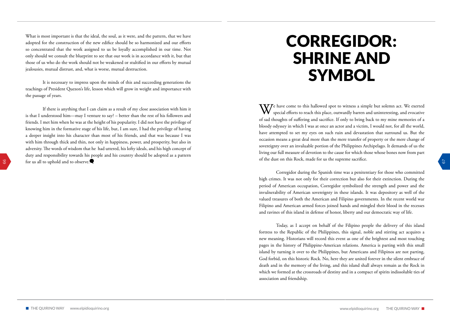What is most important is that the ideal, the soul, as it were, and the pattern, that we have adopted for the construction of the new edifice should be so harmonized and our efforts so concentrated that the work assigned to us be loyally accomplished in our time. Not only should we consult the blueprint to see that our work is in accordance with it, but that those of us who do the work should not be weakened or stultified in our efforts by mutual jealousies, mutual distrust, and, what is worse, mutual destruction.

It is necessary to impress upon the minds of this and succeeding generations the teachings of President Quezon's life, lesson which will grow in weight and importance with the passage of years.

If there is anything that I can claim as a result of my close association with him it is that I understood him—may I venture to say? – better than the rest of his followers and friends. I met him when he was at the height of his popularity. I did not have the privilege of knowing him in the formative stage of his life, but, I am sure, I had the privilege of having a deeper insight into his character than most of his friends, and that was because I was with him through thick and thin, not only in happiness, power, and prosperity, but also in adversity. The words of wisdom that he had uttered, his lofty ideals, and his high concept of duty and responsibility towards his people and his country should be adopted as a pattern for us all to uphold and to observe.

#### CORREGIDOR: SHRINE AND **SYMBOL**

We have come to this hallowed spot to witness a simple but solemn act. We exerted special efforts to reach this place, outwardly barren and uninteresting, and evocative of sad thoughts of suffering and sacrifice. If only to bring back to my mine memories of a bloody odyssey in which I was at once an actor and a victim, I would not, for all the world, have attempted to set my eyes on such ruin and devastation that surround us. But the occasion means a great deal more than the mere transfer of property or the mere change of sovereignty over an invaluable portion of the Philippines Archipelago. It demands of us the living our full measure of devotion to the cause for which those whose bones now from part of the dust on this Rock, made for us the supreme sacrifice.

Corregidor during the Spanish time was a penitentiary for those who committed high crimes. It was not only for their correction but also for their extinction. During the period of American occupation, Corregidor symbolized the strength and power and the invulnerability of American sovereignty in these islands. It was depository as well of the valued treasures of both the American and Filipino governments. In the recent world war Filipino and American armed forces joined hands and mingled their blood in the recesses and ravines of this island in defense of honor, liberty and our democratic way of life.

Today, as I accept on behalf of the Filipino people the delivery of this island fortress to the Republic of the Philippines, this signal, noble and stirring act acquires a new meaning. Historians will record this event as one of the brightest and most touching pages in the history of Philippine-American relations. America is parting with this small island by turning it over to the Philippines, but Americans and Filipinos are not parting, God forbid, on this historic Rock. No, here they are united forever in the silent embrace of death and in the memory of the living, and this island shall always remain as the Rock in which we formed at the crossroads of destiny and in a compact of spirits indissoluble ties of association and friendship.

66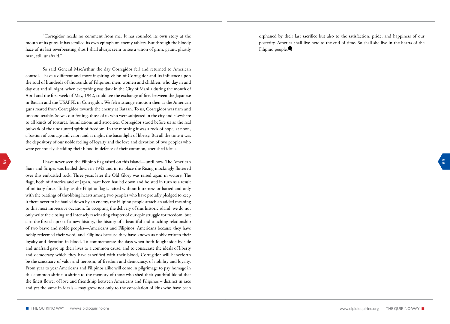"Corregidor needs no comment from me. It has sounded its own story at the mouth of its guns. It has scrolled its own epitaph on enemy tablets. But through the bloody haze of its last reverberating shot I shall always seem to see a vision of grim, gaunt, ghastly man, still unafraid."

So said General MacArthur the day Corregidor fell and returned to American control. I have a different and more inspiring vision of Corregidor and its influence upon the soul of hundreds of thousands of Filipinos, men, women and children, who day in and day out and all night, when everything was dark in the City of Manila during the month of April and the first week of May, 1942, could see the exchange of fires between the Japanese in Bataan and the USAFFE in Corregidor. We felt a strange emotion then as the American guns roared from Corregidor towards the enemy at Bataan. To us, Corregidor was firm and unconquerable. So was our feeling, those of us who were subjected in the city and elsewhere to all kinds of tortures, humiliations and atrocities. Corregidor stood before us as the real bulwark of the undaunted spirit of freedom. In the morning it was a rock of hope; at noon, a bastion of courage and valor; and at night, the baconlight of liberty. But all the time it was the depository of our noble feeling of loyalty and the love and devotion of two peoples who were generously shedding their blood in defense of their common, cherished ideals.

I have never seen the Filipino flag raised on this island—until now. The American Stars and Stripes was hauled down in 1942 and in its place the Rising mockingly fluttered over this embattled rock. Three years later the Old Glory was raised again in victory. The flags, both of America and of Japan, have been hauled down and hoisted in turn as a result of military force. Today, as the Filipino flag is raised without bitterness or hatred and only with the beatings of throbbing hearts among two peoples who have proudly pledged to keep it there never to be hauled down by an enemy, the Filipino people attach an added meaning to this most impressive occasion. In accepting the delivery of this historic island, we do not only write the closing and intensely fascinating chapter of our epic struggle for freedom, but also the first chapter of a new history, the history of a beautiful and touching relationship of two brave and noble peoples—Americans and Filipinos; Americans because they have nobly redeemed their word, and Filipinos because they have known as nobly written their loyalty and devotion in blood. To commemorate the days when both fought side by side and unafraid gave up their lives to a common cause, and to consecrate the ideals of liberty and democracy which they have sanctified with their blood, Corregidor will henceforth be the sanctuary of valor and heroism, of freedom and democracy, of nobility and loyalty. From year to year Americans and Filipinos alike will come in pilgrimage to pay homage in this common shrine, a shrine to the memory of those who shed their youthful blood that the finest flower of love and friendship between Americans and Filipinos – distinct in race and yet the same in ideals – may grow not only to the consolation of kins who have been

orphaned by their last sacrifice but also to the satisfaction, pride, and happiness of our posterity. America shall live here to the end of time. So shall she live in the hearts of the Filipino people.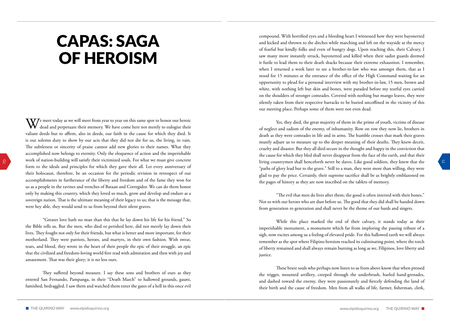# CAPAS: SAGA OF HEROISM

We meet today as we will meet from year to year on this same spot to honor our heroic dead and perpetuate their memory. We have come here not merely to eulogize their valiant deeds but to affirm, also in deeds, our faith in the cause for which they died. It is our solemn duty to show by our acts that they did not die for us, the living, in vain. The subtleness or sincerity of praise cannot add new glories to their names. What they accomplished now belongs to eternity. Only the eloquence of action and the imperishable work of nation-building will satisfy their victimized souls. For what we must give concrete form to the ideals and principles for which they gave their all. Let every anniversary of their holocaust, therefore, be an occasion for the periodic revision in retrospect of our accomplishments in furtherance of the liberty and freedom and of the fame they won for us as a people in the ravines and trenches of Bataan and Corregidor. We can do them honor only by making this country, which they loved so much, grow and develop and endure as a sovereign nation. That is the ultimate meaning of their legacy to us; that is the message that, were hey able, they would send to us from beyond their silent graves.

"Greater love hath no man than this that he lay down his life for his friend." So the Bible tells us. But the men, who died or perished here, did not merely lay down their lives. They fought not only for their friends, but what is better and more important, for their motherland. They were patriots, heroes, and martyrs, in their own fashion. With sweat, tears, and blood, they wrote in the heart of their people the epic of their struggle, an epic that the civilized and freedom-loving world first read with admiration and then with joy and amazement. That was their glory; it is no less ours.

They suffered beyond measure. I say these sons and brothers of ours as they entered San Fernando, Pampanga, in their "Death March" to hallowed grounds, gaunt, famished, bedraggled. I saw them and watched them enter the gates of a hell in this once evil

compound. With horrified eyes and a bleeding heart I witnessed how they were bayonetted and kicked and thrown to the ditches while marching and left on the wayside at the mercy of fearful but kindly folks and even of hungry dogs. Upon reaching this, their Calvary, I saw many more instantly struck, bayonetted and killed when their sadist guards deemed it futile to lead them to their death shacks because their extreme exhaustion. I remember, when I returned a week later to see a brother-in-law who was amongst them, that as I stood for 15 minutes at the entrance of the office of the High Command waiting for an opportunity to plead for a personal interview with my brother-in-law, 15 men, brown and white, with nothing left but skin and bones, were paraded before my tearful eyes carried on the shoulders of stronger comrades. Covered with nothing but mango leaves, they were silently taken from their respective barracks to be buried uncoffined in the vicinity of this our meeting place. Perhaps some of them were not even dead.

Yes, they died, the great majority of them in the prime of youth, victims of disease of neglect and sadism of the enemy, of inhumanity. Row on row they now lie, brothers in death as they were comrades in life and in arms. The humble crosses that mark their graves mutely adjure us to measure up to the deeper meaning of their deaths. They knew deceit, cruelty and disaster. But they all died secure in the thought and happy in the conviction that the cause for which they bled shall never disappear from the face of the earth, and that their living countrymen shall henceforth never be slaves. Like good soldiers, they knew that the "paths of glory lead but to the grave." Still to a man, they were more than willing, they were glad to pay the price. Certainly, their supreme sacrifice shall be as brightly emblazoned on the pages of history as they are now inscribed on the tablets of memory.

"The evil that men do lives after them; the good is often interred with their bones." Not so with our heroes who are dust before us. The good that they did shall be handed down from generation to generation and shall never be the theme of our bards and singers.

While this place marked the end of their calvary, it stands today as their imperishable monument, a monument which far from imploring the passing tribute of a sigh, now excites among us a feeling of elevated pride. For this hallowed earth we will always remember as the spot where Filipino heroism reached its culminating point, where the torch of liberty remained and shall always remain burning as long as we, Filipinos, love liberty and justice.

These brave souls who perhaps now listen to us from above know that when pressed the trigger, mounted artillery, creeped through the underbrush, hurled hand-grenades, and dashed toward the enemy, they were passionately and fiercely defending the land of their birth and the cause of freedom. Men from all walks of life, farmer, fisherman, clerk,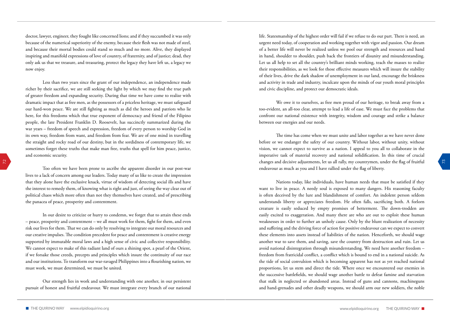doctor, lawyer, engineer, they fought like concerned lions; and if they succumbed it was only because of the numerical superiority of the enemy, because their flesh was not made of steel, and because their mortal bodies could stand so much and no more. Alive, they displayed inspiring and manifold expressions of love of country, of fraternity, and of justice; dead, they only ask us that we treasure, and treasuring, protect the legacy they have left us, a legacy we now enjoy.

Less than two years since the grant of our independence, an independence made richer by their sacrifice, we are still seeking the light by which we may find the true path of greater freedom and expanding security. During that time we have come to realize with dramatic impact that as free men, as the possessors of a priceless heritage, we must safeguard our hard-won peace. We are still fighting as much as did the heroes and patriots who lie here, for this freedoms which that true exponent of democracy and friend of the Filipino people, the late President Franklin D. Roosevelt, has succinctly summarized during the war years – freedom of speech and expression, freedom of every person to worship God in its own way, freedom from want, and freedom from fear. We are of one mind in travelling the straight and rocky road of our destiny, but in the sordidness of contemporary life, we sometimes forget these truths that make man free, truths that spell for him peace, justice, and economic security.

Too often we have been prone to ascribe the apparent disorder in our post-war lives to a lack of concern among our leaders. Today many of us like to create the impression that they alone have the exclusive knack, virtue of wisdom of detecting social ills and have the interest to remedy them, of knowing what is right and just, of seeing the way clear out of political chaos which more often than not they themselves have created, and of prescribing the panacea of peace, prosperity and contentment.

In our desire to criticize or hurry to condemn, we forget that to attain these ends – peace, prosperity and contentment – we all must work for them, fight for them, and even risk our lives for them. That we can do only by resolving to integrate our moral resources and our creative impulses. The condition precedent for peace and contentment is creative energy supported by immutable moral laws and a high sense of civic and collective responsibility. We cannot expect to make of this radiant land of ours a shining spot, a pearl of the Orient, if we forsake those creeds, precepts and principles which insure the continuity of our race and our institutions. To transform our war-ravaged Philippines into a flourishing nation, we must work, we must determined, we must be united.

Our strength lies in work and understanding with one another, in our persistent pursuit of honest and fruitful endeavour. We must integrate every branch of our national

life. Statesmanship of the highest order will fail if we refuse to do our part. There is need, an urgent need today, of cooperation and working together with vigor and passion. Our dream of a better life will never be realized unless we pool our strength and resources and hand in hand, shoulder to shoulder, push back the frontiers of disunity and misunderstanding. Let us all help to set all the country's brilliant minds working, teach the masses to realize their responsibilities, as we look for those effective measures which will insure the stability of their lives, drive the dark shadow of unemployment in our land, encourage the briskness and activity in trade and industry, inculcate upon the minds of our youth moral principles and civic discipline, and protect our democratic ideals.

We owe it to ourselves, as free men proud of our heritage, to break away from a too-evident, an all-too clear, attempt to lead a life of ease. We must face the problems that confront our national existence with integrity, wisdom and courage and strike a balance between our energies and our needs.

The time has come when we must unite and labor together as we have never done before or we endanger the safety of our country. Without labor, without unity, without vision, we cannot expect to survive as a nation. I appeal to you all to collaborate in the imperative task of material recovery and national solidification. In this time of crucial changes and decisive adjustments, let us all rally, my countrymen, under the flag of fruitful endeavour as much as you and I have rallied under the flag of liberty.

Nations today, like individuals, have human needs that must be satisfied if they want to live in peace. A needy soul is exposed to many dangers. His reasoning faculty is often deceived by the lure and blandishment of comfort. An indolent person seldom understands liberty or appreciates freedom. He often falls, sacrificing both. A forlorn creature is easily seduced by empty promises of betterment. The down-trodden are easily excited to exaggeration. And many there are who are out to exploit these human weaknesses in order to further an unholy cause. Only by the blunt realization of necessity and suffering and the driving force of action for positive endeavour can we expect to convert these elements into assets instead of liabilities of the nation. Henceforth, we should wage another war to save them, and saving, save the country from destruction and ruin. Let us avoid national disintegration through misunderstanding. We need here another freedom – freedom from fratricidal conflict, a conflict which is bound to end in a national suicide. As the tide of social convulsion which is becoming apparent has not as yet reached national proportions, let us stem and direct the tide. Where once we encountered our enemies in the successive battlefields, we should wage another battle to defeat famine and starvation that stalk in neglected or abandoned areas. Instead of guns and cannons, machineguns and hand-grenades and other deadly weapons, we should arm our new soldiers, the noble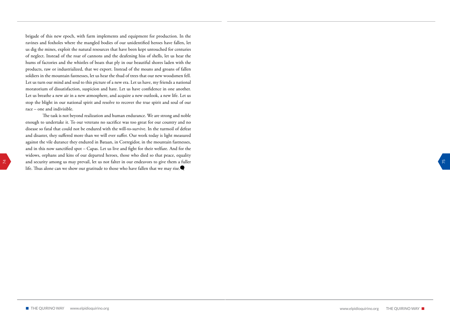brigade of this new epoch, with farm implements and equipment for production. In the ravines and foxholes where the mangled bodies of our unidentified heroes have fallen, let us dig the mines, exploit the natural resources that have been kept untouched for centuries of neglect. Instead of the roar of cannons and the deafening hiss of shells, let us hear the hums of factories and the whistles of boats that ply in our beautiful shores laden with the products, raw or industrialized, that we export. Instead of the moans and groans of fallen soldiers in the mountain fastnesses, let us hear the thud of trees that our new woodsmen fell. Let us turn our mind and soul to this picture of a new era. Let us have, my friends a national moratorium of dissatisfaction, suspicion and hate. Let us have confidence in one another. Let us breathe a new air in a new atmosphere, and acquire a new outlook, a new life. Let us stop the blight in our national spirit and resolve to recover the true spirit and soul of our race – one and indivisible.

The task is not beyond realization and human endurance. We are strong and noble enough to undertake it. To our veterans no sacrifice was too great for our country and no disease so fatal that could not be endured with the will-to-survive. In the turmoil of defeat and disaster, they suffered more than we will ever suffer. Our work today is light measured against the vile durance they endured in Bataan, in Corregidor, in the mountain fastnesses, and in this now sanctified spot – Capas. Let us live and fight for their welfare. And for the widows, orphans and kins of our departed heroes, those who died so that peace, equality and security among us may prevail, let us not falter in our endeavors to give them a fuller life. Thus alone can we show our gratitude to those who have fallen that we may rise.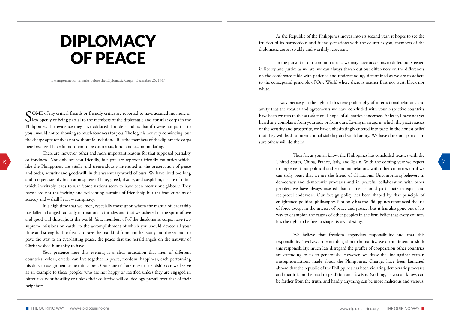### **DIPLOMACY** OF PEAC E

Extemporaneous remarks before the Diplomatic Corps, December 26, 1947

SOME of my critical friends or friendly critics are reported to have accused me more or less openly of being partial to the members of the diplomatic and consular corps in the Philippines. The evidence they have adduced, I understand, is that if i were not partial to you I would not be showing so much fondness for you. The logic is not very convincing, but the charge apparently is not without foundation. I like the members of the diplomatic corps here because I have found them to be courteous, kind, and accommodating.

There are, however, other and more important reasons for that supposed partiality or fondness. Not only are you friendly, but you are represent friendly countries which, like the Philippines, are vitally and tremendously interested in the preservation of peace and order, security and good-will, in this war-weary world of ours. We have lived too long and too persistently in an atmosphere of hate, greed, rivalry, and suspicion, a state of mind which inevitably leads to war. Some nations seem to have been most unneighborly. They have used not the inviting and welcoming curtains of friendship but the iron curtains of secrecy and – shall I say? – conspiracy.

It is high time that we, men, especially those upon whom the mantle of leadership has fallen, changed radically our national attitudes and that we ushered in the spirit of ove and good-will throughout the world. You, members of of the displomatic corps, have two supreme missions on earth, to the accomplishment of which you should devote all your time and strength. The first is to save the mankind from another war ; and the second, to pave the way to an ever-lasting peace, the peace that the herald angels on the nativity of Christ wished humanity to have.

Your presence here this evening is a clear indication that men of diferrent countries, colors, creeds, can live together in peace, freedom, happiness, each performing his duty or assignment as he thinks best. Our state of fraternity or friendship can well serve as an example to those peoples who are not happy or satisfied unless they are engaged in bitter rivalry or hostility or unless their collective will or ideology prevail over that of their neighbors.

As the Republic of the Philippines moves into its second year, it hopes to see the fruition of its harmonious and friendly-relations with the countries you, members of the diplomatic corps, so ably and worthily represent.

In the pursuit of our common ideals, we may have occasions to differ, but steeped in liberty and justice as we are, we can always thresh out our differences on the differences on the conference table with patience and understanding, determined as we are to adhere to the conceptand principle of One World where there is neither East nor west, black nor white.

It was precisely in the light of this new philosophy of international relations and amity that the treaties and agreements we have concluded with your respective countries have been written to this satisfaction, I hope, of all parties concerned. At least, I have not yet heard any complaint from your side or from ours. Living in an age in which the great masses of the security and prosperity, we have unhesitatingly entered into pacts in the honest belief that they will lead to international stability and world amity. We have done our part; i am sure others will do theirs.

Thus far, as you all know, the Philippines has concluded treaties with the United States, China, France, Italy, and Spain. With the coming year we expect to implement our political and economic relations with other countries until we can truly boast that we are the friend of all nations. Uncomprising believers in democracy and democratic processes and in peaceful collaboration with other peoples, we have always insisted that all men should participate in equal and reciprocal endeavors. Our foreign policy has been shaped by that principle of enlightened political philosophy. Not only has the Philippines renounced the use of force except in the interest of peace and justice, but it has also gone out of its way to champion the causes of other peoples in the firm belief that every country has the right to be free to shape its own destiny.

We believe that freedom engenders responsibility and that this responsibility involves a solemn obligation to humanity. We do not intend to shirk this responsibility, much less disregard the proffer of coopeartion other countries are extending to us so generously. However, we draw the line against certain misrepresenattions made about the Philippines. Charges have been launched abroad that the republic of the Philippines has been violating democratic processes and that it is on the road to perdition and fascism. Nothing, as you all know, can be farther from the truth, and hardly anything can be more malicious and vicious.

76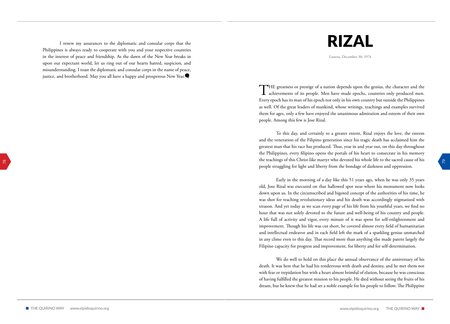# RIZAL

Luneta, December 30, 1974

THE greatness or prestige of a nation depends upon the genius, the character and the **1** achievements of its people. Men have made epochs, countries only produced men. Every epoch has its man of his epoch not only in his own country but outside the Philippines as well. Of the great leaders of mankind, whose writings, teachings and examples survived them for ages, only a few have enjoyed the unanimous admiration and esteem of their own people. Among this few is Jose Rizal.

To this day, and certainly to a greater extent, Rizal enjoys the love, the esteem and the veneration of the Filipino generation since his tragic death has acclaimed him the greatest man that his race has produced. Thus, year in and year out, on this day throughout the Philippines, every filipino opens the portals of his heart to consecrate in his memory the teachings of this Christ-like martyr who devoted his whole life to the sacred cause of his people struggling for light and liberty from the bondage of darkness and oppression.

Early in the morning of a day like this 51 years ago, when he was only 35 years old, Jose Rizal was executed on that hallowed spot near where his monument now looks down upon us. In the circumscribed and bigoted concept of the authorities of his time, he was shot for teaching revolutionary ideas and his death was accordingly stigmatized with treason. And yet today as we scan every page of his life from his youthful years, we find no hour that was not solely devoted to the future and well-being of his country and people. A life full of activity and vigor, every minute of it was spent for self-enlightenment and improvement. Though his life was cut short, he covered almost every field of humanitarian and intellectual endeavor and in each field left the mark of a sparkling genius unmatched in any clime even to this day. That record more than anything else made patent largely the Filipino capacity for progress and improvement, for liberty and for self-determination.

We do well to hold on this place the annual observance of the anniversary of his death. It was here that he had his rendezvous with death and destiny, and he met them not with fear or trepidation but with a heart almost brimful of elation, because he was conscious of having fulfilled the greatest mission to his people. He died without seeing the fruits of his dream, but he knew that he had set a noble example for his people to follow. The Philippine

I renew my assurances to the diplomatic and consular corps that the Philippines is always ready to cooperate with you and your respective countries in the interest of peace and friendship. As the dawn of the New Year breaks in upon our expectant world, let us ring out of our hearts hatred, suspicion, and misunderstanding. I toast the diplomatic and consular corps in the name of peace, justice, and brotherhood. May you all have a happy and prosperous New Year.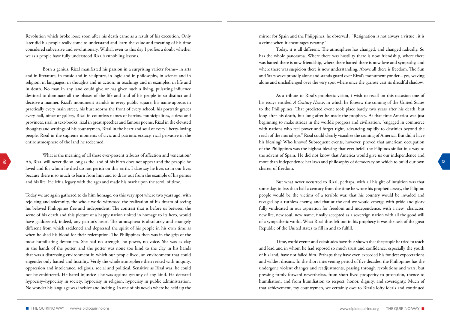Revolution which broke loose soon after his death came as a result of his execution. Only later did his people really come to understand and learn the value and meaning of his time considered subversive and revolutionary. Withal, even to this day I profess a doubt whether we as a people have fully understood Rizal's ennobling lessons.

Born a genius, Rizal manifested his passion in a surprising variety forms– in arts and in literature, in music and in sculpture, in logic and in philosophy, in science and in religion, in languages, in thoughts and in action, in teachings and in examples, in life and in death. No man in any land could give or has given such a living, pulsating influence destined to dominate all the phases of the life and soul of his people in so distinct and decisive a manner. Rizal's monument standds in every public square, his name appears in practically every main street, his bust adorns the front of every school, his portratit graces every hall, office or gallery, Rizal in countless names of barrios, municipalities, citiesa and provinces, rizal in text-books, rizal in great speeches and famous poems, Rizal in the elevated thoughts and writings of his countrymen, Rizal in the heart and soul of every liberty-loving people, Rizal in the supreme moments of civic and patriotic ecstacy, rizal pervasive in the entire atmosphere of the land he redeemed.

What is the meaning of all these ever-present tributes of affection and veneration? Ah, Rizal will never die so long as the land of his birth does not appear and the peaople he loved and for whom he died do not perish on this earth. I dare say he lives so in our lives because there is so much to learn from him and to draw out from the example of his genius and his life. He left a legacy with the ages and made his mark upon the scroll of time.

Today we are again gathered to do him homage, on this very spot where two years ago, with rejoicing and solemnity, the whole world witnessed the realization of his dream of seeing his beloved Philippines free and independent. The contrast that is before us between the scene of his death and this picture of a happy nation united in homage to its hero, would have galddeened, indeed, any patriot's heart. The atmosphera is absolutely and strangely different from which saddened and depressed the spirit of his people in his own time as when he shed his blood for their redemption. The Philippines then was in the grip of the most humiliating despotism. She had no strength, no power, no voice. She was as clay in the hands of the potter, and the potter was none too kind to the clay in his hands that was a distressing environment in which our people lived, an environment that could engender only hatred and hostility. Verily the whole atmosphere then reeked with iniquity, oppression and intolerance, religious, social and political. Sensitive as Rizal was, he could not be embittered. He hated injustice ; he was against tyranny of any kind. He detested hypocrisy–hypocrisy in society, hypocrisy in religion, hypocrisy in public administration. No wonder his language was incisive and inciting. In one of his novels where he held up the

mirror for Spain and the Phiippines, he observed : "Resignation is not always a virtue ; it is a crime when it encourages tyranny."

Today, it is all different. The atmosphere has changed, and changed radically. So has the whole panorama. Where there was hostility there is now friendship, where there was hatred there is now friendship, where there hatred there is now love and sympathy, and where there was suspicion there is now understanding. Above all there is freedom. The Sun and Stars wave proudly alone and stands guard over Rizal's monument yonder – yes, waving alone and unchallenged over the very spot where once the garrote cast its dreadful shadow.

As a tribute to Rizal's prophetic vision, i wish to recall on this occasion one of his essays entitled *A Century Hence*, in which he foresaw the coming of the United States to the Philippines. That predicted event took place barely two years after his death, but long after his death, but long after he made the prophecy. At that time America was just beginning to make strides in the world's progress and civilization, "engaged in commerce with nations who feel power and forget right, advancing rapidly to destinies beyond the reach of the mortal eye." Rizal could clearly visualize the coming of America. But did it have his blessing? Who knows? Subsequent events, however, proved that american occupation of the Philippines was the highest blessing that ever befell the Filipinos sinilar in a way to the advent of Spain. He did not know that America would give us our independence and more than independence her laws and philosophy of democracy on which to build our own charter of freedom.

But what never occurred to Rizal, perhaps, with all his gift of intuition was that some day, in less than half a century from the time he wrote his prophetic essay, the Filipino people would be the victims of a terrible war, that his country would be invaded and ravaged by a ruthless enemy, and that at the end we would emerge with pride and glory fully vindicated in our aspiration for freedom and independence, with a new character, new life, new soul, new name, finally accepted as a sovereign nation with all the good will of a sympathetic world. What Rizal thus left out in his prophecy it was the task of the great Republic of the United states to fill in and to fulfill.

Time, world events and vcissitudes have thus shown that the people he tried to teach and lead and in whom he had reposed so much trust and confidence, especially the youth of his land, have not failed him. Perhaps they have even exceeded his fondest expecetations and wildest dreams. In the short intervening period of five decades, the Philippines has the undergone violent changes and readjustments, passing through revolutions and wars, but pressing firmly forward nevertheless, from short-lived prosperity to prostation, thence to humiliation, and from humiliation to respect, honor, dignity, and sovereignty. Much of that achievement, my countrymen, we certainly owe to Rizal's lofty ideals and continued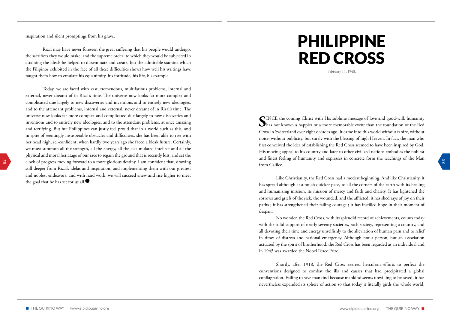inspiration and silent promptings from his grave.

Rizal may have never foreseen the great suffering that his people would undergo, the sacrifices they would make, and the supreme ordeal to which they would be subjected in attaining the ideals he helped to disseminate and create, but the admirable stamina which the Filipinos exhibited in the face of all these difficulties shows how well his writings have taught them how to emulate his equanimity, his fortitude, his life, his example.

Today, we are faced with vast, tremendous, multifarious problems, internal and external, never dreamt of in Rizal's time. The universe now looks far more complex and complicated due largely to new discoveries and inventions and to entirely new ideologies, and to the attendant problems, internal and external, never dreamt of in Rizal's time. The universe now looks far more complex and complicated due largely to new discoveries and inventions and to entirely new ideologies, and to the attendant problems, at once amazing and terrifying. But hte Philippines can justly feel proud that in a world such as this, and in spite of seemingly insusperable obstacles and difficulties, she has been able to rise with her head high, sel-confident, when hardly two years ago she faced a bleak future. Certainly, we must summon all the strength, all the energy, all the accumulated intellect and all the physical and moral heriatage of our race to regain the ground that is recently lost, and set the clock of progress moving forward to a more glorious destiny. I am confident that, drawing still deeper from Rizal's idelas and inspiration, and implementing them with our greatest and noblest endeavors, and with hard work, we will succeed anew and rise higher to meet the goal that he has set for us all.

# PHILIPPINE RED CROSS

February 14, 1948.

**S**INCE the coming Christ with His sublime message of love and good-will, humanity has not known a happier or a more memorable event than the foundation of the Red Cross in Switzerland over eight decades ago. It came into this world without fanfre, without noise, without publicity, but surely with the blessing of high Heaven. In fact, the man who first conceived the idea of establishing the Red Cross seemed to have been inspired by God. His moving appeal to his country and later to other civilized nations embodies the noblest and finest feeling of humanity and expresses in concrete form the teachings of the Man from Galilee.

Like Christianity, the Red Cross had a modest beginning. And like Christianity, it has spread although at a much quicker pace, to all the corners of the earth with its healing and humanizing mission, its mission of mercy and faith and charity. It has lightened the sorrows and griefs of the sick, the wounded, and the afflicted; it has shed rays of joy on their paths ; it has strengthened their failing courage ; it has instilled hope in their moment of despair.

No wonder, the Red Cross, with its splendid record of achievements, counts today with the solid support of nearly seventy societies, each society, representing a country, and all devoting their time and energy unselfishly to the alleviation of human pain and to relief in times of distress and national emergency. Although not a person, but an association actuated by the spirit of brotherhood, the Red Cross has been regarded as an individual and in 1945 was awarded the Nobel Peace Prize.

Shortly, after 1918, the Red Cross exerted herculean efforts to perfect the conventions designed to combat the ills and causes that had precipitated a global conflagration. Failing to save mankind because mankind seems unwilling to be saved, it has nevertheless expanded its sphere of action so that today it literally girds the whole world.

 $^{\circ}_{\infty}$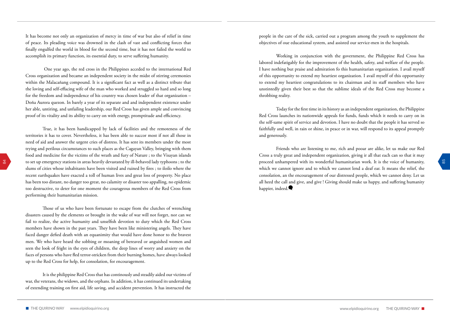It has become not only an organization of mercy in time of war but also of relief in time of peace. Its pleading voice was drowned in the clash of vast and conflicting forces that finally engulfed the world in blood for the second time, but it has not failed the world to accomplish its primary function, its essential duty, to serve suffering humanity.

 One year ago, the red cross in the Philippines acceded to the international Red Cross organization and became an independent society in the midst of stirring ceremonies within the Malacañang compound. It is a significant fact as well as a distinct tribute that the loving and self-effacing wife of the man who worked and struggled so hard and so long for the freedom and independence of his country was chosen leader of that organization – Doña Aurora quezon. In barely a year of its separate and and independent existence under her able, untiring, and unfailing leadership, our Red Cross has given ample and convincing proof of its vitality and its ability to carry on with energy, promptitude and efficiency.

True, it has been handicapped by lack of facilities and the remoteness of the territories it has to cover. Nevertheless, it has been able to succor most if not all those in need of aid and answer the urgent cries of distress. It has sent its members under the most trying and perilous circumstances to such places as the Cagayan Valley, bringing with them food and medicine for the victims of the wrath and fury of Nature ; to the Visayan islands to set up emergency stations in areas heavily devastated by ill-behaved lady typhoons ; to the slums of cities whose inhabitants have been visited and ruined by fires ; to iloilo where the recent earthquakes have exacted a toll of human lives and great loss of property. No place has been too distant, no danger too great, no calamity or disaster too appalling, no epidemic too destructive, to deter for one moment the courageous members of the Red Cross from performing their humanitarian mission.

Those of us who have been fortunate to escape from the clutches of wrenching disasters caused by the elements or brought in the wake of war will not forget, nor can we fail to realize, the active humanity and unselfish devotion to duty which the Red Cross members have shown in the past years. They have been like ministering angels. They have faced danger defied death with an equanimity that would have done honor to the bravest men. We who have heard the sobbing or moaning of bereaved or anguished women and seen the look of fright in the eyes of children, the deep lines of worry and anxiety on the faces of persons who have fled terror-stricken from their burning homes, have always looked up to the Red Cross for help, for consolation, for encouragement.

It is the philippine Red Cross that has continously and steadily aided our victims of war, the veterans, the widows, and the orphans. In addition, it has continued its undertaking of extending training on first aid, life saving, and accident prevention. It has instructed the

people in the care of the sick, carried out a program among the youth to supplement the objectives of oue educational system, and assisted our service-men in the hospitals.

Working in conjunction with the government, the Philippine Red Cross has labored indefatigably for the improvement of the health, safety, and welfare of the people. I have nothing but praise and admiration fo this humanitarian organization. I avail myself of this opportunity to extend my heartiest organization. I avail myself of this opportunity to extend my heartiest congratulations to its chairman and its staff members who have unstintedly given their best so that the sublime ideals of the Red Cross may become a throbbing reality.

Today for the first time in its history as an independent organization, the Philippine Red Cross launches its nationwide appeals for funds, funds which it needs to carry on in the self-same spirit of service and devotion. I have no doubt that the people it has served so faithfully and well, in rain or shine, in peace or in war, will respond to its appeal promptly and generously.

Friends who are listening to me, rich and pooar are alike, let us make our Red Cross a truly great and independent organization, giving ir all that each can so that it may proceed unhampered with its wonderful humanitarian work. It is the voice of humanity, which we cannot ignore and to which we cannot lend a deaf ear. It means the relief, the consolation, an the encouragement of our distressed people, which we cannot deny. Let us all heed the call and give, and give ! Giving should make us happy, and suffering humanity happier, indeed.

84<br>4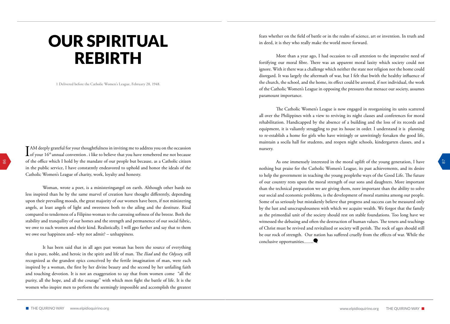## OUR SPIRITUAL REBIRTH

1 Delivered before the Catholic Women's League, February 28, 1948.

 $\int_{\text{off}}$  AM deeply grateful for your thoughtfulness in inviting me to address you on the occassion of your 16<sup>th</sup> annual convention . i like to believe that you have remebered me not because of the office which I hold by the mandate of our people but because, as a Catholic citizen in the public service, I have constatntly endeavored to uphold and honor the ideals of the Catholic Women's League of charity, work, loyalty and honesty.

Woman, wrote a poet, is a ministeringangel on earth. Although other bards no less inspired than he by the same marvel of creation have thought differently, depending upon their prevailing moods, the great majority of our women have been, if not ministering angels, at least angels of light and sweetness both to the ailing and the destitute. Rizal compared to tenderness of a Filipino woman to the caressing softness of the breeze. Both the stability and tranquility of our homes and the strength and permanence of our social fabric, we owe to such women and their kind. Realistically, I will gpo farther and say that to them we owe our happiness and– why not admit? – unhappiness.

It has been said that in all ages past woman has been the source of everything that is pure, noble, and heroic in the spirit and life of man. The *Iliad* and the *Odyssey,* still recognized as the grandest epics conceived by the fertile imagination of man, were each inspired by a woman, the first by her divine beauty and the second by her unfailing faith and touching devotion. It is not an exaggeration to say that from women come "all the purity, all the hope, and all the courage" with which men fight the battle of life. It is the women who inspire men to perform the seemingly impossible and accomplish the greatest

feats whether on the field of battle or in the realm of science, art or invention. In truth and in deed, it is they who really make the world move forward.

More than a year ago, I had occasion to call attention to the imperative need of fortifying our moral fibre. There was an apparent moral laxity which society could not ignore. With it there was a challenge which neither the state nor religion nor the home could disregard. It was largely the aftermath of war, but I felt that bwith the healthy influence of the church, the school, and the home, its effect could be arrested, if not individual, the work of the Catholic Women's League in opposing the pressures that menace our society, assumes paramount importance.

The Catholic Women's League is now engaged in reorganizing its units scattered all over the Philippines with a view to reviving its night classes and conferences for moral rehabilitation. Handicapped by the absence of a building and the loss of its records and equipment, it is valiantly struggling to put its house in order. I understand it is planning to re-establish a home for girls who have wittingly or unwittingly forsaken the good life, maintain a socila hall for students, and reopen night schools, kindergarten classes, and a nursery.

As one immensely interested in the moral uplift of the young generation, I have nothing but praise for the Catholic Women's League, its past achievements, and its desire to help the government in teaching the young peoplethe ways of the Good Life. The future of our country rests upon the moral strength of our sons and daughters. More important than the technical preparation we are giving them, nore important than the ability to solve our social and economic problems, is the development of moral stamina among our people. Some of us seriously but mistakenly believe that progress and success can be measured only by the lust and unscrupulousness with which we acquire wealth. We forgot that the family as the primordial unit of the society should rest on stable foundations. Too long have we witnessed the debasing and often the destruction of human values. The tenets and teachings of Christ must be revived and revitalized or society will perish. The rock of ages should still be our rock of strength. Our nation has suffered cruelly from the effects of war. While the conclusive opportunities........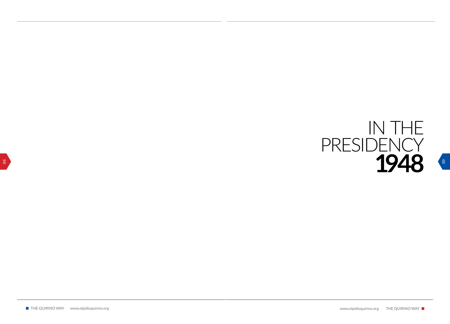# IN THE **PRESIDENCY 1948**

 $\alpha$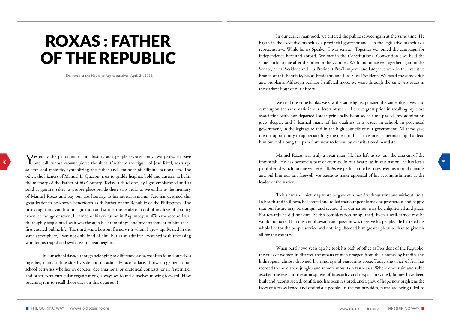### ROXAS : FATHER OF THE REPUBLIC

1 Delivered at the House of Representatives, April 25, 1948.

**V**esterday the panorama of our history as a people revealed only two peaks, massive and tall, whose crowns pierce the skies. On them the figure of Jose Rizal, rears up, solemn and majestic, symbolizing the father and founder of Filipino nationalism. The other, the likeness of Manuel L. Quezon, rises to griddy heights, bold and austers, as befits the memory of the Father of his Country. Today, a third one, by light emblazoned and as solid as granite, takes its proper place beside these two peaks as we enshrine the memory of Manuel Roxas and pay our last homage to his mortal remains. Fate has destined this great leader to be known henceforth as th Father of the Republic of the Philippines. The first caught my youthful imagination and struck the tenderest cord of my love of country when, at the age of seven, I learned of his execution in Bagumbayan. With the second I was thoroughly acquainted as it was through his promptings and my attachment to him that I first entered public life. The third was a bossom friend with whom I grew up. Reared in the same atmosphere, I was not only fond of him, but as an admirer I watched with unceasing wonder his reapid and swift rise to great heights.

In our school days, although belonging to different classes, we often found ourselves together, many a time side by side and occasionally face to face, thrown together in our school activities whether in debates, declamations, or oratorical contests, or in fraternities and other extra-curricular organizations, always we found ourselves moving forward. How touching it is to recall those days on this occasion !

In our earlier manhood, we entered the public service again at the same time. He bagan in the executive branch as a provincial governor and I in the legislative branch as a representative. While he ws Speaker, I was senator. Together we joined the campaign for independence here and abroad. We met in the Constitutional Convention ; we held the same porfolio one after the other in the Cabinet. We found ourselves together again in the Senate, he as President and I as President Pro-Tempore, and lately, we were in the executive branch of this Republic, he, as President, and I, as Vice-President. We faced the same crisis and problems. Although perhaps I suffered more, we went through the same vissitudes in the darkest hour of our history.

We read the same books, we saw the same lights, pursued the same objectives, and came upon the same oasis in our desert of years. I derive great pride in recalling my close association with our departed leader principally because, as time passed, my admiration grew deeper, and I learned many of his qualities as a leader in school, in provincial government, in the legislature and in the high councils of our government. All these gave me the opportunity to appreciate fully the merit of his far-visioned statesmanship that lead him onward alomg the path I am now to follow by constitutional mandate.

Manuel Roxas was truly a great man. He has left us to join the caravan of the immortals. He has become a part of eternity. In our hearts, as in our nation, he has left a painful void which no one will ever fill. As we perform the last rites over his mortal ramains and bid him our last farewell, we pause to make appraisal of his accomplishments as the leader of the nation.

To his cares as chief magistrate he gave of himself without stint and without limit. In health and in illness, he labored and toiled that our people may be prosperous and happy, that our future may be tranquil and secure, that our nation may be enlightened and great. For rewards he did not care. Selfish consideration he spurned. Even a well-earned rest he would not take. His constant obsession and passion was to serve his people. He bartered his whole life for the people service and nothing afforded him greater pleasure than to give his all for the country.

When barely two years ago he took his oath of office as President of the Republic, the cries of women in distress, the groans of men dragged from their homes by bandits and kidnappers, almost drowned his ringing and reassuring voice. Today the voice of fear has receded to the distant jungles and remote mountain fastnesses. Where once ruin and ruble assailed the eye and the atmosphere of insecurity and despair prevailed, homes have been built and reconstructed, confidence has been restored, and a glow of hope now brightens the faces of a reawakened and optimistic people. In the countrysides, farms are being tilled to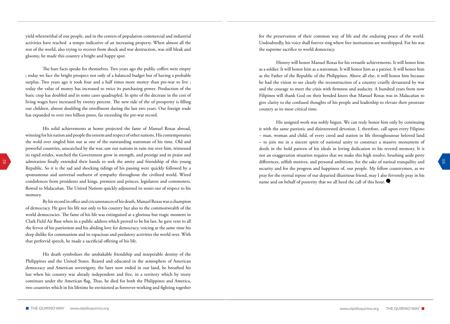yield wherewithal of our people, and in the centers of population commercial and industrial activities have reached a tempo indicative of an increasing property. When almost all the rest of the world, also trying to recover from shock and war destruction, was still bleak and gloomy, he made this country a bright and happy spot.

The bare facts speaks for themselves. Two years ago the public coffers were empty ; today we face the bright prospect not only of a balanced budget but of having a probable surplus. Two years ago it took four and a half times more money than pre-war to live ; today the value of money has increased to twice its purchasing power. Production of the basic crop has doubled and in some cases quadrupled. In spite of the decrease in the cost of living wages have increased by twenty percent. The new tide of the of prosperity is filling our children, almost doubling the enrollment during the last two years. Our foreign trade has expanded to over two billion pesos, far exceeding the pre-war record.

His solid achievements at home projected the fame of Manuel Roxas abroad, winning for his nation and people the esteem and respect of other nations. His contemporaries the wold over singled him out as one of the outstanding statesman of his time. Old and powerful countries, unscatched by the war, saw our nations in ruin rise over him, witnessed its rapid strides, watched the Government grow in strength, and prestige and in praise and admiration finally extended their hands to seek the amity and friendship of this young Republic. So it is the sad and shocking tidings of his passing were quickly followed by a spontaneous and universal outburst of sympathy throughout the civilized world. Wired condolences from presidents and kings, premiers and princes, legislators and commoners, flowed to Malacañan. The United Nations quickly adjourned its sessio out of respect to his memory.

By his record in office and circumstances of his death, Manuel Roxas was a champion of democracy. He gave his life not only to his country but also to the commonwealth of the world democracies. The fame of his life was extinguised at a glorious but tragic moment in Clark Field Air Base when in a public address which proved to be his last, he gave vent to all the fervor of his patriotism and his abiding love for democracy, voicing at the same time his deep dislike for communism and its rapacious and predatory activities the world over. With that perfervid speech, he made a sacrificial offering of his life.

His death symbolizes the unshakable friendship and inseperable destiny of the Philippines and the United States. Reared and educated in the atmosphere of American democracy and American sovereignty, the later now ended in our land, he breathed his last when his country was already independent and free, in a territory which by treaty continues under the American flag. Thus, he died for both the Philippines and America, two countries which in his lifetime he envisioned as forerever working and fighting together

for the preservation of their common way of life and the enduring peace of the world. Undoubtedly, his voice shall forever ring where free institutions are worshipped. For his was the supreme sacrifice to world democracy.

History will honor Manuel Roxas for his versatile achievements. It will honor him as a soldier. It will honor him as a statesman. It will honor him as a patriot. It will honor him as the Father of the Republic of the Philippines. Above all else, it will honor him because he had the vision to see clearly the reconstruction of a country cruelly devastated by war and the courage to meet the crisis with firmness and audacity. A hundred years from now Filipinos will thank God on their bended knees that Manuel Roxas was in Malacañan to give clarity to the confused thoughts of his people and leadership to elevate their prostrate country at its most critical time.

His assigned work was nobly begun. We can truly honor him only by continuing it with the same patriotic and disinterested devotion. I, therefore, call upon every Filipino – man, woman and child, of every creed and station in life throughoutour beloved land – to join me in a sincere spirit of national unity to construct a massive monument of deeds in the bold pattern of his ideals in loving dedication to his revered memory. It is not an exaggeration situation requires that we make this high resolve, brushing aside petty differences, selfish motives, and personal ambitions, for the sake of natinal tranquility and security and for the progress and happiness of, our people. My fellow countrymen, as we pray for the eternal repose of our departed illustrious friend, may I also fervently pray in his name and on behalf of posterity that we all heed the call of this hour.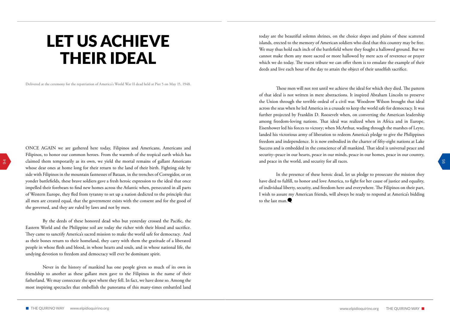### LET US ACHIEVE THEIR IDEAL

Delivered at the ceremony for the repatriation of America's World War II dead held at Pier 5 on May 15, 1948.

ONCE AGAIN we are gathered here today, Filipinos and Americans, Americans and Filipinos, to honor our common heroes. From the warmth of the tropical earth which has claimed them temporarily as its own, we yield the mortal remains of gallant Americans whose dear ones at home long for their return to the land of their birth. Fighting side by side with Filipinos in the mountain fastnesses of Bataan, in the trenches of Corregidor, or on yonder battlefields, these brave soldiers gave a fresh heroic expression to the ideal that once impelled their forebears to find new homes across the Atlantic when, persecuted in all parts of Western Europe, they fled from tyranny to set up a nation dedicted to the principle that all men are created equal, that the government exists with the consent and for the good of the governed, and they are ruled by laws and not by men.

By the deeds of these honored dead who but yesterday crossed the Pacific, the Eastern World and the Philippine soil are today the richer with their blood and sacrifice. They came to sanctify America's sacred mission to make the world safe for democracy. And as their bones return to their homeland, they carry with them the gratitude of a liberated people in whose flesh and blood, in whose hearts and souls, and in whose national life, the undying devotion to freedom and democracy will ever be dominant spirit.

Never in the history of mankind has one people given so much of its own in friendship to another as these gallant men gave to the Filipinos in the name of their fatherland. We may consecrate the spot where they fell. In fact, we have done so. Among the most inspiring spectacles that embellish the panorama of this many-times embattled land

today are the beautiful solemn shrines, on the choice slopes and plains of these scattered islands, erected to the memory of American soldiers who died that this country may be free. We may thus hold each inch of the battlefield where they fought a hallowed ground. But we cannot make them any more sacred or more hallowed by mere acts of reverence or prayer which we do today. The truest tribute we can offer them is to emulate the example of their deeds and live each hour of the day to attain the object of their unselfish sacrifice.

These men will not rest until we achieve the ideal for which they died. The pattern of that ideal is not written in mere abstractions. It inspired Abraham Lincoln to preserve the Union through the terrible ordeal of a civil war. Woodrow Wilson brought that ideal across the seas when he led America in a crusade to keep the world safe for democracy. It was further projected by Franklin D. Roosevelt when, on converting the American leadership among freedom-loving nations. That ideal was realized when in Africa and in Europe, Eisenhower led his forces to victory; when McArthur, wading through the marshes of Leyte, landed his victorious army of liberation to redeem America's pledge to give the Philippines freedom and independence. It is now embodied in the charter of fifty-eight nations at Lake Success and is embedded in the conscience of all mankind. That ideal is universal peace and security–peace in our hearts, peace in our minds, peace in our homes, peace in our country, and peace in the world, and security for all races.

In the presence of these heroic dead, let us pledge to prosecute the mission they have died to fulfill, to honor and love America, to fight for her cause of justice and equality, of individual liberty, security, and freedom here and everywhere. The Filipinos on their part, I wish to assure my American friends, will always be ready to respond at America's bidding to the last man.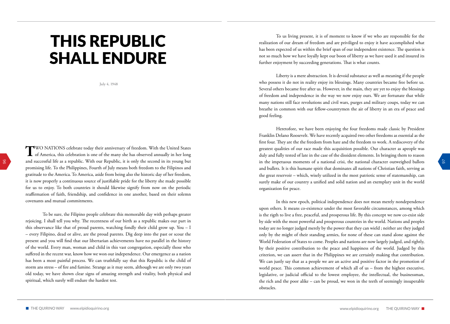### THIS REPUBLIC SHALL ENDURE

July 4, 1948

TWO NATIONS celebrate today their anniversary of freedom. With the United States of America, this celebration is one of the many she has observed annually in her long and successful life as a republic. With our Republic, it is only the second in its young but promising life. To the Philippines, Fourth of July means both freedom to the Filipinos and gratitude to the America. To America, aside from being also the historic day of her freedom, it is now properly a continuous source of justifiable pride for the liberty she made possible for us to enjoy. To both countries it should likewise signify from now on the periodic reaffirmation of faith, friendship, and confidence in one another, based on their solemn covenants and mutual commitments.

To be sure, the Filipino people celebrate this memorable day with perhaps greater rejoicing. I shall tell you why. The recentness of our birth as a republic makes our part in this observance like that of proud parents, watching fondly their child grow up. You – I – every Filipino, dead or alive, are the proud parents. Dig deep into the past or scour the present and you will find that our libertarian achievements have no parallel in the history of the world. Every man, woman and child in this vast congregation, especially those who suffered in the recent war, know how we won our independence. Our emergence as a nation has been a most painful process. We can truthfully say that this Republic is the child of storm ans stress – of fire and famine. Strange as it may seem, although we are only two years old today, we have shown clear signs of amazing strength and vitality, both physical and spiritual, which surely will endure the hardest test.

To us living present, it is of moment to know if we who are responsible for the realization of our dream of freedom and are priviliged to enjoy it have accomplished what has been expected of us within the brief span of our independent existence. The question is not so much how we have loyally kept our boon of liberty as we have used it and insured its further enjoyment by succeeding generations. That is what counts.

Liberty is a mere abstraction. It is devoid substance as well as meaning if the people who possess it do not in reality enjoy its blessings. Many countries became free before us. Several others became free after us. However, in the main, they are yet to enjoy the blessings of freedom and independence in the way we now enjoy ours. We are fortunate that while many nations still face revolutions and civil wars, purges and military coups, today we can breathe in common with our fellow-countrymen the air of liberty in an era of peace and good feeling.

Heretofore, we have been enjoying the four freedoms made classic by President Franklin Delano Roosevelt. We have recently acquired two other freedoms as essential as the first four. They are the the freedom from hate and the freedom to work. A rediscovery of the greatest qualities of our race made this acquisition possible. Our character as apeople was duly and fully tested of late in the case of the dissident elements. In bringing them to reason in the impetuous moments of a national crisi, the national character outweighed ballots and bullets. It is this humane spirit that dominates all nations of Christian faith, serving as the great reservoir – which, wisely utilized in the most patriotic sense of statemanship, can surely make of our country a unified and solid nation and an exemplary unit in the world organization for peace.

In this new epoch, political independence does not mean merely nondependence upon others. It means co-existence under the most favorable circumstances, among which is the rigth to live a free, peaceful, and prosperous life. By this concept we now co-exist side by side with the most powerful and prosperous countries in the world. Nations and peoples today are no longer judged merely by the power that they can wield ; neither are they judged only by the might of their standing armies, for none of these can stand alone against the World Federation of States to come. Peoples and nations are now largely judged, and rightly, by their positive contribution to the peace and happiness of the world. Judged by this criterion, we can assert that in the Philippines we are certainly making that contribution. We can justly say that as a people we are an active and positive factor in the promotion of world peace. This common achievement of which all of us – from the highest executive, legislative, or judicial official to the lowest employee, the intellectual, the businessman, the rich and the poor alike – can be proud, we won in the teeth of seemingly insuperable obstacles.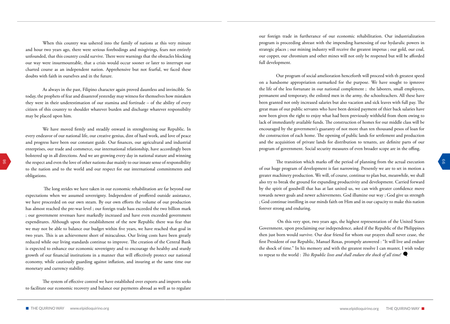When this country was ushered into the family of nations at this very minute and hour two years ago, there were serious forebodings and misgivings, fears not entirely unfounded, that this country could survive. There were warnings that the obstacles blocking our way were insurmountable, that a crisis would occur sooner or later to interrupt our charted course as an independent nation. Apprehensive but not fearful, we faced these doubts with faith in ourselves and in the future.

As always in the past, Filipino character again proved dauntless and invincible. So today, the prophets of fear and disasterof yesterday may witness for themselves how mistaken they were in their underestimation of our stamina and fortitude – of the ability of every citizen of this country to shoulder whatever burden and discharge whatever responsibilty may be placed upon him.

We have moved firmly and steadily onward in strenghtening our Republic. In every endeavor of our national life, our creative genius, dint of hard work, and love of peace and progress have been our constant guide. Our finances, our agricultural and industrial enterprises, our trade and commerce, our international relationship, have accordingly been bolstered up in all directions. And we are growing every day in national stature and winning the respect and even the love of other nations due mainly to our innate sense of responsibility to the nation and to the world and our respect for our international commitments and obligations.

 The long strides we have taken in our economic rehabilitation are far beyond our expectations when we assumed sovereignty. Independent of proffered outside assistance, we have proceeded on our own steam. By our own efforts the volume of our production has almost reached the pre-war level ; our foreign trade hass exceeded the two billion mark ; our government revenues have markedly increased and have even exceeded government expenditures. Although upon the establishment of the new Republic there was fear that we may not be able to balance our budget within five years, we have reached that goal in two years. This is an achievement short of miraculous. Our living costs have been greatly reduced while our living standards continue to improve. The creation of the Central Bank is expected to enhance our economic sovereignty and to encourage the healthy and sturdy growth of our financial institutions in a manner that will effectively protect our national economy, while cautiously guarding against inflation, and insuring at the same time our monetary and currency stability.

The system of effective control we have established over exports and imports seeks to facilitate our economic recovery and balance our payments abroad as well as to regulate our foreign trade in furtherance of our economic rehabilitation. Our industrialization program is proceeding abreast with the impending harnessing of our hydarulic powers in strategic places ; our mining industry will receive the greatest impetus ; our gold, our coal, our copper, our chromium and other mines will not only be reopened but will be afforded full development.

Our program of social amelioration henceforth will proceed with th greatest speed on a handsome appropriation earmarked for the purpose. We have sought to ipmrove the life of the less fortunate in our national complement ; the laborers, small employees, permanent and temporary, the enlisted men in the army, the schoolteachers. All these have been granted not only increased salaries but also vacation and sick leaves with full pay. The great mass of our public servants who have been denied payment of thier back salaries have now been given the right to enjoy what had been previously withheld from them owing to lack of immediately available funds. The construction of homes for our middle class will be encouraged by the government's guaranty of not more than ten thousand pesos of loan for the construction of each home. The opening of public lands for settlement and production and the acquisition of private lands for distribution to tenants, are definite parts of our program of government. Social security measures of even broader scope are in the offing.

The transition which marks off the period of planning from the actual execution of our huge program of development is fast narrowing. Presently we are to set in motion a greater machinery production. We will, of course, continue to plan but, meanwhile, we shall also try to break the ground for expanding productivity and development. Carried forward by the spirit of goodwill that has at last united us, we can with greater confidence move towards newer goals and newer achievements. God illumine our way ; God give us strength ; God continue instilling in our minds faith on Him and in our capacity to make this nation forever strong and enduring.

 On this very spot, two years ago, the highest representation of the United States Government, upon proclaiming our independence, asked if the Republic of the Philippines then just born would survive. Our dear friend for whom our prayers shall never cease, the first President of our Republic, Manuel Roxas, promptly answered : "It will live and endure the shock of time." In his memory and with the greatest resolve I can muster, I wish today to repeat to the world : *This Republic lives and shall endure the shock of all time!*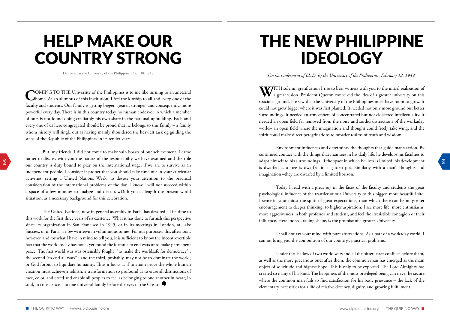### **HELP MAKE O** COUN TRY STRON G

Delivered at the University of the Philippines, Oct. 18, 1948.

COMING TO THE University of the Philippines is to me like turning to an ancestral chome. As an alumnus of this institution, I feel the kinship to all and every one of the faculty and students. Our family is getting bigger, greater, stronger, and consequently, more powerful every day. There is in this country today no human endeavor in which a member of ours is not found doing crediatbly his own share in the national upbuilding. Each and every one of us here congregated should be proud that he belongs to this family – a family whom history will single out as having mainly shouldered the heaviest task og guiding the steps of the Republic of the Philippines in its tender years.

But, my friends, I did not come to make vain boasts of our achievement. I came rather to discuss with you the nature of the responsibilty we have assumed and the role our country is duty bound to play on the international stage, if we are to survive as an independent people. I consider it proper that you should take time out in your curricular activities, setting a United Nations Week, to devote your attention to the practical consideration of the international problems of the day. I know I will not succeed within a space of a few minutes to analyze and discuss wDith you at length the present world situation, as a necessary background for this celebration.

The United Nations, now in general assembly in Paris, has devoted all its time to this work for the first three years of its existence. What it has done to furnish this perspective since its organization in San Francisco in 1945, or in its meetings in London, at Lake Success, or in Paris, is now writtewn in voluminous tomes. For our purposes, this afternoon, however, and for what I have in mind to tell you, it is sufficient to know the incontrovertible fact that the world today has not as yet found the formula to end wars or to make permanent peace. The first world war was ostensibly fought "to make the worldsafe for democracy" ; the second "to end all wars" ; and the third, probably, may not be to dominate the world, or God forbid, to liquidate humanity. Thus it looks as if to attain peace the whole human creation must achieve a rebirth, a transformation so profound as to erase all distinctions of race, color, and creed and enable all peoples to feel as belonging to one another in heart, in soul, in conscience – to one universal family before the eyes of the Creator.

#### THE NEW PHILIPPIN **IDEOLOGY**

*On his conferment of LL.D. by the University of the Philippines, February 12, 1949.*

**W**ITH solemn gratification I rise to bear witness with you to the initial realization of  $\mathbf W$  a great vision. President Quezon conceived the idea of a greater university on this spacious ground. He saw that the University of the Philippines must have room to grow. It could not grow bigger where it was first planted. It needed not only more ground but better surroundings. It needed an atmosphere of concentrated but not cloistered intellectuality. It needed an open field far removed from the noisy and sordid distractions of the workaday world– an open field where the imagination and thought could freely take wing, and the spirit could make direct peregrinations to broader realms of truth and wisdom.

Environment influences and determines the thoughts that guide man's action. By continued contact with the things that man sees in his daily life, he develops his faculties to adapt himself to his surroundings. If the space in which he lives is limited, his development is dwarfed as a tree is dwarfed in a garden pot. Similarly with a man's thoughts and imagination –they are dwarfed by a limited horizon.

Today I read with a great joy in the faces of the faculty and students the great psychological influence of the transfer of our University to this bigger, more beautiful site. I sense in your midst the spirit of great expectations, than which there can be no greater encouragement to deeper thinking, to higher aspiration. I see more life, more enthusiasm, more aggresiveness in both professor and student, and feel the irresistible contagion of their influence. Here indeed, taking shape, is the promise of a greater University.

I shall not tax your mind with pure abstractions. As a part of a workaday world, I cannot bring you the compulsion of our country's practical problems.

Under the shadow of two world wars and all the bitter lesser conflicts before them, as well as the more precarious ones after them, the common man has emerged as the main object of solicitude and highest hope. This is only to be expected. The Lord Almighty has created so many of his kind. The happiness of the most privileged being can never be secure where the common man fails to find satisfaction for his basic grievance – the lack of the elementary necessities for a life of relative decency, dignity, and growing fulfillment.

100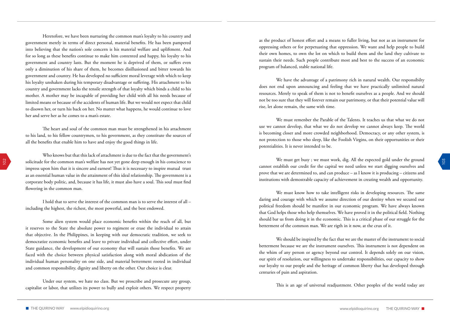Heretofore, we have been nurturing the common man's loyalty to his country and government merely in terms of direct personal, material benefits. He has been pampered into believing that the nation's sole concern is his material welfare and upliftment. And for so long as these benefits continue to make him contented and happy, his loyalty to his government and country lasts. But the moment he is deprived of them, or suffers even only a diminution of his share of them, he becomes disillusioned and bitter towards his government and country. He has developed no sufficient moral leverage with which to keep his loyalty unshaken during his temporary disadvantage or suffering. His attachment to his country and government lacks the tensile strength of that loyalty which binds a child to his mother. A mother may be incapable of providing her child with all his needs because of limited means or because of the accidents of human life. But we would not expect that child to disown her, or turn his back on her. No matter what happens, he would continue to love her and serve her as he comes to a man's estate.

The heart and soul of the common man must be strengthened in his attachment to his land, to his fellow countrymen, to his government, as they constitute the sources of all the benefits that enable him to have and enjoy the good things in life.

Who knows but that this lack of attachment is due to the fact that the government's solicitude for the common man's welfare has not yet gone deep enough in his conscience to impress upon him that it is sincere and earnest! Thus it is necessary to inspire mutual trust as an essential human value in the attainment of this ideal relationship. The government is a corporate body politic, and, because it has life, it must also have a soul. This soul must find flowering in the common man.

I hold that to serve the interest of the common man is to serve the interest of all – including the highest, the richest, the most powerful, and the best endowed.

Some alien system would place economic benefits within the reach of all, but it reserves to the State the absolute power to regiment or erase the individual to attain that objective. In the Philippines, in keeping with our democratic tradition, we seek to democratize economic benefits and leave to private individual and collective effort, under State guidance, the development of our economy that will sustain those benefits. We are faced with the choice between physical satisfaction along with moral abdication of the individual human personality on one side, and material betterment rooted in individual and common responsibility, dignity and liberty on the other. Our choice is clear.

Under our system, we hate no class. But we proscribe and prosecute any group, capitalist or labor, that utilizes its power to bully and exploit others. We respect property as the product of honest effort and a means to fuller living, but not as an instrument for oppressing others or for perpetuating that oppression. We want and help people to build their own homes, to own the lot on which to build them and the land they cultivate to sustain their needs. Such people contribute most and best to the success of an economic program of balanced, stable national life.

We have the advantage of a patrimony rich in natural wealth. Our responsibilty does not end upon announcing and feeling that we have practically unlimited natural resources. Merely to speak of them is not to benefit ourselves as a people. And we should not be too sure that they will forever remain our patrimony, or that their potential value will rise, let alone remain, the same with time.

We must remenber the Parable of the Talents. It teaches us that what we do not use we cannot develop, that what we do not develop we cannot always keep. The world is becoming closer and more crowded neighborhood. Democracy, or any other system, is not protection to those who sleep, like the Foolish Virgins, on their opportunities or their potentialities. It is never intended to be.

We must get busy ; we must work, dig. All the expected gold under the ground cannot establish our credit for the capital we need unless we start digging ourselves and prove that we are determined to, and can produce – as I know it is producing – citizens and institutions with demostrable capacity of achievement in creating wealth and opportunity.

We must know how to take intelligent risks in developing resources. The same daring and courage with which we assume direction of our destiny when we secured our political freedom should be manifest in our economic program. We have always known that God helps those who help themselves. We have proved it in the political field. Nothing should bar us from doing it in the economic. This is a critical phase of our struggle for the betterment of the common man. We are rigth in it now, at the crux of it.

We should be inspired by the fact that we are the master of the instrument to social betterment because we are the instrument ourselves. This instrument is not dependent on the whim of any person or agency beyond our control. It depends solely on our vision, our spirit of resolution, our willingness to undertake responsibilities, our capacity to show our loyalty to our people and the heritage of common liberty that has developed through centuries of pain and aspiration.

This is an age of universal readjustment. Other peoples of the world today are

102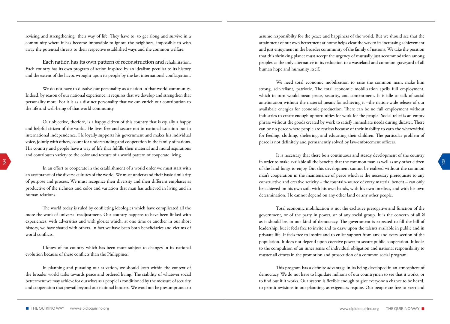revising and strengthening their way of life. They have to, to get along and survive in a community where it has become impossible to ignore the neighbors, impossible to wish away the potential threats to their respective established ways and the common welfare.

Each nation has its own pattern of reconstruction and rehabilitation. Each country has its own program of action inspired by an idealism peculiar to its history and the extent of the havoc wrought upon its people by the last international conflagration.

We do not have to dissolve our personality as a nation in that world community. Indeed, by reason of our national experience, it requires that we develop and strengthen that personality more. For it is as a distinct personality that we can enrich our contribution to the life and well-being of that world community.

Our objective, therfore, is a happy citizen of this country that is equally a happy and helpful citizen of the world. He lives free and secure not in national isolation but in international independence. He loyally supports his government and makes his individual voice, jointly with others, count for understanding and cooperation in the family of nations. His country and people have a way of life that fulfills their material and moral aspirations and contributes variety to the color and texture of a world pattern of cooperate living.

In an effort to cooperate in the establishment of a world order we must start with an acceptance of the diverse cultures of the world. We must understand their basic similarity of purpose and process. We must recognize their diversity and their different emphases as productive of the richness and color and variation that man has achieved in living and in human relations.

The world today is ruled by conflicting ideologies which have complicated all the more the work of universal readjustment. Our country happens to have been linked with experiences, with adversities and with glories which, at one time or another in our short history, we have shared with others. In fact we have been both beneficiaries and victims of world conflicts.

I know of no country which has been more subject to changes in its national evolution because of these conflicts than the Philippines.

In planning and pursuing our salvation, we should keep within the context of the broader world tasks towards peace and ordered living. The stability of whatever social betterment we may achieve for ourselves as a people is conditioned by the measure of security and cooperation that prevail beyond our national borders. We woul not be presumptuous to

assume responsibilty for the peace and happiness of the world. But we should see that the attainment of our own betterment at home helps clear the way to its increasing achievement and just enjoyment in the broader community of the family of nations. We take the position that this shrinking planet must accept the urgency of mutually just accommodation among peoples as the only alternative to its reduction to a wasteland and common graveyard of all human hope and humanity itself.

We need total economic mobilization to raise the common man, make him strong, self-reliant, patriotic. The total economic mobilization spells full employment, which in turn would mean peace, security, and contentment. It is idle to talk of social amelioration without the material means for achieving it –the nation-wide release of our availabale energies for economic production. There can be no full employment without industries to create enough opportunities for work for the people. Social relief is an empty phrase without the goods created by work to satisfy immediate needs during disaster. There can be no peace where people are restless because of their inability to earn the wherewithal for feeding, clothing, sheltering, and educating their children. The particular problem of peace is not definitely and permanently solved by law-enforcement officers.

It is necessary that there be a continuous and steady development of the country in order to make available all the benefits that the common man as well as any other citizen of the land longs to enjoy. But this development cannot be realized without the common man's cooperation in the maintenance of peace which is the necessary prerequisite to any constructive and creative activity – the fountain-source of every material benefit – can only be achieved on his own soil, with his own hands, with his own intellect, and with his own determination. He cannot depend on any other land or any other people.

Total economic mobilization is not the exclusive prerogative and function of the government, or of the party in power, or of any social group. It is the concern of all as it should be, in our kind of democracy. The government is expected to fill the bill of leadership, but it feels free to invite and to draw upon the talents available in public and in privaate life. It feels free to inspire and to enlist support from any and every section of the population. It does not depend upon coercive power to secure public cooperation. It looks to the compulsion of an inner sense of individual obligation and national responsibility to muster all efforts in the promotion and prosecution of a common social program.

This program has a definite advantage in its being developed in an atmosphere of democracy. We do not have to liquidate millions of our countrymen to see that it works, or to find out if it works. Our system is flexible enough to give everyone a chance to be heard, to permit revisions in our planning, as exigencies require. Our people are free to exert and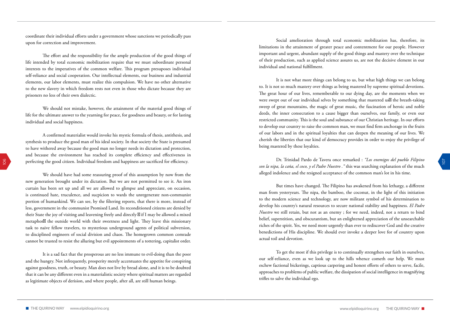coordinate their individual efforts under a government whose sanctions we periodically pass upon for correction and improvement.

The effort and the responsibility for the ample production of the good things of life intended by total economic mobilization require that we must subordinate personal interests to the imperatives of the common welfare. This program presuposes individual self-reliance and social cooperation. Our intellectual elements, our business and industrial elements, our labor elements, must realize this compulsion. We have no other alternative to the new slavery in which freedom rests not even in those who dictate because they are prisoners no less of their own dialectic.

We should not mistake, however, the attainment of the material good things of life for the ultimate answer to the yearning for peace, for goodness and beauty, or for lasting individual and social happiness.

A confirmed materialist would invoke his mystic formula of thesis, antithesis, and synthesis to produce the good man of his ideal society. In that society the State is presumed to have withered away because the good man no longer needs its dictation and protection, and because the environment has reached its complete efficiency and effectiveness in perfecting the good citizen. Individual freedom and happiness are sacrificed for efficiency.

We should have had some reassuring proof of this assumption by now from the new generation brought under its dictation. But we are not permitted to see it. An iron curtain has been set up and all we are allowed to glimpse and appreciate, on occasion, is continued hate, truculence, and sucpicion to wards the unregenerate non-communist portion of humankind. We can see, by the filtering reports, that there is more, instead of less, government in the communist Promised Land. Its reconditioned citizens are denied by their State the joy of visiting and leavening freely and directly ― if I may be allowed a mixed metaphor the outside world with their sweetness and light. They leave this missionary task to naive fellow travelers, to mysterious underground agents of political subversion, to disciplined engineers of social division and chaos. The homegrown common comrade cannot be trusted to resist the alluring but evil appointments of a tottering, capitalist order.

It is a sad fact that the prosperous are no less immune to evil-doing than the poor and the hungry. Not infrequently, prosperity merely accentuates the appetite for conspiring against goodness, truth, or beauty. Man does not live by bread alone, and it is to be doubted that it can be any different even in a materialistic society where spiritual matters are regarded as legitimate objects of derision, and where people, after all, are still human beings.

Social amelioration through total economic mobilization has, therefore, its limitations in the attainment of greater peace and contentment for our people. However important and urgent, abundant supply of the good things and mastery over the technique of their production, such as applied science assures us, are not the decisive element in our individual and national fulfillment.

It is not what more things can belong to us, but what high things we can belong to. It is not so much mastery over things as being mastered by supreme spiritual devotions. The great hour of our lives, rememberable to our dying day, are the moments when we were swept out of our individual selves by something that mastered us the breath-taking sweep of great mountains, the magic of great music, the fascination of heroic and noble deeds, the inner consecration to a cause bigger than ourselves, our family, or even our restricted community. This is the soul and substance of our Christian heritage. In our efforts to develop our country to raise the common man, we must find firm anchorage in the fruits of our labors and in the spiritual loyalties that can deepen the meaning of our lives. We cherish the liberties that our kind of democracy provides in order to enjoy the privilege of being mastered by these loyalties.

Dr. Trinidad Pardo de Tavera once remarked : *"Los enemigos del pueblo Filipino son la nipa, la caña, el coco, y el Padre Nuestro ."* this was searching explanation of the much alleged indolence and the resigned acceptance of the common man's lot in his time.

But times have changed. The Filipino has awakened from his lethargy, a different man from yesteryears. The nipa, the bamboo, the coconut, in the light of this initiation to the modern science and technology, are now militant symbol of his determination to develop his country's natural resources to secure national stability and happiness. *El Padre Nuestro* we still retain, but not as an enemy ; for we need, indeed, not a return to bind belief, superstition, and obscurantism, but an enlightened appreciation of the unsearchable riches of the spirit. Yes, we need more urgently than ever to rediscover God and the creative benedictions of His discipline. We should ever invoke a deeper love for of country upon actual toil and devotion.

To get the most if this privilege is to continually strengthen our faith in ourselves, our self-reliance, even as we look up to the hills whence cometh our help. We must eschew factional bickerings, captious carpering and honest efforts of others to serve, facile, approaches to problems of public welfare, the dissipation of social intelligence in magnifying trifles to salve the individual ego.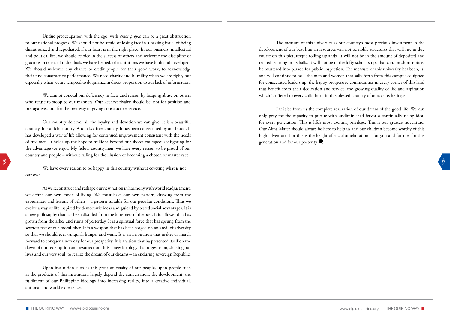Undue preoccupation with the ego, with *amor propio* can be a great obstruction to our national progress. We should not be afraid of losing face in a passing issue, of being disauthorized and repudiated, if our heart is in the right place. In our business, intellectual and political life, we should rejoice in the success of others and welcome the discipline of gracious in terms of individuals we have helped, of institutions we have built and developed. We should welcome any chance to credit people for their good work, to acknowledge their fine constructive performance. We need charity and humility when we are right, but especially when we are tempted to dogmatize in direct proportion to our lack of information.

We cannot conceal our deficiency in facts and reason by heaping abuse on others who refuse to stoop to our manners. Our keenest rivalry should be, not for position and prerogatives, but for the best way of giving constructive service.

Our country deserves all the loyalty and devotion we can give. It is a beautiful country. It is a rich country. And it is a free country. It has been consecrated by our blood. It has developed a way of life allowing for continued improvement consistent with the needs of free men. It holds up the hope to millions beyond our shores courageously fighting for the advantage we enjoy. My fellow-countrymen, we have every reason to be proud of our country and people – without falling for the illusion of becoming a chosen or master race.

We have every reason to be happy in this country without coveting what is not our own.

As we reconstruct and reshape our new nation in harmony with world readjustment, we define our own mode of living. We must have our own pattern, drawing from the experiences and lessons of others – a pattern suitable for our peculiar conditions. Thus we evolve a way of life inspired by democratic ideas and guided by tested social advantages. It is a new philosophy that has been distilled from the bitterness of the past. It is a flower that has grown from the ashes and ruins of yesterday. It is a spiritual force that has sprung from the severest test of our moral fiber. It is a weapon that has been forged on an anvil of adversity so that we should ever vanquish hunger and want. It is an inspiration that makes us march forward to conquer a new day for our prosperity. It is a vision that ha presented itself on the dawn of our redemption and resurrection. It is a new ideology that urges us on, shaking our lives and our very soul, to realize the dream of our dreams – an enduring sovereign Republic.

Upon institution such as this great university of our people, upon people such as the products of this institution, largely depend the conversation, the development, the fulfilment of our Philippine ideology into increasing reality, into a creative individual, antional and world experience.

The measure of this university as our country's most precious investment in the development of our best human resources will not be noble structures that will rise in due course on this picturesque rolling uplands. It will not be in the amount of deposited and recited learning in its halls. It will not be in the lofty scholarships that can, on short notice, be mustered into parade for public inspection. The measure of this university has been, is, and will continue to be – the men and women that sally forth from this campus equipped for consecrated leadership, the happy progressive communities in every corner of this land that benefit from their dedication and service, the growing quality of life and aspiration which is offered to every child born in this blessed country of ours as its heritage.

Far it be from us the complete realization of our dream of the good life. We can only pray for the capacity to pursue with undiminished fervor a continually rising ideal for every generation. This is life's most exciting privilege. This is our greatest adventure. Our Alma Mater should always be here to help us and our children become worthy of this high adventure. For this is the height of social amelioration – for you and for me, for this generation and for our posterity.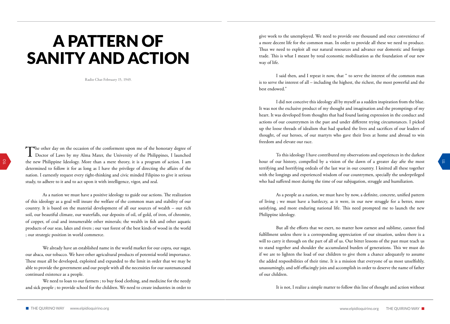# A PATTERN OF SANITY AND ACTION

Radio Chat February 15, 1949.

The other day on the occasion of the conforment upon me of the honorary degree of Doctor of Laws by my Alma Mater, the University of the Philippines, I launched the new Philippine Ideology. More than a mere theory, it is a program of action. I am determined to follow it for as long as I have the privilege of directing the affairs of the nation. I earnestly request every right-thinking and civic minded Filipino to give it serious study, to adhere to it and to act upon it with intelligence, vigor, and zeal.

As a nation we must have a positive ideology to guide our actions. The realization of this ideology as a goal will insure the welfare of the common man and stability of our country. It is based on the material development of all our sources of wealth – our rich soil, our beautiful climate, our waterfalls, our deposits of oil, of gold, of iron, of chromite, of copper, of coal and innumerable other minerals; the wealth in fish and other aquatic products of our seas, lakes and rivers ; our vast forest of the best kinds of wood in the world ; our strategic position in world commerce.

We already have an established name in the world market for our copra, our sugar, our abaca, our tobacco. We have other agricultural products of potential world importance. These must all be developed, exploited and expanded to the limit in order that we may be able to provide the government and our people with all the necessities for our sustenanceand continued existence as a people.

We need to loan to our farmers ; to buy food clothing, and medicine for the needy and sick people ; to provide school for the children. We need to create industries in order to

give work to the unemployed. We need to provide one thousand and once convenience of a more decent life for the common man. In order to provide all these we need to produce. Thus we need to exploit all our natural resources and advance our domestic and foreign trade. This is what I meant by total economic mobilization as the foundation of our new way of life.

I said then, and I repeat it now, that " to serve the interest of the common man is to serve the interest of all – including the highest, the richest, the most powerful and the best endowed."

I did not conceive this ideology all by myself as a sudden inspiration from the blue. It was not the exclusive product of my thought and imagination and the promptings of my heart. It was developed from thoughts that had found lasting expression in the conduct and actions of our countrymen in the past and under different trying circumstances. I picked up the loose threads of idealism that had sparked the lives and sacrifices of our leaders of thought, of our heroes, of our martyrs who gave their lives at home and abroad to win freedom and elevate our race.

To this ideology I have contributed my observations and experiences in the darkest hour of our history, compelled by a vision of the dawn of a greater day afte the most terrifying and horrifying ordeals of the last war in our country. I knitted all these together with the longings and experienced wisdom of our countrymen, specially the underprileged who had suffered most during the time of our subjugation, struggle and humiliation.

As a people as a nation, we must have by now, a definite, concrete, unified pattern of living ; we must have a battlecry, as it were, in our new struggle for a better, more satisfying, and more enduring national life. This need prompted me to launch the new Philippine ideology.

But all the efforts that we exert, no matter how earnest and sublime, cannot find fulfillment unless there is a corresponding appreciation of our situation, unless there is a will to carry it through on the part of all of us. Our bitter lessons of the past must teach us to stand together and shoulder the accumulated burden of generations. This we must do if we are to lighten the load of our children to give them a chance adequately to assume the added resposibilities of their time. It is a mission that everyone of us most unselfishly, unassumingly, and self-effacingly join and accomplish in order to deserve the name of father of our children.

It is not, I realize a simple matter to follow this line of thought and action without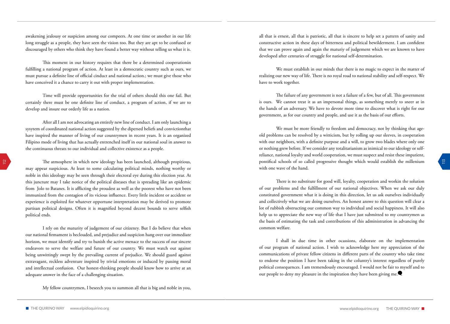awakening jealousy or suspicion among our compeers. At one time or another in our life long struggle as a people, they have seen the vision too. But they are apt to be confused or discouraged by others who think they have found a better way without telling us what it is.

This moment in our history requires that there be a determined cooperationin fulfilling a national program of action. At least in a democratic country such as ours, we must pursue a definite line of official cinduct and national action.; we must give those who have conceived it a chance to carry it out with proper implementation.

Time will provide opportunities for the trial of others should this one fail. But certainly there must be one definite line of conduct, a program of action, if we are to develop and insure our orderly life as a nation.

After all I am not advocating an entirely new line of conduct. I am only launching a sysytem of coordinated national action suggested by the dipersed beliefs and convictionthat have inspired the manner of living of our countrymen in recent years. It is an organized Filipino mode of living that has actually entrenched itself in our national soul in answer to the continuous threats to our individual and collective existence as a people.

The atmosphere in which new ideology has been launched, although propitious, may appear suspicious. At least to some calculating political minds, nothing worthy or noble in this ideology may be seen through their electoral eye during this election year. At this juncture may I take notice of the political diseases that is spreading like an epidemic from Jolo to Batanes. It is afflicting the proudest as well as the poorest who have not been immunized from the contagion of its vicious influence. Every little incident or accident or experience is exploited for whatever opportune interpretation may be derived to promote partisan political designs. Often it is magnified beyond decent bounds to serve selfish political ends.

I rely on the maturity of judgement of our citizenry. But I do believe that when our national firmament is beclouded, and prejudice and suspicion hang over our immediate horizon, we must identify and try to banish the active menace to the success of our sincere endeavors to serve the welfare and future of our country. We must watch out against being unwittingly swept by the prevailing current of prejudice. We should guard against extravagant, reckless adventure inspired by trivial emotions or induced by passing moral and intellectual confusion. Our honest-thinking people should know how to arrive at an adequate answer in the face of a challenging situation.

My fellow countrymen, I beseech you to summon all that is big and noble in you,

all that is ernest, all that is patriotic, all that is sincere to help set a pattern of sanity and constructive action in these days of bitterness and political bewilderment. I am confident that we can prove again and again the maturiy of judgement which we are known to have developed after centuries of struggle for national self-determination.

We must establish in our minds that there is no magic to expect in the matter of realizing our new way of life. There is no royal road to national stability and self-respect. We have to work together.

The failure of any government is not a failure of a few, but of all. This government is ours. We cannot treat it as an impersonal things, as something merely to sneer at in the hands of an adversary. We have to devote more time to discover what is right for our government, as for our country and people, and use it as the basis of our efforts.

We must be more friendly to freedom and democracy, not by thinking that ageold problems can be resolved by a witticism, but by rolling up our sleeves, in cooperation with our neighbors, with a definite purpose and a will, to grow two blades where only one or nothing grew before. If we consider any totalitarianism as inimical to our ideology or selfreliance, national loyalty and world cooperation, we must suspect and resist these impatient, pontifical schools of so called progressive thought which would establish the millenium with one wave of the hand.

There is no substitute for good will, loyalty, cooperation and workin the solution of our problems and the fulfillment of our national objectives. When we ask our duly constituted government what it is doing in this direction, let us ask ourselves individually and collectively what we are doing ourselves. An honest answe to this question will clear a lot of rubbish obstructing our common way to individual and social happiness. It will also help us to appreciate the new way of life that I have just submitted to my countrymen as the basis of estimating the task and contributions of this administration in advancing the common welfare.

I shall in due time in other ocassions, elaborate on the implementation of our program of national action. I wish to acknowledge here my appreciation of the communications of private fellow citizens in different parts of the country who take time to endorse the position I have been taking in the coluntry's interest regardless of purely political consequences. I am tremendously encouraged. I would not be fair to myself and to our people to deny my pleasure in the inspiration they have been giving me.

<u>112</u>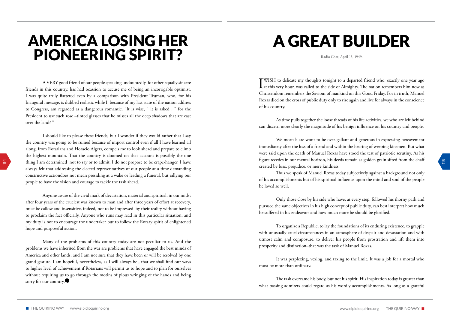#### AMERICA LOSING H PIONEERING SPIRIT?

A VERY good friend of our people speaking undoubtedly for other equally sincere friends in this country, has had ocassion to accuse me of being an incorrigable optimist. I was quite truly flattered even by a comparison with President Truman, who, for his Inaugural message, is dubbed realistic while I, because of my last state of the nation address to Congress, am regarded as a dangerous romantic. "It is wise, " it is asked , " for the President to use such rose –tinted glasses that he misses all the deep shadows that are cast over the land? "

I should like to please these friends, but I wonder if they would rather that I say the country was going to be ruined because of import control even if all I have learned all along, from Rotarians and Horacio Algers, compels me to look ahead and prepare to climb the highest mountain. That the country is doomed on that account is possibly the one thing I am determined not to say or to admit. I do not propose to be crape-hanger. I have always felt that addressing the elected representattives of our people at a time demanding constructive actiondoes not mean presiding at a wake or leading a funeral, but rallying our people to have the vision and courage to tackle the task ahead.

Anyone aware of the vivid mark of devastation, material and spiritual, in our midst after four years of the cruelest war known to man and after three years of effort at recovery, must be callow and insensitive, indeed, not to be impressed by their reality without having to proclaim the fact officially. Anyone who runs may read in this particular situation, and my duty is not to encourage the undertaker but to follow the Rotary spirit of enlightened hope and purposeful action.

Many of the problems of this country today are not peculiar to us. And the problems we have inherited from the war are problems that have engaged the best minds of America and other lands, and I am not sure that they have been or will be resolved by one grand gesture. I am hopeful, nevertheless, as I will always be , that we shall find our ways to higher level of achievement if Rotarians will permit us to hope and to plan for ourselves without requiring us to go through the motins of pious wringing of the hands and being sorry for our country.

#### A GREAT BUILDER

Radio Chat, April 15, 1949.

I WISH to delicate my thoughts tonight to a departed friend who, exactly one year ago at this very hour, was called to the side of Almighty. The nation remembers him now as Christendom remembers the Saviour of mankind on this Good Friday. For in truth, Manuel Roxas died on the cross of public duty only to rise again and live for always in the conscience of his country.

As time pulls together the loose threads of his life activities, we who are left behind can discern more clearly the magnitude of his benign influence on his country and people.

We mortals are wont to be over-gallant and generous in expressing bereavement immediately after the loss of a friend and within the hearing of weeping kinsmen. But what were said upon the death of Manuel Roxas have stood the test of patriotic scrutiny. As his figure recedes in our mental horizon, his deeds remain as golden grain sifted from the chaff created by bias, prejudice, or mere kindness.

Thus we speak of Manuel Roxas today subjectively against a background not only of his accomplishments but of his spiritual influence upon the mind and soul of the people he loved so well.

Only those close by his side who have, at every step, followed his thorny path and pursued the same objectives in his high concept of public duty, can best interpret how much he suffered in his endeavors and how much more he should be glorified.

To organize a Republic, to lay the foundations of its enduring existence, to grapple with unusually cruel circumstances in an atmosphere of despair and devastation and with utmost calm and composure, to deliver his people from prostration and lift them into prosperity and distinction–that was the task of Manuel Roxas.

It was perplexing, vexing, and taxing to the limit. It was a job for a mortal who must be more than ordinary.

The task overcame his body, but not his spirit. His inspiration today is greater than what passing admirers could regard as his wordly accomplishments. As long as a grateful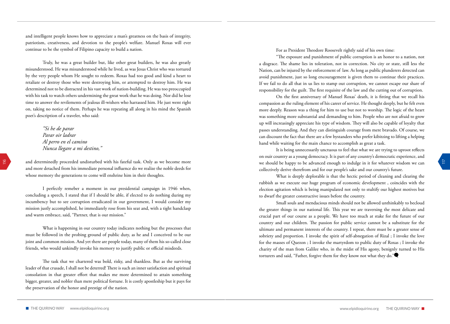and intelligent people knows how to appreciate a man's greatness on the basis of integrity, patriotism, creativeness, and devotion to the people's welfare. Manuel Roxas will ever continue to be the symbol of Filipino capacity to build a nation.

Truly, he was a great builder but, like other great builders, he was also greatly misunderstood. He was misunderstood while he lived, as was Jesus Christ who was tortured by the very people whom He sought to redeem. Roxas had too good and kind a heart to retaliate or destroy those who were destroying him, or attempted to destroy him. He was determined not to be distracted in his vast work of nation-building. He was too preoccupied with his task to watch others undermining the great work that he was doing. Nor did he lose time to answer the revilements of jealous ill-wishers who harrassed him. He just went right on, taking no notice of them. Perhaps he was repeating all along in his mind the Spanish poet's description of a traveler, who said:

*"Si he de parar Parar oir ladrar Al perro en el camino Nunca llegare a mi destino,"*

and determinedly proceeded undisturbed with his fateful task. Only as we become more and more detached from his immediate personal influence do we realize the noble deeds for whose memory the generations to come will enshrine him in their thoughts.

I perfectly remeber a moment in our presidential campaign in 1946 when, concluding a speech, I stated that if I should be able, if elected to do nothing during my incumbency but to see corruption erradicated in our government, I would consider my mission justly accomplished, he immediately rose from his seat and, with a tight handclasp and warm embrace, said, "Partner, that is our mission."

What is happening in our country today indicates nothing but the processes that must be followed in the probing ground of public duty, as he and I conceived to be our joint and common mission. And yet there are people today, many of them his so-called close friends, who would unkindly invoke his memory to justify public or official misdeeds.

The task that we chartered was bold, risky, and thankless. But as the surviving leader of that crusade, I shall not be deterred! There is such an inner satisfaction and spiritual consolation in that greater effort that makes me more determined to attain something bigger, greater, and nobler than mere political fortune. It is costly apostleship but it pays for the preservation of the honor and prestige of the nation.

For as President Theodore Roosevelt rightly said of his own time:

"The exposure and punishment of public corruption is an honor to a nation, not a disgrace. The shame lies in toleration, not in correction. No city or state, still less the Nation, can be injured by the enforcement of law. As long as public plunderers detected can avoid punishment, just so long encouragement is given them to continue their practices. If we fail to do all that in us lies to stamp out corruption, we cannot escape our share of responsibility for the guilt. The first requisite of the law and the cutting out of corruption.

On the first anniversary of Manuel Roxas' death, it is fitting that we recall his compassion as the ruling element of his career of service. He thought deeply, but he felt even more deeply. Reason was a thing for him to use but not to worship. The logic of the heart was something more substantial and demanding to him. People who are not afraid to grow up will increasingly appreciate his type of wisdom. They will also be capable of loyalty that passes understanding. And they can distinguish courage from mere bravado. Of course, we can discount the fact that there are a few bystanders who prefer kibitzing to lifting a helping hand while waiting for the main chance to accomplish as great a task.

It is being unnecessarily unctuous to feel that what we are trying to uproot reflects on ouir country as a young democracy. It is part of any country's democratic experience, and we should be happy to be advanced enough to indulge in it for whatever wisdom we can collectively derive therefrom and for our people's sake and our country's future.

What is deeply deplorable is that the hectic period of cleaning and clearing the rubbish as we execute our huge program of economic development , coincides with the election agitation which is being manipulated not only to stultify our highest motives but to dwarf the greater constructive issues before the country.

Small souls and mendacious minds should not be allowed unthinkably to becloud the greater things in our national life. This year we are traversing the most delicate and crucial part of our course as a people. We have too much at stake for the future of our country and our children. The passion for public service cannot be a substitute for the ultimate and permanent interests of the country. I repeat, there must be a greater sense of sobriety and proportion. I invoke the spirit of self-abnegation of Rizal ; I invoke the love for the masses of Quezon ; I invoke the martyrdom to public duty of Roxas ; I invoke the charity of the man from Galilee who, in the midst of His agony, benignly turned to His torturers and said, "Father, forgive them for they know not what they do."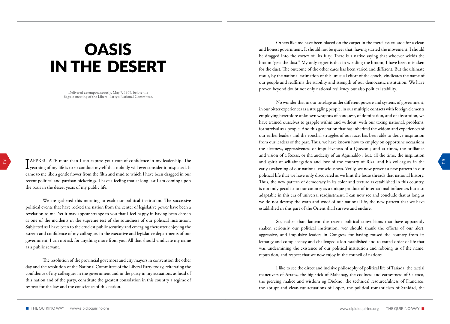## **OASIS** IN THE DESERT

Delivered extemporaneously, May 7, 1949, before the Baguio meeting of the Liberal Party's National Committee.

I APPRECIATE more than I can express your vote of confidence in my leadership. The yearning of my life is to so conduct myself that nobody will ever consider it misplaced. It came to me like a gentle flower from the filth and mud to which I have been dragged in our recent political and partisan bickerings. I have a feeling that at long last I am coming upon the oasis in the desert years of my public life.

We are gathered this morning to exalt our political institution. The successive political events that have rocked the nation from the center of legislative power have been a revelation to me. Yet it may appear strange to you that I feel happy in having been chosen as one of the incidents in the supreme test of the soundness of our political institution. Subjected as I have been to the cruelest public scrutiny and emerging thereafter enjoying the esteem and confidence of my colleagues in the executive and legislative departments of our government, I can not ask for anything more from you. All that should vindicate my name as a public servant.

The resolution of the provincial governors and city mayors in convention the other day and the resolution of the National Committee of the Liberal Party today, reiterating the confidence of my colleagues in the government and in the party in my actuations as head of this nation and of the party, constitute the greatest consolation in this country a regime of respect for the law and the conscience of this nation.

Others like me have been placed on the carpet in the merciless crusade for a clean and honest government. It should not be queer that, having started the movement, I should be dragged into the vortex of its fury. There is a native saying that whoever wields the broom "gets the dust." My only regret is that in wielding the broom, I have been mistaken for the dust. The outcome of the other cases has been varied and different. But the ultimate result, by the national estimation of this unusual effort of the epoch, vindicates the name of our people and reaffirms the stability and strength of our democratic institution. We have proven beyond doubt not only national resiliency but also political stability.

No wonder that in our tutelage under different powere and systems of government, in our bitter experiences as a struggling people, in our multiple contacts with foreign elements employing heretofore unknown weapons of conquest, of domination, and of absorption, we have trained ourselves to grapple within and without, with our taxing national; problems, for survival as a people. And this generation that has inherited the widom and experiences of our earlier leaders and the epochal struggles of our race, has been able to derive inspiration from our leaders of the past. Thus, we have known how to employ on opportune occassions the alertness, aggressiveness or impulsiveness of a Quezon ; and at times, the brilliance and vision of a Roxas, or tha audacity of an Aguinaldo ; but, all the time, the inspiration and spirit of self-abnegation and love of the country of Rizal and his colleagues in the early awakening of our national consciousness. Verily, we now present a new pattern in our political life that we have only discovered as we knit the loose threads that national history. Thus, the new pattern of democracy in its color and texture as established in this country, is not only peculiar to our country as a unique product of international influences but also adaptable in this era of universal readjustment. I can now see and conclude that as long as we do not destroy the warp and woof of our national life, the new pattern that we have established in this part of the Orient shall survive and endure.

So, rather than lament the recent political convulsions that have apparently shaken seriously our political institution, wer should thank the efforts of our alert, aggressive, and impulsive leaders in Congress for having roused the country from its lethargy and complacency and challenged a lon-established and tolerated order of life that was undermining the existence of our political institution and robbing us of the name, reputation, and respect that we now enjoy in the council of nations.

I like to see the direct and incisive philosophy of political life of Tañada, the tactial maneuvers of Arranz, the big stick of Mabanag, the coolness and earnestness of Cuenco, the piercing malice and wisdom og Diokno, the technical resourcefulness of Francisco, the abrupt and clean-cut actuations of Lopez, the political romanticism of Sanidad, the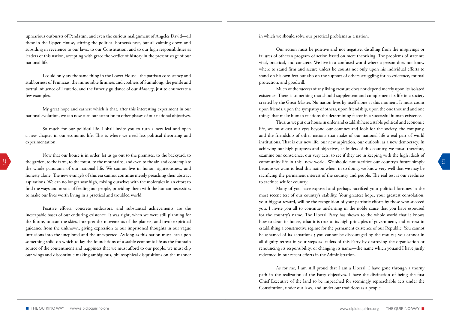uproarious outbursts of Pendatun, and even the curious malignment of Angeles David—all these in the Upper House, stirring the political hornets's nest, but all calming down and subsiding in reverence to our laws, to our Constitution, and to our high responsibilities as leaders of this nation, accepting with grace the verdict of history in the present stage of our national life.

I could only say the same thing in the Lower House : the partisan consistency and stubborness of Primicias, the immovable firmness and coolness of Sumulong, the gentle and tactful influence of Leuterio, and the fatherly guidance of our *Manong*, just to enumerate a few examples.

My great hope and earnest which is that, after this interesting experiment in our national evolution, we can now turn our attention to other phases of our national objectives.

So much for our political life. I shall invite you to turn a new leaf and open a new chapter in our economic life. This is where we need less political theorizing and experimentation.

Now that our house is in order, let us go out to the premises, to the backyard, to the garden, to the farm, to the forest, to the mountains, and even to the air, and contemplate the whole panorama of our national life. We cannot live in honor, righteousness, and honesty alone. The new evangels of this era cannot continue merely preaching their abstract aspirations. We can no longer soar high, mixing ourselves with the molecules in an effort to find the ways and means of feeding our people, providing them with the human necessities to make our lives worth living in a practical and troubled world.

Positive efforts, concrete endeavors, and substantial achievements are the inescapable bases of our enduring existence. It was right, when we were still planning for the future, to scan the skies, interpret the movements of the planets, and invoke spiritual guidance from the unknown, giving expression to our imprisoned thoughts in our vague intrusions into the uneplored and the unexpected. As long as this nation must lean upon something solid on which to lay the foundations of a stable economic life as the fountain source of the contentment and happiness that we must afford to our people, we must clip our wings and discontinue making ambiguous, philosophical disquisitions on the manner

in which we should solve our practical problems as a nation.

Our action must be positive and not negative, distilling from the misgivings or failures of others a program of action based on mere theorizing. The problems of state are vital, practical, and concrete. We live in a confused world where a person does not know where to stand firm and secure unless he counts not only upon his individual efforts to stand on his own feet but also on the support of others struggling for co-exictence, mutual protection, and goodwill.

Much of the success of any living creature does not depend merely upon its isolated existence. There is something that should supplement and complement its life in a society created by the Great Master. No nation lives by itself alone at this moment. It must count upon friends, upon the sympathy of others, upon friendship, upon the one thousnd and one things that make human relations the determining factor in a successful human existence.

Thus, as we put our house in order and establish here a stable political and economic life, we must cast our eyes beyond our confines and look for the society, the company, and the friendship of other nations that make of our national life a real part of world institutions. That is our new life, our new aspiration, our outlook, as a new democracy. In achieving our high purposes and objectives, as leaders of this country, we must, therefore, examine our conscience, our very acts, to see if they are in keeping with the high ideals of community life in this new world. We should not sacrifice our country's future simply because we want to lead this nation when, in so doing, we know very well that we may be sacrificing the permanent interest of the country and people. The real test is our readiness to sacrifice self for country.

Many of you have exposed and perhaps sacrifced your political fortunes in the most recent test of our country's stability. Your greatest hope, your greatest consolation, your biggest reward, will be the rexognition of your patriotic efforts by those who succeed you. I invite you all to continue unelenting in the noble cause that you have espoused for the country's name. The Liberal Party has shown to the whole world that it knows how to clean its house, tthat it is true to its high principles of government, and earnest in establishing a constructive regime for the permanent existence of our Republic. You cannot be ashamed of its actuations ; you cannot be discouraged by the results ; you cannot in all dignity retreat in your steps as leaders of this Party by destroying the organization or renouncing its responsibility, or changing its name—the name which youand I have justly redeemed in our recent efforts in the Administration.

As for me, I am still proud that I am a Liberal. I have gone through a thorny path in the realization of the Party objectives. I have the distinction of being the first Chief Executive of the land to be impeached for seemingly reproachable acts under the Constitution, under our laws, and under our traditions as a people.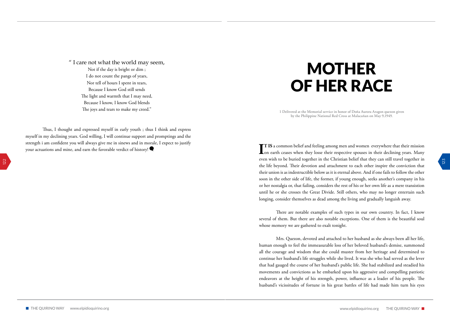" I care not what the world may seem, Not if the day is bright or dim ; I do not count the pangs of years, Nor tell of hours I spent in tears, Because I know God still sends The light and warmth that I may need, Because I know, I know God blends The joys and tears to make my creed."

Thus, I thought and expressed myself in early youth ; thus I think and express myself in my declining years. God willing, I will continue support and promptings and the strength i am confident you will always give me in sinews and in morale, I expect to justify your actuations and mine, and earn the favorable verdict of history!

# MOTHER OF HER RACE

1 Delivered at the Memorial service in honor of Doña Aurora Aragon quezon given by the Philippine National Red Cross at Malacañan on May 9,1949.

**I**T IS a common belief and feeling among men and women everywhere that their mission on earth ceases when they losse their respective spouses in their declining years. Many **TT IS** a common belief and feeling among men and women everywhere that their mission even wish to be buried together in the Christian belief that they can still travel together in the life beyond. Their devotion and attachment to each other inspire the conviction that their union is as indestructible below as it is eternal above. And if one fails to follow the other soon in the other side of life, the former, if young enough, seeks another's company in his or her nostalgia or, that failing, considers the rest of his or her own life as a mere transistion until he or she crosses the Great Divide. Still others, who may no longer entertain such longing, consider themselves as dead among the living and gradually languish away.

There are notable examples of such types in our own country. In fact, I know several of them. But there are also notable exceptions. One of them is the beautiful soul whose memory we are gathered to exalt tonight.

Mrs. Quezon, devoted and attached to her husband as she always been all her life, human enough to feel the immeasurable loss of her beloved husband's demise, summoned all the courage and wisdom that she could muster from her heritage and determined to continue her husband's life struggles while she lived. It was she who had served as the lever that had gauged the course of her husband's public life. She had stabilized and steadied his movements and convictions as he embarked upon his aggressive and compelling patriotic endeavors at the height of his strength, power, influence as a leader of his people. The husband's vicissitudes of fortune in his great battles of life had made him turn his eyes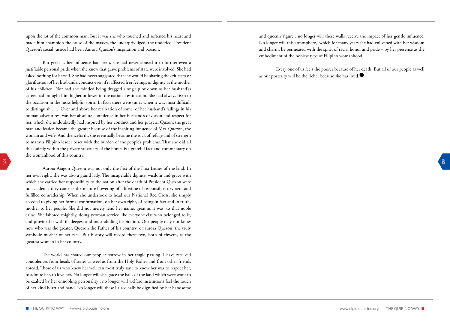upon the lot of the common man. But it was she who touched and softened his heart and made him champion the cause of the masses, the underpriviliged, the underfed. President Quezon's social justice had been Aurora Quezon's inspiration and passion.

But great as her influence had been, she had never abused it to further even a justifiable personal pride when she knew that grave problems of state were involved. She had asked nothing for herself. She had never suggested that she would be sharing the criticism or glorification of her husband's conduct even if it affected h er feelings or dignity as the mother of his children. Nor had she minded being dragged along up or down as her husband'ss career had brought him higher or lower in the national estimation. She had always risen to the occasion in the most helpful spirit. In fact, there were times when it was most difficult to distinguish . . . Over and above her realization of some of her husband's failings in his human adventures, was her absolute confidence in her husband's devotion and respect for her, which she undoubtedly had inspired by her conduct and her prayers. Quzon, the great man and leader, became the greater because of the inspiring influence of Mrs. Quezon, the woman and wife. And thenceforth, she eventually became the rock of refuge and of strength to many a Filipino leader beset with the burden of the people's problems. That she did all this quietly within the private sanctuary of the home, is a grateful fact and commentary on the womanhood of this country.

Aurora Aragon Quezon was not only the first of the First Ladies of the land. In her own right, she was also a grand lady. The insuperable dignity, wisdom and grace with which she carried her responsibilty to the nation after the death of President Quezon were no accident ; they came as the mature flowering of a lifetime of responsible, devoted, and fulfilled comradeship. When she undertook to head our National Red Cross, she simply acceded to giving her formal confirmation, on her own right, of being in fact and in truth, mother to her people. She did not merely lend her name, great as it was, to that noble cause. She labored mightily, doing yeoman service like everyone else who belonged to it, and provided it with its deepest and most abiding inspiration. Our people may not know now who was the greater, Quezon the Father of his country, or aurora Quezon, the truly symbolic mother of her race. But history will record these two, both of thwem, as the greatest woman in her country.

The world has shared our people's sorrow in her tragic passing. I have received condolences from heads of states as weel as from the Holy Father and from other friends abroad. Those of us who knew her well can most truly say : to know her was to respect her, to admire her, to love her. No longer will she grace the halls of the land which were wont to be exalted by her ennobling personality ; no longer will welfare institutions feel the touch of her kind heart and hand. No longer will these Palace halls be dignified by her handsome and queenly figure ; no longer will these walls receive the impact of her gentle influence. No longer will this atmosphere, which for many years she had enlivened with her wisdom and charm, be permeated with the spirit of racial honor and pride – by her presence as the embodiment of the noblest type of Filipino womanhood.

Every one of us feels the poorer because of her death. But all of our people as well as our posterity will be the richer because she has lived.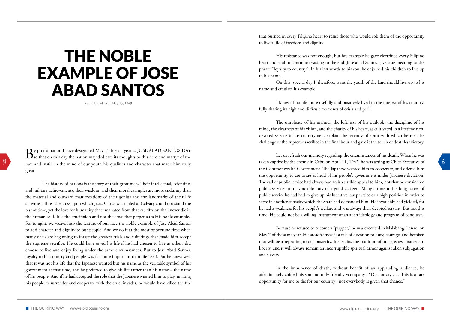# THE NOBLE EXAMPLE OF JOSE ABAD SANTOS

Radio broadcast , May 15, 1949

By proclamation I have designated May 15th each year as JOSE ABAD SANTOS DAY so that on this day the nation may dedicate its thoughts to this hero and martyr of the race and instill in the mind of our youth his qualities and character that made him truly great.

The history of nations is the story of their great men. Their intellectual, scientific, and military achievements, their wisdom, and their moral examples are more enduring than the material and outward manifestations of their genius and the landmarks of their life activities. Thus, the cross upon which Jesus Christ was nailed at Calvary could not stand the test of time, yet the love for humanity that emanated from that crucifixion shall never die in the human soul. It is the crucifixion and not the cross that perpetuates His noble example. So, tonight, we weave into the texture of our race the noble example of Jose Abad Santos to add charcter and dignity to our people. And we do it at the most opportune time when many of us are beginning to forget the greatest trials and sufferings that made him accept the supreme sacrifice. He could have saved his life if he had chosen to live as others did choose to live and enjoy living under the same circumstances. But to Jose Abad Santos, loyalty to his country and people was far more important than life itself. For he knew well that it was not his life that the Japanese wanted but his name as the veritable symbol of his government at that time, and he preferred to give his life rather than his name – the name of his people. And if he had accepted the role that the Japanese wnated him to play, inviting his people to surrender and cooperate with the cruel invader, he would have killed the fire

that burned in every Filipino heart to resist those who would rob them of the opportunity to live a life of freedom and dignity.

His resistance was not enough, but hte example he gave electrified every Filipino heart and soul to continue resisting to the end. Jose abad Santos gave true meaning to the phrase "loyalty to country". In his last words to his son, he enjoined his children to live up to his name.

On this special day I, therefore, want the youth of the land should live up to his name and emulate his example.

I know of no life more usefully and positively lived in the interest of his country, fully sharing its high and difficult moments of crisis and peril.

The simplicity of his manner, the loftiness of his outlook, the discipline of his mind, the clearness of his vision, and the charity of his heart, as cultivated in a lifetime rich, devoted service to his countrymen, explain the serenity of spirit with which he met the challenge of the supreme sacrifice in the final hour and gave it the touch of deathless victory.

Let us refresh our memory regarding the circumstances of his death. When he was taken captive by the enemy in Cebu on April 11, 1942, he was acting as Chief Executive of the Commonwealth Government. The Japanese wanted him to cooperate, and offered him the opportunity to continue as head of his people's government under Japanese dictation. The call of public service had always had an irresistible appeal to him, not that he considered public service an unavoidable duty of a good ccitizen. Many a time in his long career of public service he had had to give up his lucrative law practice or a high position in order to serve in another capacity which the State had demanded him. He invariably had yielded, for he had a weakness for his people's welfare and was always their devoted servant. But not this time. He could not be a willing instrument of an alien ideology and program of conquest.

Because he refused to become a "puppet," he was executed in Malabang, Lanao, on May 7 of the same year. His steadfastness is a tale of devotion to duty, courage, and heroism that will bear repeating to our posterity. It sustains the tradition of our greatest martyrs to liberty, and it will always remain an incorruptible spiritual armor against alien subjugation and slavery.

In the imminence of death, without benefit of an applauding audience, he affectionately chided his son and only friendly vcompany ; "Do not cry . . . This is a rare opportunity for me to die for our country ; not everybody is given that chance."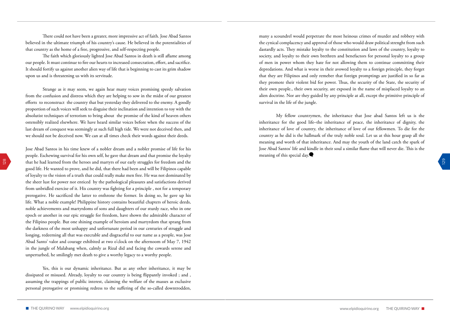There could not have been a greater, more impressive act of faith. Jose Abad Santos believed in the ultimate triumph of his country's cause. He believed in the potentialities of that country as the home of a free, progressive, and self-respecting people.

The faith which gloriously lighted Jose Abad Santos in death is still aflame among our people. It must continue to fire our hearts to increased consecration, effort, and sacrifice. It should fortify us against another alien way of life that is beginning to cast its grim shadow upon us and is threatening us with its servitude.

Strange as it may seem, we again hear many voices promising speedy salvation from the confusion and distress which they are helping to sow in the midst of our greatest efforts to reconstruct the country that but yesterday they delivered to the enemy. A goodly proportion of such voices will seek to disguise their inclination and intention to toy with the absolutist techniques of terrorism to bring about the promise of the kind of heaven others ostensibly realized elsewhere. We have heard similar voices before when the success of the last dream of conquest was seemingly at such full high tide. We were not deceived then, and we should not be deceived now. We can at all times check their words against their deeds.

Jose Abad Santos in his time knew of a nobler dream and a nobler promise of life for his people. Eschewing survival for his own self, he gave that dream and that promise the loyalty that he had learned from the heroes and martyrs of our early struggles for freedom and the good life. He wanted to prove, and he did, that there had been and will be Filipinos capable of loyalty to the vision of a truth that could really make men free. He was not dominated by the sheer lust for power nor enticed by the pathological pleasures and satisfactions derived from unbridled exercise of it. His country was fighting for a principle , not for a temporary prerogative. He sacrificed the latter to enthrone the former. In doing so, he gave up his life. What a noble example! Philippine history contains beautiful chapters of heroic deeds, noble achievements and martyrdoms of sons and daughters of our sturdy race, who in one epoch or another in our epic struggle for freedom, have shown the admirable character of the Filipino people. But one shining example of heroism and martyrdom that sprang from the darkness of the most unhappy and unfortunate period in our centuries of struggle and longing, redeeming all that was execrable and disgraceful to our name as a people, was Jose Abad Santo' valor and courage exhibited at two o'clock on the afternoom of May 7, 1942 in the jungle of Malabang when, calmly as Rizal did and facing the cowards serene and unperturbed, he smilingly met death to give a worthy legacy to a worthy people.

Yes, this is our dynamic inheritance. But as any other inheritance, it may be dissipated or misused. Already, loyalty to our country is being flippantly invoked ; and , assuming the trappings of public interest, claiming the welfare of the masses as exclusive personal prerogative or promising redress to the suffering of the so-called downtrodden,

many a scoundrel would perpetrate the most heinous crimes of murder and robbery with the cynical complacency and approval of those who would draw political strenght from such dastardly acts. They mistake loyalty to the constitution and laws of the country, loyalty to society, and loyalty to their own brethren and benefactors for personal loyalty to a group of men in power whom they hate for not allowing them to continue committing their depredations. And what is worse in their avowed loyalty to a foreign principle, they forget that they are Filipinos and only remeber that foreign promptings are justified in so far as they promote their violent bid for power. Thus, the security of the State, the security of their own people., their own security, are exposed in the name of misplaced loyalty to an alien doctrine. Nor are they guided by any principle at all, except the primitive principle of survival in the life of the jungle.

My fellow countrymen, the inheritance that Jose abad Santos left us is the inheritance for the good life–the inheritance of peace, the inheritance of dignity, the inheritance of love of country, the inheritance of love of our fellowmen. To die for the country as he did is the hallmark of the truly noble soul. Let us at this hour grasp all the meaning and worth of that inheritance. And may the youth of the land catch the spark of Jose Abad Santos' life and kindle in their soul a similar flame that will never die. This is the meaning of this special day.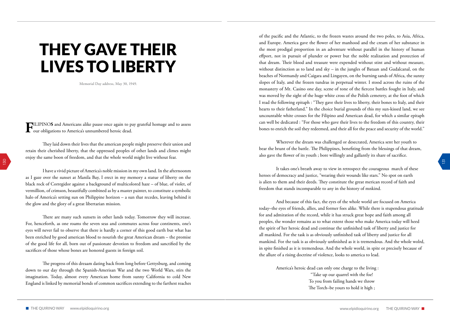# THEY GAVE TH LIVES TO LIBERTY

Memorial Day address, May 30, 1949.

**F**ILIPINO**S** and Americans alike pause once again to pay grateful homage and to assess **D** our obligations to America's unnumbered heroic dead.

They laid down their lives that the american people might preserve their union and retain their cherished liberty, that the oppressed peoples of other lands and climes might enjoy the same boon of freedom, and that the whole world might live without fear.

I have a vivid picture of America's noble mission in my own land. In the afternoonm as I gaze over the sunset at Manila Bay, I erect in my memory a statue of liberty on the black rock of Corregidor against a background of multicolored haze – of blue, of violet, of vermillion, of crimson, beautifully combined as by a master painter, to constitute a symbolic halo of America's setting sun on Philippine horizon – a sun that recedes, leaving behind it the glow and the glory of a great libertarian mission.

There are many such sunsets in other lands today. Tomorrow they will increase. For, henceforth, as one roams the seven seas and commutes across four continents, one's eyes will never fail to observe that there is hardly a corner of this good earth but what has been enriched by good american blood to nourish the great American dream – the promise of the good life for all, born out of passionate devotion to freedom and sanctified by the sacrifices of those whose bones are honored guests in foreign soil.

The progress of this dreaam dating back from long before Gettysburg, and coming down to our day through the Spanish-Amerisan War and the two World Wars, stirs the imagination. Today, almost every American home from sunny California to cold New England is linked by memorial bonds of common sacrifices extending to the farthest reaches of the pacific and the Atlantic, to the frozen wastes around the two poles, to Asia, Africa, and Europe. America gave the flower of her manhood and the cream of her substance in the most prodigal proportion in an adventure without parallel in the history of human effport, not in pursuit of plunder or power but the noble realization and protection of that dream. Their blood and treasure were expended without stint and without measure, without distinction as to land and sky – in the jungles of Bataan and Gudalcanal, on the beaches of Normandy and Caigara and Lingayen, on the burning sands of Africa, the sunny slopes of Italy, and the frozen tundras in perpetual winter. I stood across the ruins of the monastery of Mt. Casino one day, scene of tone of the fiercest battles fought in Italy, and was moved by the sight of the huge white cross of the Polish cemetery, at the foot of which I read the following epitaph : "They gave their lives to liberty, their bones to Italy, and their hearts to their fatherland." In the choice burial grounds of this my sun-kissed land, we see uncountable white crosses for the Filipino and American dead, for which a similar epitaph can well be dedicated : "For those who gave their lives to the freedom of this country, their bones to enrich the soil they redeemed, and their all for the peace and security of the world."

Wherever the dream was challenged or desecrated, America sent her youth to bear the brunt of the battle. The Philippines, benefiting from the blessings of that dream, also gave the flower of its youth ; bore willingly and gallantly its share of sacrifice.

It takes one's breath away to view in retrospect the courageous march of these heroes of democracy and justice, "wearing their wounds like stars." No spot on earth is alien to them and their deeds. They constitute the great merican record of faith and freedom that stands incomparable to any in the history of mnkind.

And because of this fact, the eyes of the whole world are focused on America today–the eyes of friends, allies, and former foes alike. While there is stupendous gratitude for and admiration of the record, while it has struck great hope and faith among all peoples, the wonder remains as to what extent those who make America today will heed the spirit of her heroic dead and continue the unfinished task of liberty and justice for all mankind. For the task is as obviously unfinished task of liberty and justice for all mankind. For the task is as obviously unfinished as it is tremendous. And the whole wolrd, in spite finished as it is tremendous. And the whole world, in spite or precisely because of the allure of a rising doctrine of violence, looks to america to lead.

America's heroic dead can only one charge to the living :

"Take up our quarrel with the foe! To you from failing hands we throw The Torch–be yours to hold it high ;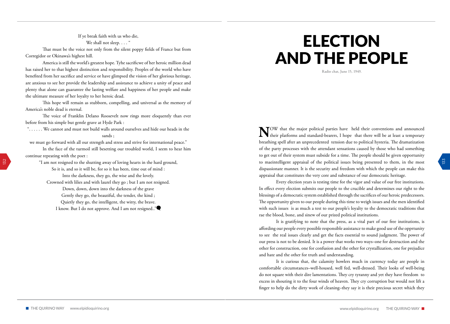If ye break faith with us who die, We shall not sleep...."

That must be the voice not only from the silent poppy fields of France but from Corregidor or Okinawa's highest hill.

America is still the world's greatest hope. Tyhe sacrificwe of her heroic million dead has raised her to that highest distinction and responsibility. Peoples of the world who have benefited from her sacrifice and service or have glimpsed the vision of her glorious heritage, are anxious to see her provide the leadership and assistance to achieve a unity of peace and plenty that alone can guarantee the lasting welfare and happiness of her people and make the ultimate measure of her loyalty to her heroic dead.

This hope will remain as stubborn, compelling, and universal as the memory of America's noble dead is eternal.

The voice of Franklin Delano Roosevelt now rings more eloquently than ever before from his simple but gentle grave at Hyde Park :

". . . . . . We cannot and must not build walls around ourselves and hide our heads in the sands ;

we must go forward with all our strength and stress and strive for international peace."

In the face of the turmoil still besetting our troubled world, I seem to hear him continue repeating with the poet :

"I am not resigned to the shutting away of loving hearts in the hard ground, So it is, and so it will be, for so it has been, time out of mind : Into the darkness, they go, the wise and the lovely.

Crowned with lilies and with laurel they go ; but I am not resigned.

Down, down, down into the darkness of the grave

Gently they go, the beautiful, the tender, the kind ;

Quietly they go, the intelligent, the witty, the brave.

I know. But I do not approve. And I am not resigned.."

# ELECTION AND THE PEOPLE

Radio chat, June 15, 1949.

**N**OW that the major political parties have held their conventions and announced their platforms and standard-bearers, I hope that there will be at least a temporary breathing spell after an unprecedented tension due to political hysteria. The dramatization of the party processes with the attendant sensations caused by those who had something to get out of their system must subside for a time. The people should be given opportunity to maeintelligent appraisal of the political issues being presented to them, in the most dispassionate manner. It is the security and freedom with which the people can make this appraisal that constitutes the very core and substance of our democratic heritage.

Every election years is testing time for the vigor and value of our free institutions. In effect every election submits our people to the crucible and determines our right to the blessings of a democratic system established through the sacrifices of our heroic predecessors. The opportunity given to our people during this time to weigh issues and the men identified with such issues is as much a test to our people's loyalty to the democratic traditions that rae the blood, bone, and sinew of our prized political institutions.

It is gratifying to note that the press, as a vital part of our free institutions, is affording our people every possible responsible assistance to make good use of the opprtunity to see the real issues clearly and get the facts essential to sound judgment. The power of our press is not to be denied. It is a power that works two ways–one for destruction and the other for construction, one for confusion and the other for crystallization, one for prejudice and hate and the other for truth and understanding.

It is curious that, the calamity howlers much in currency today are people in comfortable circumstances–well-housed, well fed, well-dressed. Their looks of well-being do not square with their dire lamentations. They cry tyranny and yet they have freedom to excess in shouting it to the four winds of heaven. They cry corruption but would not lift a finger to help do the dirty work of cleaning–they say it is their precious secret which they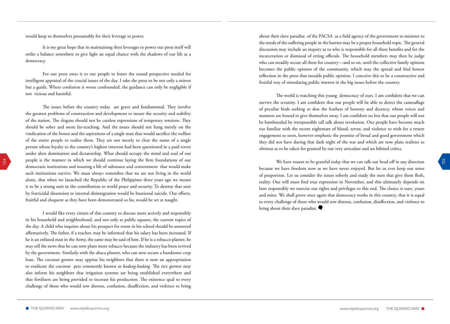would keep to themselves presumably for their leverage to power.

It is my great hope that in maintaining their leverages to power our press itself will strike a balance somwhere to give light an equal chance with the shadows of our life as a democracy.

For our press owes it to our people to foster the sound perspective needed for intelligent appraisal of the crucial issues of the day. I take the press to be not only a mirror but a guide. Where confusion is worse confounded, the guidance can only be negligible if not vicious and harmful.

The issues before the country today are grave and fundamental. They involve the greatest problems of construction and development to insure the security and stability of the nation. The slogans should not be careless expressions of temporary tensions. They should be sober and more far-reaching. And the issues should not hang merely on the vindication of the honor and the aspirations of a single man that would sacrifice the welfare of the entire people to realize them. They are not merely to clear the name of a single person whose loyalty to the country's highest interests had been questioned in a paid terror under alien domination and dictatorship. What should occupy the mind and soul of our people is the manner in which we should continue laying the firm foundations of our democratic institutions and insuring a life of substance and contentment that would make such institutions survive. We must always remember that we are not living in the world alone, that when we launched the Republic of the Philippines three years ago we meant it to be a strong unit in the contribution to world peace and security. To destroy that unit by fratricidal dissension or internal disintegration would be bnational suicide. Our efforts, fruitful and eloquent as they have been demonstrated so far, would be set at naught.

I would like every citizen of this country to discuss more actively and responsibly in his household and neighborhood, and not only at public squares, the current topics of the day. A child who inquires about his prospect for room in his school should be answered affirmatively. The father, if a teacher, may be informed that his salary has been increased. If he is an enlisted man in the Army, the same may be said of him. If he is a tobacco planter, he may tell the news that he can now plant more tobacco because the industry has been revived by the government. Similarly with the abaca planter, who can now secure a handsome crop loan. The coconut grower may apprise his neighbors that there is now an appropriation to eradicate the coconut pest commonly known as *kadang-kadang.* The rice grower may also inform his neighbors that irrigation systems are being established everywhere and that fertilizers are being provided to increase his production. The existence qual to every challenge of those who would sow distress, confusion, disaffection, and violence to bring

about their slave paradise. of the PACSA as a field agency of the government to minister to the needs of the suffering people in the barrios may be a proper household topic. The general discussion may include an inquiry as to who is responsible for all these benefits and for the incarceration or dismissal of erring officials. The household members may then be judge who can steadily secure all these for country—and so on, until the collective family opinion becomes the public opinion of the community, which may the spread and find honest reflection in the press that moulds public opinion. I conceive this to be a constructive and fruitful way of stimulating public interest in the big issues before the country.

The world is watching this young democracy of ours. I am confident that we can survive the scrutiny. I am confident that our people will be able to detect the camouflage of peculiar birds seeking to don the feathers of honesty and decency, whose voices and manners are bound to give themselves away. I am confident no less that our people will not be bamboozled by irresponsible tall talk about revolution. Our people have become much too familiar with the recent nightmare of blood, terror, and violence to wish for a return engagement so soon, however emphatic the promise of bread and good government which they did not have during that dark night of the war and which are now plain realities so obvious as to be taken for granted by our very articulate and un hibited critics.

We have reason to be grateful today that we can talk our head off in any direction because we have freedom now as we have never enjoyed. But let us ever keep our sense of proportion. Let us consider the issues soberly and study the men that give them flesh, reality. Our will must find true expression in November, and this ultimately depends on how responsibly we exercise our rights and privileges to this end. The choice is ours, yours and mine. We shall prove once again that democracy works in this country, that it is equal to every challenge of those who would sow distress, confusion, disaffection, and violence to bring about their slave paradise.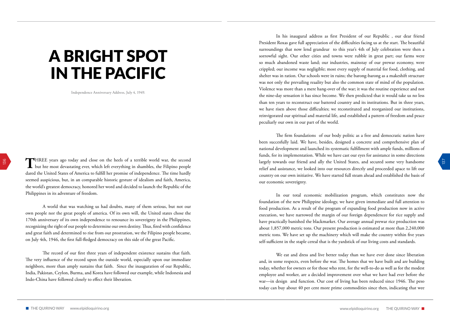### A BRIGHT SPOT IN THE PACIFIC

Independence Anniversary Address, July 4, 1949.

THREE years ago today and close on the heels of a terrible world war, the second but hte most devastating ever, which left everything in shambles, the Filipino people dared the United States of America to fulfill her promise of independence. The time hardly seemed auspicious, but, in an comparable historic gesture of idealism and faith, America, the world's greatest democracy, honored her word and decided to launch the Republic of the Philippines in its adventure of freedom.

A world that was watching us had doubts, many of them serious, but not our own people nor the great people of america. Of its own will, the United states chose the 170th anniversary of its own independence to renounce its sovereignty in the Philippines, recognizing the right of our people to determine our own destiny. Thus, fired with confidence and great faith and determined to rise from our prostration, we the Filipino people became, on July 4th, 1946, the first full-fledged democracy on this side of the great Pacific.

The record of our first three years of independent existence sustains that faith. The very influence of the record upon the outside world, especially upon our immediate neighbors, more than amply sustains that faith. Since the inauguration of our Republic, India, Pakistan, Ceylon, Burma, and Korea have followed our example, while Indonesia and Indo-China have followed closely to effect their liberation.

In his inaugural address as first President of our Republic , our dear friend President Roxas gave full appreciation of the difficulties facing us at the start. The beautiful surroundings that now lend grandeur to this year's 4th of July celebration were then a sorrowful sight. Our other cities and towns were rubble in great part; our farms were so much abandoned waste land; our industries, mainstay of our prewar economy, were crippled; our income was negligible; most every supply of material for food, clothing, and shelter was in ration. Our schools were in ruins; the barong-barong as a makeshift structure was not only the prevailing reaality but also the common state of mind of the population. Violence was more than a mere hang-over of the war; it was the routine experience and not the nine-day sensation it has since become. We then predicted that it would take us no less than ten years to reconstruct our battered country and its institutions. But in three years, we have risen above those difficulties; we reconstituted and reorganized our institutions, reinvigorated our spiritual and material life, and established a pattern of freedom and peace peculiarly our own in our part of the world.

The firm foundations of our body politic as a free and democratic nation have been succesfully laid. We have, besides, designed a concrete and comprehensive plan of national development and launched its systematic fulfillment with ample funds, millions of funds, for its implementation. While we have cast our eyes for assistance in some directions largely towards our friend and ally the United States, and secured some very handsome relief and assistance, we looked into our resources directly and proceeded apace to lift our country on our own initiative. We have started full steam ahead and established the basis of our economic sovereignty.

In our total economic mobilization program, which constitutes now the foundation of the new Philippine ideology, we have given immediate and full attention to food production. As a result of the program of expanding food production now in active execution, we have narrowed the margin of our foreign dependencee for rice supply and have practically banished the blackmarket. Our average annual prewar rice production was about 1,857,000 metric tons. Our present production is estimated at more than 2,240,000 metric tons. We have set up the machinery which will make the country within five years self-sufficient in the staple cereal that is the yardstick of our living costs and standards.

We eat and dress and live better today than we have ever done since liberation and, in some respects, even before the war. The homes that we have built and are building today, whether for owners or for those who rent, for the well-to-do as well as for the modest employee and worker, are a decided improvement over what we have had ever before the war—in design and function. Our cost of living has been reduced since 1946. The peso today can buy about 40 per cent more prime commodities since then, indicating that wee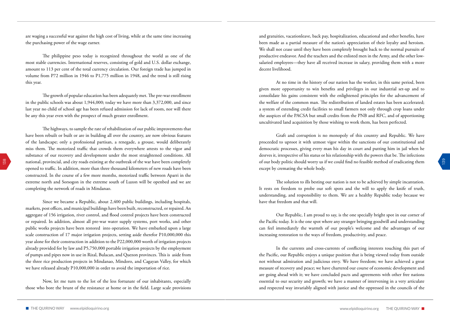are waging a successful war against the high cost of living, while at the same time increasing the purchasing power of the wage earner.

The philippine peso today is recognized throughout the world as one of the most stable currencies. International reserves, consisting of gold and U.S. dollar exchange, amount to 113 per cent of the total currency circulation. Our foreign trade has jumped in volume from P72 million in 1946 to P1,775 million in 1948, and the trend is still rising this year.

The growth of popular education has been adequately met. The pre-war enrollment in the public schools was about 1,944,000; today we have more than 3,372,000, and since last year no child of school age has been refused admission for lack of room, nor will there be any this year even with the prospect of much greater enrollment.

The highways, to sample the rate of rehabilitation of our public improvements that have been rebuilt or built or are in building all over the country, are now obvious features of the landscape; only a professional partisan, a renegade, a grouse, would deliberately miss them. The motorized traffic that crowds them everywhere attests to the vigor and substance of our recovery and development under the most straightened conditions. All national, provincial, and city roads existing at the outbreak of the war have been completely opened to traffic. In addition, more than three thousand kilometers of new roads have been constructed. In the course of a few more months, motorized traffic between Aparri in the extreme north and Sorsogon in the extreme south of Luzon will be openbed and we are completing the network of roads in Mindanao.

Since we became a Republic, about 2,400 public buildings, including hospitals, markets, post offices, and municipal buildings have been built, reconstructed, or repaired. An aggregate of 156 irrigation, river control, and flood control projects have been constructed or repaired. In addition, almost all pre-war water supply systems, port works, and other public works projects have been restored into operation. We have embarked upon a large scale construction of 17 major irrigation projects, setting aside therefor P10,000,000 this year alone for their construction in addition to the P22,000,000 worth of irrigation projects already provided for by law and P5,750,000 portable irrigation projects by the employment of pumps and pipes now in use in Rizal, Bulacan, and Quezon provinces. This is aside from the three rice production projects in Mindanao, Mindoro, and Cagayan Valley, for which we have released already P10,000,000 in order to avoid the importation of rice.

Now, let me turn to the lot of the less fortunate of our inhabitants, especially those who bore the brunt of the resistance at home or in the field. Large scale provisions and gratuities, vacationleave, back pay, hospitalization, educational and other benefits, have been made as a partial measure of the nation's appreciation of their loyalty and heroism. We shall not cease until they have been completely brought back to the normal pursuits of productive endeavor. And the teachers and the enlisted men in the Army, and the other lowsalaried employees—they have all received increase in salary, providing them with a more decent livelihood.

At no time in the history of our nation has the worker, in this same period, been given more opportunity to win benefits and privileges in our industrial set-up and to consolidate his gains consistent with the enlightened principles for the advancement of the welfare of the common man. The redistribution of landed estates has been accelerated; a system of extending credit facilities to small farmers not only through crop loans under the auspices of the PACSA but small credits from the PNB and RFC, and of apportioning uncultivated land acquisition by those wishing to work them, has been perfected.

Graft and corruption is no monopoly of this country and Republic. We have proceeded to uproot it with utmost vigor within the sanctions of our constitutional and democratic processes, giving every man his day in court and putting him in jail when he desrves it, irrespective of his status or his relationship with the powers that be. The infections of our body politic should worry us if we could find no feasible method of eradicating them except by cremating the whole body.

The solution to ills besting our nation is not to be achieved by simple incantation. It rests on freedom to probe our soft spots and the will to apply the knife of truth, understanding, and responsibility to them. We are a healthy Republic today because we have that freedom and that will.

Our Republic, I am proud to say, is the one specially bright spot in our corner of the Pacific today. It is the one spot where any stranger bringing goodwill and understanding can feel immediately the warmth of our people's welcome and the advantages of our increasing restoration to the ways of freedom, productivity, and peace.

In the currents and cross-currents of conflicting interests touching this part of the Pacific, our Republic enjoys a unique position that is being viewed today from outside not without admiration and judicious envy. We have freedom; we have achieved a great measure of recovery and peace; we have chartered our course of economic development and are going ahead with it; we have concluded pacts and agreements with other free nations essential to our security and growth; we have a manner of intervening in a very articulate and respected way invariably aligned with justice and the oppressed in the councils of the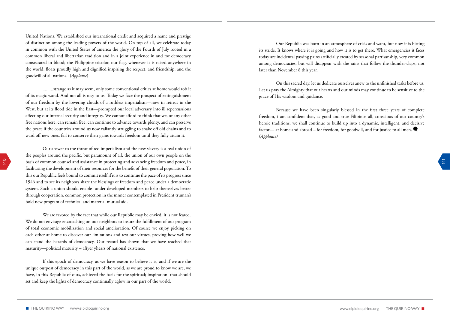United Nations. We established our international credit and acquired a name and prestige of distinction among the leading powers of the world. On top of all, we celebrate today in common with the United States of america the glory of the Fourth of July rooted in a common liberal and libertarian tradition and in a joint experience in and for democracy consecrated in blood; the Philippine tricolor, our flag, whenever it is raised anywhere in the world, floats proudly high and dignified inspiring the respect, and friendship, and the goodwill of all nations. (*Applause*)

.........strange as it may seem, only some conventional critics at home would rob it of its magic wand. And not all is rosy to us. Today we face the prospect of extinguishment of our freedom by the lowering clouds of a ruthless imperialism—now in retreat in the West, but at its flood tide in the East—prompted our local adversary into ill repercussions affecting our internal security and integrity. We cannot afford to think that we, or any other free nations here, can remain free, can continue to advance towards plenty, and can preserve the peace if the countries around us now valiantly struggling to shake off old chains and to ward off new ones, fail to conserve their gains towards freedom until they fully attain it.

Our answer to the threat of red imperialism and the new slavery is a real union of the peoples around the pacific, but paramount of all, the union of our own people on the basis of common counsel and assistance in protecting and advancing freedom and peace, in facilitating the development of their resources for the benefit of their general population. To this our Republic feels bound to commit itself if it is to continue the pace of its progress since 1946 and to see its neighbors share the blessings of freedom and peace under a democratic system. Such a union should enable under-developed members to help themselves better through cooperation, common protection in the mnner contemplated in President truman's bold new program of technical and material mutual aid.

We are favored by the fact that while our Republic may be envied, it is not feared. We do not envisage encroaching on our neighbors to insure the fulfillment of our program of total economic mobilization and social amelioration. Of course we enjoy picking on each other at home to discover our limitations and test our virtues, proving how well we can stand the hazards of democracy. Our record has shown that we have reached that maturity—political maturity – aftyer yhears of national existence.

If this epoch of democracy, as we have reason to believe it is, and if we are the unique outpost of democracy in this part of the world, as we are proud to know we are, we have, in this Republic of ours, achieved the basis for the spiritual; inspiration that should set and keep the lights of democracy continually aglow in our part of the world.

Our Republic was born in an atmosphere of crisis and want, but now it is hitting its stride. It knows where it is going and how it is to get there. What emergencies it faces today are incidental passing pains artificially created by seasonal partisanship, very common among democracies, but will disappear with the rains that follow the thunder-claps, not later than November 8 this year.

On this sacred day, let us dedicate ourselves anew to the unfinished tasks before us. Let us pray the Almighty that our hearts and our minds may continue to be sensitive to the grace of His wisdom and guidance.

Because we have been singularly blessed in the first three years of complete freedom, i am confident that, as good and true Filipinos all, conscious of our country's heroic traditions, we shall continue to build up into a dynamic, intelligent, and decisive factor— at home and abroad – for freedom, for goodwill, and for justice to all men. (*Applause)*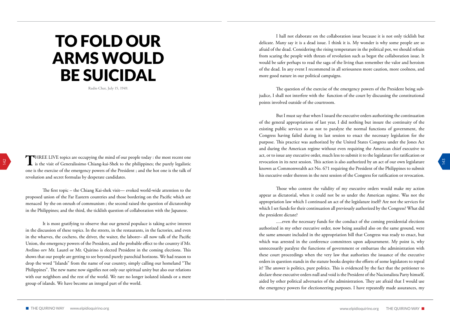# TO FOLD O ARMS WOULD BE SUICIDAL

Radio Chat, July 15, 1949.

**T**HREE LIVE topics are occupying the mind of our people today : the most recent one is the visit of Generalissimo Chiang-kai-Shek to the philippines; the purely legalistic one is the exercise of the emergency powers of the President ; and the hot one is the talk of revolution and secret formulas by desperate candidates.

The first topic – the Chiang Kai-shek visit— evoked world-wide attention to the proposed union of the Far Eastern countries and those bordering on the Pacific which are menaced by the on onrush of communism ; the second raised the question of dictatorship in the Philippines; and the third, the ticklish question of collaboration with the Japanese.

It is most gratifying to observe that our general populace is taking active interest in the discussion of these topics. In the streets, in the restaurants, in the factories, and even in the wharves, the cochero, the driver, the waiter, the laborer– all now talk of the Pacific Union, the emergency powers of the President, and the probable effect to the country if Mr. Avelino orv Mr. Laurel or Mr. Quirino is elected President in the coming elections. This shows that our people are getting to see beyond purely parochial horizons. We had reason to drop the word "Islands" from the name of our country, simply calling our homeland "The Philippines". The new name now signifies not only our spiritual unity but also our relations with our neighbors and the rest of the world. We rare no longer isolated islands or a mere group of islands. We have become an integral part of the world.

I hall not elaborate on the collaboration issue because it is not only ticklish but delicate. Many say it is a dead issue. I think it is. My wonder is why some people are so afraid of the dead. Considering the rising temperature in the political pot, we should refrain from scaring the people with threats of revolution such as begot the collaboration issue. It would be safer perhaps to read the saga of the living than remember the valor and heroism of the dead. In any event I recommend in all seriousness more caution, more coolness, and more good nature in our political campaigns.

The question of the exercise of the emergency powers of the President being subjudice, I shall not interfere with the function of the court by discussing the constitutional points involved outside of the courtroom.

But I must say that when I issued the executive orders authorizing the continuation of the general appropriations of last year, I did nothing but insure the continuity of the existing public services so as not to paralyze the normal functions of government, the Congress having failed during its last session to enact the necessary legislation for the purpose. This practice was authorized by the United States Congress under the Jones Act and during the American regime without even requiring the American chief executive to act, or to issue any executive order, much less to submit it to the legislature for ratification or revocation in its next session. This action is also authorized by an act of our own legislature known as Commonwealth act No. 671 requiring the President of the Philippines to submit his executive order thereon in the next session of the Congress for ratification or revocation.

Those who contest the validity of my executive orders would make my action appear as dictatorial, when it could not be so under the American regime. Was not the appropriation law which I continued an act of the legislature itself? Are not the services for which I set funds for their continuation all previously authorized by the Congress? What did the president dictate?

.....even the necessary funds for the conduct of the coming presidential elections authorized in my other executive order, now being assailed also on the same ground, were the same amount included in the appropriation bill that Congress was ready to enact, but which was arrested in the conference committees upon adjournment. My point is, why unnecessarily paralyze the functions of government or embarrass the administration with these court proceedings when the very law that authorizes the issuance of the executive orders in question stands in the statute books despite the efforts of some legislators to repeal it? The answer is politics, pure politics. This is evidenced by the fact that the petitioner to declare these executive orders null and void is the President of the Nacionalista Party himself, aided by other political adversaries of the administration. They are afraid that I would use the emergency powers for electioneering purposes. I have repeatedly made assurances, my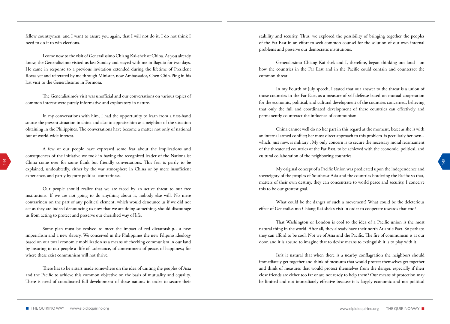fellow countrymen, and I want to assure you again, that I will not do it; I do not think I need to do it to win elections.

I come now to the visit of Generalissimo Chiang Kai-shek of China. As you already know, the Generalissimo visited us last Sunday and stayed with me in Baguio for two days. He came in response to a previous invitation extended during the lifetime of President Roxas yet and reiterated by me through Minister, now Ambassador, Chen Chih-Ping in his last visit to the Generalissimo in Formosa.

The Generalissimo's visit was unofficial and our conversations on various topics of common interest were purely informative and exploratory in nature.

In my conversations with him, I had the opportunity to learn from a first-hand source the present situation in china and also to appraise him as a neighbor of the situation obtaining in the Philippines. The conversations have become a matter not only of national but of world-wide interest.

A few of our people have expressed some fear about the implications and consequences of the initiative we took in having the recognized leader of the Nationalist China come over for some frank but friendly conversations. This fear is partly to be explained, undoubtedly, either by the war atmosphere in China or by mere insufficient experience, and partly by pure political contrariness.

Our people should realize that we are faced by an active threat to our free institutions. If we are not going to do anything about it, nobody else will. No mere contrariness on the part of any political element, which would denounce us if we did not act as they are indeed denouncing us now that we are doing something, should discourage us from acting to protect and preserve our cherished way of life.

Some plan must be evolved to meet the impact of red dictatorship-- a new imperialism and a new slavery. We conceived in the Philippines the new Filipino ideology based on our total economic mobilization as a means of checking communism in our land by insuring to our people a life of substance, of contentment of peace, of happiness; for where these exist communism will not thrive.

There has to be a start made somewhere on the idea of uniting the peoples of Asia and the Pacific to achieve this common objective on the basis of mutuality and equality. There is need of coordinated full development of these nations in order to secure their stability and security. Thus, we explored the possibility of bringing together the peoples of the Far East in an effort to seek common counsel for the solution of our own internal problems and preserve our democratic institutions.

Generalissimo Chiang Kai-shek and I, therefore, began thinking out loud-- on how the countries in the Far East and in the Pacific could contain and counteract the common threat.

In my Fourth of July speech, I stated that our answer to the threat is a union of those countries in the Far East, as a measure of self-defense based on mutual cooperation for the economic, political, and cultural development of the countries concerned, believing that only the full and coordinated development of these countries can effectively and permanently counteract the influence of communism.

China cannot well do no her part in this regard at the moment, beset as she is with an internal armed conflict; her most direct approach to this problem is peculiarly her own- which, just now, is military . My only concern is to secure the necessary moral rearmament of the threatened countries of the Far East, to be achieved with the economic, political, and cultural collaboration of the neighboring countries.

My original concept of a Pacific Union was predicated upon the independence and sovereignty of the peoples of Southeast Asia and the countries bordering the Pacific so that, matters of their own destiny, they can concentrate to world peace and security. I conceive this to be our greatest goal.

What could be the danger of such a movement? What could be the deleterious effect of Generalissimo Chiang Kai-shek's visit in order to cooperate towards that end?

That Washington or London is cool to the idea of a Pacific union is the most natural thing in the world. After all, they already have their north Atlantic Pact. So perhaps they can afford to be cool. Not we of Asia and the Pacific. The fire of communism is at our door, and it is absurd to imagine that to devise means to extinguish it is to play with it.

Isn't it natural that when there is a nearby conflagration the neighbors should immediately get together and think of measures that would protect themselves get together and think of measures that would protect themselves from the danger, especially if their close friends are either too far or are not ready to help them? Our means of protection may be limited and not immediately effective because it is largely economic and not political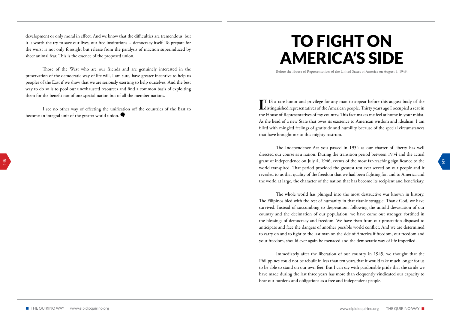development or only moral in effect. And we know that the difficulties are tremendous, but it is worth the try to save our lives, our free institutions -- democracy itself. To prepare for the worst is not only foresight but release from the paralysis of inaction superinduced by sheer animal fear. This is the essence of the proposed union.

Those of the West who are our friends and are genuinely interested in the preservation of the democratic way of life will, I am sure, have greater incentive to help us peoples of the East if we show that we are seriously exerting to help ourselves. And the best way to do so is to pool our unexhausted resources and find a common basis of exploiting them for the benefit not of one special nation but of all the member nations.

I see no other way of effecting the unification off the countries of the East to become an integral unit of the greater world union.

## TO FIGHT ON AMERICA'S SIDE

Before the House of Representatives of the United States of America on August 9, 1949.

**I**T IS a rare honor and privilege for any man to appear before this august body of the distinguished representatives of the American people. Thirty years ago I occupied a seat in T IS a rare honor and privilege for any man to appear before this august body of the the House of Representatives of my country. This fact makes me feel at home in your midst. As the head of a new State that owes its existence to American wisdom and idealism, I am filled with mingled feelings of gratitude and humility because of the special circumstances that have brought me to this mighty rostrum.

The Independence Act you passed in 1934 as our charter of liberty has well directed our course as a nation. During the transition period between 1934 and the actual grant of independence on July 4, 1946, events of the most far-reaching significance to the world transpired. That period provided the greatest test ever served on our people and it revealed to us that quality of the freedom that we had been fighting for, and to America and the world at large, the character of the nation that has become its recipient and beneficiary.

The whole world has plunged into the most destructive war known in history. The Filipinos bled with the rest of humanity in that titanic struggle. Thank God, we have survived. Instead of succumbing to desperation, following the untold devastation of our country and the decimation of our population, we have come out stronger, fortified in the blessings of democracy and freedom. We have risen from our prostration disposed to anticipate and face the dangers of another possible world conflict. And we are determined to carry on and to fight to the last man on the side of America if freedom, our freedom and your freedom, should ever again be menaced and the democratic way of life imperiled.

Immediately after the liberation of our country in 1945, we thought that the Philippines could not be rebuilt in less than ten years,that it would take much longer for us to be able to stand on our own feet. But I can say with pardonable pride that the stride we have made during the last three years has more than eloquently vindicated our capacity to bear our burdens and obligations as a free and independent people.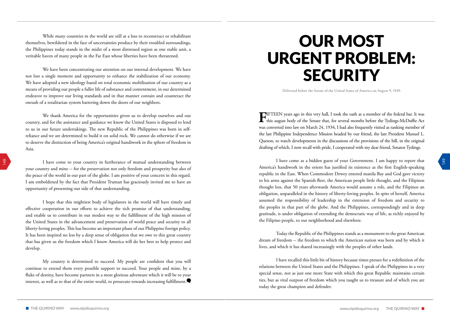While many countries in the world are still at a loss to reconstruct or rehabilitate themselves, bewildered in the face of uncertainties produce by their troubled surroundings, the Philippines today stands in the midst of a most distressed region as one stable unit, a veritable haven of many people in the Far East whose liberties have been threatened.

We have been concentrating our attention on our internal development. We have not lost a single moment and opportunity to enhance the stabilization of our economy. We have adopted a new ideology based on total economic mobilization of our country as a means of providing our people a fuller life of substance and contentment, in our determined endeavor to improve our living standards and in that manner contain and counteract the onrush of a totalitarian system battering down the doors of our neighbors.

We thank America for the opportunities given us to develop ourselves and our country, and for the assistance and guidance we know the United States is disposed to lend to us in our future undertakings. The new Republic of the Philippines was born in selfreliance and we are determined to build it on solid rock. We cannot do otherwise if we are to deserve the distinction of being America's original handiwork in the sphere of freedom in Asia.

I have come to your country in furtherance of mutual understanding between your country and mine -- for the preservation not only freedom and prosperity but also of the peace of the world in our part of the globe. I am positive of your concern in this regard. I am emboldened by the fact that President Truman has graciously invited me to have an opportunity of presenting our side of that understanding.

I hope that this mightiest body of legislators in the world will have timely and effective cooperation in our efforts to achieve the rich promise of that understanding, and enable us to contribute in our modest way to the fulfillment of the high mission of the United States in the advancement and preservation of world peace and security to all liberty-loving peoples. This has become an important phase of our Philippine foreign policy. It has been inspired no less by a deep sense of obligation that we owe to this great country that has given us the freedom which I know America will do her best to help protect and develop.

My country is determined to succeed. My people are confident that you will continue to extend them every possible support to succeed. Your people and mine, by a fluke of destiny, have become partners in a most glorious adventure which it will be to your interest, as well as to that of the entire world, to prosecute towards increasing fulfillment.

#### OUR M OST UR GENT PROBL EM: **SECURITY**

Delivered before the Senate of the United States of America on August 9, 1949.

**F**IFTEEN years ago in this very hall, I took the oath as a member of the federal bar. It was  $\blacktriangle$  this august body of the Senate that, for several months before the Tydings-McDuffie Act was converted into law on March 24, 1934, I had also frequently visited as ranking member of the last Philippine Independence Mission headed by our friend, the late President Manuel L. Quezon, to watch developments in the discussions of the provisions of the bill, in the original drafting of which, I now recall with pride, I cooperated with my dear friend, Senator Tydings.

I have come as a bidden guest of your Government. I am happy to report that America's handiwork in the orient has justified its existence as the first English-speaking republic in the East. When Commodore Dewey entered manila Bay and God gave victory to his arms against the Spanish fleet, the American people little thought, and the Filipinos thought less, that 50 years afterwards America would assume a role, and the Filipinos an obligation, unparalleled in the history of liberty-loving peoples. In spite of herself, America assumed the responsibility of leadership in the extension of freedom and security to the peoples in that part of the globe. And the Philippines, correspondingly and in deep gratitude, is under obligation of extending the democratic way of life, as richly enjoyed by the Filipino people, to our neighborhood and elsewhere.

Today the Republic of the Philippines stands as a monument to the great American dream of freedom -- the freedom to which the American nation was born and by which it lives, and which it has shared increasingly with the peoples of other lands.

I have recalled this little bit of history because times presses for a redefinition of the relations between the United States and the Philippines. I speak of the Philippines in a very special sense, not as just one more State with which this great Republic maintains certain ties, but as vital outpost of freedom which you taught us to treasure and of which you are today the great champion and defender.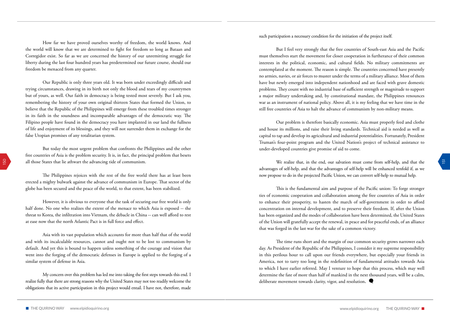How far we have proved ourselves worthy of freedom, the world knows. And the world will know that we are determined to fight for freedom so long as Bataan and Corregidor exist. So far as we are concerned the history of our unremitting struggle for liberty during the last four hundred years has predetermined our future course, should our freedom be menaced from any quarter.

Our Republic is only three years old. It was born under exceedingly difficult and trying circumstances, drawing in its birth not only the blood and tears of my countrymen but of yours, as well. Our faith in democracy is being tested most severely. But I ask you, remembering the history of your own original thirteen States that formed the Union, to believe that the Republic of the Philippines will emerge from these troubled times stronger in its faith in the soundness and incomparable advantages of the democratic way. The Filipino people have found in the democracy you have implanted in our land the fullness of life and enjoyment of its blessings, and they will not surrender them in exchange for the false Utopian promises of any totalitarian system.

But today the most urgent problem that confronts the Philippines and the other free countries of Asia is the problem security. It is, in fact, the principal problem that besets all those States that lie athwart the advancing tide of communism.

150

The Philippines rejoices with the rest of the free world there has at least been erected a mighty bulwark against the advance of communism in Europe. That sector of the globe has been secured and the peace of the world, to that extent, has been stabilized.

However, it is obvious to everyone that the task of securing our free world is only half done. No one who realizes the extent of the menace to which Asia is exposed -- the threat to Korea, the infiltration into Vietnam, the debacle in China -- can well afford to rest at ease now that the north Atlantic Pact is in full force and effect.

Asia with its vast population which accounts for more than half that of the world and with its incalculable resources, cannot and ought not to be lost to communism by default. And yet this is bound to happen unless something of the courage and vision that went into the forging of the democratic defenses in Europe is applied to the forging of a similar system of defense in Asia.

My concern over this problem has led me into taking the first steps towards this end. I realize fully that there are strong reasons why the United States may not too readily welcome the obligations that its active participation in this project would entail. I have not, therefore, made

such participation a necessary condition for the initiation of the project itself.

But I feel very strongly that the free countries of South-east Asia and the Pacific must themselves start the movement for closer cooperation in furtherance of their common interests in the political, economic, and cultural fields. No military commitments are contemplated at the moment. The reason is simple. The countries concerned have presently no armies, navies, or air forces to muster under the terms of a military alliance. Most of them have but newly emerged into independent nationhood and are faced with grave domestic problems. They count with no industrial base of sufficient strength or magnitude to support a major military undertaking and, by constitutional mandate, the Philippines renounces war as an instrument of national policy. Above all, it is my feeling that we have time in the still free countries of Asia to halt the advance of communism by non-military means.

Our problem is therefore basically economic. Asia must properly feed and clothe and house its millions, and raise their living standards. Technical aid is needed as well as capital to tap and develop its agricultural and industrial potentialities. Fortunately, President Truman's four-point program and the United Nation's project of technical assistance to under-developed countries give promise of aid to come.

We realize that, in the end, our salvation must come from self-help, and that the advantages of self-help, and that the advantages of self-help will be enhanced tenfold if, as we now propose to do in the projected Pacific Union, we can convert self-help to mutual help.

This is the fundamental aim and purpose of the Pacific union: To forge stronger ties of economic cooperation and collaboration among the free countries of Asia in order to enhance their prosperity, to hasten the march of self-government in order to afford concentration on internal development, and to preserve their freedom. If, after the Union has been organized and the modes of collaboration have been determined, the United States of the Union will gratefully accept the renewal, in peace and for peaceful ends, of an alliance that was forged in the last war for the sake of a common victory.

The time runs short and the margin of our common security grows narrower each day. As President of the Republic of the Philippines, I consider it my supreme responsibility in this perilous hour to call upon our friends everywhere, but especially your friends in America, not to tarry too long in the redefinition of fundamental attitudes towards Asia to which I have earlier referred. May I venture to hope that this process, which may well determine the fate of more than half of mankind in the next thousand years, will be a calm, deliberate movement towards clarity, vigor, and resolution.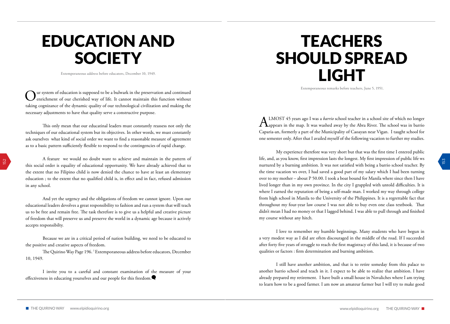#### EDUCATION AND **SOCIETY**

Extemporaneous address before educators, December 10, 1949.

Our system of education is supposed to be a bulwark in the preservation and continued<br>enrichment of our cherished way of life. It cannot maintain this function without taking cognizance of the dynamic quality of our technological civilization and making the necessary adjustments to have that quality serve a constructive purpose.

This only mean that our educatinal leaders must constantly reassess not only the techniques of our educational system but its objectives. In other words, we must constantly ask ourselves what kind of social order we want to find a reasonable measure of agreement as to a basic pattern sufficiently flexible to respond to the contingencies of rapid change.

A feature we would no doubt want to achieve and maintain in the pattern of this social order is equality of educational opportunity. We have already achieved that to the extent that no Filipino child is now denied the chance to have at least an elementary education ; to the extent that no qualified child is, in effect and in fact, refused admission in any school.

And yet the urgency and the obligations of freedom we cannot ignore. Upon our educational leaders devolves a great responsibility to fashion and run a system that will teach us to be free and remain free. The task therefore is to give us a helpful and creative picture of freedom that will preserve us and preserve the world in a dynamic age because it actively accepts responsibilty.

Because we are in a critical period of nation building, we need to be educated to the positive and creative aspects of freedom.

The Quirino Way Page 196. 1 Extemporaneous address before educators, December 10, 1949.

I invite you to a careful and constant examination of the measure of your effectiveness in educating yourselves and our people for this freedom.

#### **TEACHERS** SHOULD SPREAD LIGHT

Extemporaneous remarks before teachers, June 5, 1951.

ALMOST 45 years ago I was a *barrio* school teacher in a school site of which no longer<br>appears in the map. It was washed away by the Abra River. The school was in barrio Caparia-an, formerly a part of the Municipality of Caoayan near Vigan. I taught school for one semester only. After that I availed myself of the following vacation to further my studies.

My experience therefore was very short but that was the first time I entered public life, and, as you know, first impression lasts the longest. My first impression of public life ws nurtured by a burning ambition. It was not satisfied with being a barrio school teacher. By the time vacation ws over, I had saved a good part of my salary which I had been turning over to my mother – about P 50.00. I took a boat bound for Manila where since then I have lived longer than in my own province. In the city I grappled with untold difficulties. It is where I earned the reputation of being a self-made man. I worked my way through college from high school in Manila to the University of the Philippines. It is a regrettable fact that throughout my four-year law course I was not able to buy even one class textbook. That didn't mean I had no money or that I lagged behind. I was able to pull through and finished my course without any hitch.

I love to remember my humble beginnings. Many students who have begun in a very modest way as I did are often discouraged in the middle of the road. If I succeeded after forty five years of struggle to reach the first magistracy of this land, it is because of two qualities or factors : firm determination and burning ambition.

I still have another ambition, and that is to retire someday from this palace to another barrio school and teach in it. I expect to be able to realize that ambition. I have already prepared my retirement. I have built a small house in Novaliches where I am trying to learn how to be a good farmer. I am now an amateur farmer but I will try to make good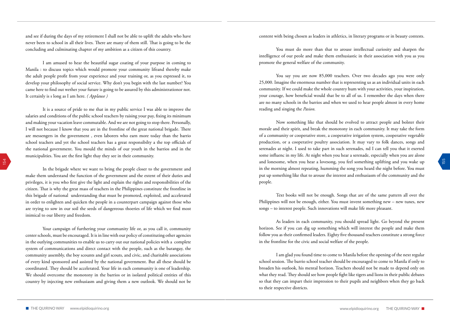and see if during the days of my retirement I shall not be able to uplift the adults who have never been to school in all their lives. There are many of them still. That is going to be the concluding and culminating chapter of my ambition as a citizen of this country.

I am amused to hear the beautiful sugar coating of your purpose in coming to Manila : to discuss topics which would promote your community lifeand thereby make the adult people profit from your experience and your training or, as you expressed it, to develop your philosophy of social service. Why don't you begin with the last number? You came here to find out wether your future is going to be assured by this administrationor not. It certainly is s long as I am here. *( Applause )*

It is a source of pride to me that in my public service I was able to improve the salaries and conditions of the public school teachers by raising your pay, fixing its minimum and making your vacation leave commutable. And we are not going to stop there. Personally, I will not because I know that you are in the frontline of the great national brigade. There are messengers in the government , even laborers who earn more today than the barrio school teachers and yet the school teachers has a great responsibilty a the top officials of the national government. You mould the minds of our youth in the barrios and in the municipalities. You are the first light thay they see in their community.

In the brigade where we want to bring the people closer to the government and make them understand the function of the government and the extent of their duties and privileges, it is you who first give the light and explain the rights and responsibilities of the citizen. That is why the great mass of teachers in the Philippines constitute the frontline in this brigade of national understanding that must be promoted, exploited, and accelerated in order to enlighten and quicken the people in a counterpart campaign against those who are trying to sow in our soil the seeds of dangereous thoeries of life which we find most inimical to our liberty and freedom.

Your campaign of furthering your community life or, as you call it, community center schools, must be encouraged. It is in line with our policy of constituting other agencies in the outlying communities to enable us to carry out our national policies with a complete system of communications and direct contact with the people, such as the barangay, the community assembly, the boy scounts and girl scouts, and civic, and charitable associations of every kind sponsored and assisted by the national government. But all these should be coordinated. They should be accelerated. Your life in each community is one of leadership. We should overcome the monotony in the barrios or in isolated political entities of this country by injecting new enthusiasm and giving them a new outlook. We should not be

content with being chosen as leaders in athletics, in literary programs or in beauty contests.

You must do more than that to arouse intellectual curiosity and sharpen the intelligence of our peole and make them enthusiastic in their association with you as you promote the general welfare of the community.

You say you are now 85,000 teachers. Over two decades ago you were only 25,000. Imagine the enormous number that is representing us as an individual units in each community. If we could make the whole country hum with your activities, your inspiration, your courage, how beneficial would that be to all of us. I remember the days when there are no many schools in the barrios and when we used to hear people almost in every home reading and singing the *Pasion.*

Now something like that should be evolved to attract people and bolster their morale and their spirit, and break the monotony in each community. It may take the form of a community or cooperative store, a cooperative irrigation system, cooperative vegetable production, or a cooperative poultry association. It may vary to folk dances, songs and serenades at night. I used to take part in such serenades, nd I can tell you that it exerted some influenc in my life. At night when you hear a serenade, especially when you are alone and lonesome, when you hear a lovesong, you feel something uplifting and you wake up in the morning almost repeating, humming the song you heard the night before. You must put up something like that to arouse the interest and enthusiasm of the community and the people.

Text books will not be enough. Songs that are of the same pattern all over the Philippines will not be enough, either. You must invent something new – new tunes, new songs – to interest people. Such innovations will make life more pleasant.

As leaders in each community, you should spread light. Go beyond the present horizon. See if you can dig up something which will interest the people and make them follow you as their confirmed leaders. Eighty five thousand teachers constitute a strong force in the frontline for the civic and social welfare of the people.

I am glad you found time to come to Manila before the opening of the next regular school session. The barrio school teacher should be encouraged to come to Manila if only to broaden his outlook, his mental horizon. Teachers should not be made to depend only on what they read. They should see how people fight like tigers and lions in their public debates so that they can impart their impression to their pupils and neighbors when they go back to their respective districts.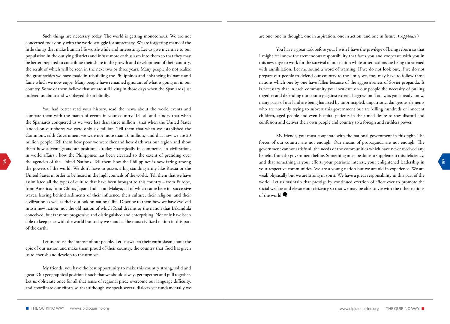Such things are necessary today. The world is getting monotonous. We are not concerned today only with the world struggle for supremacy. We are forgetting many of the little things that make human life worth-while and interesting. Let us give incentive to our population in the outlying districts and infuse more enthusiasm into them so that they may be better prepared to contribute their share in the growth and development of their country, the result of which will be seen in the next two or three years. Many people do not realize the great strides we have made in rebuilding the Philippines and enhancing its name and fame which we now enjoy. Many people have remained ignorant of what is going on in our country. Some of them believe that we are still living in those days when the Spaniards just ordered us about and we obeyed them blindly.

You had better read your history, read the newa about the world events and compare them with the march of events in your country. Tell all and sundry that when the Spaniards conquered us we were less than three million ; that when the United States landed on our shores we were only six million. Tell them that when we established the Commonwealth Government we were not more than 16 million, and that now we are 20 million people. Tell them how poor we were thenand how dark was our region and show them how adventageous our position is today strategically in commerce, in civilization, in world affairs ; how the Philippines has been elevated to the extent of presiding over the agencies of the United Nations. Tell them how the Philippines is now faring among the powers of the world. We don't have to posses a big standing army like Russia or the United States in order to be heard in the high councils of the world. Tell them that we have assimilated all the types of culture that have been brought to this country – from Europe, from America, from China, Japan, India and Malaya, all of which came here in successive waves, leaving behind sediments of their influence, their culture, their religion, and their civilization as well as their outlook on national life. Describe to them how we have evolved into a new nation, not the old nation of which Rizal dreamt or the nation that Lakandula conceived, but far more progressive and distinguished and enterprising. Not only have been able to keep pace with the world but today we stand as the most civilized nation in this part of the earth.

Let us arouse the interest of our people. Let us awaken their enthusiasm about the epic of our nation and make them proud of their country, the country that God has given us to cherish and develop to the utmost.

My friends, you have the best opportunity to make this country strong, solid and great. Our geographical position is such that we should always get together and pull together. Let us obliterate once for all that sense of regional pride overcome our language difficulty, and coordinate our efforts so that although we speak several dialects yet fundamentally we are one, one in thought, one in aspiration, one in action, and one in future. ( *Applause* )

You have a great task before you. I wish I have the privilege of being reborn so that I might feel anew the tremendous responsibility that faces you and cooperate with you in this new urge to work for the survival of our nation while other nations are being threatened with annihilation. Let me sound a word of warning. If we do not look out, if we do not prepare our people to defend our country to the limit, we, too, may have to follow those nations which one by one have fallen because of the aggressiveness of Soviet proganda. It is necessary that in each community you inculcate on our people the necessity of pulling together and defending our country against external aggression. Today, as you already know, many parts of our land are being harassed by unprincipled, unpatriotic, dangerous elements who are not only trying to subvert this government but are killing hundreds of innocent children, aged people and even hospital patients in their mad desire to sow discord and confusion and deliver their own people and country to a foreign and ruthless power.

My friends, you must cooperate with the national government in this fight. The forces of our country are not enough. Our means of propaganda are not enough. The government cannot satisfy all the needs of the communities which have never received any benefits from the government before. Something must be done to supplement this deficiency, and that something is your effort, your patriotic interest, your enlightened leadership in your respective communities. We are a young nation but we are old in experience. We are weak physically but we are strong in spirit. We have a great responsibility in this part of the world. Let us maintain that prestige by continued exertion of effort ever to promote the social welfare and elevate our citizenry so that we may be able to vie with the other nations of the world.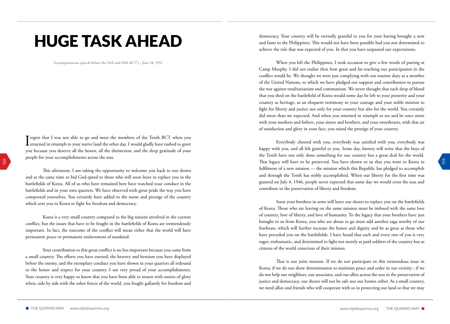#### HUGE TASK AHEAD

Extemporaneous speech before the 10th and 20th BCT's , June 18, 1951

I regret that I was not able to go and meet the members of the Tenth BCT when you returned in triumph to your native land the other day. I would gladly have rushed to greet you because you deserve all the honor, all the distinction, and the deep gratitude of your people for your accomplishments across the seas.

This afternoon, I am taking the opportunity to welcome you back to our shores and at the same time to bid God-speed to those who will soon leave to replace you in the battlefields of Korea. All of us who have remained here have watched your conduct in the battlefields and in your own quarters. We have observed with great pride the way you have comported yourselves. You certainly have added to the name and prestige of the country which sent you to Korea to fight for freedom and democracy.

Korea is a very small country compared to the big nations involved in the current conflict, but the issues that have to be fought in the battlefields of Korea are tremendously important. In fact, the outcome of the conflict will mean either that the world will have permanent peace or permanent enslavement of mankind.

Your contribution to this great conflict is no less important because you came from a small country. The efforts you have exerted, the bravery and heroism you have displayed before the enemy, and the exemplary conduct you have shown in your quarters all redound to the honor and respect for your country. I am very proud of your accomplishments. Your country is very happy to know that you have been able to return with stories of glory when, side by side with the other forces of the world, you fought gallantly for freedom and

democracy. Your country will be eternally grateful to you for your having brought a new and fame to the Philippines. This would not have been possible had you not determined to achieve the role that was expected of you. In that you have surpassed our expectations.

When you left the Philippines, I took occasion to give a few words of parting at Camp Murphy. I did not realize then how great and far-reaching our participation in the conflict would be. We thought we were just complying with our routine duty as a member of the United Nations, to which we have pledged our support and contribution to pursue the war against totalitarianism and communism. We never thought that each drop of blood that you shed on the battlefield of Korea would some day be left to your posterity and your country as heritage, as an eloquent testimony to your courage and your noble mission to fight for liberty and justice not only for your country but also for the world. You certainly did more than we expected. And when you returned in triumph to see and be once more with your mothers and fathers, your sisters and brothers, and your sweethearts, with that air of satisfaction and glory in your face, you raised the prestige of your country.

Everybody cheered with you, everybody was satisfied with you, everybody was happy with you, and all felt grateful to you. Some day, history will write that the boys of the Tenth have not only done something for our country but a great deal for the world. That legacy will have to be preserved. You have shown to us that you went to Korea in fulfilment of a new mission --- the mission which this Republic has pledged to accomplish and through the Tenth has nobly accomplished. When our liberty for the first time was granted on July 4, 1946, people never expected that some day we would cross the seas and contribute to the preservation of liberty and freedom.

Soon your brothers in arms will leave our shores to replace you on the battlefields of Korea. Those who are leaving on the same mission must be imbued with the same love of country, love of liberty, and love of humanity. To the legacy that your brothers have just brought to us from Korea, you who are about to go must add another saga worthy of our forebears, which will further increase the honor and dignity and be as great as those who have preceded you on the battlefields. I have heard that each and every one of you is very eager, enthusiastic, and determined to fight not merely as paid soldiers of the country but as citizens of the world conscious of their mission.

That is our joint mission. If we do not participate in this tremendous issue in Korea; if we do not show determination to maintain peace and order in our vicinity ; if we do not help our neighbors, our associates, and our allies across the seas in the preservation of justice and democracy, our shores will not be safe nor our homes either. As a small country, we need allies and friends who will cooperate with us in protecting our land so that we may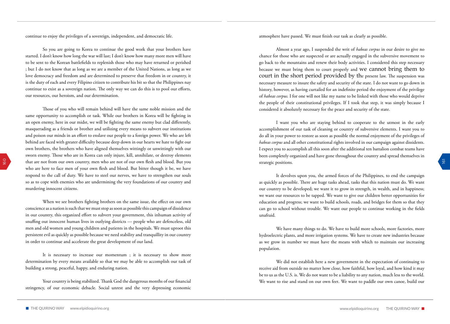continue to enjoy the privileges of a sovereign, independent, and democratic life.

So you are going to Korea to continue the good work that your brothers have started. I don't know how long the war will last; I don't know how many more men will have to be sent to the Korean battlefields to replenish those who may have returned or perished ; but I do not know that as long as we are a member of the United Nations, as long as we love democracy and freedom and are determined to preserve that freedom in or country, it is the duty of each and every Filipino citizen to contribute his bit so that the Philippines nay continue to exist as a sovereign nation. The only way we can do this is to pool our efforts, our resources, our heroism, and our determination.

Those of you who will remain behind will have the same noble mission and the same opportunity to accomplish or task. While our brothers in Korea will be fighting in an open enemy, here in our midst, we will be fighting the same enemy but clad differently, masquerading as a friends or brother and utilizing every means to subvert our institutions and poison our minds in an effort to enslave our people to a foreign power. We who are left behind are faced with greater difficulty because deep down in our hearts we hate to fight our own brothers, the brothers who have aligned themselves wittingly or unwittingly with our sworn enemy. Those who are in Korea can only injure, kill, annihilate, or destroy elements that are not from our own country, men who are not of our own flesh and blood. But you who are here to face men of your own flesh and blood. But bitter though it be, we have respond to the call of duty. We have to steel our nerves, we have to strengthen our souls so as to cope with enemies who are undermining the very foundations of our country and murdering innocent citizens.

When we see brothers fighting brothers on the same issue, the effect on our own conscience as a nation is such that we must stop as soon as possible this campaign of dissidence in our country, this organized effort to subvert your government, this inhuman activity of snuffing out innocent human lives in outlying districts --- people who are defenceless, old men and old women and young children and patients in the hospitals. We must uproot this persistent evil as quickly as possible because we need stability and tranquillity in our country in order to continue and accelerate the great development of our land.

It is necessary to increase our momentum ; it is necessary to show more determination by every means available so that we may be able to accomplish our task of building a strong, peaceful, happy, and enduring nation.

Your country is being stabilized. Thank God the dangerous months of our financial stringency, of our economic debacle. Social unrest and the very depressing economic atmosphere have passed. We must finish our task as clearly as possible.

Almost a year ago, I suspended the writ of *habeas corpus* in our desire to give no chance for those who are suspected or are actually engaged in the subversive movement to go back to the mountains and renew their body activities. I considered this step necessary because we must bring them to court properly and we cannot bring them to court in the short period provided by the present law. The suspension was necessary measure to insure the safety and security of the state. I do not want to go down in history, however, as having curtailed for an indefinite period the enjoyment of the privilege of *habeas corpus.* I for one will not like my name to be linked with those who would deprive the people of their constitutional privileges. If I took that step, it was simply because I considered it absolutely necessary for the peace and security of the state.

I want you who are staying behind to cooperate to the utmost in the early accomplishment of our task of cleaning or country of subversive elements. I want you to do all in your power to restore as soon as possible the normal enjoyment of the privileges of *habeas corpus* and all other constitutional rights involved in our campaign against dissidents. I expect you to accomplish all this soon after the additional ten battalion combat teams have been completely organized and have gone throughout the country and spread themselves in strategic positions.

It devolves upon you, the armed forces of the Philippines, to end the campaign as quickly as possible. There are huge tasks ahead, tasks that this nation must do. We want our country to be developed; we want it to grow in strength, in wealth, and in happiness; we want our resources to be tapped. We want to give our children better opportunities for education and progress; we want to build schools, roads, and bridges for them so that they can go to school without trouble. We want our people to continue working in the fields unafraid.

We have many things to do. We have to build more schools, more factories, more hydroelectric plants, and more irrigation systems. We have to create new industries because as we grow in number we must have the means with which to maintain our increasing population.

We did not establish here a new government in the expectation of continuing to receive aid from outside no matter how close, how faithful, how loyal, and how kind it may be to us as the U.S. is. We do not want to be a liability to any nation, much less to the world. We want to rise and stand on our own feet. We want to paddle our own canoe, build our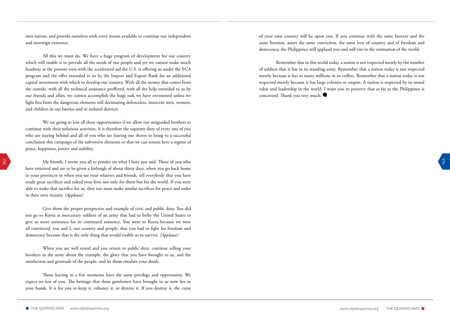own nation, and provide ourselves with every means available to continue our independent and sovereign existence.

All this we must do. We have a huge program of development for our country which will enable it to provide all the needs of our people and yet we cannot make much headway at the present even with the accelerated aid the U.S. is offering us under the ECA program and the offer extended to us by the Import and Export Bank for an additional capital investment with which to develop our country. With all the money that comes from the outside, with all the technical assistance proffered, with all the help extended to us by our friends and allies, we cannot accomplish the huge task we have envisioned unless we fight free from the dangerous elements still decimating defenceless, innocent men, women, and children in our barrios and in isolated districts.

We are going to lose all these opportunities if we allow our misguided brothers to continue with their nefarious activities. It is therefore the supreme duty of every one of you who are staying behind and all of you who are leaving our shores to bring to a successful conclusion this campaign of the subversive elements so that we can restore here a regime of peace, happiness, justice and stability.

My friends, I invite you all to ponder on what I have just said. Those of you who have returned and are to be given a furlough of about thirty days, when you go back home to your provinces or when you see your relatives and friends, tell everybody that you have made great sacrifices and risked your lives not only for them but for the world. If you were able to make that sacrifice for us, they too must make similar sacrifices for peace and order in their own vicinity. *(Applause)*

Give them the proper perspective and example of civic and public duty. You did not go to Korea as mercenary soldiers of an army that had to bribe the United States to give us more assistance for its continued existence. You went to Korea because we were all convinced, you and I, our country and people, that you had to fight for freedom and democracy because that is the only thing that would enable us to survive. *(Applause)*

When you are well rested and you return to public duty, continue telling your brothers in the army about the example, the glory that you have brought to us, and the satisfaction and gratitude of the people, and let them emulate your deeds.

Those leaving in a few moments have the same privilege and opportunity. We expect no less of you. The heritage that these gentlemen have brought to us now lies in your hands. It is for you to keep it, enhance it, or destroy it. If you destroy it, the curse of your own country will be upon you. If you continue with the same bravery and the same heroism, assert the same conviction, the same love of country and of freedom and democracy, the Philippines will applaud you and will rise in the estimation of the world.

Remember that in this world today, a nation is not respected merely by the number of soldiers that it has in its standing army. Remember that a nation today is not respected merely because it has so many millions in its coffers. Remember that a nation today is not respected merely because it has large colonies or empire. A nation is respected by its moral value and leadership in the world. I want you to preserve that as far as the Philippines is concerned. Thank you very much.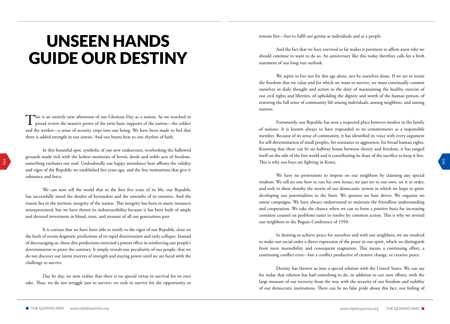# UNSEEN HANDS GUIDE OUR DESTINY

This is an entirely new afternoon of our Glorious Day as a nation. As we watched in proud review the massive power of the twin basic supports of the nation---the soldier and the worker---a sense of security crept into our being. We have been made to feel that there is added strength in our sinews. And our hearts beat to one rhythm of faith.

164

In this beautiful spot, symbolic of our new endeavours, overlooking the hallowed grounds made rich with the holiest memories of heroic deeds and noble acts of freedom, something enchants our soul. Undoubtedly our happy attendance here affirms the validity and vigor of the Republic we established five years ago, and the free institutions that give it substance and force.

We can now tell the world that in the first five years of its life, our Republic has successfully stood the doubts of bystanders and the untruths of its enemies. And the reason lies in the intrinsic integrity of the nation. This integrity has been in many instances misrepresented, but we have shown its indestructibility because it has been built of ample and devoted investment in blood, tears, and treasure of all our generations past.

It is curious that we have been able to testify to the vigor of our Republic close on the heels of recent dogmatic predictions of its rapid deterioration and early collapse. Instead of discouraging us, those dire predictions exercised a potent effect in reinforcing our people's determination to prove the contrary. It simply reveals one peculiarity of our people, that we do not discover our latent reserves of strength and staying power until we are faced with the challenge to survive.

Day by day, we now realize that there is no special virtue in survival for its own sake. Thus, we do not struggle just to survive; we seek to survive for the opportunity to remain free---free to fulfil our genius as individuals and as a people.

And the fact that we have survived so far makes it pertinent to affirm anew why we should continue to want to do so. An anniversary like this today therefore calls for a fresh statement of our long-run outlook.

We aspire to live not for this age alone, nor by ourselves alone. If we are to retain the freedom that we value and for which we want to survive, we must continually commit ourselves in daily thought and action to the duty of maintaining the healthy exercise of our civil rights and liberties, of upholding the dignity and worth of the human person, of restoring the full sense of community life among individuals, among neighbors, and among nations.

Fortunately, our Republic has won a respected place however modest in the family of nations. It is known always to have responded to its commitments as a responsible member. Because of its sense of community, it has identified its voice with every argument for self-determination of small peoples, for resistance to aggression, for broad human rights. Knowing that there can be no halfway house between slavery and freedom, it has ranged itself on the side of the free world and is contributing its share of the sacrifice to keep it free. This is why our boys are fighting in Korea.

We have no pretensions to impose on our neighbors by claiming any special wisdom. We tell no one how to run his own house; we just see to our own, set it in order, and seek to show thereby the merits of our democratic system in which we hope to grow, developing our potentialities to the limit. We sponsor no hate drives. We organize no smear campaigns. We have always endeavoured to maintain the friendliest understanding and cooperation. We take the chance when we can to form a positive basis for increasing common counsel on problems easier to resolve by common action. This is why we invited our neighbors to the Baguio Conference of 1950.

In desiring to achieve peace for ourselves and with our neighbors, we are resolved to make our social order a direct expression of the peace in our spirit, which we distinguish from mere insensibility and consequent stagnation. This means a continuing effort, a continuing conflict even---but a conflict productive of creative change, or creative peace.

Destiny has thrown us into a special relation with the United States. We can say for today that relation has had something to do, in addition to our own efforts, with the large measure of our recovery from the war, with the security of our freedom and stability of our democratic institutions. There can be no false pride about this fact, nor feeling of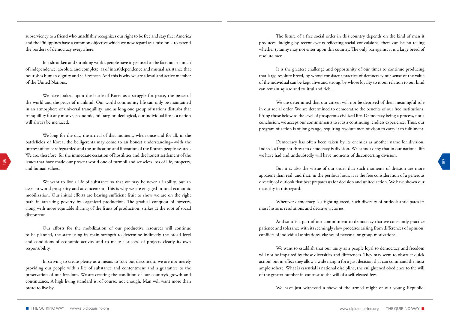subserviency to a friend who unselfishly recognizes our right to be free and stay free. America and the Philippines have a common objective which we now regard as a mission---to extend the borders of democracy everywhere.

In a shrunken and shrinking world, people have to get used to the fact, not so much of independence, absolute and complete, as of inter0dependence and mutual assistance that nourishes human dignity and self-respect. And this is why we are a loyal and active member of the United Nations.

We have looked upon the battle of Korea as a struggle for peace, the peace of the world and the peace of mankind. Our world community life can only be maintained in an atmosphere of universal tranquillity; and as long one group of nations disturbs that tranquillity for any motive, economic, military, or ideological, our individual life as a nation will always be menaced.

We long for the day, the arrival of that moment, when once and for all, in the battlefields of Korea, the belligerents may come to an honest understanding---with the interest of peace safeguarded and the unification and liberation of the Korean people assured. We are, therefore, for the immediate cessation of hostilities and the honest settlement of the issues that have made our present world one of turmoil and senseless loss of life, property, and human values.

We want to live a life of substance so that we may be never a liability, but an asset to world prosperity and advancement. This is why we are engaged in total economic mobilization. Our initial efforts are bearing sufficient fruit to show we are on the right path in attacking poverty by organized production. The gradual conquest of poverty, along with more equitable sharing of the fruits of production, strikes at the root of social discontent.

Our efforts for the mobilization of our productive resources will continue to be planned, the state using its main strength to determine indirectly the broad level and conditions of economic activity and to make a success of projects clearly its own responsibility.

In striving to create plenty as a means to root out discontent, we are not merely providing our people with a life of substance and contentment and a guarantee to the preservation of our freedom. We are creating the condition of our country's growth and continuance. A high living standard is, of course, not enough. Man will want more than bread to live by.

The future of a free social order in this country depends on the kind of men it produces. Judging by recent events reflecting social convulsions, there can be no telling whether tyranny may not enter upon this country. The only bar against it is a large breed of resolute men.

It is the greatest challenge and opportunity of our times to continue producing that large resolute breed, by whose consistent practice of democracy our sense of the value of the individual can be kept alive and strong, by whose loyalty to it our relation to our kind can remain square and fruitful and rich.

We are determined that our citizen will not be deprived of their meaningful role in our social order. We are determined to democratize the benefits of our free institutions, lifting those below to the level of prosperous civilized life. Democracy being a process, not a conclusion, we accept our commitments to it as a continuing, endless experience. Thus, our program of action is of long-range, requiring resolute men of vison to carry it to fulfilment.

Democracy has often been taken by its enemies as another name for division. Indeed, a frequent threat to democracy is division. We cannot deny that in our national life we have had and undoubtedly will have moments of disconcerting division.

But it is also the virtue of our order that such moments of division are more apparent than real, and that, in the perilous hour, it is the free consideration of a generous diversity of outlook that best prepares us for decision and united action. We have shown our maturity in this regard.

Wherever democracy is a fighting creed, such diversity of outlook anticipates its most historic resolutions and decisive victories.

And so it is a part of our commitment to democracy that we constantly practice patience and tolerance with its seemingly slow processes arising from differences of opinion, conflicts of individual aspirations, clashes of personal or group motivations.

We want to establish that our unity as a people loyal to democracy and freedom will not be impaired by those diversities and differences. They may seem to obstruct quick action, but in effect they allow a wide margin for a just decision that can command the most ample adhere. What is essential is national discipline, the enlightened obedience to the will of the greater number in contrast to the will of a self-elected few.

We have just witnessed a show of the armed might of our young Republic.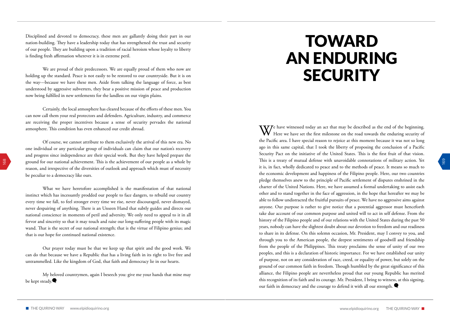Disciplined and devoted to democracy, these men are gallantly doing their part in our nation-building. They have a leadership today that has strengthened the trust and security of our people. They are building upon a tradition of racial heroism whose loyalty to liberty is finding fresh affirmation wherever it is in extreme peril.

We are proud of their predecessors. We are equally proud of them who now are holding up the standard. Peace is not easily to be restored to our countryside. But it is on the way---because we have these men. Aside from talking the language of force, as best understood by aggressive subverters, they bear a positive mission of peace and production now being fulfilled in new settlements for the landless on our virgin plains.

Certainly, the local atmosphere has cleared because of the efforts of these men. You can now call them your real protectors and defenders. Agriculture, industry, and commerce are receiving the proper incentives because a sense of security pervades the national atmosphere. This condition has even enhanced our credit abroad.

Of course, we cannot attribute to them exclusively the arrival of this new era. No one individual or any particular group of individuals can claim that our nation's recovery and progress since independence are their special work. But they have helped prepare the ground for our national achievement. This is the achievement of our people as a whole by reason, and irrespective of the diversities of outlook and approach which must of necessity be peculiar to a democracy like ours.

What we have heretofore accomplished is the manifestation of that national instinct which has incessantly prodded our people to face dangers, to rebuild our country every time we fall, to feel stronger every time we rise, never discouraged, never dismayed, never despairing of anything. There is an Unseen Hand that subtly guides and directs our national conscience in moments of peril and adversity. We only need to appeal to it in all fervor and sincerity so that it may touch and raise our long-suffering people with its magic wand. That is the secret of our national strength; that is the virtue of Filipino genius; and that is our hope for continued national existence.

Our prayer today must be that we keep up that spirit and the good work. We can do that because we have a Republic that has a living faith in its right to live free and untrammelled. Like the kingdom of God, that faith and democracy lie in our hearts.

My beloved countrymen, again I beseech you: give me your hands that mine may be kept steady.

### **TOWARD** AN EN DURING **SECURITY**

 $\mathbf{W}$ Ze have witnessed today an act that may be described as the end of the beginning. Here we have set the first milestone on the road towards the enduring security of the Pacific area. I have special reason to rejoice at this moment because it was not so long ago in this same capital, that I took the liberty of proposing the conclusion of a Pacific Security Pact on the initiative of the United States. This is the first fruit of that vision. This is a treaty of mutual defense with unavoidable connotations of military action. Yet it is, in fact, wholly dedicated to peace and to the methods of peace. It means so much to the economic development and happiness of the Filipino people. Here, our two countries pledge themselves anew to the principle of Pacific settlement of disputes enshrined in the charter of the United Nations. Here, we have assumed a formal undertaking to assist each other and to stand together in the face of aggression, in the hope that hereafter we may be able to follow undistracted the fruitful pursuits of peace. We have no aggressive aims against anyone. Our purpose is rather to give notice that a potential aggressor must henceforth take due account of our common purpose and united will to act in self defense. From the history of the Filipino people and of our relations with the United States during the past 50 years, nobody can have the slightest doubt about our devotion to freedom and our readiness to share in its defense. On this solemn occasion, Mr. President, may I convey to you, and through you to the American people, the deepest sentiments of goodwill and friendship from the people of the Philippines. This treaty proclaims the sense of unity of our two peoples, and this is a declaration of historic importance. For we have established our unity of purpose, not on any consideration of race, creed, or equality of power, but solely on the ground of our common faith in freedom. Though humbled by the great significance of this alliance, the Filipino people are nevertheless proud that our young Republic has merited this recognition of its faith and its courage. Mr. President, I bring to witness, at this signing, our faith in democracy and the courage to defend it with all our strength.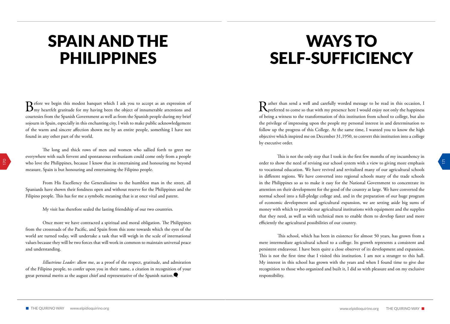### SPAIN AND THE PHILIPPINES

# WAYS TO SELF-SUFFICIENCY

 $B$ efore we begin this modest banquet which I ask you to accept as an expression of  $B$ my heartfelt gratitude for my having been the object of innumerable attentions and courtesies from the Spanish Government as well as from the Spanish people during my brief sojourn in Spain, especially in this enchanting city, I wish to make public acknowledgement of the warm and sincere affection shown me by an entire people, something I have not found in any other part of the world.

The long and thick rows of men and women who sallied forth to greet me everywhere with such fervent and spontaneous enthusiasm could come only from a people who love the Philippines, because I know that in entertaining and honouring me beyond measure, Spain is but honouring and entertaining the Filipino people.

From His Excellency the Generalissimo to the humblest man in the street, all Spaniards have shown their fondness open and without reserve for the Philippines and the Filipino people. This has for me a symbolic meaning that is at once vital and patent.

My visit has therefore sealed the lasting friendship of our two countries.

Once more we have contracted a spiritual and moral obligation. The Philippines from the crossroads of the Pacific, and Spain from this zone towards which the eyes of the world are turned today, will undertake a task that will weigh in the scale of international values because they will be two forces that will work in common to maintain universal peace and understanding.

*Iillustrious Leader:* allow me, as a proof of the respect, gratitude, and admiration of the Filipino people, to confer upon you in their name, a citation in recognition of your great personal merits as the august chief and representative of the Spanish nation.

Rather than send a well and carefully worded message to be read in this occasion, I preferred to come so that with my presence here I would enjoy not only the happiness of being a witness to the transformation of this institution from school to college, but also the privilege of impressing upon the people my personal interest in and determination to follow up the progress of this College. At the same time, I wanted you to know the high objective which inspired me on December 31,1950, to convert this institution into a college by executive order.

 This is not the only step that I took in the first few months of my incumbency in order to show the need of revising our school system with a view to giving more emphasis to vocational education. We have revived and revitalized many of our agricultural schools in different regions. We have converted into regional schools many of the trade schools in the Philippines so as to make it easy for the National Government to concentrate its attention on their development for the good of the country at large. We have converted the normal school into a full-pledge college and, and in the preparation of our huge program of economic development and agricultural expansion, we are setting aside big sums of money with which to provide our agricultural institutions with equipment and the supplies that they need, as well as with technical men to enable them to develop faster and more efficiently the agricultural possibilities of our country.

 This school, which has been in existence for almost 50 years, has grown from a mere intermediate agricultural school to a college. Its growth represents a consistent and persistent endeavour. I have been quite a close observer of its development and expansion. This is not the first time that I visited this institution. I am not a stranger to this hall. My interest in this school has grown with the years and when I found time to give due recognition to those who organized and built it, I did so with pleasure and on my exclusive responsibility.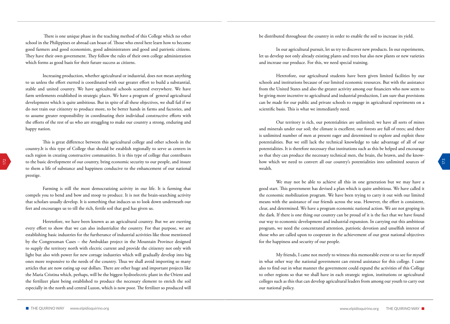There is one unique phase in the teaching method of this College which no other school in the Philippines or abroad can boast of. Those who enrol here learn how to become good farmers and good economists, good administrators and good and patriotic citizens. They have their own government. They follow the rules of their own college administration which forms as good basis for their future success as citizens.

Increasing production, whether agricultural or industrial, does not mean anything to us unless the effort exerted is coordinated with our greater effort to build a substantial, stable and united country. We have agricultural schools scattered everywhere. We have farm settlements established in strategic places. We have a program of general agricultural development which is quite ambitious. But in spite of all these objectives, we shall fail if we do not train our citizenry to produce more, to be better hands in farms and factories, and to assume greater responsibility in coordinating their individual constructive efforts with the efforts of the rest of us who are struggling to make our country a strong, enduring and happy nation.

This is great difference between this agricultural college and other schools in the country.It is this type of College that should be establish regionally to serve as centers in each region in creating constructive communities. It is this type of college that contributes to the basic development of our country, bring economic security to our people, and insure to them a life of substance and happiness conducive to the enhancement of our national prestige.

Farming is still the most democratizing activity in our life. It is farming that compels you to bend and bow and stoop to produce. It is not the brain-searching activity that scholars usually develop. It is something that induces us to look down underneath our feet and encourages us to till the rich, fertile soil that god has given us.

Heretofore, we have been known as an agricultural country. But we are exerting every effort to show that we can also industrialize the country. For that purpose, we are establishing basic industries for the furtherance of industrial activities like those mentioned by the Congressman Cases – the Ambuklao project in the Mountain Province designed to supply the territory north with electric current and provide the citizenry not only with light but also with power for new cottage industries which will gradually develop into big ones more responsive to the needs of the country. Thus we shall avoid importing so many articles that are now eating up our dollars. There are other huge and important projects like the Maria Cristina which, perhaps, will be the biggest hydroelectric plant in the Orient and the fertilizer plant being established to produce the necessary element to enrich the soil especially in the north and central Luzon, which is now poor. The fertilizer so produced will

be distributed throughout the country in order to enable the soil to increase its yield.

In our agricultural pursuit, let us try to discover new products. In our experiments, let us develop not only already existing plants and trees but also new plants or new varieties and increase our produce. For this, we need special training.

Heretofore, our agricultural students have been given limited facilities by our schools and institutions because of our limited economic resources. But with the assistance from the United States and also the greater activity among our financiers who now seem to be giving more incentive to agricultural and industrial production, I am sure that provisions can be made for our public and private schools to engage in agricultural experiments on a scientific basis. This is what we immediately need.

Our territory is rich, our potentialities are unlimited; we have all sorts of mines and minerals under our soil; the climate is excellent; our forests are full of trees; and there is unlimited number of men at present eager and determined to explore and exploit these potentialities. But we still lack the technical knowledge to take advantage of all of our potentialities. It is therefore necessary that institutions such as this be helped and encourage so that they can produce the necessary technical men, the brain, the brawn, and the knowhow which we need to convert all our country's potentialities into unlimited sources of wealth.

We may not be able to achieve all this in one generation but we may have a good start. This government has devised a plan which is quite ambitious. We have called it the economic mobilization program. We have been trying to carry it out with our limited means with the assistance of our friends across the seas. However, the effort is consistent, clear, and determined. We have a program economic national action. We are not groping in the dark. If there is one thing our country can be proud of it is the fact that we have found our way to economic development and industrial expansion. In carrying out this ambitious program, we need the concentrated attention, patriotic devotion and unselfish interest of those who are called upon to cooperate in the achievement of our great national objectives for the happiness and security of our people.

My friends, I came not merely to witness this memorable event or to see for myself in what other way the national government can extend assistance for this college. I came also to find out in what manner the government could expand the activities of this College to other regions so that we shall have in each strategic region, institutions or agricultural colleges such as this that can develop agricultural leaders from among our youth to carry out our national policy.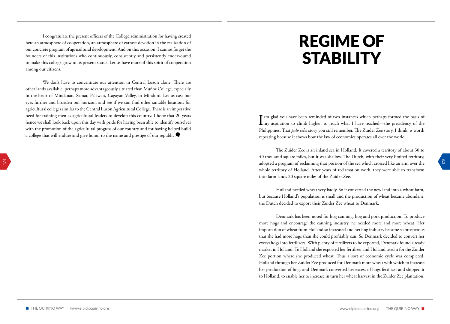I congratulate the present officers of the College administration for having created here an atmosphere of cooperation, an atmosphere of earnest devotion in the realization of our concrete program of agricultural development. And on this occasion, I cannot forget the founders of this institutions who continuously, consistently and persistently endeavoured to make this college grow to its present status. Let us have more of this spirit of cooperation among our citizens.

We don't have to concentrate our attention in Central Luzon alone. There are other lands available, perhaps more advantageously situated than Muñoz College, especially in the heart of Mindanao, Samar, Palawan, Cagayan Valley, or Mindoro. Let us cast our eyes further and broaden our horizon, and see if we can find other suitable locations for agricultural colleges similar to the Central Luzon Agricultural College. There is an imperative need for training men as agricultural leaders to develop this country. I hope that 20 years hence we shall look back upon this day with pride for having been able to identify ourselves with the promotion of the agricultural progress of our country and for having helped build a college that will endure and give honor to the name and prestige of our republic.

#### REGIME OF **STABILITY**

 $\sum_{i=1}^{\infty}$  am glad you have been reminded of two instances which perhaps formed the basis of my aspiration to climb higher, to reach what I have reached—the presidency of the  $\sum_{i=1}^{\infty}$ Philippines. That *palo cebo* story you still remember. The Zuider Zee story, I think, is worth repeating because it shows how the law of economics operates all over the world.

The Zuider Zee is an inland sea in Holland. It covered a territory of about 30 to 40 thousand square miles, but it was shallow. The Dutch, with their very limited territory, adopted a program of reclaiming that portion of the sea which crossed like an arm over the whole territory of Holland. After years of reclamation work, they were able to transform into farm lands 20 square miles of the Zuider Zee.

Holland needed wheat very badly. So it converted the new land into a wheat farm, but because Holland's population is small and the production of wheat became abundant, the Dutch decided to export their Zuider Zee wheat to Denmark.

Denmark has been noted for hog canning, hog and pork production. To produce more hogs and encourage the canning industry, he needed more and more wheat. Her importation of wheat from Holland so increased and her hog industry became so prosperous that she had more hogs than she could profitably can. So Denmark decided to convert her excess hogs into fertilizers. With plenty of fertilizers to be exported, Denmark found a ready market in Holland. To Holland she exported her fertilizer and Holland used it for the Zuider Zee portion where she produced wheat. Thus a sort of economic cycle was completed. Holland through her Zuider Zee produced for Denmark more wheat with which to increase her production of hogs and Denmark converted her excess of hogs fertilizer and shipped it to Holland, to enable her to increase in turn her wheat harvest in the Zuider Zee plantation.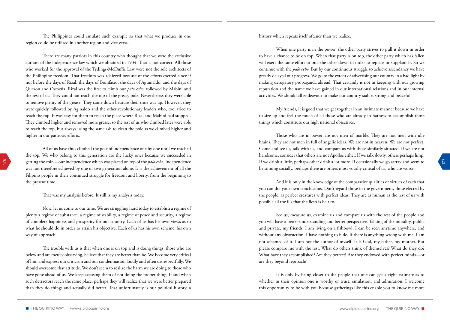The Philippines could emulate such example so that what we produce in one region could be utilized in another region and vice versa.

There are many patriots in this country who thought that we were the exclusive authors of the independence law which we obtained in 1934. That is not correct. All those who worked for the approval of the Tydings-McDuffie Law were not the sole architects of the Philippine freedom. That freedom was achieved because of the efforts exerted since if not before the days of Rizal, the days of Bonifacio, the days of Aguinaldo, and the days of Quezon and Osmeña. Rizal was the first to climb our *palo cebo,* followed by Mabini and the rest of us. They could not reach the top of the greasy pole. Nevertheless they were able to remove plenty of the grease. They came down because their time was up. However, they were quickly followed by Aginaldo and the other revolutionary leaders who, too, tried to reach the top. It was easy for them to reach the place where Rizal and Mabini had stopped. They climbed higher and removed more grease, so the rest of us who climbed later were able to reach the top, but always using the same ash to clean the pole as we climbed higher and higher in our patriotic efforts.

All of us have thus climbed the pole of independence one by one until we reached the top. We who belong to this generation are the lucky ones because we succeeded in getting the coin—our independence which was placed on top of the *palo cebo.* Independence was not therefore achieved by one or two generation alone. It is the achievement of all the Filipino people in their continued struggle for freedom and liberty, from the beginning to the present time.

That was my analysis before. It still is my analysis today.

Now, let us come to our time. We are struggling hard today to establish a regime of plenty a regime of substance, a regime of stability, a regime of peace and security, a regime of complete happiness and prosperity for our country. Each of us has his own views as to what he should do in order to attain his objective. Each of us has his own scheme, his own way of approach.

The trouble with us is that when one is on top and is doing things, those who are below and are merely observing, believe that they are better than he. We become very critical of him and express our criticism and our condemnation loudly and often disrespectfully. We should overcome that attitude. We don't seem to realize the harm we are doing to those who have gone ahead of us. We keep accusing them of not doing the proper thing. If and when such detractors reach the same place, perhaps they will realize that we were better prepared than they do things and actually did better. That unfortunately is our political history, a

history which repeats itself oftener than we realize.

When one party is in the power, the other party strives to pull it down in order to have a chance to be on top. When that party is on top, the other party which has fallen will exert the same effort to pull the other down in order to replace or supplant it. So we continue with the *palo cebo.* But by our continuous struggle to achieve ascendancy we have greatly delayed our progress. We go to the extent of advertising our country in a bad light by making derogatory propaganda abroad. That certainly is not in keeping with our growing reputation and the name we have gained in our international relations and in our internal activities. We should all endeavour to make our country stable, strong and peaceful.

My friends, it is good that we get together in an intimate manner because we have to size up and feel the touch of all those who are already in harness to accomplish those things which constitute our high national objectives.

Those who are in power are not men of marble. They are not men with idle brains. They are not men in full of angelic ideas. We are not in heaven. We are not perfect. Come and see us, talk with us, and compare us with those similarly situated. If we are not handsome, consider that others are not Apollos either. If we talk slowly, others perhaps limp. If we drink a little, perhaps other drink a lot more. If occasionally we go astray and seem to be sinning socially, perhaps there are others most vocally critical of us, who are worse.

And it is only in the knowledge of the comparative qualities or virtues of each that you can dra your own conclusions. Don't regard those in the government, those elected by the people, as perfect creatures with perfect ideas. They are as human as the rest of us with possible all the ills that the flesh is heir to.

See us, measure us, examine us and compare us with the rest of the people and you will have a better understanding and better perspective. Talking of the morality, public and private, my friends, I am living on a fishbowl. I can be seen anytime anywhere, and without any obstruction. I have nothing to hide. If there is anything wrong with me, I am not ashamed of it. I am not the author of myself. It is God, my father, my mother. But please compare me with the rest. What do others think of themselves? What do they do? What have they accomplished? Are they perfect? Are they endowed with perfect minds—or are they beyond reproach?

It is only by being closer to the people that one can get a right estimate as to whether in their opinion one is worthy or trust, emulation, and admiration. I welcome this opportunity to be with you because gatherings like this enable you to know me more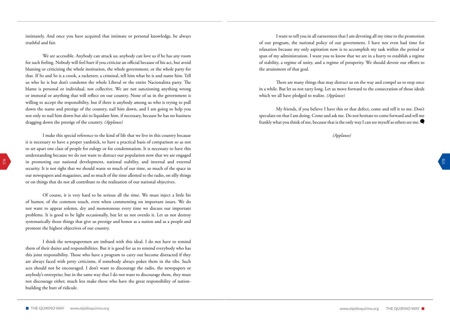intimately. And once you have acquired that intimate or personal knowledge, be always truthful and fair.

We are accessible. Anybody can attack us; anybody can love us if he has any room for such feeling. Nobody will feel hurt if you criticize an official because of his act, but avoid blaming or criticizing the whole institution, the whole government, or the whole party for that. If So and So is a crook, a racketeer, a criminal, tell him what he is and name him. Tell us who he is but don't condemn the whole Liberal or the entire Nacionalista party. The blame is personal or individual, not collective. We are not sanctioning anything wrong or immoral or anything that will reflect on our country. None of us in the government is willing to accept the responsibility, but if there is anybody among us who is trying to pull down the name and prestige of the country, nail him down, and I am going to help you not only to nail him down but alsi to liquidate him, if necessary, because he has no business dragging down the prestige of the country. *(Applause)*

I make this special reference to the kind of life that we live in this country because it is necessary to have a proper yardstick, to have a practical basis of comparison so as not to set apart one class of people for eulogy or for condemnation. It is necessary to have this understanding because we do not want to distract our population now that we are engaged in promoting our national development, national stability, and internal and external security. It is not right that we should waste so much of our time, so much of the space in our newspapers and magazines, and so much of the time allotted to the radio, on silly things or on things that do not all contribute to the realization of our national objectives.

Of course, it is very hard to be serious all the time. We must inject a little bit of humor, of the common touch, even when commenting on important issues. We do not want to appear solemn, dry and monotonous every time we discuss our important problems. It is good to be light occasionally, but let us not overdo it. Let us not destroy systematically those things that give us prestige and honor as a nation and as a people and promote the highest objectives of our country.

I think the newspapermen are imbued with this ideal. I do not have to remind them of their duties and responsibilities. But it is good for us to remind everybody who has this joint responsibility. Those who have a program to carry out become distracted if they are always faced with petty criticisms, if somebody always pokes them in the ribs. Such acts should not be encouraged. I don't want to discourage the radio, the newspapers or anybody's enterprise; but in the same way that I do not want to discourage them, they must not discourage either, much less make those who have the great responsibility of nationbuilding the butt of ridicule.

I want to tell you in all earnestness that I am devoting all my time to the promotion of our program, the national policy of our government. I have not even had time for relaxation because my only aspiration now is to accomplish my task within the period or span of my administration. I want you to know that we are in a hurry to establish a regime of stability, a regime of unity, and a regime of prosperity. We should devote our efforts to the attainment of that goal.

There are many things that may distract us on the way and compel us to stop once in a while. But let us not tarry long. Let us move forward to the consecration of those ideals which we all have pledged to realize. *(Applause)*

My friends, if you believe I have this or that defect, come and tell it to me. Don't speculate on that I am doing. Come and ask me. Do not hesitate to come forward and tell me frankly what you think of me, because that is the only way I can see myself as others see me.

*(Applause)*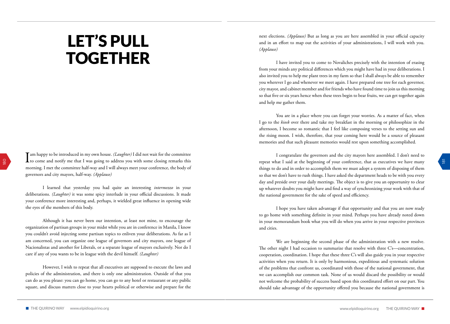# LET'S PULL TOGETHER

I am happy to be introduced in my own house. *(Laughter)* I did not wait for the committee to come and notify me that I was going to address you with some closing remarks this morning. I met the committee half-way and I will always meet your conference, the body of governors and city mayors, half-way. *(Applause)*

I learned that yesterday you had quite an interesting *intermezzo* in your deliberations. *(Laughter)* it was some spicy interlude in your official discussions. It made your conference more interesting and, perhaps, it wielded great influence in opening wide the eyes of the members of this body.

Although it has never been our intention, at least not mine, to encourage the organization of partisan groups in your midst while you are in conference in Manila, I know you couldn't avoid injecting some partisan topics to enliven your deliberations. As far as I am concerned, you can organize one league of governors and city mayors, one league of Nacionalistas and another for Liberals, or a separate league of mayors exclusively. Nor do I care if any of you wants to be in league with the devil himself. *(Laughter)*

However, I wish to repeat that all executives are supposed to execute the laws and policies of the administration, and there is only one administration. Outside of that you can do as you please: you can go home, you can go to any hotel or restaurant or any public square, and discuss matters close to your hearts political or otherwise and prepare for the

next elections. *(Applause)* But as long as you are here assembled in your official capacity and in an effort to map out the activities of your administrations, I will work with you. *(Applause)*

I have invited you to come to Novaliches precisely with the intention of erasing from your minds any political differences which you might have had in your deliberations. I also invited you to help me plant trees in my farm so that I shall always be able to remember you wherever I go and whenever we meet again. I have prepared one tree for each governor, city mayor, and cabinet member and for friends who have found time to join us this morning so that five or six years hence when these trees begin to bear fruits, we can get together again and help me gather them.

You are in a place where you can forget your worries. As a matter of fact, when I go to the *kiosk* over there and take my breakfast in the morning or philosophize in the afternoon, I become so romantic that I feel like composing verses to the setting sun and the rising moon. I wish, therefore, that your coming here would be a source of pleasant memories and that such pleasant memories would rest upon something accomplished.

I congratulate the governors and the city mayors here assembled. I don't need to repeat what I said at the beginning of your conference, that as executives we have many things to do and in order to accomplish them we must adopt a system of disposing of them so that we don't have to rush things. I have asked the department heads to be with you every day and preside over your daily meetings. The object is to give you an opportunity to clear up whatever doubts you might have and find a way of synchronizing your work with that of the national government for the sake of speed and efficiency.

I hope you have taken advantage if that opportunity and that you are now ready to go home with something definite in your mind. Perhaps you have already noted down in your memorandum book what you will do when you arrive in your respective provinces and cities.

We are beginning the second phase of the administration with a new resolve. The other night I had occasion to summarize that resolve with three C's—concentration, cooperation, coordination. I hope that these three C's will also guide you in your respective activities when you return. It is only by harmonious, expeditious and systematic solution of the problems that confront us, coordinated with those of the national government, that we can accomplish our common task. None of us would discard the possibility or would not welcome the probability of success based upon this coordinated effort on our part. You should take advantage of the opportunity offered you because the national government is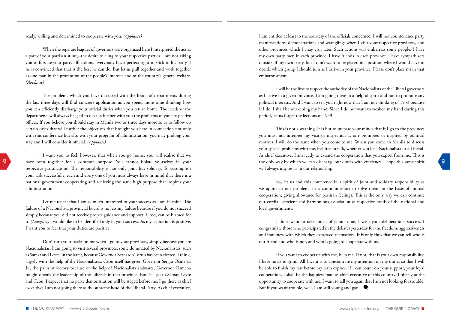#### ready, willing and determined to cooperate with you. *(Applause)*

When the separate leagues of governors were organized here I interpreted the act as a part of your partisan stunt,--the desire to cling to your respective parties. I am not asking you to forsake your party affiliations. Everybody has a perfect right to stick to his party if he is convinced that that is the best he can do. But let us pull together and work together as one man in the promotion of the people's interests and of the country's general welfare. *(Applause)*

The problems which you have discussed with the heads of departments during the last three days will find concrete application as you spend more time thinking how you can efficiently discharge your official duties when you return home. The heads of the departments will always be glad to discuss further with you the problems of your respective offices. If you believe you should stay in Manila two or three days more so as to follow up certain cases that will further the objectives that brought you here in connection not only with this conference but also with your program of administration, you may prolong your stay and I will consider it official. *(Applause)*

I want you to feel, however, that when you go home, you will realize that we have been together for a common purpose. You cannot isolate yourselves in your respective jurisdictions. The responsibility is not only joint but solidary. To accomplish your task successfully, each and every one of you must always have in mind that there is a national government cooperating and achieving the same high purpose that inspires your administration.

Let me repeat that I am as much interested in your success as I am in mine. The failure of a Nacionalista provincial board is no less my failure because if you do not succeed simply because you did not receive proper guidance and support, I, too, can be blamed for it. *(Laughter)* I would like to be identified only in your success. As my aspiration is positive, I want you to feel that your duties are positive.

Don't turn your backs on me when I go to your provinces, simply because you are Nacionalistas. I am going to visit several provinces, some dominated by Nacionalistas, such as Samar and Leyte, in the latter, because Governor Bernardo Torres has been elected, I think, largely with the help of the Nacionalistas. Cebu itself has given Governor Sergio Osmeña, Jr., the palm of victory because of the help of Nacionalista stalwarts; Governor Osmeña fought openly the leadership of the Liberals in that province. But, if I go to Samar, Leyte and Cebu, I expect that no party demonstration will be staged before me. I go there as chief executive; I am not going there as the supreme head of the Liberal Party. As chief executive,

I am entitled at least to the courtesy of the officials concerned. I will not countenance party manifestations, demonstrations and wranglings when I visit your respective provinces, and other provinces which I may visit later. Such actions will embarrass some people. I have my own party men in each province. I have friends in each province. I have sympathizers outside of my own party, but I don't want to be placed in a position where I would have to decide which group I should join as I arrive in your province. Please don't place mi in that embarrassment.

I will be the first to respect the authority of the Nacionalista or the Liberal governors as I arrive in a given province. I am going there in a helpful spirit and not to promote any political interests. And I want to tell you right now that I am not thinking of 1953 because if I do, I shall be weakening my hand. Since I do not want to weaken my hand during this period, let us forget the lections of 1953.

This is not a warning. It is but to prepare your minds that if I go to the provinces you must not interpret my visit or inspection as one prompted or inspired by political motives. I will do the same when you come to me. When you come to Manila to discuss your special problems with me, feel free to talk, whether you be a Nacionalista or a Liberal. As chief executive, I am ready to extend the cooperation that you expect from me. This is the only way by which we can discharge our duties with efficiency. I hope this same spirit will always inspire us in our relationship.

So, let us end this conference in a spirit of joint and solidary responsibility as we approach our problems in a common effort to solve them on the basis of mutual cooperation, giving allowance for partisan feelings. This is the only way we can continue our cordial, efficient and harmonious association as respective heads of the national and local governments.

I don't want to take much of ypour time. I wish your deliberations success. I congratulate those who participated in the debates yesterday for the freedom, aggressiveness and frankness with which they expressed themselves. It is only thus that we can tell who is our friend and who is not, and who is going to cooperate with us.

If you want to cooperate with me, help me. If not, that is your own responsibility. I have no ax to grind. All I want is to concentrate my attention on my duties so that I will be able to finish my tast before my term expires. If I can count on your support, your loyal cooperation, I shall be the happiest man as chief executive of this country. I offer you the opportunity to cooperate with me. I want to tell you again that I am not looking for trouble. But if you want trouble, well, I am still young and gay.  $\Box$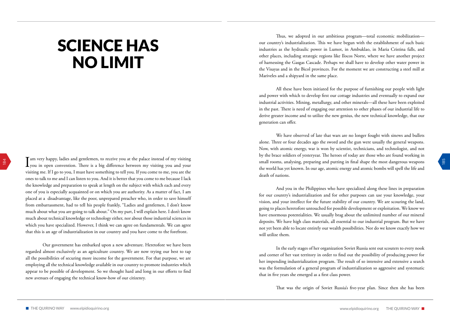### SCIENCE HAS NO LIMIT

I am very happy, ladies and gentlemen, to receive you at the palace instead of my visiting you in open convention. There is a big difference between my visiting you and your visiting me. If I go to you, I must have something to tell you. If you come to me, you are the ones to talk to me and I can listen to you. And it is better that you come to me because I lack the knowledge and preparation to speak at length on the subject with which each and every one of you is especially acquainted or on which you are authority. As a matter of fact, I am placed at a disadvantage, like the poor, unprepared preacher who, in order to save himself from embarrassment, had to tell his people frankly, "Ladies and gentlemen, I don't know much about what you are going to talk about." On my part, I will explain here. I don't know much about technical knowledge or technology either, nor about those industrial sciences in which you have specialized. However, I think we can agree on fundamentals. We can agree that this is an age of industrialization in our country and you have come to the forefront.

Our government has embarked upon a new adventure. Heretofore we have been regarded almost exclusively as an agriculture country. We are now trying our best to tap all the possibilities of securing more income for the government. For that purpose, we are employing all the technical knowledge available in our country to promote industries which appear to be possible of development. So we thought hard and long in our efforts to find new avenues of engaging the technical know-how of our citizenry.

Thus, we adopted in our ambitious program—total economic mobilization our country's industrialization. This we have begun with the establishment of such basic industries as the hydraulic power in Lumot, in Ambuklao, in Maria Cristina falls, and other places, including strategic regions like Ilocos Norte, where we have another project of harnessing the Gasgas Cascade. Perhaps we shall have to develop other water power in the Visayas and in the Bicol provinces. For the moment we are constructing a steel mill at Mariveles and a shipyard in the same place.

All these have been initiated for the purpose of furnishing our people with light and power with which to develop first our cottage industries and eventually to expand our industrial activities. Mining, metallurgy, and other minerals—all these have been exploited in the past. There is need of engaging our attention to other phases of our industrial life to derive greater income and to utilize the new genius, the new technical knowledge, that our generation can offer.

We have observed of late that wars are no longer fought with sinews and bullets alone. Three or four decades ago the sword and the gun were usually the general weapons. Now, with atomic energy, war is won by scientist, technicians, and technologist, and not by the brace soldiers of yesteryear. The heroes of today are those who are found working in small rooms, analysing, preparing and putting in final shape the most dangerous weapons the world has yet known. In our age, atomic energy and atomic bombs will spell the life and death of nations.

And you in the Philippines who have specialized along these lines in preparation for our country's industrialization and for other purposes can use your knowledge, your vision, and your intellect for the future stability of our country. We are scouring the land, going to places heretofore untouched for possible development or exploitation. We know we have enormous potentialities. We usually brag about the unlimited number of our mineral deposits. We have high class materials, all essential to our industrial program. But we have not yet been able to locate entirely our wealth possibilities. Nor do we know exactly how we will utilize them.

In the early stages of her organization Soviet Russia sent out scouters to every nook and corner of her vast territory in order to find out the possibility of producing power for her impending industrialization program. The result of so intensive and extensive a search was the formulation of a general program of industrialization so aggressive and systematic that in five years she emerged as a first class power.

That was the origin of Soviet Russia's five-year plan. Since then she has been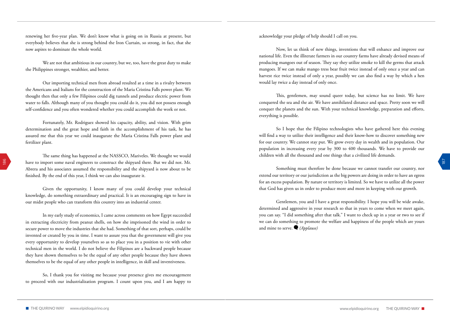renewing her five-year plan. We don't know what is going on in Russia at present, but everybody believes that she is strong behind the Iron Curtain, so strong, in fact, that she now aspires to dominate the whole world.

We are not that ambitious in our country, but we, too, have the great duty to make the Philippines stronger, wealthier, and better.

Our importing technical men from abroad resulted at a time in a rivalry between the Americans and Italians for the construction of the Maria Cristina Falls power plant. We thought then that only a few Filipinos could dig tunnels and produce electric power from water to falls. Although many of you thought you could do it, you did not possess enough self-confidence and you often wondered whether you could accomplish the work or not.

Fortunately, Mr. Rodriguez showed his capacity, ability, and vision. With grim determination and the great hope and faith in the accomplishment of his task, he has assured me that this year we could inaugurate the Maria Cristina Falls power plant and fertilizer plant.

The same thing has happened at the NASSCO, Mariveles. We thought we would have to import some naval engineers to construct the shipyard there. But we did not. Mr. Abrera and his associates assumed the responsibility and the shipyard is now about to be finished. By the end of this year, I think we can also inaugurate it.

Given the opportunity, I know many of you could develop your technical knowledge, do something extraordinary and practical. It is an encouraging sign to have in our midst people who can transform this country into an industrial center.

In my early study of economics, I came across comments on how Egypt succeeded in extracting electricity from peanut shells, on how she imprisoned the wind in order to secure power to move the industries that she had. Something of that sort, perhaps, could be invented or created by you in time. I want to assure you that the government will give you every opportunity to develop yourselves so as to place you in a position to vie with other technical men in the world. I do not believe the Filipinos are a backward people because they have shown themselves to be the equal of any other people because they have shown themselves to be the equal of any other people in intelligence, in skill and inventiveness.

So, I thank you for visiting me because your presence gives me encouragement to proceed with our industrialization program. I count upon you, and I am happy to

acknowledge your pledge of help should I call on you.

Now, let us think of new things, inventions that will enhance and improve our national life. Even the illiterate farmers in our country farms have already devised means of producing mangoes out of season. They say they utilize smoke to kill the germs that attack mangoes. If we can make mango tress bear fruit twice instead of only once a year and can harvest rice twice instead of only a year, possibly we can also find a way by which a hen would lay twice a day instead of only once.

This, gentlemen, may sound queer today, but science has no limit. We have conquered the sea and the air. We have annihilated distance and space. Pretty soon we will conquer the planets and the sun. With your technical knowledge, preparation and efforts, everything is possible.

So I hope that the Filipino technologists who have gathered here this evening will find a way to utilize their intelligence and their know-how to discover something new for our country. We cannot stay put. We grow every day in wealth and in population. Our population in increasing every year by 300 to 400 thousands. We have to provide our children with all the thousand and one things that a civilized life demands.

Something must therefore be done because we cannot transfer our country, nor extend our territory or our jurisdiction as the big powers are doing in order to have an egress for an excess population. By nature or territory is limited. So we have to utilize all the power that God has given us in order to produce more and more in keeping with our growth.

Gentlemen, you and I have a great responsibility. I hope you will be wide awake, determined and aggressive in your research so that in years to come when we meet again, you can say. "I did something after that talk." I want to check up in a year or two to see if we can do something to promote the welfare and happiness of the people which are yours and mine to serve. *(Applause)*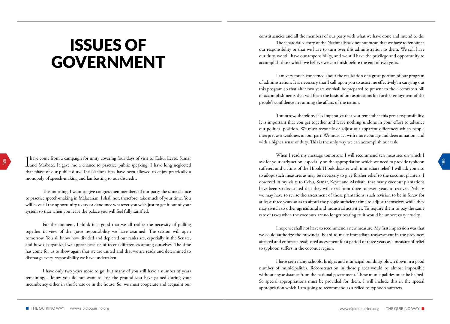## ISSUES OF GOVERNMENT

I have come from a campaign for unity covering four days of visit to Cebu, Leyte, Samar and Masbate. It gave me a chance to practice public speaking. I have long neglected that phase of our public duty. The Nacionalistas have been allowed to enjoy practically a monopoly of speech-making and lambasting to our discredit.

This morning, I want to give congressmen members of our party the same chance to practice speech-making in Malacañan. I shall not, therefore, take much of your time. You will have all the opportunity to say or denounce whatever you wish just to get it out of your system so that when you leave the palace you will feel fully satisfied.

For the moment, I think it is good that we all realize the necessity of pulling together in view of the grave responsibility we have assumed. The session will open tomorrow. You all know how divided and depleted our ranks are, especially in the Senate, and how disorganized we appear because of recent differences among ourselves. The time has come for us to show again that we are united and that we are ready and determined to discharge every responsibility we have undertaken.

I have only two years more to go, but many of you still have a number of years remaining. I know you do not want to lose the ground you have gained during your incumbency either in the Senate or in the house. So, we must cooperate and acquaint our

constituencies and all the members of our party with what we have done and intend to do. The senatorial victory of the Nacionalistas does not mean that we have to renounce our responsibility or that we have to turn over this administration to them. We still have our duty, we still have our responsibility, and we still have the privilege and opportunity to accomplish those which we believe we can finish before the end of two years.

I am very much concerned about the realization of a great portion of our program of administration. It is necessary that I call upon you to assist me effectively in carrying out this program so that after two years we shall be prepared to present to the electorate a bill of accomplishments that will form the basis of our aspirations for further enjoyment of the people's confidence in running the affairs of the nation.

Tomorrow, therefore, it is imperative that you remember this great responsibility. It is important that you get together and leave nothing undone in your effort to advance our political position. We must reconcile or adjust our apparent differences which people interpret as a weakness on our part. We must act with more courage and determination, and with a higher sense of duty. This is the only way we can accomplish our task.

When I read my message tomorrow, I will recommend ten measures on which I ask for your early action, especially on the appropriation which we need to provide typhoon sufferers and victims of the Hibok Hibok disaster with immediate relief. I will ask you also to adopt such measures as may be necessary to give further relief to the coconut planters. I observed in my visits to Cebu, Samar, Keyte and Masbate, that many coconut plantations have been so devastated that they will need from three to seven years to recover. Perhaps we may have to revise the assessment of those plantations, such revision to be in forcw for at least three years so as to afford the people sufficient time to adjust themselves while they may switch to other agricultural and industrial activities. To require them to pay the same rate of taxes when the coconuts are no longer bearing fruit would be unnecessary cruelty.

I hope we shall not have to recommend a new measure. My first impression was that we could authorize the provincial board to make immediate reassessment in the provinces affected and enforce a readjusted assessment for a period of three years as a measure of relief to typhoon suffers in the coconut region.

I have seen many schools, bridges and municipal buildings blown down in a good number of municipalities. Reconstruction in those places would be almost impossible without any assistance from the national government. These municipalities must be helped. So special appropriations must be provided for them. I will include this in the special appropriation which I am going to recommend as a relied to typhoon sufferers.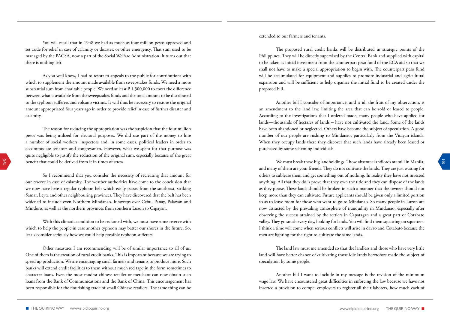You will recall that in 1948 we had as much as four million pesos approved and set aside for relief in case of calamity or disaster, or other emergency. That sum used to be managed by the PACSA, now a part of the Social Welfare Administration. It turns out that there is nothing left.

As you well know, I had to resort to appeals to the public for contributions with which to supplement the amount made available from sweepstakes funds. We need a more substantial sum from charitable people. We need at least P 1,300,000 to cover the difference between what is available from the sweepstakes funds and the total amount to be distributed to the typhoon sufferers and volcano victims. It will thus be necessary to restore the original amount appropriated four years ago in order to provide relief in case of further disaster and calamity.

The reason for reducing the appropriation was the suspicion that the four million pesos was being utilized for electoral purposes. We did use part of the money to hire a number of social workers, inspectors and, in some cases, political leaders in order to accommodate senators and congressmen. However, what we spent for that purpose was quite negligible to justify the reduction of the original sum, especially because of the great benefit that could be derived from it in times of stress.

So I recommend that you consider the necessity of recreating that amount for our reserve in case of calamity. The weather authorities have come to the conclusion that we now have here a regular typhoon belt which easily passes from the southeast, striking Samar, Leyte and other neighbouring provinces. They have discovered that the belt has been widened to include even Northern Mindanao. It sweeps over Cebu, Panay, Palawan and Mindoro, as well as the northern provinces from southern Luzon to Cagayan.

With this climatic condition to be reckoned with, we must have some reserve with which to help the people in case another typhoon may batter our shores in the future. So, let us consider seriously how we could help possible typhoon sufferers.

Other measures I am recommending will be of similar importance to all of us. One of them is the creation of rural credit banks. This is important because we are trying to speed up production. We are encouraging small farmers and tenants to produce more. Such banks will extend credit facilities to them without much red tape in the form sometimes to character loans. Even the most modest chinese retailer or merchant can now obtain such loans from the Bank of Communications and the Bank of China. This encouragement has been responsible for the flourishing trade of small Chinese retailers. The same thing can be extended to our farmers and tenants.

The proposed rural credit banks will be distributed in strategic points of the Philippines. They will be directly supervised by the Central Bank and supplied with capital to be taken as initial investment from the counterpart peso fund of the ECA aid so that we shall not have to make a special appropriation to begin with. The counterpart peso fund will be accumulated for equipment and supplies to promote industrial and agricultural expansion and will be sufficient to help organize the initial fund to be created under the proposed bill.

Another bill I consider of importance, and it id, the fruit of my observation, is an amendment to the land law, limiting the area that can be sold or leased to people. According to the investigations that I ordered made, many people who have applied for lands—thousands of hectares of lands – have not cultivated the land. Some of the lands have been abandoned or neglected. Others have become the subject of speculation. A good number of our people are rushing to Mindanao, particularly from the Visayan islands. When they occupy lands there they discover that such lands have already been leased or purchased by some scheming individuals.

We must break these big landholdings. Those absentee landlords are still in Manila, and many of them are your friends. They do not cultivate the lands. They are just waiting for others to sublease them and get something out of nothing. In reality they have not invested anything. All that they do is prove that they own the title and they can dispose of the lands as they please. These lands should be broken in such a manner that the owners should not keep more than they can cultivate. Future applicants should be given only a limited portion so as to leave room for those who want to go to Mindanao. So many people in Luzon are now attracted by the prevailing atmosphere of tranquillity in Mindanao, especially after observing the success attained by the settlers in Capatagan and a great part of Cotabato valley. They go south every day, looking for lands. You will find them squatting on squatters. I think a time will come when serious conflicts will arise in davao and Cotabato because the men are fighting for the right to cultivate the same lands.

The land law must me amended so that the landless and those who have very little land will have better chance of cultivating those idle lands heretofore made the subject of speculation by some people.

Another bill I want to include in my message is the revision of the minimum wage law. We have encountered great difficulties in enforcing the law because we have not inserted a provision to compel employers to register all their laborers, how much each of

190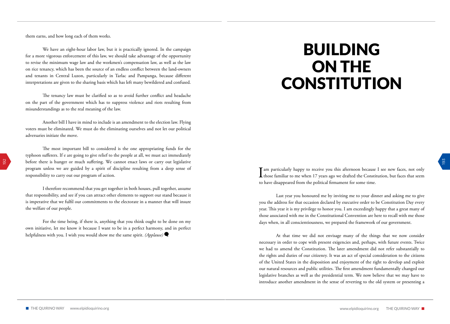them earns, and how long each of them works.

We have an eight-hour labor law, but it is practically ignored. In the campaign for a more vigorous enforcement of this law, we should take advantage of the opportunity to revise the minimum wage law and the workmen's compensation law, as well as the law on rice tenancy, which has been the source of an endless conflict between the land-owners and tenants in Central Luzon, particularly in Tarlac and Pampanga, because different interpretations are given to the sharing basis which has left many bewildered and confused.

The tenancy law must be clarified so as to avoid further conflict and headache on the part of the government which has to suppress violence and riots resulting from misunderstandings as to the real meaning of the law.

Another bill I have in mind to include is an amendment to the election law. Flying voters must be eliminated. We must do the eliminating ourselves and not let our political adversaries initiate the move.

The most important bill to considered is the one appropriating funds for the typhoon sufferers. If e are going to give relief to the people at all, we must act immediately before there is hunger or much suffering. We cannot enact laws or carry out legislative program unless we are guided by a spirit of discipline resulting from a deep sense of responsibility to carry out our program of action.

I therefore recommend that you get together in both houses, pull together, assume that responsibility, and see if you can attract other elements to support our stand because it is imperative that we fulfil our commitments to the electorate in a manner that will insure the welfare of our people.

For the time being, if there is, anything that you think ought to be done on my own initiative, let me know it because I want to be in a perfect harmony, and in perfect helpfulness with you. I wish you would show me the same spirit. *(Applause)* 

# BUILDING ON THE **CONSTITUTION**

I am particularly happy to receive you this afternoon because I see new faces, not only those familiar to me when 17 years ago we drafted the Constitution, but faces that seem to have disappeared from the political firmament for some time.

Last year you honoured me by inviting me to your dinner and asking me to give you the address for that occasion declared by executive order to be Constitution Day every year. This year it is my privilege to honor you. I am exceedingly happy that a great many of those associated with me in the Constitutional Convention are here to recall with me those days when, in all conscientiousness, we prepared the framework of our government.

At that time we did not envisage many of the things that we now consider necessary in order to cope with present exigencies and, perhaps, with future events. Twice we had to amend the Constitution. The later amendment did not refer substantially to the rights and duties of our citizenry. It was an act of special consideration to the citizens of the United States in the disposition and enjoyment of the right to develop and exploit our natural resources and public utilities. The first amendment fundamentally changed our legislative branches as well as the presidential term. We now believe that we may have to introduce another amendment in the sense of reverting to the old system or presenting a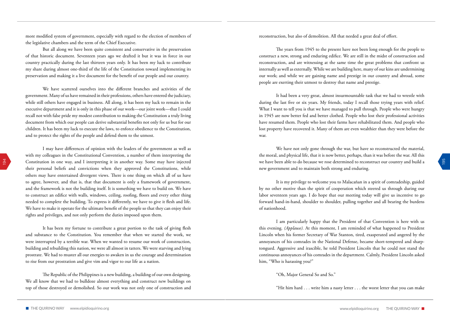more modified system of government, especially with regard to the election of members of the legislative chambers and the term of the Chief Executive.

But all along we have been quite consistent and conservative in the preservation of that historic document. Seventeen years ago we drafted it but it was in force in our country practically during the last thirteen years only. It has been my luck to contribute my share during almost one-third of the life of the Constitution toward implementing its preservation and making it a live document for the benefit of our people and our country.

We have scattered ourselves into the different branches and activities of the government. Many of us have remained in their professions, others have entered the judiciary, while still others have engaged in business. All along, it has been my luck to remain in the executive department and it is only in this phase of our work—our joint work—that I could recall not with false pride my modest contribution to making the Constitution a truly living document from which our people can derive substantial benefits not only for us but for our children. It has been my luck to execute the laws, to enforce obedience to the Constitution, and to protect the rights of the people and defend them to the utmost.

I may have differences of opinion with the leaders of the government as well as with my colleagues in the Constitutional Convention, a number of them interpreting the Constitution in one way, and I interpreting it in another way. Some may have injected their personal beliefs and convictions when they approved the Constitutions, while others may have entertained divergent views. There is one thing on which all of us have to agree, however, and that is, that that document is only a framework of government, and the framework is not the building itself. It is something we have to build on. We have to construct an edifice with walls, windows, ceiling, roofing, floors and every other thing needed to complete the building. To express it differently, we have to give it flesh and life. We have to make it operate for the ultimate benefit of the people so that they can enjoy their rights and privileges, and not only perform the duties imposed upon them.

It has been my fortune to contribute a great portion to the task of giving flesh and substance to the Constitution. You remember that when we started the work, we were interrupted by a terrible war. When we wanted to resume our work of construction, building and rebuilding this nation, we were all almost in tatters. We were starving and lying prostrate. We had to muster all our energies to awaken in us the courage and determination to rise from our prostration and give vim and vigor to our life as a nation.

The Republic of the Philippines is a new building, a building of our own designing. We all know that we had to bulldoze almost everything and construct new buildings on top of those destroyed or demolished. So our work was not only one of construction and reconstruction, but also of demolition. All that needed a great deal of effort.

The years from 1945 to the present have not been long enough for the people to construct a new, strong and enduring edifice. We are still in the midst of construction and reconstruction, and are witnessing at the same time the great problems that confront us internally as well as externally. While we are building here, many of our kins are undermining our work; and while we are gaining name and prestige in our country and abroad, some people are exerting their utmost to destroy that name and prestige.

It had been a very great, almost insurmountable task that we had to wrestle with during the last five or six years. My friends, today I recall those trying years with relief. What I want to tell you is that we have managed to pull through. People who were hungry in 1945 are now better fed and better clothed. People who lost their professional activities have resumed them. People who lost their farms have rehabilitated them. And people who lost property have recovered it. Many of them are even wealthier than they were before the war.

We have not only gone through the war, but have so reconstructed the material, the moral, and physical life, that it is now better, perhaps, than it was before the war. All this we have been able to do because we rose determined to reconstruct our country and build a new government and to maintain both strong and enduring.

It is my privilege to welcome you to Malacañan in a spirit of comradeship, guided by no other motive than the spirit of cooperation which steered us through during our labor seventeen years ago. I do hope that our meeting today will give us incentive to go forward hand-in-hand, shoulder to shoulder, pulling together and all bearing the burdens of nationhood.

I am particularly happy that the President of that Convention is here with us this evening. *(Applause).* At this moment, I am reminded of what happened to President Lincoln when his former Secretary of War Stanton, tired, exasperated and angered by the annoyances of his comrades in the National Defense, became short-tempered and sharptongued. Aggressive and irascible, he told President Lincoln that he could not stand the continuous annoyances of his comrades in the department. Calmly, President Lincoln asked him, "Who is harassing you?"

#### "Oh, Major General So and So."

"Hit him hard . . . write him a nasty letter . . . the worst letter that you can make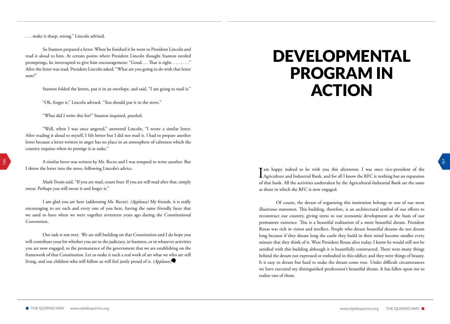. . . make it sharp, strong." Lincoln advised.

196

So Stanton prepared a letter. When he finished it he went to President Lincoln and read it aloud to him. At certain points where President Lincoln thought Stanton needed promptings, he interrupted to give him encouragement: "Good. . . That is right. . . . . . . . . . . . After the letter was read, President Lincoln asked: "What are you going to do with that letter now?"

Stanton folded the letters, put it in an envelope, and said, "I am going to mail it."

"Oh, forget it," Lincoln advised. "You should put it in the stove."

"What did I write this for?" Stanton inquired, puzzled.

"Well, when I was once angered," answered Lincoln, "I wrote a similar letter. After reading it aloud to myself, I felt better but I did not mail it. I had to prepare another letter because a letter written in anger has no place in an atmosphere of calmness which the country requires when its prestige is at stake."

A similar letter was written by Mr. Recto and I was tempted to write another. But I threw the letter into the stove, following Lincoln's advice.

Mark Twain said, "If you are mad, count four. If you are still mad after that, simply swear. Perhaps you will swear it and forget it."

I am glad you are here (addressing Mr. Recto). *(Applause)* My friends, it is really encouraging to see each and every one of you here, having the same friendly faces that we used to have when we were together seventeen years ago during the Constitutional Convention.

Our task is not over. We are still building on that Constitution and I do hope you will contribute your bit whether you are in the judiciary, in business, or in whatever activities you are now engaged, to the permanence of the government that we are establishing on the framework of that Constitution. Let us make it such a real work of art what we who are still living, and our children who will follow us will feel justly proud of it. *(Applause)*

I am happy indeed to be with you this afternoon. I was once vice-president of the Agriculture and Industrial Bank, and for all I know the RFC is nothing but an expansion of that bank. All the activities undertaken by the Agricultural-Industrial Bank are the same as those in which the RFC is now engaged.

DEVELOPMENTAL

PROGRAM IN

ACTION

Of course, the dream of organizing this institution belongs to one of our most illustrious statesmen. This building, therefore, is an architectural symbol of our efforts to reconstruct our country, giving stress to our economic development as the basis of our permanent existence. This is a beautiful realization of a more beautiful dream. President Roxas was rich in vision and intellect. People who dream beautiful dreams do not dream long because if they dream long the castle they build in their mind become smaller every minute that they think of it. Were President Roxas alive today, I know he would still not be satisfied with this building although it is beautifully constructed. There were many things behind the dream not expressed or embodied in this edifice; and they were things of beauty. It is easy to dream but hard to make the dream come true. Under difficult circumstances we have executed my distinguished predecessor's beautiful dream. It has fallen upon me to realize one of them.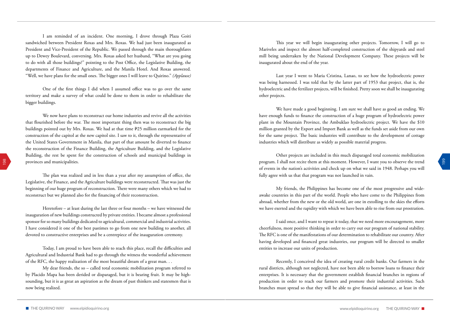I am reminded of an incident. One morning, I drove through Plaza Goiti sandwiched between President Roxas and Mrs. Roxas. We had just been inaugurated as President and Vice-President of the Republic. We passed through the main thoroughfares up to Dewey Boulevard, conversing. Mrs. Roxas asked her husband, "What are you going to do with all those buildings?" pointing to the Post Office, the Legislative Building, the departments of Finance and Agriculture, and the Manila Hotel. And Roxas answered. "Well, we have plans for the small ones. The bigger ones I will leave to Quirino." *(Applause)*

One of the first things I did when I assumed office was to go over the same territory and make a survey of what could be done to them in order to rehabilitate the bigger buildings.

We now have plans to reconstruct our home industries and revive all the activities that flourished before the war. The most important thing then was to reconstruct the big buildings pointed out by Mrs. Roxas. We had at that time P25 million earmarked for the construction of the capitol at the new capitol site. I saw to it, through the representative of the United States Government in Manila, that part of that amount be diverted to finance the reconstruction of the Finance Building, the Agriculture Building, and the Legislative Building, the rest be spent for the construction of schools and municipal buildings in provinces and municipalities.

The plan was realized and in less than a year after my assumption of office, the Legislative, the Finance, and the Agriculture buildings were reconstructed. That was just the beginning of our huge program of reconstruction. There were many others which we had to reconstruct but we planned also for the financing of their reconstruction.

Heretofore – at least during the last three or four months – we have witnessed the inauguration of new buildings constructed by private entities. I became almost a professional sponsor for so many buildings dedicated to agricultural, commercial and industrial activities. I have considered it one of the best pastimes to go from one new building to another, all devoted to constructive enterprises and be a centrepiece of the inauguration ceremony.

Today, I am proud to have been able to reach this place, recall the difficulties and Agricultural and Industrial Bank had to go through the witness the wonderful achievement of the RFC, the happy realization of the most beautiful dream of a great man. . .

My dear friends, the so – called total economic mobilization program referred to by Placido Mapa has been derided or disparaged, but it is bearing fruit. It may be highsounding, but it is as great an aspiration as the dream of past thinkers and statesmen that is now being realized.

This year we will begin inaugurating other projects. Tomorrow, I will go to Mariveles and inspect the almost half-completed construction of the shipyards and steel mill being undertaken by the National Development Company. These projects will be inaugurated about the end of the year.

Last year I went to Maria Cristina, Lanao, to see how the hydroelectric power was being harnessed. I was told that by the latter part of 1953 that project, that is, the hydroelectric and the fertilizer projects, will be finished. Pretty soon we shall be inaugurating other projects.

We have made a good beginning. I am sure we shall have as good an ending. We have enough funds to finance the construction of a huge program of hydroelectric power plant in the Mountain Province, the Ambuklao hydroelectric project. We have the \$10 million granted by the Export and Import Bank as well as the funds set aside from our own for the same project. The basic industries will contribute to the development of cottage industries which will distribute as widely as possible material progress.

Other projects are included in this much disparaged total economic mobilization program. I shall not recite them at this moment. However, I want you to observe the trend of events in the nation's activities and check up on what we said in 1948. Perhaps you will fully agree with us that that program was not launched in vain.

My friends, the Philippines has become one of the most progressive and wideawake countries in this part of the world. People who have come to the Philippines from abroad, whether from the new or the old world, are one in extolling to the skies the efforts we have exerted and the rapidity with which we have been able to rise from our prostration.

I said once, and I want to repeat it today, that we need more encouragement, more cheerfulness, more positive thinking in order to carry out our program of national stability. The RFC is one of the manifestations of our determination to rehabilitate our country. After having developed and financed great industries, our program will be directed to smaller entities to increase our units of production.

Recently, I conceived the idea of creating rural credit banks. Our farmers in the rural districts, although not neglected, have not been able to borrow loans to finance their enterprises. It is necessary that the government establish financial branches in regions of production in order to reach our farmers and promote their industrial activities. Such branches must spread so that they will be able to give financial assistance, at least in the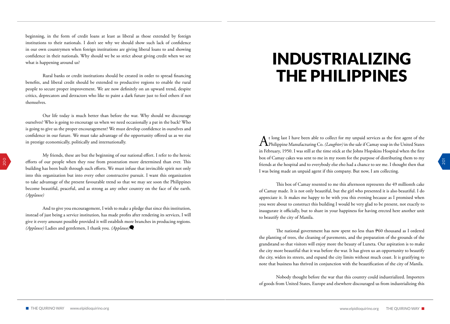beginning, in the form of credit loans at least as liberal as those extended by foreign institutions to their nationals. I don't see why we should show such lack of confidence in our own countrymen when foreign institutions are giving liberal loans to and showing confidence in their nationals. Why should we be so strict about giving credit when we see what is happening around us?

Rural banks or credit institutions should be created in order to spread financing benefits, and liberal credit should be extended to productive regions to enable the rural people to secure proper improvement. We are now definitely on an upward trend, despite critics, deprecators and detractors who like to paint a dark future just to fool others if not themselves.

Our life today is much better than before the war. Why should we discourage ourselves? Who is going to encourage us when we need occasionally a pat in the back? Who is going to give us the proper encouragement? We must develop confidence in ourselves and confidence in our future. We must take advantage of the opportunity offered us as we rise in prestige economically, politically and internationally.

My friends, these are but the beginning of our national effort. I refer to the heroic efforts of our people when they rose from prostration more determined than ever. This building has been built through such efforts. We must infuse that invincible spirit not only into this organization but into every other constructive pursuit. I want this organization to take advantage of the present favourable trend so that we may see soon the Philippines become beautiful, peaceful, and as strong as any other country on the face of the earth. *(Applause)*

And to give you encouragement, I wish to make a pledge that since this institution, instead of just being a service institution, has made profits after rendering its services, I will give it every amount possible provided it will establish more branches in producing regions. *(Applause)* Ladies and gentlemen, I thank you. *(Applause)*

# INDUSTRIALIZING THE PHILIPPINES

At long last I have been able to collect for my unpaid services as the first agent of the Philippine Manufacturing Co. *(Laughter)* in the sale if Camay soap in the United States in February, 1950. I was still at the time stick at the Johns Hopskins Hospital when the first box of Camay cakes was sent to me in my room for the purpose of distributing them to my friends at the hospital and to everybody else eho had a chance to see me. I thought then that I was being made an unpaid agent if this company. But now, I am collecting.

This box of Camay resented to me this afternoon represents the 49 millionth cake of Camay made. It is not only beautiful, but the girl who presented it is also beautiful. I do appreciate it. It makes me happy to be with you this evening because as I promised when you were about to construct this building I would be very glad to be present, not exactly to inaugurate it officially, but to share in your happiness for having erected here another unit to beautify the city of Manila.

The national government has now spent no less than P60 thousand as I ordered the planting of trees, the cleaning of pavements, and the preparation of the grounds of the grandstand so that visitors will enjoy more the beauty of Luneta. Our aspiration is to make the city more beautiful that it was before the war. It has given us an opportunity to beautify the city, widen its streets, and expand the city limits without much coast. It is gratifying to note that business has thrived in conjunction with the beautification of the city of Manila.

Nobody thought before the war that this country could industrialized. Importers of goods from United States, Europe and elsewhere discouraged us from industrializing this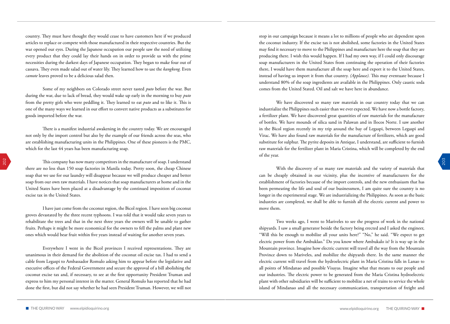country. They must have thought they would cease to have customers here if we produced articles to replace or compete with those manufactured in their respective countries. But the war opened our eyes. During the Japanese occupation our people saw the need of utilizing every product that they could lay their hands on in order to provide us with the prime necessities during the darkest days of Japanese occupation. They began to make four out of cassava. They even made salad out of water lily. They learned how to use the *kangkong.* Even *camote* leaves proved to be a delicious salad then.

Some of my neighbors on Colorado street never tasted *puto* before the war. But during the war, due to lack of bread, they would wake up early in the morning to buy *puto* from the pretty girls who were peddling it. They learned to eat *puto* and to like it. This is one of the many ways we learned in our effort to convert native products as a substitutes for goods imported before the war.

There is a manifest industrial awakening in the country today. We are encouraged not only by the import control but also by the example of our friends across the seas, who are establishing manufacturing units in the Philippines. One of these pioneers is the PMC, which for the last 44 years has been manufacturing soap.

This company has now many competitors in the manufacture of soap. I understand there are no less than 150 soap factories in Manila today. Pretty soon, the cheap Chinese soap that we use for our laundry will disappear because we will produce cheaper and better soap from our own raw materials. I have notices that soap manufacturers at home and in the United States have been placed at a disadvantage by the continued imposition of coconut excise tax in the United States.

I have just come from the coconut region, the Bicol region. I have seen big coconut groves devastated by the three recent typhoons. I was told that it would take seven years to rehabilitate the trees and that in the next three years the owners will be unable to gather fruits. Perhaps it might be more economical for the owners to fell the palms and plant new ones which would bear fruit within five years instead of waiting for another seven years.

Everywhere I went in the Bicol provinces I received representations. They are unanimous in their demand for the abolition of the coconut oil excise tax. I had to send a cable from Legaspi to Ambassador Romulo asking him to appear before the legislative and executive offices of the Federal Government and secure the approval of a bill abolishing the coconut excise tax and, if necessary, to see at the first opportunity President Truman and express to him my personal interest in the matter. General Romulo has reported that he had done the first, but did not say whether he had seen President Truman. However, we will not

stop in our campaign because it means a lot to millions of people who are dependent upon the coconut industry. If the excise tax is not abolished, some factories in the United States may find it necessary to move to the Philippines and manufacture here the soap that they are producing there. I wish this would happen. If I had my own way, if I could only discourage soap manufacturers in the United States from continuing the operation of their factories there, I would have them manufacture all the soap here and export it to the United States, instead of having us import it from that country. *(Applause).* This may eventuate because I understand 80% of the soap ingredients are available in the Philippines. Only caustic soda comes from the United Stated. Oil and salt we have here in abundance.

We have discovered so many raw materials in our country today that we can industrialize the Philippines such easier than we ever expected. We have now a bottle factory, a fertilizer plant. We have discovered great quantities of raw materials for the manufacture of bottles. We have mounds of silica sand in Palawan and in Ilocos Norte. I saw another in the Bicol region recently in my trip around the bay of Legaspi, between Legaspi and Virac. We have also found raw materials for the manufacture of fertilizers, which are good substitute for sulphur. The pyrite deposits in Antique, I understand, are sufficient to furnish raw materials for the fertilizer plant in Maria Cristina, which will be completed by the end of the year.

With the discovery of so many raw materials and the variety of materials that can be cheaply obtained in our vicinity, plus the incentive of manufacturers for the establishment of factories because of the import controls, and the new enthusiasm that has been permeating the life and soul of our businessmen, I am quite sure the country is no longer in the experimental stage. We are industrializing the Philippines. As soon as the basic industries are completed, we shall be able to furnish all the electric current and power to move them.

Two weeks ago, I went to Mariveles to see the progress of work in the national shipyards. I saw a small generator beside the factory being erected and I asked the engineer, "Will this be enough to mobilize all your units here?" "No," he said. "We expect to get electric power from the Ambuklao." Do you know where Ambukalo is? It is way up in the Mountain province. Imagine how electric current will travel all the way from the Mountain Province down to Mariveles, and mobilize the shipyards there. In the same manner the electric current will travel from the hydroelectric plant in Maria Cristina falls in Lanao to all points of Mindanao and possible Visayas. Imagine what that means to our people and our industries. The electric power to be generated from the Maria Cristina hydroelectric plant with other subsidiaries will be sufficient to mobilize a net of trains to service the whole island of Mindanao and all the necessary communication, transportation of freight and

202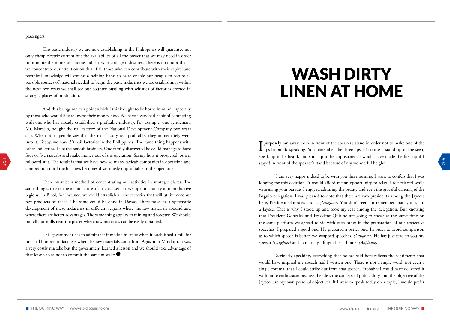#### passengers.

This basic industry we are now establishing in the Philippines will guarantee not only cheap electric current but the availability of all the power that we may need in order to promote the numerous home industries or cottage industries. There is no doubt that if we concentrate our attention on this, if all those who can contribute with their capital and technical knowledge will extend a helping hand so as to enable our people to secure all possible sources of material needed to begin the basic industries we are establishing, within the next two years we shall see our country bustling with whistles of factories erected in strategic places of production.

And this brings me to a point which I think ought to be borne in mind, especially by those who would like to invest their money here. We have a very bad habit of competing with one who has already established a profitable industry. For example, one gentleman, Mr. Marcelo, bought the nail factory of the National Development Company two years ago. When other people saw that the nail factory was profitable, they immediately went into it. Today, we have 30 nail factories in the Philippines. The same thing happens with other industries. Take the taxicab business. One family discovered he could manage to have four or five taxicabs and make money out of the operation. Seeing how it prospered, others followed suit. The result is that we have now so many taxicab companies in operation and competition until the business becomes disastrously unprofitable to the operators.

There must be a method of concentrating our activities in strategic places. The same thing is true of the manufacture of articles. Let us develop our country into productive regions. In Bicol, for instance, we could establish all the factories that will utilize coconut raw products or abaca. The same could be done in Davao. There must be a systematic development of these industries in different regions where the raw materials abound and where there are better advantages. The same thing applies to mining and forestry. We should put all our mills near the places where raw materials can be easily obtained.

This government has to admit that it made a mistake when it established a mill for finished lumber in Batangas when the raw materials come from Agusan or Mindoro. It was a very costly mistake but the government learned a lesson and we should take advantage of that lesson so as not to commit the same mistake.

#### WASH DIRTY LINEN AT HOME

The purposely ran away from in front of the speaker's stand in order not to make one of the ups, of course  $-$  stand up to the seen, speak up to be heard, and shut up to be appreciated. I would have made the first up if I stayed in front of the speaker's stand because of my wonderful height.

I am very happy indeed to be with you this morning. I want to confess that I was longing for this occasion. It would afford me an opportunity to relax. I felt relaxed while witnessing your parade. I enjoyed admiring the beauty and even the graceful dancing of the Baguio delegation. I was pleased to note that there are two presidents among the Jaycees here, President Gonzales and I. *(Laughter)* You don't seem to remember that I, too, am a Jaycee. That is why I stood up and took my seat among the delegation. But knowing that President Gonzales and President Quirino are going to speak at the same time on the same platform we agreed to vie with each other in the preparation of our respective speeches. I prepared a good one. He prepared a better one. In order to avoid comparison as to which speech is better, we swapped speeches. *(Laughter)* He has just read to you my speech *(Laughter)* and I am sorry I forgot his at home. *(Applause)*

Seriously speaking, everything that he has said here reflects the sentiments that would have inspired my speech had I written one. There is not a single word, not even a single comma, that I could strike out from that speech. Probably I could have delivered it with more enthusiasm because the idea, the concept of public duty, and the objective of the Jaycees are my own personal objectives. If I were to speak today on a topic, I would prefer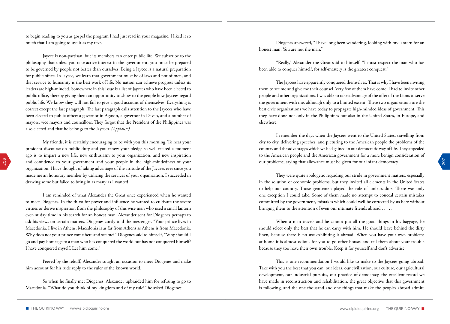to begin reading to you as gospel the program I had just read in your magazine. I liked it so much that I am going to use it as my text.

Jaycee is non-partisan, but its members can enter public life. We subscribe to the philosophy that unless you take active interest in the government, you must be prepared to be governed by people not better than ourselves. Being a Jaycee is a natural preparation for public office. In Jaycee, we learn that government must be of laws and not of men, and that service to humanity is the best work of life. No nation can achieve progress unless its leaders are high-minded. Somewhere in this issue is a list of Jaycees who have been elected to public office, thereby giving them an opportunity to show to the people how Jaycees regard public life. We know they will not fail to give a good account of themselves. Everything is correct except the last paragraph. The last paragraph calls attention to the Jaycees who have been elected to public office: a governor in Agusan, a governor in Davao, and a number of mayors, vice mayors and councillors. They forgot that the President of the Philippines was also elected and that he belongs to the Jaycees. *(Applause)*

My friends, it is certainly encouraging to be with you this morning. To hear your president discourse on public duty and you renew your pledge so well recited a moment ago is to impart a new life, new enthusiasm to your organization, and new inspiration and confidence to your government and your people in the high-mindedness of your organization. I have thought of taking advantage of the attitude of the Jaycees ever since you made me an honorary member by utilizing the services of your organization. I succeeded in drawing some but failed to bring in as many as I wanted.

I am reminded of what Alexander the Great once experienced when he wanted to meet Diogenes. In the thirst for power and influence he wanted to cultivate the severe virtues or derive inspiration from the philosophy of this wise man who used a small lantern even at day time in his search for an honest man. Alexander sent for Diogenes perhaps to ask his views on certain matters. Diogenes curtly told the messenger. "Your prince lives in Macedonia. I live in Athens. Macedonia is as far from Athens as Athens is from Macedonia. Why does not your prince come here and see me?" Diogenes said to himself, "Why should I go and pay homeage to a man who has conquered the world but has not conquered himself? I have conquered myself. Let him come."

Peeved by the rebuff, Alexander sought an occasion to meet Diogenes and make him account for his rude reply to the ruler of the known world.

So when he finally met Diogenes, Alexander upbraided him for refusing to go to Macedonia. "What do you think of my kingdom and of my rule?" he asked Diogenes.

Diogenes answered, "I have long been wandering, looking with my lantern for an honest man. You are not the man."

"Really," Alexander the Great said to himself, "I must respect the man who has been able to conquer himself; for self-mastery is the greatest conquest."

The Jaycees have apparently conquered themselves. That is why I have been inviting them to see me and give me their counsel. Very few of them have come. I had to invite other people and other organizations. I was able to take advantage of the offer of the Lions to serve the government with me, although only to a limited extent. These two organizations are the best civic organizations we have today to propagate high-minded ideas of government. This they have done not only in the Philippines but also in the United States, in Europe, and elsewhere.

I remember the days when the Jaycees went to the United States, travelling from city to city, delivering speeches, and picturing to the American people the problems of the country and the advantages which we had gained in our democratic way of life. They appealed to the American people and the American government for a more benign consideration of our problems, saying that allowance must be given for our infant democracy.

They were quite apologetic regarding our stride in government matters, especially in the solution of economic problems, but they invited all elements in the United States to help our country. Those gentlemen played the role of ambassadors. There was only one exception I could take. Some of them made no attempt to conceal certain mistakes committed by the government, mistakes which could well be corrected by us here without bringing them to the attention of even our intimate friends abroad . . . . .

When a man travels and he cannot put all the good things in his baggage, he should select only the best that he can carry with him. He should leave behind the dirty linen, because there is no use exhibiting it abroad. When you have your own problems at home it is almost odious for you to go other houses and tell them about your trouble because they too have their own trouble. Keep it for yourself and don't advertise.

This is one recommendation I would like to make to the Jaycees going abroad. Take with you the best that you can: our ideas, our civilization, our culture, our agricultural development, our industrial pursuits, our practice of democracy, the excellent record we have made in reconstruction and rehabilitation, the great objective that this government is following, and the one thousand and one things that make the peoples abroad admire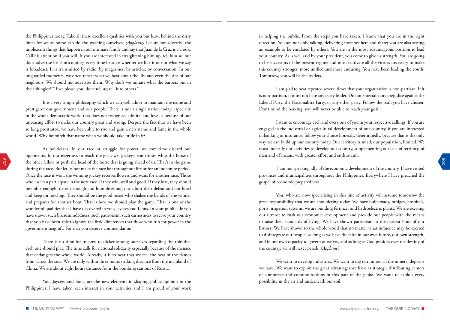the Philippines today. Take all these excellent qualities with you but leave behind the dirty linen for we at home can do the washing ourselves. *(Applause)* Let us not advertise the unpleasant things that happen in our intimate family and say that Juan de la Cruz is a crook. Call his attention if you will. If you are interested in straightening him up, tell him so, but don't advertise his shortcomings every time because whether we like it or not what we say is broadcast. It is transmitted by radio, by magazines, by articles, by conversation. In our unguarded moments, we often repeat what we hear about the ills, and even the sins of our neighbors. We should not advertise them. Why don't we imitate what the barbers put in their shingles? "If we please you, don't tell us; tell it to others."

It is a very simple philosophy which we can well adopt to maintain the name and prestige of our government and our people. There is not a single nation today, especially in the whole democratic world that does not recognize, admire, and love us because of our unceasing effort to make our country great and strong. Despite the fact that we have been so long prostrated, we have been able to rise and gain a new name and fame in the whole world. Why besmirch that name when we should take pride in it?

As politicians, in our race or struggle for power, we sometime discard our opponents. In our eagerness to reach the goal, we, jockeys, sometimes whip the horse of the other fellow or push the head of the horse that is going ahead of us. That's in the game during the race. But let us not make the race last throughout life or for an indefinite period. Once the race is won, the winning jockey receives flowers and waits for another race. Those who lost can participate in the next race. If they win, well and good. If they lose, they should be noble enough, decent enough and humble enough to admit their defeat and not howl and keep on howling. They should be the good boxer who shakes the hands of the winner and prepares for another bout. That is how we should play the game. That is one of the wonderful qualities that I have discovered in you, Jaycees and Lions. In your public life you have shown such broadmindedness, such patriotism, such earnestness to serve your country that you have been able to ignore the little differences that those who run for power in the government magnify. For that you deserve commendation.

There is no time for us now to dicker among ourselves regarding the role that each one should play. The time calls for national solidarity especially because of the menace that endangers the whole world. Already, it is so near that we feel the heat of the flames from across the seas. We are only within three hours striking distance from the mainland of China. We are about eight hours distance from the bombing stations of Russia.

You, Jaycees and lions, are the new elements in shaping public opinion in the Philippines. I have taken keen interest in your activities and I am proud of your work in helping the public. From the steps you have taken, I know that you are in the right direction. You are not only talking, delivering speeches here and there; you are also setting an example to be emulated by others. You are in the most advantageous position to lead your country. As is well said by your president, you come to give us strength. You are going to be successors of the present regime and must cultivate all the virtues necessary to make this country stronger, more unified and more enduring. You have been leading the youth. Tomorrow, you will be the leaders.

I am glad to hear repeated several times that your organization is non-partisan. If it is non-partisan, it must not hate any party leader. Do not entertain any prejudice against the Liberal Party, the Nacionalista Party, or any other party. Follow the path you have chosen. Don't mind the barking, you will never be able to reach your goal.

I want to encourage each and every one of you in your respective callings. If you are engaged in the industrial or agricultural development of our country, if you are interested in banking or insurance, follow your choice honestly, determinedly, because that is the only way we can build up our country today. Our territory is small; our population, limited. We must intensify our activities to develop our country, supplementing our lack of territory, of men and of means, with greater effort and enthusiasm.

 I am not speaking idly of the economic development of the country. I have visited provinces and municipalities throughout the Philippines. Everywhere I have preached the gospel of economic preparedness.

You, who are now specializing in this line of activity will assume tomorrow the great responsibility that we are shouldering today. We have built roads, bridges, hospitals, ports, irrigation systems; we are building fertilizer and hydroelectric plants. We are exerting our utmost to rush our economic development and provide our people with the means to raise their standards of living. We have shown patriotism in the darkest hour of our history. We have shown to the whole world that no matter what influence may be exerted to disintegrate our people, so long as we have the faith in our own future, our own strength, and in our own capacity to govern ourselves, and as long as God presides over the destiny of the country, we will never perish. *(Applause)*

We want to develop industries. We want to dig our mines, all the mineral deposits we have. We want to exploit the great advantages we have as strategic distributing centers of commerce and communications in this part of the globe. We want to exploit every possibility in the air and underneath our soil.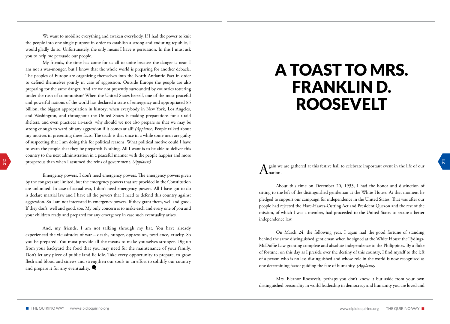We want to mobilize everything and awaken everybody. If I had the power to knit the people into one single purpose in order to establish a strong and enduring republic, I would gladly do so. Unfortunately, the only means I have is persuasion. In this I must ask you to help me persuade our people.

My friends, the time has come for us all to unite because the danger is near. I am not a war-monger, but I know that the whole world is preparing for another debacle. The peoples of Europe are organizing themselves into the North Antlantic Pact in order to defend themselves jointly in case of aggression. Outside Europe the people are also preparing for the same danger. And are we not presently surrounded by countries tottering under the rush of communism? When the United States herself, one of the most peaceful and powerful nations of the world has declared a state of emergency and appropriated 85 billion, the biggest appropriation in history; when everybody in New York, Los Angeles, and Washington, and throughout the United States is making preparations for air-raid shelters, and even practices air-raids, why should we not also prepare so that we may be strong enough to ward off any aggression if it comes at all? *(Applause)* People talked about my motives in presenting these facts. The truth is that once in a while some men are guilty of suspecting that I am doing this for political reasons. What political motive could I have to warn the people that they be prepared? Nothing. All I want is to be able to deliver this country to the next administration in a peaceful manner with the people happier and more prosperous than when I assumed the reins of government. *(Applause)*

Emergency powers. I don't need emergency powers. The emergency powers given by the congress are limited, but the emergency powers that are provided in the Constitution are unlimited. In case of actual war, I don't need emergency powers. All I have got to do is declare martial law and I have all the powers that I need to defend this country against aggression. So I am not interested in emergency powers. If they grant them, well and good. If they don't, well and good, too. My only concern is to make each and every one of you and your children ready and prepared for any emergency in case such eventuality arises.

And, my friends, I am not talking through my hat. You have already experienced the vicissitudes of war – death, hunger, oppression, pestilence, cruelty. So you be prepared. You must provide all the means to make yourselves stronger. Dig up from your backyard the food that you may need for the maintenance of your family. Don't let any piece of public land lie idle. Take every opportunity to prepare, to grow flesh and blood and sinews and strengthen our souls in an effort to solidify our country and prepare it for any eventuality.

### A TOAST TO MRS. FRANKLIN D. **ROOSEVELT**

gain we are gathered at this festive hall to celebrate important event in the life of our  $\mathrm{A}_\textrm{\tiny{nation.}}^{\mathrm{gain\,we}}$ 

About this time on December 20, 1933, I had the honor and distinction of sitting to the left of the distinguished gentleman at the White House. At that moment he pledged to support our campaign for independence in the United States. That was after our people had rejected the Hare-Hawes-Cutting Act and President Quezon and the rest of the mission, of which I was a member, had proceeded to the United States to secure a better independence law.

On March 24, the following year, I again had the good fortune of standing behind the same distinguished gentleman when he signed at the White House the Tydings-McDuffie Law granting complete and absolute independence to the Philippines. By a fluke of fortune, on this day as I preside over the destiny of this country, I find myself to the left of a person who is no less distinguished and whose role in the world is now recognized as one determining factor guiding the fate of humanity. *(Applause)*

Mrs. Eleanor Roosevelt, perhaps you don't know it but aside from your own distinguished personality in world leadership in democracy and humanity you are loved and

<u>য</u>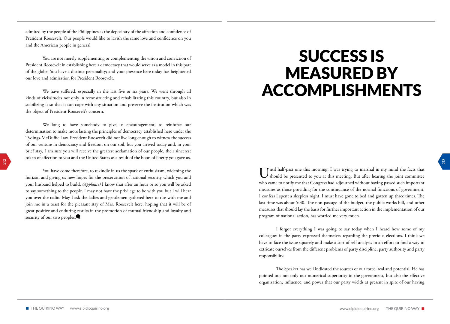admired by the people of the Philippines as the depositary of the affection and confidence of President Roosevelt. Our people would like to lavish the same love and confidence on you and the American people in general.

You are not merely supplementing or complementing the vision and conviction of President Roosevelt in establishing here a democracy that would serve as a model in this part of the globe. You have a distinct personality; and your presence here today has heightened our love and admiration for President Roosevelt.

We have suffered, especially in the last five or six years. We went through all kinds of vicissitudes not only in reconstructing and rehabilitating this country, but also in stabilizing it so that it can cope with any situation and preserve the institution which was the object of President Roosevelt's concern.

We long to have somebody to give us encouragement, to reinforce our determination to make more lasting the principles of democracy established here under the Tydings-McDuffie Law. President Roosevelt did not live long enough to witness the success of our venture in democracy and freedom on our soil, but you arrived today and, in your brief stay, I am sure you will receive the greatest acclamation of our people, their sincerest token of affection to you and the United States as a result of the boon of liberty you gave us.

You have come therefore, to rekindle in us the spark of enthusiasm, widening the horizon and giving us new hopes for the preservation of national security which you and your husband helped to build. *(Applause)* I know that after an hour or so you will be asked to say something to the people. I may not have the privilege to be with you but I will hear you over the radio. May I ask the ladies and gentlemen gathered here to rise with me and join me in a toast for the pleasant stay of Mrs. Roosevelt here, hoping that it will be of great positive and enduring results in the promotion of mutual friendship and loyalty and security of our two peoples.

# SUCCESS IS MEASURED BY ACCOMPLISHMENTS

Until half-past one this morning, I was trying to marshal in my mind the facts that should be presented to you at this meeting. But after hearing the joint committee who came to notify me that Congress had adjourned without having passed such important measures as those providing for the continuance of the normal functions of government, I confess I spent a sleepless night. I must have gone to bed and gotten up three times. The last time was about 5:30. The non-passage of the budget, the public works bill, and other measures that should lay the basis for further important action in the implementation of our program of national action, has worried me very much.

I forgot everything I was going to say today when I heard how some of my colleagues in the party expressed themselves regarding the previous elections. I think we have to face the issue squarely and make a sort of self-analysis in an effort to find a way to extricate ourselves from the different problems of party discipline, party authority and party responsibility.

The Speaker has well indicated the sources of our force, real and potential. He has pointed out not only our numerical superiority in the government, but also the effective organization, influence, and power that our party wields at present in spite of our having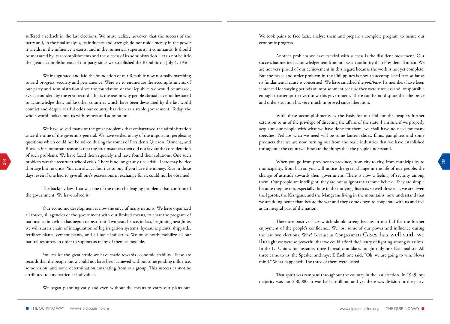suffered a setback in the last elections. We must realize, however, that the success of the party and, in the final analysis, its influence and strength do not reside merely in the power it wields, in the influence it exerts, and in the numerical superiority it commands. It should be measured by its accomplishments and the success of its administration. Let us not belittle the great accomplishments of our party since we established the Republic on July 4, 1946.

We inaugurated and laid the foundation of our Republic now normally marching toward progress, security and permanence. Were we to enumerate the accomplishments of our party and administration since the foundation of the Republic, we would be amazed, even astounded, by the great record. This is the reason why people abroad have not hesitated to acknowledge that, unlike other countries which have been devastated by the last world conflict and despite fearful odds our country has risen as a stable government. Today, the whole world looks upon us with respect and admiration.

We have solved many of the great problems that embarrassed the administration since the time of the governors-general. We have settled many of the important, perplexing questions which could not be solved during the tomes of Presidents Quezon, Osmeña, and Roxas. One important reason is that the circumstances then did not favour the consideration of such problems. We have faced them squarely and have found their solutions. One such problem was the recurrent school crisis. There is no longer any rice crisis. There may be rice shortage but no crisis. You can always find rice to buy if you have the money. Rice in those days, even if one had to give all one's possessions in exchange for it, could not be obtained.

The backpay law. That was one of the most challenging problems that confronted the government. We have solved it.

Our economic development is now the envy of many nations. We have organized all forces, all agencies of the government with our limited means, to chart the program of national action which has begun to bear fruit. Two years hence, in fact, beginning next June, we will start a chain of inauguration of big irrigation systems, hydraulic plants, shipyards, fertilizer plants, cement plants, and all basic industries. We must needs mobilize all our natural resources in order to support as many of them as possible.

You realize the great stride we have made towards economic stability. These are records that the people know could not have been achieved without some guiding influence, some vision, and some determination emanating from our group. This success cannot be attributed to any particular individual.

We began planning early and even without the means to carry our plans out.

We took pains to face facts, analyse them and prepare a complete program to insure our economic progress.

Another problem we have tackled with success is the dissident movement. Our success has merited acknowledgement from no less an authority than President Truman. We are not very proud of our achievement in this regard because the work is not yet complete. But the peace and order problem in the Philippines is now an accomplished fact so far as its fundamental cause is concerned. We have smashed the *politburo.* Its members have been sentenced for varying periods of imprisonment because they were senseless and irresponsible enough to attempt to overthrow this government. There can be no dispute that the peace and order situation has very much improved since liberation.

With these accomplishments as the basis for our bid for the people's further extension to us of the privilege of directing the affairs of the state, I am sure if we properly acquaint our people with what we have done for them, we shall have no need for many speeches. Perhaps what we need will be some lantern-slides, films, pamphlets and some products that we are now turning out from the basic industries that we have established throughout the country. These are the things that the people understand.

When you go from province to province, from city to city, from municipality to municipality, from barrio, you will notice the great change in the life of our people, the change of attitude towards their government. There is now a feeling of security among them. Our people are intelligent, they are not as ignorant as some believe. They are simple because they are not, especially those in the outlying districts, so well-dressed as we are. Even the Igorots, the Kiangans, and the Mangyans living in the mountains, now understand that we are doing better than before the war and they come down to cooperate with us and feel as an integral part of the nation.

These are positive facts which should strengthen us in our bid for the further enjoyment of the people's confidence. We lost some of our power and influence during the last two elections. Why? Because as Congressman Cases has well said, we thought we were so powerful that we could afford the luxury of fighting among ourselves. In the La Union, for instance, three Liberal candidates fought only one Nacionalista. All three came to us, the Speaker and myself. Each one said, "Oh, we are going to win. Never mind." What happened? The three of them were licked.

That spirit was rampant throughout the country in the last election. In 1949, my majority was not 250,000. It was half a million, and yet there was division in the party.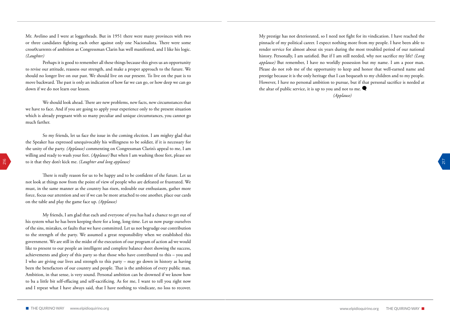Mr. Avelino and I were at loggerheads. But in 1951 there were many provinces with two or three candidates fighting each other against only one Nacionalista. There were some cross0currents of ambition as Congressman Clarin has well manifested, and I like his logic. *(Laughter)*

Perhaps it is good to remember all these things because this gives us an opportunity to revise our attitude, reassess our strength, and make a proper approach to the future. We should no longer live on our past. We should live on our present. To live on the past is to move backward. The past is only an indication of how far we can go, or how deep we can go down if we do not learn our lesson.

We should look ahead. There are new problems, new facts, new circumstances that we have to face. And if you are going to apply your experience only to the present situation which is already pregnant with so many peculiar and unique circumstances, you cannot go much farther.

So my friends, let us face the issue in the coming election. I am mighty glad that the Speaker has expressed unequivocably his willingness to be soldier, if it is necessary for the unity of the party. *(Applause)* commenting on Congressman Clarin's appeal to me, I am willing and ready to wash your feet. *(Applause)* But when I am washing those feet, please see to it that they don't kick me. *(Laughter and long applause)*

There is really reason for us to be happy and to be confident of the future. Let us not look at things now from the point of view of people who are defeated or frustrated. We must, in the same manner as the country has risen, redouble our enthusiasm, gather more force, focus our attention and see if we can be more attached to one another, place our cards on the table and play the game face up. *(Applause)*

My friends, I am glad that each and everyone of you has had a chance to get out of his system what he has been keeping there for a long, long time. Let us now purge ourselves of the sins, mistakes, or faults that we have committed. Let us not begrudge our contribution to the strength of the party. We assumed a great responsibility when we established this government. We are still in the midst of the execution of our program of action ad we would like to present to our people an intelligent and complete balance sheet showing the success, achievements and glory of this party so that those who have contributed to this – you and I who are giving our lives and strength to this party – may go down in history as having been the benefactors of our country and people. That is the ambition of every public man. Ambition, in that sense, is very sound. Personal ambition can be drowned if we know how to ba a little bit self-effacing and self-sacrificing. As for me, I want to tell you right now and I repeat what I have always said, that I have nothing to vindicate, no loss to recover.

My prestige has not deteriorated, so I need not fight for its vindication. I have reached the pinnacle of my political career. I expect nothing more from my people. I have been able to render service for almost about six years during the most troubled period of our national history. Personally, I am satisfied. But if I am still needed, why not sacrifice my life? *(Long applause)* But remember, I have no worldly possession but my name. I am a poor man. Please do not rob me of the opportunity to keep and honor that well-earned name and prestige because it is the only heritage that I can bequeath to my children and to my people. However, I have no personal ambition to pursue, but if that personal sacrifice is needed at the altar of public service, it is up to you and not to me.  $\bullet$ 

*(Applause)*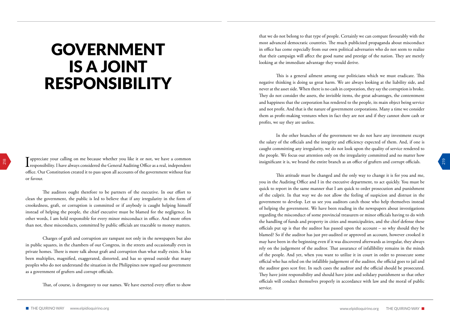# **GOVERNMENT** IS A JOINT RESPONSIBILITY

I appreciate your calling on me because whether you like it or not, we have a common responsibility. I have always considered the General Auditing Office as a real, independent office. Our Constitution created it to pass upon all accounts of the government without fear or favour.

The auditors ought therefore to be partners of the executive. In our effort to clean the government, the public is led to believe that if any irregularity in the form of crookedness, graft, or corruption is committed or if anybody is caught helping himself instead of helping the people, the chief executive must be blamed for the negligence. In other words, I am held responsible for every minor misconduct in office. And more often than not, these misconducts, committed by public officials are traceable to money matters.

Charges of graft and corruption are rampant not only in the newspapers but also in public squares, in the chambers of our Congress, in the streets and occasionally even in private homes. There is more talk about graft and corruption than what really exists. It has been multiplies, magnified, exaggerated, distorted, and has so spread outside that many peoples who do not understand the situation in the Philippines now regard our government as a government of grafters and corrupt officials.

That, of course, is derogatory to our names. We have exerted every effort to show

that we do not belong to that type of people. Certainly we can compare favourably with the most advanced democratic countries. The much publicized propaganda about misconduct in office has come especially from our own political adversaries who do not seem to realize that their campaign will affect the good name and prestige of the nation. They are merely looking at the immediate advantage they would derive.

This is a general ailment among our politicians which we must eradicate. This negative thinking is doing us great harm. We are always looking at the liability side, and never at the asset side. When there is no cash in corporation, they say the corruption is broke. They do not consider the assets, the invisible items, the great advantages, the contentment and happiness that the corporation has rendered to the people, its main object being service and not profit. And that is the nature of government corporations. Many a time we consider them as profit-making ventures when in fact they are not and if they cannot show cash or profits, we say they are useless.

In the other branches of the government we do not have any investment except the salary of the officials and the integrity and efficiency expected of them. And, if one is caught committing any irregularity, we do not look upon the quality of service rendered to the people. We focus our attention only on the irregularity committed and no matter how insignificant it is, we brand the entire branch as an office of grafters and corrupt officials.

This attitude must be changed and the only way to change it is for you and me, you in the Auditing Office and I in the executive department, to act quickly. You must be quick to report in the same manner that I am quick to order prosecution and punishment of the culprit. In that way we do not allow the feeling of suspicion and distrust in the government to develop. Let us see you auditors catch those who help themselves instead of helping the government. We have been reading in the newspapers about investigations regarding the misconduct of some provincial treasurers or minor officials having to do with the handling of funds and property in cities and municipalities, and the chief defense these officials put up is that the auditor has passed upon the account – so why should they be blamed? So if the auditor has just pre-audited or approved an account, however crooked it may have been in the beginning even if it was discovered afterwards as irregular, they always rely on the judgement of the auditor. That assurance of infallibility remains in the minds of the people. And yet, when you want to utilize it in court in order to prosecute some official who has relied on the infallible judgement of the auditor, the official goes to jail and the auditor goes scot free. In such cases the auditor and the official should be prosecuted. They have joint responsibility and should have joint and solidary punishment so that other officials will conduct themselves properly in accordance with law and the moral of public service.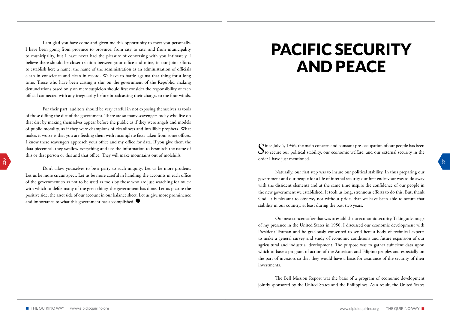I am glad you have come and given me this opportunity to meet you personally. I have been going from province to province, from city to city, and from municipality to municipality, but I have never had the pleasure of conversing with you intimately. I believe there should be closer relation between your office and mine, in our joint efforts to establish here a name, the name of the administration as an administration of officials clean in conscience and clean in record. We have to battle against that thing for a long time. Those who have been casting a slur on the government of the Republic, making denunciations based only on mere suspicion should first consider the responsibility of each official connected with any irregularity before broadcasting their charges to the four winds.

For their part, auditors should be very careful in not exposing themselves as tools of those diffing the dirt of the government. There are so many scavengers today who live on that dirt by making themselves appear before the public as if they were angels and models of public morality, as if they were champions of cleanliness and infallible prophets. What makes it worse is that you are feeding them with incomplete facts taken from some offices. I know these scavengers approach your office and my office for data. If you give them the data piecemeal, they swallow everything and use the information to besmirch the name of this or that person or this and that office. They will make mountains out of molehills.

Don't allow yourselves to be a party to such iniquity. Let us be more prudent. Let us be more circumspect. Let us be more careful in handling the accounts in each office of the government so as not to be used as tools by those who are just searching for muck with which to defile many of the great things the government has done. Let us picture the positive side, the asset side of our account in our balance sheet. Let us give more prominence and importance to what this government has accomplished.

### PACIFIC SECURITY AND PEACE

Since July 4, 1946, the main concern and constant pre-occupation of our people has been to secure our political stability, our economic welfare, and our external security in the order I have just mentioned.

Naturally, our first step was to insure our political stability. In thus preparing our government and our people for a life of internal security our first endeavour was to do away with the dissident elements and at the same time inspire the confidence of our people in the new government we established. It took us long, strenuous efforts to do this. But, thank God, it is pleasant to observe, not without pride, that we have been able to secure that stability in our country, at least during the past two years.

Our next concern after that was to establish our economic security. Taking advantage of my presence in the United States in 1950, I discussed our economic development with President Truman and he graciously consented to send here a body of technical experts to make a general survey and study of economic conditions and future expansion of our agricultural and industrial development. The purpose was to gather sufficient data upon which to base a program of action of the American and Filipino peoples and especially on the part of investors so that they would have a basis for assurance of the security of their investments.

The Bell Mission Report was the basis of a program of economic development jointly sponsored by the United States and the Philippines. As a result, the United States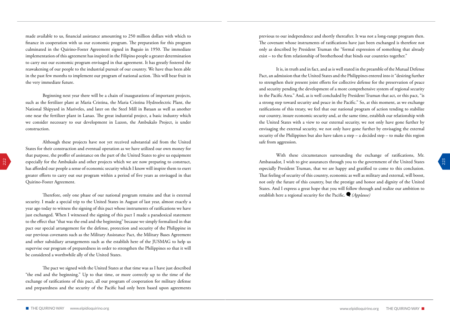made available to us, financial assistance amounting to 250 million dollars with which to finance in cooperation with us our economic program. The preparation for this program culminated in the Quirino-Foster Agreement signed in Baguio in 1950. The immediate implementation of this agreement has inspired in the Filipino people a greater determination to carry out our economic program envisaged in that agreement. It has greatly fostered the reawakening of our people to the industrial pursuit of our country. We have thus been able in the past few months to implement our program of national action. This will bear fruit in the very immediate future.

Beginning next year there will be a chain of inaugurations of important projects, such as the fertilizer plant at Maria Cristina, the Maria Cristina Hydroelectric Plant, the National Shipyard in Mariveles, and later on the Steel Mill in Bataan as well as another one near the fertilizer plant in Lanao. The great industrial project, a basic industry which we consider necessary to our development in Luzon, the Ambukalo Project, is under construction.

Although these projects have not yet received substantial aid from the United States for their construction and eventual operation as we have utilized our own money for that purpose, the proffer of assistance on the part of the United States to give us equipment especially for the Ambukalo and other projects which we are now preparing to construct, has afforded our people a sense of economic security which I know will inspire them to exert greater efforts to carry out our program within a period of five years as envisaged in that Quirino-Foster Agreement.

Therefore, only one phase of our national program remains and that is external security. I made a special trip to the United States in August of last year, almost exactly a year ago today to witness the signing of this pact whose instruments of ratifications we have just exchanged. When I witnessed the signing of this pact I made a paradoxical statement to the effect that "that was the end and the beginning" because we simply formalized in that pact our special arrangement for the defense, protection and security of the Philippine in our previous covenants such as the Military Assistance Pact, the Military Bases Agreement and other subsidiary arrangements such as the establish here of the JUSMAG to help us supervise our program of preparedness in order to strengthen the Philippines so that it will be considered a worthwhile ally of the United States.

The pact we signed with the United States at that time was as I have just described "the end and the beginning." Up to that time, or more correctly up to the time of the exchange of ratifications of this pact, all our program of cooperation for military defense and preparedness and the security of the Pacific had only been based upon agreements previous to our independence and shortly thereafter. It was not a long-range program then. The covenant whose instruments of ratifications have just been exchanged is therefore not only as described by President Truman the "formal expression of something that already exist – to the firm relationship of brotherhood that binds our countries together."

It is, in truth and in fact, and as is well stated in the preamble of the Mutual Defense Pact, an admission that the United States and the Philippines entered into it "desiring further to strengthen their present joint efforts for collective defense for the preservation of peace and security pending the development of a more comprehensive system of regional security in the Pacific Area." And, as is well concluded by President Truman that act, or this pact, "is a strong step toward security and peace in the Pacific." So, at this moment, as we exchange ratifications of this treaty, we feel that our national program of action tending to stabilize our country, insure economic security and, at the same time, establish our relationship with the United States with a view to our external security, we not only have gone further by envisaging the external security, we not only have gone further by envisaging the external security of the Philippines but also have taken a step – a decided step – to make this region safe from aggression.

With these circumstances surrounding the exchange of ratifications, Mr. Ambassador, I wish to give assurances through you to the government of the United States especially President Truman, that we are happy and gratified to come to this conclusion. That feeling of security of this country, economic as well as military and external, will boost, not only the future of this country, but the prestige and honor and dignity of the United States. And I express a great hope that you will follow through and realize our ambition to establish here a regional security for the Pacific. *(Applause)*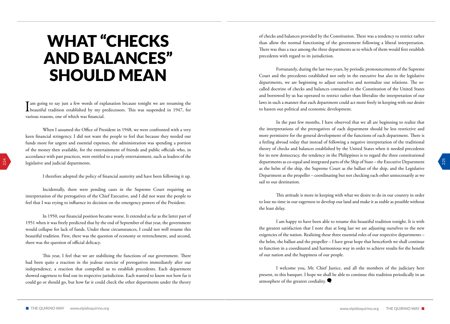# WHAT "CHECKS AND BALANCES" SHOULD MEAN

I am going to say just a few words of explanation because tonight we are resuming the beautiful tradition established by my predecessors. This was suspended in 1947, for various reasons, one of which was financial.

When I assumed the Office of President in 1948, we were confronted with a very keen financial stringency. I did not want the people to feel that because they needed our funds more for urgent and essential expenses, the administration was spending a portion of the money then available, for the entertainment of friends and public officials who, in accordance with past practices, were entitled to a yearly entertainment, such as leaders of the legislative and judicial departments.

#### I therefore adopted the policy of financial austerity and have been following it up.

Incidentally, there were pending cases in the Supreme Court requiring an interpretation of the prerogatives of the Chief Executive, and I did not want the people to feel that I was trying to influence its decision on the emergency powers of the President.

In 1950, our financial position became worse. It extended as far as the latter part of 1951 when it was freely predicted that by the end of September of that year, the government would collapse for lack of funds. Under those circumstances, I could not well resume this beautiful tradition. First, there was the question of economy or retrenchment, and second, there was the question of official delicacy.

This year, I feel that we are stabilizing the functions of our government. There had been quite a reaction in the jealous exercise of prerogatives immediately after our independence, a reaction that compelled us to establish precedents. Each department showed eagerness to find out its respective jurisdiction. Each wanted to know not how far it could go or should go, but how far it could check the other departments under the theory

of checks and balances provided by the Constitution. There was a tendency to restrict rather than allow the normal functioning of the government following a liberal interpretation. There was thus a race among the three departments as to which of them would first establish precedents with regard to its jurisdiction.

Fortunately, during the last two years, by periodic pronouncements of the Supreme Court and the precedents established not only in the executive but also in the legislative departments, we are beginning to adjust ourselves and normalize our relations. The socalled doctrine of checks and balances contained in the Constitution of the United States and borrowed by us has operated to restrict rather than liberalize the interpretation of our laws in such a manner that each department could act more freely in keeping with our desire to hasten our political and economic development.

In the past few months, I have observed that we all are beginning to realize that the interpretations of the prerogatives of each department should be less restrictive and more permissive for the general development of the functions of each department. There is a feeling abroad today that instead of following a negative interpretation of the traditional theory of checks and balances established by the United States when it needed precedents for its new democracy, the tendency in the Philippines is to regard the three constitutional departments as co-equal and integrated parts of the Ship of State – the Executive Department as the helm of the ship, the Supreme Court as the ballast of the ship, and the Legislative Department as the propeller – coordinating but not checking each other unnecessarily as we sail to our destination.

This attitude is more in keeping with what we desire to do in our country in order to lose no time in our eagerness to develop our land and make it as stable as possible without the least delay.

I am happy to have been able to resume this beautiful tradition tonight. It is with the greatest satisfaction that I note that at long last we are adjusting ourselves to the new exigencies of the nation. Realizing these three essential roles of our respective departments – the helm, the ballast and the propeller – I have great hope that henceforth we shall continue to function in a coordinated and harmonious way in order to achieve results for the benefit of our nation and the happiness of our people.

I welcome you, Mr. Chief Justice, and all the members of the judiciary here present, to this banquet. I hope we shall be able to continue this tradition periodically in an atmosphere of the greatest cordiality.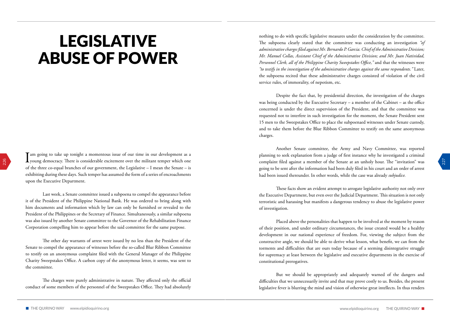# LEGISLATIVE ABUSE OF POWER

I am going to take up tonight a momentous issue of our time in our development as a young democracy. There is considerable excitement over the militant temper which one of the three co-equal branches of our government, the Legislative – I mean the Senate – is exhibiting during these days. Such temper has assumed the form of a series of encroachments upon the Executive Department.

Last week, a Senate committee issued a subpoena to compel the appearance before it of the President of the Philippine National Bank. He was ordered to bring along with him documents and information which by law can only be furnished or revealed to the President of the Philippines or the Secretary of Finance. Simultaneously, a similar subpoena was also issued by another Senate committee to the Governor of the Rehabilitation Finance Corporation compelling him to appear before the said committee for the same purpose.

The other day warrants of arrest were issued by no less than the President of the Senate to compel the appearance of witnesses before the so-called Blur Ribbon Committee to testify on an anonymous complaint filed with the General Manager of the Philippine Charity Sweepstakes Office. A carbon copy of the anonymous letter, it seems, was sent to the committee.

The charges were purely administrative in nature. They affected only the official conduct of some members of the personnel of the Sweepstakes Office. They had absolutely

nothing to do with specific legislative measures under the consideration by the committee. The subpoena clearly stated that the committee was conducting an investigation *"of administrative charges filed against Mr. Bernardo P. Garcia. Chief of the Administrative Division; Mr. Manuel Collas, Assistant Chief of the Administrative Division; and Mr. Juan Natividad, Personnel Clerk, all of the Philippine Charity Sweepstakes Office,"* and that the witnesses were *"to testify in the investigation of the administrative charges against the same respondents."* Later, the subpoena recited that these administrative charges consisted of violation of the civil service rules, of immorality, of nepotism, etc.

Despite the fact that, by presidential direction, the investigation of the charges was being conducted by the Executive Secretary – a member of the Cabinet – as the office concerned is under the direct supervision of the President, and that the committee was requested not to interfere in such investigation for the moment, the Senate President sent 15 men to the Sweepstakes Office to place the subpoenaed witnesses under Senate custody, and to take them before the Blue Ribbon Committee to testify on the same anonymous charges.

Another Senate committee, the Army and Navy Committee, was reported planning to seek explanation from a judge of first instance why he investigated a criminal complaint filed against a member of the Senate at an unholy hour. The "invitation" was going to be sent after the information had been duly filed in his court and an order of arrest had been issued thereunder. In other words, while the case was already *subjudice.*

These facts show an evident attempt to arrogate legislative authority not only over the Executive Department, but even over the Judicial Department. This situation is not only terroristic and harassing but manifests a dangerous tendency to abuse the legislative power of investigation.

Placed above the personalities that happen to be involved at the moment by reason of their position, and under ordinary circumstances, the issue created would be a healthy development in our national experience of freedom. For, viewing the subject from the constructive angle, we should be able to derive what lesson, what benefit, we can from the torments and difficulties that are ours today because of a seeming disintegrative struggle for supremacy at least between the legislative and executive departments in the exercise of constitutional prerogatives.

But we should be appropriately and adequately warned of the dangers and difficulties that we unnecessarily invite and that may prove costly to us. Besides, the present legislative fever is blurring the mind and vision of otherwise great intellects. In thus renders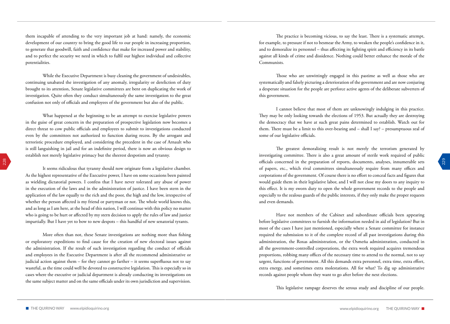them incapable of attending to the very important job at hand: namely, the economic development of our country to bring the good life to our people in increasing proportion, to generate that goodwill, faith and confidence that make for increased power and stability, and to perfect the security we need in which to fulfil our highest individual and collective potentialities.

While the Executive Department is busy cleaning the government of undesirables, continuing unabated the investigation of any anomaly, irregularity or dereliction of duty brought to its attention, Senate legislative committees are bent on duplicating the work of investigation. Quite often they conduct simultaneously the same investigation to the great confusion not only of officials and employees of the government but also of the public.

What happened at the beginning to be an attempt to exercise legislative powers in the guise of great concern in the preparation of prospective legislation now becomes a direct threat to cow public officials and employees to submit to investigations conducted even by the committees not authorized to function during recess. By the arrogant and terroristic procedure employed, and considering the precedent in the case of Arnault who is still languishing in jail and for an indefinite period, there is now an obvious design to establish not merely legislative primacy but the sheerest despotism and tyranny.

It seems ridiculous that tyranny should now originate from a legislative chamber. As the highest representative of the Executive power, I have on some occasions been painted as wielding dictatorial powers. I confess that I have never tolerated any abuse of power in the execution of the laws and in the administration of justice. I have been stern in the application of the law equally to the rich and the poor, the high and the low, irrespective of whether the person affected is my friend or partyman or not. The whole world knows this, and as long as I am here, at the head of this nation, I will continue with this policy no matter who is going to be hurt or affected by my stern decision to apply the rules of law and justice impartially. But I have yet to bow to new despots – this handful of new senatorial tyrants.

More often than not, these Senate investigations are nothing more than fishing or exploratory expeditions to find cause for the creation of new electoral issues against the administration. If the result of such investigation regarding the conduct of officials and employees in the Executive Department is after all the recommend administrative or judicial action against them – for they cannot go farther – it seems superfluous not to say wasteful, as the time could well be devoted to constructive legislation. This is especially so in cases where the executive or judicial department is already conducting its investigations on the same subject matter and on the same officials under its own jurisdiction and supervision.

The practice is becoming vicious, to say the least. There is a systematic attempt, for example, to pressure if not to besmear the Army, to weaken the people's confidence in it, and to demoralize its personnel – thus affecting its fighting spirit and efficiency in its battle against all kinds of crime and dissidence. Nothing could better enhance the morale of the Communists.

Those who are unwittingly engaged in this pastime as well as those who are systematically and falsely picturing a deterioration of the government and are now conjuring a desperate situation for the people are perforce active agents of the deliberate subverters of this government.

I cannot believe that most of them are unknowingly indulging in this practice. They may be only looking towards the elections of 1953. But actually they are destroying the democracy that we have at such great pains determined to establish. Watch out for them. There must be a limit to this over-bearing and – shall I say? – presumptuous zeal of some of our legislative officials.

The greatest demoralizing result is not merely the terrorism generated by investigating committee. There is also a great amount of sterile work required of public officials concerned in the preparation of reports, documents, analyses, innumerable sets of papers, etc., which rival committees simultaneously require from many offices and corporations of the government. Of course there is no effort to conceal facts and figures that would guide them in their legislative labor, and I will not close my doors to any inquiry to this effect. It is my sworn duty to open the whole government records to the people and especially to the zealous guards of the public interests, if they only make the proper requests and even demands.

Have not members of the Cabinet and subordinate officials been appearing before legislative committees to furnish the information needed in aid of legislation? But in most of the cases I have just mentioned, especially where a Senate committee for instance required the submission to it of the complete record of all past investigations during this administration, the Roxas administration, or the Osmeña administration, conducted in all the government-controlled corporations, the extra work required acquires tremendous proportions, robbing many offices of the necessary time to attend to the normal, not to say urgent, functions of government. All this demands extra personnel, extra time, extra effort, extra energy, and sometimes extra molestations. All for what? To dig up administrative records against people whom they want to go after before the next elections.

This legislative rampage deserves the serous study and discipline of our people.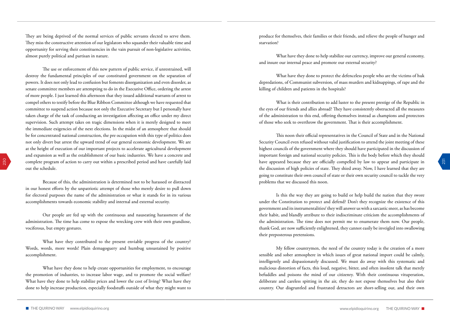They are being deprived of the normal services of public servants elected to serve them. They miss the constructive attention of our legislators who squander their valuable time and opportunity for serving their constituencies in the vain pursuit of non-legislative activities, almost purely political and partisan in nature.

The use or enforcement of this new pattern of public service, if unrestrained, will destroy the fundamental principles of our constituted government on the separation of powers. It does not only lead to confusion but foments disorganization and even disorder, as senate committee members are attempting to do in the Executive Office, ordering the arrest of more people. I just learned this afternoon that they issued additional warrants of arrest to compel others to testify before the Blue Ribbon Committee although we have requested that committee to suspend action because not only the Executive Secretary but I personally have taken charge of the task of conducting an investigation affecting an office under my direct supervision. Such attempt takes on tragic dimensions when it is merely designed to meet the immediate exigencies of the next elections. In the midst of an atmosphere that should be for concentrated national construction, the pre occupation with this type of politics does not only divert but arrest the upward trend of our general economic development. We are at the height of execution of our important projects to accelerate agricultural development and expansion as well as the establishment of our basic industries. We have a concrete and complete program of action to carry out within a prescribed period and have carefully laid out the schedule.

Because of this, the administration is determined not to be harassed or distracted in our honest efforts by the unpatriotic attempt of those who merely desire to pull down for electoral purposes the name of the administration or what it stands for in its various accomplishments towards economic stability and internal and external security.

Our people are fed up with the continuous and nauseating harassment of the administration. The time has come to expose the wrecking crew with their own grandiose, vociferous, but empty gestures.

What have they contributed to the present enviable progress of the country? Words, words, more words! Plain demagoguery and humbug unsustained by positive accomplishment.

What have they done to help create opportunities for employment, to encourage the promotion of industries, to increase labor wage, and to promote the social welfare? What have they done to help stabilize prices and lower the cost of living? What have they done to help increase production, especially foodstuffs outside of what they might want to

produce for themselves, their families or their friends, and relieve the people of hunger and starvation?

What have they done to help stabilize our currency, improve our general economy, and insure our internal peace and promote our external security?

What have they done to protect the defenceless people who are the victims of huk depredations, of Communist subversion, of mass murders and kidnappings, of rape and the killing of children and patients in the hospitals?

What is their contribution to add luster to the present prestige of the Republic in the eyes of our friends and allies abroad? They have consistently obstructed all the measures of the administration to this end, offering themselves instead as champions and protectors of those who seek to overthrow the government. That is their accomplishment.

This noon their official representatives in the Council of State and in the National Security Council even refused without valid justification to attend the joint meeting of these highest councils of the government where they should have participated in the discussion of important foreign and national security policies. This is the body before which they should have appeared because they are officially compelled by law to appear and participate in the discussion of high policies of state. They shied away. Now, I have learned that they are going to constitute their own council of state or their own security council to tackle the very problems that we discussed this noon.

Is this the way they are going to build or help build the nation that they swore under the Constitution to protect and defend? Don't they recognize the existence of this government and its instrumentalities/ they will answer us with a sarcastic sneer, as has become their habit, and blandly attribute to their indiscriminate criticism the accomplishments of the administration. The time does not permit me to enumerate them now. Our people, thank God, are now sufficiently enlightened, they cannot easily be inveigled into swallowing their preposterous pretensions.

My fellow countrymen, the need of the country today is the creation of a more sensible and sober atmosphere in which issues of great national import could be calmly, intelligently and dispassionately discussed. We must do away with this systematic and malicious distortion of facts, this loud, negative, bitter, and often insolent talk that merely befuddles and poisons the mind of our citizenry. With their continuous vituperation, deliberate and careless spitting in the air, they do not expose themselves but also their country. Our disgruntled and frustrated detractors are short-selling our, and their own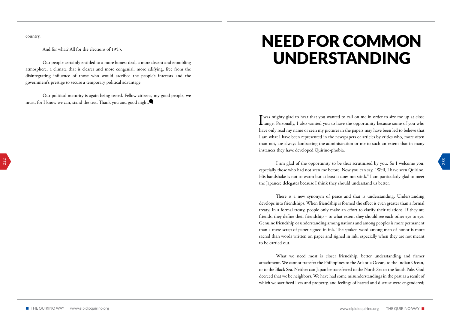country.

232

And for what? All for the elections of 1953.

Our people certainly entitled to a more honest deal, a more decent and ennobling atmosphere, a climate that is clearer and more congenial, more edifying, free from the disintegrating influence of those who would sacrifice the people's interests and the government's prestige to secure a temporary political advantage.

Our political maturity is again being tested. Fellow citizens, my good people, we must, for I know we can, stand the test. Thank you and good night.

# NEED FOR COMMON UNDERSTANDING

I was mighty glad to hear that you wanted to call on me in order to size me up at close range. Personally, I also wanted you to have the opportunity because some of you who have only read my name or seen my pictures in the papers may have been led to believe that I am what I have been represented in the newspapers or articles by critics who, more often than not, are always lambasting the administration or me to such an extent that in many instances they have developed Quirino-phobia.

I am glad of the opportunity to be thus scrutinized by you. So I welcome you, especially those who had not seen me before. Now you can say, "Well, I have seen Quirino. His handshake is not so warm but at least it does not stink." I am particularly glad to meet the Japanese delegates because I think they should understand us better.

There is a new synonym of peace and that is understanding. Understanding develops into friendships. When friendship is formed the effect is even greater than a formal treaty. In a formal treaty, people only make an effort to clarify their relations. If they are friends, they define their friendship – to what extent they should see each other eye to eye. Genuine friendship or understanding among nations and among peoples is more permanent than a mere scrap of paper signed in ink. The spoken word among men of honor is more sacred than words written on paper and signed in ink, especially when they are not meant to be carried out.

What we need most is closer friendship, better understanding and firmer attachment. We cannot transfer the Philippines to the Atlantic Ocean, to the Indian Ocean, or to the Black Sea. Neither can Japan be transferred to the North Sea or the South Pole. God decreed that we be neighbors. We have had some misunderstandings in the past as a result of which we sacrificed lives and property, and feelings of hatred and distrust were engendered;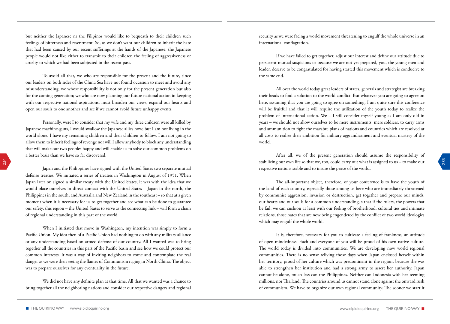but neither the Japanese nr the Filipinos would like to bequeath to their children such feelings of bitterness and resentment. So, as we don't want our children to inherit the hate that had been caused by our recent sufferings at the hands of the Japanese, the Japanese people would not like either to transmit to their children the feeling of aggressiveness or cruelty to which we had been subjected in the recent past.

To avoid all that, we who are responsible for the present and the future, since our leaders on both sides of the China Sea have not found occasion to meet and avoid any misunderstanding, we whose responsibility is not only for the present generation but also for the coming generation; we who are now planning our future national action in keeping with our respective national aspirations, must broaden our views, expand our hearts and open our souls to one another and see if we cannot avoid future unhappy events.

Personally, were I to consider that my wife and my three children were all killed by Japanese machine-guns, I would swallow the Japanese allies now; but I am not living in the world alone. I have my remaining children and their children to follow. I am not going to allow them to inherit feelings of revenge nor will I allow anybody to block any understanding that will make our two peoples happy and will enable us to solve our common problems on a better basis than we have so far discovered.

Japan and the Philippines have signed with the United States two separate mutual defense treaties. We initiated a series of treaties in Washington in August of 1951. When Japan later on signed a similar treaty with the United States, it was with the idea that we would place ourselves in direct contact with the United States – Japan in the north, the Philippines in the south, and Australia and New Zealand in the southeast – so that at a given moment when it is necessary for us to get together and see what can be done to guarantee our safety, this region – the United States to serve as the connecting link – will form a chain of regional understanding in this part of the world.

When I initiated that move in Washington, my intention was simply to form a Pacific Union. My idea then of a Pacific Union had nothing to do with any military alliance or any understanding based on armed defense of our country. All I wanted was to bring together all the countries in this part of the Pacific basin and see how we could protect our common interests. It was a way of inviting neighbors to come and contemplate the real danger as we were then seeing the flames of Communism raging in North China. The object was to prepare ourselves for any eventuality in the future.

We did not have any definite plan at that time. All that we wanted was a chance to bring together all the neighboring nations and consider our respective dangers and regional

security as we were facing a world movement threatening to engulf the whole universe in an international conflagration.

If we have failed to get together, adjust our interest and define our attitude due to persistent mutual suspicions or because we are not yet prepared, you, the young men and leader, deserve to be congratulated for having started this movement which is conducive to the same end.

All over the world today great leaders of states, generals and strategist are breaking their heads to find a solution to the world conflict. But whatever you are going to agree on here, assuming that you are going to agree on something, I am quite sure this conference will be fruitful and that it will require the utilization of the youth today to realize the problem of international action. We – I still consider myself young as I am only old in years – we should not allow ourselves to be mere instruments, mere soldiers, to carry arms and ammunition to fight the macabre plans of nations and countries which are resolved at all costs to realize their ambition for military aggrandizement and eventual mastery of the world.

After all, we of the present generation should assume the responsibility of stabilizing our own life so that we, too, could carry out what is assigned to us – to make our respective nations stable and to insure the peace of the world.

The all-important object, therefore, of your conference is to have the youth of the land of each country, especially those among us here who are immediately threatened by communist aggression, invasion or destruction, get together and prepare our minds, our hearts and our souls for a common understanding, s that if the rulers, the powers that be fail, we can cushion at least with our feeling of brotherhood, cultural ties and intimate relations, those hates that are now being engendered by the conflict of two world ideologies which may engulf the whole world.

It is, therefore, necessary for you to cultivate a feeling of frankness, an attitude of open-mindedness. Each and everyone of you will be proud of his own native culture. The world today is divided into communities. We are developing now world regional communities. There is no sense reliving those days when Japan enclosed herself within her territory, proud of her culture which was predominant in the region, because she was able to strengthen her institution and had a strong army to assert her authority. Japan cannot be alone, much less can the Philippines. Neither can Indonesia with her teeming millions, nor Thailand. The countries around us cannot stand alone against the onward rush of communism. We have to organize our own regional community. The sooner we start it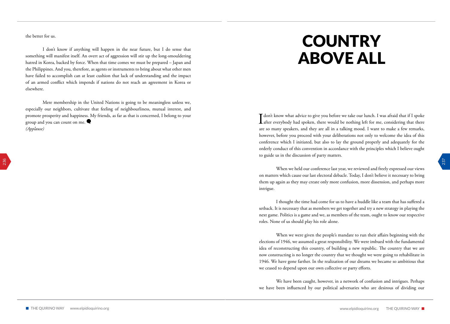the better for us.

236

I don't know if anything will happen in the near future, but I do sense that something will manifest itself. An overt act of aggression will stir up the long-smouldering hatred in Korea, backed by force. When that time comes we must be prepared – Japan and the Philippines. And you, therefore, as agents or instruments to bring about what other men have failed to accomplish can at least cushion that lack of understanding and the impact of an armed conflict which impends if nations do not reach an agreement in Korea or elsewhere.

Mere membership in the United Nations is going to be meaningless unless we, especially our neighbors, cultivate that feeling of neighbourliness, mutual interest, and promote prosperity and happiness. My friends, as far as that is concerned, I belong to your group and you can count on me. *(Applause)*

# **COUNTRY** ABOVE ALL

I don't know what advice to give you before we take our lunch. I was afraid that if I spoke after everybody had spoken, there would be nothing left for me, considering that there are so many speakers, and they are all in a talking mood. I want to make a few remarks, however, before you proceed with your deliberations not only to welcome the idea of this conference which I initiated, but also to lay the ground properly and adequately for the orderly conduct of this convention in accordance with the principles which I believe ought to guide us in the discussion of party matters.

When we held our conference last year, we reviewed and freely expressed our views on matters which cause our last electoral debacle. Today, I don't believe it necessary to bring them up again as they may create only more confusion, more dissension, and perhaps more intrigue.

I thought the time had come for us to have a huddle like a team that has suffered a setback. It is necessary that as members we get together and try a new strategy in playing the next game. Politics is a game and we, as members of the team, ought to know our respective roles. None of us should play his role alone.

When we were given the people's mandate to run their affairs beginning with the elections of 1946, we assumed a great responsibility. We were imbued with the fundamental idea of reconstructing this country, of building a new republic. The country that we are now constructing is no longer the country that we thought we were going to rehabilitate in 1946. We have gone farther. In the realization of our dreams we became so ambitious that we ceased to depend upon our own collective or party efforts.

We have been caught, however, in a network of confusion and intrigues. Perhaps we have been influenced by our political adversaries who are desirous of dividing our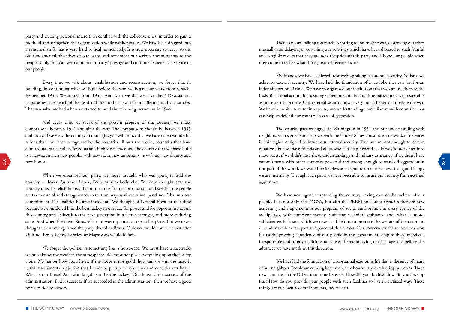party and creating personal interests in conflict with the collective ones, in order to gain a foothold and strengthen their organization while weakening us. We have been dragged into an internal strife that is very hard to heal immediately. It is now necessary to revert to the old fundamental objectives of our party, and remember our serious commitments to the people. Only thus can we maintain our party's prestige and continue its beneficial service to our people.

Every time we talk about rehabilitation and reconstruction, we forget that in building, in continuing what we built before the war, we began our work from scratch. Remember 1945. We started from 1945. And what we did we have then? Devastation, ruins, ashes, the stench of the dead and the morbid news of our sufferings and vicissitudes. That was what we had when we started to hold the reins of government in 1946.

And every time we speak of the present progress of this country we make comparisons between 1941 and after the war. The comparisons should be between 1945 and today. If we view the country in that light, you will realize that we have taken wonderful strides that have been recognized by the countries all over the world, countries that have admired us, respected us, loved us and highly esteemed us. The country that we have built is a new country, a new people, with new ideas, new ambitions, new fame, new dignity and new honor.

When we organized our party, we never thought who was going to lead the country – Roxas, Quirino, Lopez, Perez or somebody else. We only thought that the country must be rehabilitated, that it must rise from its prostrations and see that the people are taken care of and strengthened, so that we may survive our independence. That was our commitment. Personalities became incidental. We thought of General Roxas at that time because we considered him the best jockey in our race for power and for opportunity to run this country and deliver it to the next generation in a better, stronger, and more enduring state. And when President Roxas left us, it was my turn to step in his place. But we never thought when we organized the party that after Roxas, Quirino, would come, or that after Quirino, Perez, Lopez, Paredes, or Magsaysay, would follow.

We forget the politics is something like a horse-race. We must have a racetrack, we must know the weather, the atmosphere. We must not place everything upon the jockey alone. No matter how good he is, if the horse is not good, how can we win the race? It is this fundamental objective that I want to picture to you now and consider our horse. What is our horse? And who is going to be the jockey? Our horse is the success of the administration. Did it succeed? If we succeeded in the administration, then we have a good horse to ride to victory.

There is no use talking too much, resorting to internecine war, destroying ourselves mutually and delaying or curtailing our activities which have been directed to such fruitful and tangible results that they are now the pride of this party and I hope our people when they come to realize what those great achievements are.

My friends, we have achieved, relatively speaking, economic security. So have we achieved external security. We have laid the foundation of a republic that can last for an indefinite period of time. We have so organized our institutions that we can use them as the basis of national action. It is a strange phenomenon that our internal security is not so stable as our external security. Our external security now is very much better than before the war. We have been able to enter into pacts, and understandings and alliances with countries that can help us defend our country in case of aggression.

The security pact we signed in Washington in 1951 and our understanding with neighbors who signed similar pacts with the United States constitute a network of defences in this region designed to insure our external security. True, we are not enough to defend ourselves; but we have friends and allies who can help depend us. If we did not enter into these pacts, if we didn't have these understandings and military assistance, if we didn't have commitments with other countries powerful and strong enough to ward off aggression in this part of the world, we would be helpless as a republic no matter how strong and happy we are internally. Through such pacts we have been able to insure our security from external aggression.

We have new agencies spreading the country, taking care of the welfare of our people. It is not only the PACSA, but also the PRRM and other agencies that are now activating and implementing our program of social amelioration in every corner of the archipelago, with sufficient money, sufficient technical assistance and, what is more, sufficient enthusiasm, which we never had before, to promote the welfare of the common *tao* and make him feel part and parcel of this nation. Our concern for the masses has won for us the growing confidence of our people in the government, despite those merciless, irresponsible and utterly malicious talks over the radio trying to disparage and belittle the advances we have made in this direction.

We have laid the foundation of a substantial economic life that is the envy of many of our neighbors. People are coming here to observe how we are conducting ourselves. These new countries in the Orient that come here ask, How did you do this? How did you develop this? How do you provide your people with such facilities to live in civilized way? These things are our own accomplishments, my friends.

238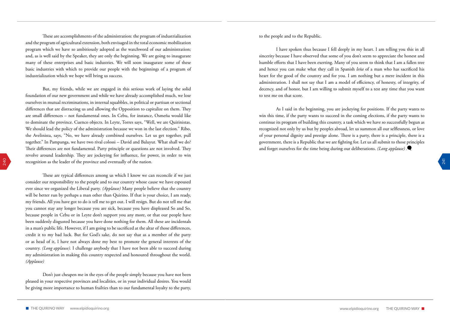These are accomplishments of the administration: the program of industrialization and the program of agricultural extension, both envisaged in the total economic mobilization program which we have so ambitiously adopted as the watchword of our administration; and, as is well said by the Speaker, they are only the beginning. We are going to inaugurate many of these enterprises and basic industries. We will soon inaugurate some of these basic industries with which to provide our people with the beginnings of a program of industrialization which we hope will bring us success.

But, my friends, while we are engaged in this serious work of laying the solid foundation of our new government and while we have already accomplished much, we lose ourselves in mutual recriminations, in internal squabbles, in political or partisan or sectional differences that are distracting us and allowing the Opposition to capitalize on them. They are small differences – not fundamental ones. In Cebu, for instance, Osmeña would like to dominate the province. Cuenco objects. In Leyte, Torres says, "Well, we are Quirinistas. We should lead the policy of the administration because we won in the last election." Ribo, the Avelinista, says, "No, we have already combined ourselves. Let us get together, pull together." In Pampanga, we have two rival colossi – David and Baluyut. What shall we do? Their differences are not fundamental. Party principle or questions are not involved. They revolve around leadership. They are jockeying for influence, for power, in order to win recognition as the leader of the province and eventually of the nation.

These are typical differences among us which I know we can reconcile if we just consider our responsibility to the people and to our country whose cause we have espoused ever since we organized the Liberal party. *(Applause)* Many people believe that the country will be better run by perhaps a man other than Quirino. If that is your choice, I am ready, my friends. All you have got to do is tell me to get out. I will resign. But do not tell me that you cannot stay any longer because you are sick, because you have displeased So and So, because people in Cebu or in Leyte don't support you any more, or that our people have been suddenly disgusted because you have done nothing for them. All these are incidentals in a man's public life. However, if I am going to be sacrificed at the altar of those differences, credit it to my bad luck. But for God's sake, do not say that as a member of the party or as head of it, I have not always done my best to promote the general interests of the country. *(Long applause).* I challenge anybody that I have not been able to succeed during my administration in making this country respected and honoured throughout the world. *(Applause)*

Don't just cheapen me in the eyes of the people simply because you have not been pleased in your respective provinces and localities, or in your individual desires. You would be giving more importance to human frailties than to our fundamental loyalty to the party, to the people and to the Republic.

I have spoken thus because I fell deeply in my heart. I am telling you this in all sincerity because I have observed that some of you don't seem to appreciate the honest and humble efforts that I have been exerting. Many of you seem to think that I am a fallen tree and hence you can make what they call in Spanish *leña* of a man who has sacrificed his heart for the good of the country and for you. I am nothing but a mere incident in this administration. I shall not say that I am a model of efficiency, of honesty, of integrity, of decency, and of honor, but I am willing to submit myself to a test any time that you want to test me on that score.

As I said in the beginning, you are jockeying for positions. If the party wants to win this time, if the party wants to succeed in the coming elections, if the party wants to continue its program of building this country, a task which we have so successfully begun as recognized not only by us but by peoples abroad, let us summon all our selflessness, or love of your personal dignity and prestige alone. There is a party, there is a principle, there is a government, there is a Republic that we are fighting for. Let us all submit to those principles and forget ourselves for the time being during our deliberations. *(Long applause) .*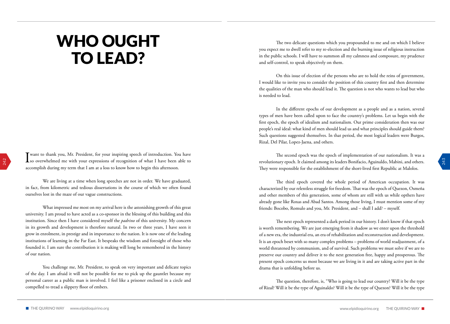# WHO OUGHT TO LEAD?

I want to thank you, Mr. President, for your inspiring speech of introduction. You have so overwhelmed me with your expressions of recognition of what I have been able to accomplish during my term that I am at a loss to know how to begin this afternoon.

We are living at a time when long speeches are not in order. We have graduated, in fact, from kilometric and tedious dissertations in the course of which we often found ourselves lost in the maze of our vague constructions.

What impressed me most on my arrival here is the astonishing growth of this great university. I am proud to have acted as a co-sponsor in the blessing of this building and this institution. Since then I have considered myself the *padrino* of this university. My concern in its growth and development is therefore natural. In two or three years, I have seen it grow in enrolment, in prestige and in importance to the nation. It is now one of the leading institutions of learning in the Far East. It bespeaks the wisdom and foresight of those who founded it. I am sure the contribution it is making will long be remembered in the history of our nation.

You challenge me, Mr. President, to speak on very important and delicate topics of the day. I am afraid it will not be possible for me to pick up the gauntlet because my personal career as a public man is involved. I feel like a prisoner enclosed in a circle and compelled to tread a slippery floor of embers.

The two delicate questions which you propounded to me and on which I believe you expect me to dwell refer to my re-election and the burning issue of religious instruction in the public schools. I will have to summon all my calmness and composure, my prudence and self-control, to speak objectively on them.

On this issue of election of the persons who are to hold the reins of government, I would like to invite you to consider the position of this country first and then determine the qualities of the man who should lead it. The question is not who wants to lead but who is needed to lead.

In the different epochs of our development as a people and as a nation, several types of men have been called upon to face the country's problems. Let us begin with the first epoch, the epoch of idealism and nationalism. Our prime consideration then was our people's real ideal: what kind of men should lead us and what principles should guide them? Such questions suggested themselves. In that period, the most logical leaders were Burgos, Rizal, Del Pilar, Lopez-Jaena, and others.

The second epoch was the epoch of implementation of our nationalism. It was a revolutionary epoch. It claimed among its leaders Bonifacio, Aguinaldo, Mabini, and others. They were responsible for the establishment of the short-lived first Republic at Malolos.

The third epoch covered the whole period of American occupation. It was characterized by our relentless struggle for freedom. That was the epoch of Quezon, Osmeña and other members of this generation, some of whom are still with us while opthers have already gone like Roxas and Abad Santos. Among those living, I must mention some of my friends: Bocobo, Romulo and you, Mr. President, and – shall I add? – myself.

The next epoch represented a dark period in our history. I don't know if that epoch is worth remembering. We are just emerging from it shadow as we enter upon the threshold of a new era, the industrial era, an era of rehabilitation and reconstruction and development. It is an epoch beset with so many complex problems – problems of world readjustment, of a world threatened by communism, and of survival. Such problems we must solve if we are to preserve our country and deliver it to the next generation free, happy and prosperous. The present epoch concerns us most because we are living in it and are taking active part in the drama that is unfolding before us.

The question, therefore, is, "Who is going to lead our country? Will it be the type of Rizal? Will it be the type of Aguinaldo? Will it be the type of Quezon? Will it be the type

242<br>24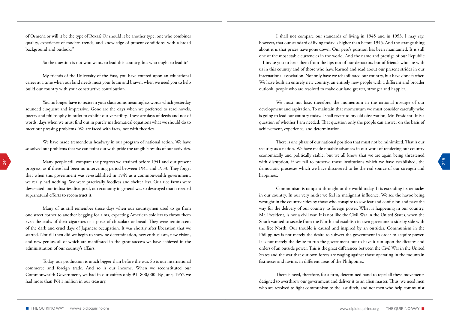of Osmeña or will it be the type of Roxas? Or should it be another type, one who combines quality, experience of modern trends, and knowledge of present conditions, with a broad background and outlook?"

So the question is not who wants to lead this country, but who ought to lead it?

My friends of the University of the East, you have entered upon an educational career at a time when our land needs most your brain and brawn, when we need you to help build our country with your constructive contribution.

You no longer have to recite in your classrooms meaningless words which yesterday sounded eloquent and impressive. Gone are the days when we preferred to read novels, poetry and philosophy in order to exhibit our versatility. These are days of deeds and not of words, days when we must find out in purely mathematical equations what we should do to meet our pressing problems. We are faced with facts, not with theories.

We have made tremendous headway in our program of national action. We have so solved our problems that we can point out with pride the tangible results of our activities.

Many people still compare the progress we attained before 1941 and our present progress, as if there had been no intervening period between 1941 and 1953. They forget that when this government was re-established in 1945 as a commonwealth government, we really had nothing. We were practically foodless and shelter less. Our rice farms were devastated, our industries disrupted, our economy in general was so destroyed that it needed supernatural efforts to reconstruct it.

Many of us still remember those days when our countrymen used to go from one street corner to another begging for alms, expecting American soldiers to throw them even the stubs of their cigarettes or a piece of chocolate or bread. They were reminiscent of the dark and cruel days of Japanese occupation. It was shortly after liberation that we started. Not till then did we begin to show ne determination, new enthusiasm, new vision, and new genius, all of which are manifested in the great success we have achieved in the administration of our country's affairs.

Today, our production is much bigger than before the war. So is our international commerce and foreign trade. And so is our income. When we reconstituted our Commonwealth Government, we had in our coffers only P1, 800,000. By June, 1952 we had more than P611 million in our treasury.

I shall not compare our standards of living in 1945 and in 1953. I may say, however, that our standard of living today is higher than before 1945. And the strange thing about it is that prices have gone down. Our peso's position has been maintained. It is still one of the most stable currencies in the world. And the name and prestige of our Republic – I invite you to hear them from the lips not of our detractors but of friends who are with us in this country and of those who have learned and read about our present strides in our international association. Not only have we rehabilitated our country, but have done farther. We have built an entirely new country, an entirely new people with a different and broader outlook, people who are resolved to make our land greater, stronger and happier.

We must not lose, therefore, the momentum in the national upsurge of our development and aspiration. To maintain that momentum we must consider carefully who is going to lead our country today. I shall revert to my old observation, Mr. President. It is a question of whether I am needed. That question only the people can answer on the basis of achievement, experience, and determination.

There is one phase of our national position that must not be minimized. That is our security as a nation. We have made notable advances in our work of rendering our country economically and politically stable, but we all know that we are again being threatened with disruption, if we fail to preserve those institutions which we have established, the democratic processes which we have discovered to be the real source of our strength and happiness.

Communism is rampant throughout the world today. It is extending its tentacles in our country. In our very midst we feel its malignant influence. We see the havoc being wrought in the country-sides by those who conspire to sow fear and confusion and pave the way for the delivery of our country to foreign power. What is happening in our country, Mr. President, is not a civil war. It is not like the Civil War in the United States, when the South wanted to secede from the North and establish its own government side by side with the free North. Our trouble is caused and inspired by an outsider. Communism in the Philippines is not merely the desire to subvert the government in order to acquire power. It is not merely the desire to run the government but to have it run upon the dictates and orders of an outside power. This is the great differences between the Civil War in the United States and the war that our own forces are waging against those operating in the mountain fastnesses and ravines in different areas of the Philippines.

There is need, therefore, for a firm, determined hand to repel all these movements designed to overthrow our government and deliver it to an alien master. Thus, we need men who are resolved to fight communism to the last ditch, and not men who help communist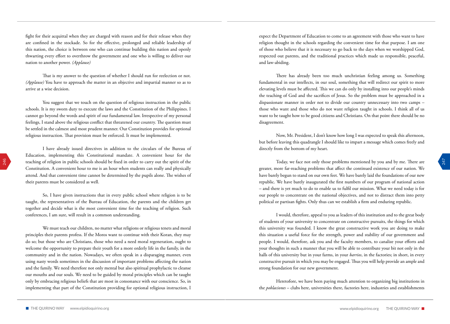fight for their acquittal when they are charged with reason and for their release when they are confined in the stockade. So for the effective, prolonged and reliable leadership of this nation, the choice is between one who can continue building this nation and openly thwarting every effort to overthrow the government and one who is willing to deliver our nation to another power. *(Applause)*

That is my answer to the question of whether I should run for reelection or not. *(Applause)* You have to approach the matter in an objective and impartial manner so as to arrive at a wise decision.

You suggest that we touch on the question of religious instruction in the public schools. It is my sworn duty to execute the laws and the Constitution of the Philippines. I cannot go beyond the words and spirit of our fundamental law. Irrespective of my personal feelings, I stand above the religious conflict that threatened our country. The question must be settled in the calmest and most prudent manner. Our Constitution provides for optional religious instruction. That provision must be enforced. It must be implemented.

I have already issued directives in addition to the circulars of the Bureau of Education, implementing this Constitutional mandate. A convenient hour for the teaching of religion in public schools should be fixed in order to carry out the spirit of the Constitution. A convenient hour to me is an hour when students can really and physically attend. And that convenient time cannot be determined by the pupils alone. The wishes of their parents must be considered as well.

So, I have given instructions that in every public school where religion is to be taught, the representatives of the Bureau of Education, the parents and the children get together and decide what is the most convenient time for the teaching of religion. Such conferences, I am sure, will result in a common understanding.

We must teach our children, no matter what religions or religious tenets and moral principles their parents profess. If the Moros want to continue with their Koran, they may do so; but those who are Christians, those who need a need moral regeneration, ought to welcome the opportunity to prepare their youth for a more orderly life in the family, in the community and in the nation. Nowadays, we often speak in a disparaging manner, even using nasty words sometimes in the discussion of important problems affecting the nation and the family. We need therefore not only mental but also spiritual prophylactic to cleanse our mouths and our souls. We need to be guided by moral principles which can be taught only by embracing religious beliefs that are most in consonance with our conscience. So, in implementing that part of the Constitution providing for optional religious instruction, I

expect the Department of Education to come to an agreement with those who want to have religion thought in the schools regarding the convenient time for that purpose. I am one of those who believe that it is necessary to go back to the days when we worshipped God, respected out parents, and the traditional practices which made us responsible, peaceful, and law-abiding.

There has already been too much unchristian feeling among us. Something fundamental in our intellects, in our soul, something that will redirect our spirit to more elevating levels must be affected. This we can do only by installing into our people's minds the teaching of God and the sacrifices of Jesus. So the problem must be approached in a dispassionate manner in order not to divide our country unnecessary into two camps – those who want and those who do not want religion taught in schools. I think all of us want to be taught how to be good citizens and Christians. On that point there should be no disagreement.

Now, Mr. President, I don't know how long I was expected to speak this afternoon, but before leaving this quadrangle I should like to impart a message which comes freely and directly from the bottom of my heart.

Today, we face not only those problems mentioned by you and by me. There are greater, more far-reaching problems that affect the continued existence of our nation. We have barely begun to stand on our own feet. We have barely laid the foundations of our new republic. We have barely inaugurated the first numbers of our program of national action – and there is yet much to do to enable us to fulfil our mission. What we need today is for our people to concentrate on the national objectives, and not to distract them into petty political or partisan fights. Only thus can we establish a firm and enduring republic.

I would, therefore, appeal to you as leaders of this institution and to the great body of students of your university to concentrate on constructive pursuits, the things for which this university was founded. I know the great constructive work you are doing to make this situation a useful force for the strength, power and stability of our government and people. I would, therefore, ask you and the faculty members, to canalize your efforts and your thoughts in such a manner that you will be able to contribute your bit not only in the halls of this university but in your farms, in your *barrios*, in the factories; in short, in every constructive pursuit in which you may be engaged. Thus you will help provide an ample and strong foundation for our new government.

Heretofore, we have been paying much attention to organizing big institutions in the *poblaciones* – clubs here, universities there, factories here, industries and establishments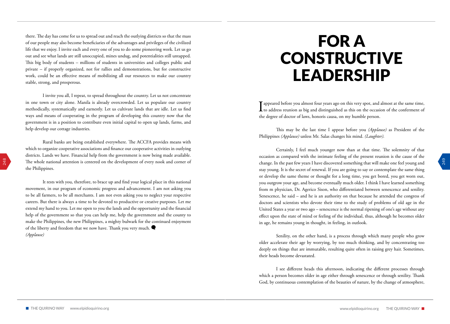there. The day has come for us to spread out and reach the outlying districts so that the mass of our people may also become beneficiaries of the advantages and privileges of the civilized life that we enjoy. I invite each and every one of you to do some pioneering work. Let us go out and see what lands are still unoccupied, mines undug, and potentialities still untapped. This big body of students – millions of students in universities and colleges public and private – if properly organized, not for rallies and demonstrations, but for constructive work, could be an effective means of mobilizing all our resources to make our country stable, strong, and prosperous.

I invite you all, I repeat, to spread throughout the country. Let us not concentrate in one town or city alone. Manila is already overcrowded. Let us populate our country methodically, systematically and earnestly. Let us cultivate lands that are idle. Let us find ways and means of cooperating in the program of developing this country now that the government is in a position to contribute even initial capital to open up lands, farms, and help develop our cottage industries.

Rural banks are being established everywhere. The ACCFA provides means with which to organize cooperative associations and finance our cooperative activities in outlying districts. Lands we have. Financial help from the government is now being made available. The whole national attention is centered on the development of every nook and corner of the Philippines.

It rests with you, therefore, to brace up and find your logical place in this national movement, in our program of economic progress and advancement. I am not asking you to be all farmers, to be all merchants. I am not even asking you to neglect your respective careers. But there is always a time to be devoted to productive or creative purposes. Let me extend my hand to you. Let me open to you the lands and the opportunity and the financial help of the government so that you can help me, help the government and the county to make the Philippines, the new Philippines, a mighty bulwark for the continued enjoyment of the liberty and freedom that we now have. Thank you very much. *(Applause)*

# FOR A **CONSTRUCTIVE** LEADERSHIP

I appeared before you almost four years ago on this very spot, and almost at the same time, to address reunion as big and distinguished as this on the occasion of the conferment of the degree of doctor of laws, honoris causa, on my humble person.

This may be the last time I appear before you *(Applause)* as President of the Philippines *(Applause)* unless Mr. Salas changes his mind. *(Laughter).*

Certainly, I feel much younger now than at that time. The solemnity of that occasion as compared with the intimate feeling of the present reunion is the cause of the change. In the past few years I have discovered something that will make one feel young and stay young. It is the secret of renewal. If you are going to say or contemplate the same thing or develop the same theme or thought for a long time, you get bored, you get worn out, you outgrow your age, and become eventually much older. I think I have learned something from m physician, Dr. Agerico Sison, who differentiated between senescence and senility. Senescence, he said – and he is an authority on that because he attended the congress of doctors and scientists who devote their time to the study of problems of old age in the United States a year or two ago – senescence is the normal ripening of one's age without any effect upon the state of mind or feeling of the individual, thus, although he becomes older in age, he remains young in thought, in feeling, in outlook.

Senility, on the other hand, is a process through which many people who grow older accelerate their age by worrying, by too much thinking, and by concentrating too deeply on things that are immutable, resulting quite often in raising grey hair. Sometimes, their heads become devastated.

I see different heads this afternoon, indicating the different processes through which a person becomes older in age either through senescence or through senility. Thank God, by continuous contemplation of the beauties of nature, by the change of atmosphere,

24<br>22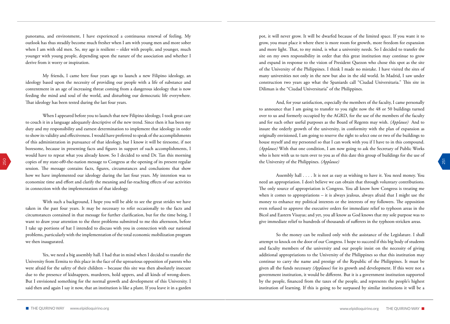panorama, and environment, I have experienced a continuous renewal of feeling. My outlook has thus steadily become much fresher when I am with young men and more sober when I am with old men. So, my age is resilient – older with people, and younger, much younger with young people, depending upon the nature of the association and whether I derive from it worry or inspiration.

My friends, I came here four years ago to launch a new Filipino ideology, an ideology based upon the necessity of providing our people with a life of substance and contentment in an age of increasing threat coming from a dangerous ideology that is now feeding the mind and soul of the world, and disturbing our democratic life everywhere. That ideology has been tested during the last four years.

When I appeared before you to launch that new Filipino ideology, I took great care to couch it in a language adequately descriptive of the new trend. Since then it has been my duty and my responsibility and earnest determination to implement that ideology in order to show its validity and effectiveness. I would have preferred to speak of the accomplishments of this administration in pursuance of that ideology, but I know it will be tiresome, if not boresome, because in presenting facts and figures in support of such accomplishments, I would have to repeat what you already know. So I decided to send Dr. Tan this morning copies of my state-of0-the-nation message to Congress at the opening of its present regular session. The message contains facts, figures, circumstances and conclusions that show how we have implemented our ideology during the last four years. My intention was to economize time and effort and clarify the meaning and far-reaching effects of our activities in connection with the implementation of that ideology.

With such a background, I hope you will be able to see the great strides we have taken in the past four years. It may be necessary to refer occasionally to the facts and circumstances contained in that message for further clarification, but for the time being, I want to draw your attention to the three problems submitted to me this afternoon, before I take up portions of hat I intended to discuss with you in connection with our national problems, particularly with the implementation of the total economic mobilization program we then inaugurated.

Yes, we need a big assembly hall. I had that in mind when I decided to transfer the University from Ermita to this place in the face of the uproarious opposition of parents who were afraid for the safety of their children – because this site was then absolutely insecure due to the presence of kidnappers, murderers, hold uppers, and all kinds of wrong-doers. But I envisioned something for the normal growth and development of this University. I said then and again I say it now, that an institution is like a plant. If you leave it in a garden

pot, it will never grow. It will be dwarfed because of the limited space. If you want it to grow, you must place it where there is more room for growth, more freedom for expansion and more light. That, to my mind, is what a university needs. So I decided to transfer the site on my own responsibility in order that this great institution may continue to grow and expand in response to the vision of President Quezon who chose this spot as the site of the University of the Philippines. I think I made no mistake. I have visited the sites of many universities not only in the new but also in the old world. In Madrid, I saw under construction two years ago what the Spaniards call "Ciudad Universitaria." This site in Diliman is the "Ciudad Universitaria" of the Philippines.

And, for your satisfaction, especially the members of the faculty, I came personally to announce that I am going to transfer to you right now the 48 or 50 buildings turned over to us and formerly occupied by the AGRD, for the use of the members of the faculty and for such other useful purposes as the Board of Regents may wish. *(Applause)* And to insure the orderly growth of the university, in conformity with the plan of expansion as originally envisioned, I am going to reserve the right to select one or two of the buildings to house myself and my personnel so that I can work with you if I have to in this compound. *(Applause)* With that one condition, I am now going to ask the Secretary of Public Works who is here with us to turn over to you as of this date this group of buildings for the use of the University of the Philippines. *(Applause)*

Assembly hall . . . . It is not as easy as wishing to have it. You need money. You need an appropriation. I don't believe we can obtain that through voluntary contributions. The only source of appropriation is Congress. You all know how Congress is treating me when it comes to appropriations – it is always jealous, always afraid that I might use the money to enhance my political interests or the interests of my followers. The opposition even refused to approve the executive orders for immediate relief to typhoon areas in the Bicol and Eastern Visayas; and yet, you all know as God knows that my sole purpose was to give immediate relief to hundreds of thousands of sufferers in the typhoon-stricken areas.

So the money can be realized only with the assistance of the Legislature. I shall attempt to knock on the door of our Congress. I hope to succeed if this big body of students and faculty members of the university and our people insist on the necessity of giving additional appropriations to the University of the Philippines so that this institution may continue to carry the name and prestige of the Republic of the Philippines. It must be given all the funds necessary *(Applause)* for its growth and development. If this were not a government institution, it would be different. But it is a government institution supported by the people, financed from the taxes of the people, and represents the people's highest institution of learning. If this is going to be surpassed by similar institutions it will be a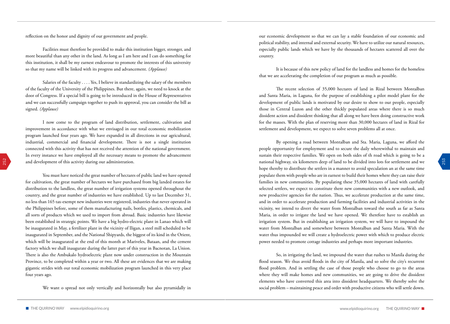Facilities must therefore be provided to make this institution bigger, stronger, and more beautiful than any other in the land. As long as I am here and I can do something for this institution, it shall be my earnest endeavour to promote the interests of this university so that my name will be linked with its progress and advancement. *(Applause)*

Salaries of the faculty . . . . Yes, I believe in standardizing the salary of the members of the faculty of the University of the Philippines. But there, again, we need to knock at the door of Congress. If a special bill is going to be introduced in the House of Representatives and we can successfully campaign together to push its approval, you can consider the bill as signed. *(Applause)*

I now come to the program of land distribution, settlement, cultivation and improvement in accordance with what we envisaged in our total economic mobilization program launched four years ago. We have expanded in all directions in our agricultural, industrial, commercial and financial development. There is not a single institution connected with this activity that has not received the attention of the national government. In every instance we have employed all the necessary means to promote the advancement and development of this activity during our administration.

You must have noticed the great number of hectares of public land we have opened for cultivation, the great number of hectares we have purchased from big landed estates for distribution to the landless, the great number of irrigation systems opened throughout the country, and the great number of industries we have established. Up to last December 31, no less than 165 tax-exempt new industries were registered, industries that never operated in the Philippines before, some of them manufacturing nails, bottles, plastics, chemicals, and all sorts of products which we used to import from abroad. Basic industries have likewise been established in strategic points. We have a big hydro-electric plant in Lanao which will be inaugurated in May, a fertilizer plant in the vicinity of Iligan, a steel mill scheduled to be inaugurated in September, and the National Shipyards, the biggest of its kind in the Orient, which will be inaugurated at the end of this month at Mariveles, Bataan, and the cement factory which we shall inaugurate during the latter part of this year in Bacnotan, La Union. There is also the Ambukalo hydroelectric plant now under construction in the Mountain Province, to be completed within a year or two. All these are evidences that we are making gigantic strides with our total economic mobilization program launched in this very place four years ago.

We want o spread not only vertically and horizontally but also pyramidally in

our economic development so that we can lay a stable foundation of our economic and political stability, and internal and external security. We have to utilize our natural resources, especially public lands which we have by the thousands of hectares scattered all over the country.

It is because of this new policy of land for the landless and homes for the homeless that we are accelerating the completion of our program as much as possible.

The recent selection of 35,000 hectares of land in Rizal between Montalban and Santa Maria, in Laguna, for the purpose of establishing a pilot model plant for the development of public lands is motivated by our desire to show to our people, especially those in Central Luzon and the other thickly populated areas where there is so much dissident action and dissident thinking that all along we have been doing constructive work for the masses. With the plan of reserving more than 30,000 hectares of land in Rizal for settlement and development, we expect to solve seven problems all at once.

By opening a road between Montalban and Sta. Maria, Laguna, we afford the people opportunity for employment and to secure the daily wherewithal to maintain and sustain their respective families. We open on both sides of th road which is going to be a national highway, six kilometers deep of land to be divided into lots for settlement and we hope thereby to distribute the settlers in a manner to avoid speculation an at the same time populate them with people who are in earnest to build their homes where they can raise their families in new communities. By populating these 35,000 hectares of land with carefully selected settlers, we expect to constitute there new communities with a new outlook, and new productive agencies for the nation. Thus, we accelerate production at the same time, and in order to accelerate production and farming facilities and industrial activities in the vicinity, we intend to divert the water from Montalban toward the south as far as Santa Maria, in order to irrigate the land we have opened. We therefore have to establish an irrigation system. But in establishing an irrigation system, we will have to impound the water from Montalban and somewhere between Montalban and Santa Maria. With the water thus impounded we will create a hydroelectric power with which to produce electric power needed to promote cottage industries and perhaps more important industries.

So, in irrigating the land, we impound the water that rushes to Manila during the flood season. We thus avoid floods in the city of Manila, and so solve the city's recurrent flood problem. And in settling the case of those people who choose to go to the areas where they will make homes and new communities, we are going to drive the dissident elements who have converted this area into dissident headquarters. We thereby solve the social problem – maintaining peace and order with productive citizens who will settle down.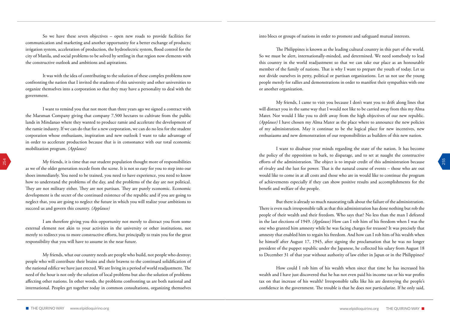So we have these seven objectives – open new roads to provide facilities for communication and marketing and another opportunity for a better exchange of products; irrigation system, acceleration of production, the hydroelectric system, flood control for the city of Manila, and social problems to be solved by settling in that region now elements with the constructive outlook and ambitions and aspirations.

It was with the idea of contributing to the solution of these complex problems now confronting the nation that I invited the students of this university and other universities to organize themselves into a corporation so that they may have a personality to deal with the government.

I want to remind you that not more than three years ago we signed a contract with the Marsman Company giving that company 7,500 hectares to cultivate from the public lands in Mindanao where they wanted to produce ramie and accelerate the development of the ramie industry. If we can do that for a new corporation, we can do no less for the student corporation whose enthusiasm, inspiration and new outlook I want to take advantage of in order to accelerate production because that is in consonance with our total economic mobilization program. *(Applause)*

My friends, it is time that our student population thought more of responsibilities as we of the older generation recede from the scene. It is not so easy for you to step into our shoes immediately. You need to be trained, you need to have experience, you need to know how to understand the problems of the day, and the problems of the day are not political. They are not military either. They are not partisan. They are purely economic. Economic development is the secret of the continued existence of the republic and if you are going to neglect that, you are going to neglect the future in which you will realize your ambitions to succeed us and govern this country. *(Applause)*

I am therefore giving you this opportunity not merely to distract you from some external element not akin to your activities in the university or other institutions, not merely to redirect you to more constructive efforts, but principally to train you for the great responsibility that you will have to assume in the near future.

My friends, what our country needs are people who build, not people who destroy; people who will contribute their brains and their brawns to the continued solidification of the national edifice we have just erected. We are living in a period of world readjustment. The need of the hour is not only the solution of local problems but also the solution of problems affecting other nations. In other words, the problems confronting us are both national and international. Peoples get together today in common consultations, organizing themselves

into blocs or groups of nations in order to promote and safeguard mutual interests.

The Philippines is known as the leading cultural country in this part of the world. So we must be alert, internationally-minded, and determined. We need somebody to lead this country in the world readjustment so that we can take our place as an honourable member of the family of nations. That is why I want to prepare the youth of today. Let us not divide ourselves in petty, political or partisan organizations. Let us not use the young people merely for rallies and demonstrations in order to manifest their sympathies with one or another organization.

My friends, I came to visit you because I don't want you to drift along lines that will distract you in the same way that I would not like to be carried away from this my Alma Mater. Nor would I like you to drift away from the high objectives of our new republic. *(Applause)* I have chosen my Alma Mater as the place where to announce the new policies of my administration. May it continue to be the logical place for new incentives, new enthusiasms and new demonstration of our responsibilities as builders of this new nation.

I want to disabuse your minds regarding the state of the nation. It has become the policy of the opposition to bark, to disparage, and to set at naught the constructive efforts of the administration. The object is to impair credit of this administration because of rivalry and the lust for power. That is the natural course of events – those who are out would like to come in at all costs and those who are in would like to continue the program of achievements especially if they can show positive results and accomplishments for the benefit and welfare of the people.

But there is already so much nauseating talk about the failure of the administration. There is even such irresponsible talk as that this administration has done nothing but rob the people of their wealth and their freedom. Who says that? No less than the man I defeated in the last elections of 1949. *(Applause)* How can I rob him of his freedom when I was the one who granted him amnesty while he was facing charges for treason? It was precisely that amnesty that enabled him to regain his freedom. And how can I rob him of his wealth when he himself after August 17, 1945, after signing the proclamation that he was no longer president of the puppet republic under the Japanese, he collected his salary from August 18 to December 31 of that year without authority of law either in Japan or in the Philippines?

How could I rob him of his wealth when since that time he has increased his wealth and I have just discovered that he has not even paid his income tax or his war profits tax on that increase of his wealth? Irresponsible talks like his are destroying the people's confidence in the government. The trouble is that he does not particularize. If he only said,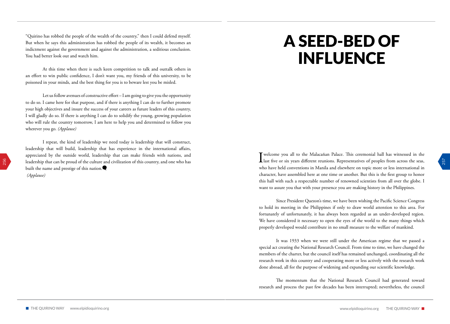"Quirino has robbed the people of the wealth of the country," then I could defend myself. But when he says this administration has robbed the people of its wealth, it becomes an indictment against the government and against the administration, a seditious conclusion. You had better look out and watch him.

At this time when there is such keen competition to talk and outtalk others in an effort to win public confidence, I don't want you, my friends of this university, to be poisoned in your minds, and the best thing for you is to beware lest you be misled.

Let us follow avenues of constructive effort – I am going to give you the opportunity to do so. I came here for that purpose, and if there is anything I can do to further promote your high objectives and insure the success of your careers as future leaders of this country, I will gladly do so. If there is anything I can do to solidify the young, growing population who will rule the country tomorrow, I am here to help you and determined to follow you wherever you go. *(Applause)*

I repeat, the kind of leadership we need today is leadership that will construct, leadership that will build, leadership that has experience in the international affairs, appreciated by the outside world, leadership that can make friends with nations, and leadership that can be proud of the culture and civilization of this country, and one who has built the name and prestige of this nation. *(Applause)*

# A SEED-BED OF INFLUENCE

I welcome you all to the Malacañan Palace. This ceremonial hall has witnessed in the last five or six years different reunions. Representatives of peoples from across the seas, who have held conventions in Manila and elsewhere on topic more or less international in character, have assembled here at one time or another. But this is the first group to honor this hall with such a respectable number of renowned scientists from all over the globe. I want to assure you that with your presence you are making history in the Philippines.

Since President Quezon's time, we have been wishing the Pacific Science Congress to hold its meeting in the Philippines if only to draw world attention to this area. For fortunately of unfortunately, it has always been regarded as an under-developed region. We have considered it necessary to open the eyes of the world to the many things which properly developed would contribute in no small measure to the welfare of mankind.

It was 1933 when we were still under the American regime that we passed a special act creating the National Research Council. From time to time, we have changed the members of the charter, but the council itself has remained unchanged, coordinating all the research work in this country and cooperating more or less actively with the research work done abroad, all for the purpose of widening and expanding our scientific knowledge.

The momentum that the National Research Council had generated toward research and process the past few decades has been interrupted; nevertheless, the council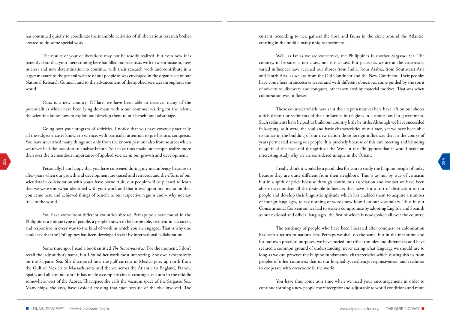has continued quietly to coordinate the manifold activities of all the various research bodies created to do some special work.

The results of your deliberations may not be readily realized, but even now it is patently clear that your mere coming here has filled our scientists with new enthusiasm, new interest and new determination to continue with their research work and contribute in a larger measure to the general welfare of our people as was envisaged in the organic act of our National Research Council, and to the advancement of the applied sciences throughout the world.

Ours is a new country. Of late, we have been able to discover many of the potentialities which have been lying dormant within our confines, waiting for the talent, the scientific know-how to exploit and develop them to our benefit and advantage.

Going over your program of activities, I notice that you have covered practically all the subject-matter known to science, with particular attention to pre-historic conquests. You have unearthed many things not only from the known past but also from sources which we never had the occasion to analyse before. You have thus made our people realize more than ever the tremendous importance of applied science in our growth and development.

Personally, I am happy that you have convened during my incumbency because in after-years when our growth and development are traced and retraced, and the efforts of our scientists in collaboration with yours have borne fruit, our people will be pleased to learn that we were somewhat identified with your work and that it was upon my invitation that you came here and achieved things of benefit to our respective regions and – why not say it? – to the world.

You have come from different countries abroad. Perhaps you have found in the Philippines a unique type of people, a people known to be hospitable, resilient in character, and responsive in every way to the kind of work in which you are engaged. That is why one could say that the Philippines has been developed so far by international collaboration.

Some time ago, I read a book entitled *The Sea Around us.* For the moment, I don't recall the lady author's name, but I found her work most interesting. She dwelt extensively on the Sargasso Sea. She discovered how the gulf current in Mexico goes up north from the Gulf of Mexico to Massachusetts and thence across the Atlantic to England, France, Spain, and all around, until it has made a complete circle, creating a vacuum in the middle somewhere west of the Azores. That space she calls the vacuum space of the Sargasso Sea. Many ships, she says, have avoided crossing that spot because of the risk involved. The

current, according to her, gathers the flora and fauna in the circle around the Atlantic, creating in the middle many unique specimens.

Well, as far as we are concerned, the Philippines is another Sargasso Sea. The country, to be sure, is not a sea, nor is it at sea. But placed as we are at the crossroads, varied influences have reached our shores from India, from Arabia, from South-east Asia and North Asia, as well as from the Old Continent and the New Continent. Their peoples have come here in successive waves and with different objectives, some guided by the spirit of adventure, discovery and conquest, others actuated by material motives. That was when colonization was in flower.

Those countries which have sent their representatives here have left on our shores a rich deposit or sediments of their influence in religion, in customs, and in government. Such sediments have helped us build our country little by little. Although we have succeeded in keeping, as it were, the soul and basic characteristics of our race, yet we have been able to utilize in the building of our new nation those foreign influences that in the course of years permeated among our people. It is precisely because of this rare meeting and blending of spirit of the East and the spirit of the West in the Philippines that it would make an interesting study why we are considered unique in the Orient.

I really think it would be a good idea for you to study the Filipino people of today because they are quite different from their neighbors. This is ay not by way of criticism but in a spirit of pride because through continuous association and contact we have been able to accumulate all the desirable influences that have lent a sort of distinction to our people and develop their linguistic aptitude which has enabled them to acquire a number of foreign languages, to say nothing of words now found on our vocabulary. Thus in our Constitutional Convention we had to strike a compromise by adopting English and Spanish as our national and official languages, the first of which is now spoken all over the country.

The tendency of people who have been liberated after conquest or colonization has been a return to nationalism. Perhaps we shall do the same, but in the meantime and for our own practical purposes, we have buried our tribal troubles and differences and have secured a common ground of understanding, never caring what language we should use so long as we can preserve the Filipino fundamental characteristics which distinguish us from peoples of other countries; that is, our hospitality, resiliency, responsiveness, and readiness to cooperate with everybody in the world.

You have thus come at a time when we need your encouragement in order to continue forming a new people more receptive and adjustable to world conditions and more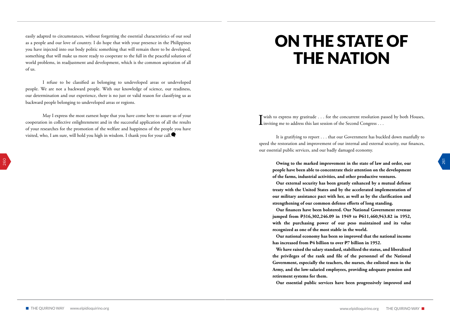easily adapted to circumstances, without forgetting the essential characteristics of our soul as a people and our love of country. I do hope that with your presence in the Philippines you have injected into our body politic something that will remain there to be developed, something that will make us more ready to cooperate to the full in the peaceful solution of world problems, in readjustment and development, which is the common aspiration of all of us.

I refuse to be classified as belonging to undeveloped areas or undeveloped people. We are not a backward people. With our knowledge of science, our readiness, our determination and our experience, there is no just or valid reason for classifying us as backward people belonging to undeveloped areas or regions.

May I express the most earnest hope that you have come here to assure us of your cooperation in collective enlightenment and in the successful application of all the results of your researches for the promotion of the welfare and happiness of the people you have visited, who, I am sure, will hold you high in wisdom. I thank you for your call.

# ON THE STATE OF THE NATION

Twish to express my gratitude . . . for the concurrent resolution passed by both Houses, **L**inviting me to address this last session of the Second Congress . . .

It is gratifying to report . . . that our Government has buckled down manfully to speed the restoration and improvement of our internal and external security, our finances, our essential public services, and our badly damaged economy.

**Owing to the marked improvement in the state of law and order, our people have been able to concentrate their attention on the development of the farms, industrial activities, and other productive ventures.**

**Our external security has been greatly enhanced by a mutual defense treaty with the United States and by the accelerated implementation of our military assistance pact with her, as well as by the clarification and strengthening of our common defense efforts of long standing.**

**Our finances have been bolstered. Our National Government revenue jumped from P316,302,246.09 in 1949 to P611,460,943.82 in 1952, with the purchasing power of our peso maintained and its value recognized as one of the most stable in the world.**

**Our national economy has been so improved that the national income has increased from P4 billion to over P7 billion in 1952.**

**We have raised the salary standard, stabilized the status, and liberalized the privileges of the rank and file of the personnel of the National Government, especially the teachers, the nurses, the enlisted men in the Army, and the low-salaried employees, providing adequate pension and retirement systems for them.**

**Our essential public services have been progressively improved and**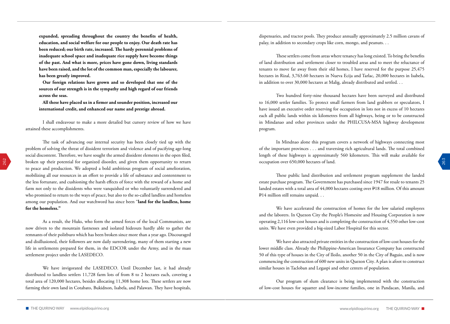**expanded, spreading throughout the country the benefits of health, education, and social welfare for our people to enjoy. Our death rate has been reduced; our birth rate, increased. The hardy perennial problems of inadequate school space and inadequate rice supply have become things of the past. And what is more, prices have gone down, living standards have been raised, and the lot of the common man, especially the labourer, has been greatly improved.**

**Our foreign relations have grown and so developed that one of the sources of our strength is in the sympathy and high regard of our friends across the seas.**

**All these have placed us in a firmer and sounder position, increased our international credit, and enhanced our name and prestige abroad.**

I shall endeavour to make a more detailed but cursory review of how we have attained these accomplishments.

The task of advancing our internal security has been closely tied up with the problem of solving the threat of dissident terrorism and violence and of pacifying age-long social discontent. Therefore, we have sought the armed dissident elements in the open filed, broken up their potential for organized disorder, and given them opportunity to return to peace and production. We adopted a bold ambitious program of social amelioration, mobilizing all our resources in an effort to provide a life of substance and contentment to the less fortunate, and cushioning the harsh effects of force with the reward of a home and farm not only to the dissidents who were vanquished or who voluntarily surrendered and who promised to return to the ways of peace, but also to the so-called landless and homeless among our population. And our watchword has since been "**land for the landless, home for the homeless."**

As a result, the Huks, who form the armed forces of the local Communists, are now driven to the mountain fastnesses and isolated hideouts hardly able to gather the remnants of their politburo which has been broken since more than a year ago. Discouraged and disillusioned, their followers are now daily surrendering, many of them starting a new life in settlements prepared for them, in the EDCOR under the Army, and in the mass settlement project under the LASEDECO.

We have invigorated the LASEDECO. Until December last, it had already distributed to landless settlers 11,728 farm lots of from 8 to 2 hectares each, covering a total area of 120,000 hectares, besides allocating 11,308 home lots. These settlers are now farming their own land in Cotabato, Bukidnon, Isabela, and Palawan. They have hospitals,

dispensaries, and tractor pools. They produce annually approximately 2.5 million cavans of palay, in addition to secondary crops like corn, mongo, and peanuts. . .

These settlers come from areas where tenancy has long existed. To bring the benefits of land distribution and settlement closer to troubled areas and to meet the reluctance of tenants to move far away from their old homes, I have reserved for the purpose 25,475 hectares in Rizal, 3,763.60 hectares in Nueva Ecija and Tarlac, 20,000 hectares in Isabela, in addition to over 30,000 hectares at Malig, already distributed and settled. . .

Two hundred forty-nine thousand hectares have been surveyed and distributed to 16,000 settler families. To protect small farmers from land grabbers or speculators, I have issued an executive order reserving for occupation in lots not in excess of 10 hectares each all public lands within six kilometres from all highways, being or to be constructed in Mindanao and other provinces under the PHILCUSA-MSA highway development program.

In Mindnao alone this program covers a network of highways connecting most of the important provinces . . . and traversing rich agricultural lands. The total combined length of these highways is approximately 560 kilometers. This will make available for occupation over 650,000 hectares of land.

These public land distribution and settlement program supplement the landed estate purchase program. The Government has purchased since 1947 for resale to tenants 25 landed estates with a total area of 44,000 hectares costing over P18 million. Of this amount P14 million still remains unpaid. . .

We have accelerated the construction of homes for the low salaried employees and the laborers. In Quezon City the People's Homesite and Housing Corporation is now operating 2,116 low-cost houses and is completing the construction of 4,550 other low-cost units. We have even provided a big-sized Labor Hospital for this sector.

We have also attracted private entities in the construction of low-cost houses for the lower middle class. Already the Philippine-American Insurance Company has constructed 50 of this type of houses in the City of Iloilo, another 50 in the City of Baguio, and is now commencing the construction of 600 new units in Quezon City. A plan is afoot to construct similar houses in Tacloban and Legaspi and other centers of population.

Our program of slum clearance is being implemented with the construction of low-cost houses for squatter and low-income families, one in Pandacan, Manila, and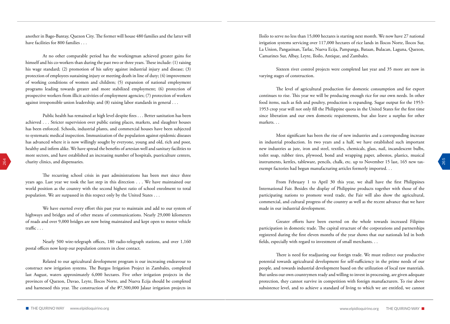another in Bago-Bantay, Quezon City. The former will house 480 families and the latter will have facilities for 800 families . . .

At no other comparable period has the workingman achieved greater gains for himself and his co-workers than during the past two or three years. These include: (1) raising his wage standard; (2) promotion of his safety against industrial injury and disease; (3) protection of employees sustaining injury or meeting death in line of duty; (4) improvement of working conditions of women and children; (5) expansion of national employment programs leading towards greater and more stabilized employment; (6) protection of prospective workers from illicit activities of employment agencies; (7) protection of workers against irresponsible union leadership; and (8) raising labor standards in general . . .

Public health has remained at high level despite fires . . . Better sanitation has been achieved . . . Stricter supervision over public eating places, markets, and slaughter houses has been enforced. Schools, industrial plants, and commercial houses have been subjected to systematic medical inspection. Immunization of the population against epidemic diseases has advanced where it is now willingly sought by everyone, young and old, rich and poor, healthy and infirm alike. We have spread the benefits of artesian well and sanitary facilities to more sectors, and have established an increasing number of hospitals, puericulture centers, charity clinics, and dispensaries.

The recurring school crisis in past administrations has been met since three years ago. Last year we took the last step in this direction . . . We have maintained our world position as the country with the second highest ratio of school enrolment to total population. We are surpassed in this respect only by the United States . . .

We have exerted every effort this past year to maintain and add to our system of highways and bridges and of other means of communications. Nearly 29,000 kilometers of roads and over 9,000 bridges are now being maintained and kept open to motor vehicle traffic . . .

Nearly 500 wire-telegraph offices, 180 radio-telegraph stations, and over 1,160 postal offices now keep our population centers in close contact.

Related to our agricultural development program is our increasing endeavour to construct new irrigation systems. The Burgos Irrigation Project in Zambales, completed last August, waters approximately 6,000 hectares. Five other irrigation projects in the provinces of Quezon, Davao, Leyte, Ilocos Norte, and Nueva Ecija should be completed and harnessed this year. The construction of the P7,500,000 Jalaur irrigation projects in Iloilo to serve no less than 15,000 hectares is starting next month. We now have 27 national irrigation systems servicing over 117,000 hectares of rice lands in Ilocos Norte, Ilocos Sur, La Union, Pangasinan, Tarlac, Nueva Ecija, Pampanga, Bataan, Bulacan, Laguna, Quezon, Camarines Sur, Albay, Leyte, Iloilo, Antique, and Zambales.

Sixteen river control projects were completed last year and 35 more are now in varying stages of construction.

The level of agricultural production for domestic consumption and for export continues to rise. This year we will be producing enough rice for our own needs. In other food items, such as fish and poultry, production is expanding. Sugar output for the 1953- 1953 crop year will not only fill the Philippine quota in the United States for the first time since liberation and our own domestic requirements, but also leave a surplus for other markets. . .

Most significant has been the rise of new industries and a corresponding increase in industrial production. In two years and a half, we have established such important new industries as jute, iron and steel, textiles, chemicals, glass, nail, incandescent bulbs, toilet soap, rubber tires, plywood, bond and wrapping paper, asbestos, plastics, musical instruments, kettles, tableware, pencils, chalk, etc. up to November 15 last, 165 new taxexempt factories had begun manufacturing articles formerly imported. . .

From February 1 to April 30 this year, we shall have the first Philippines International Fair. Besides the display of Philippine products together with those of the participating nations to promote word trade, the Fair will also show the agricultural, commercial, and cultural progress of the country as well as the recent advance that we have made in our industrial development.

Greater efforts have been exerted on the whole towards increased Filipino participation in domestic trade. The capital structure of the corporations and partnerships registered during the first eleven months of the year shows that our nationals led in both fields, especially with regard to investment of small merchants. . .

There is need for readjusting our foreign trade. We must redirect our productive potential towards agricultural development for self-sufficiency in the prime needs of our people, and towards industrial development based on the utilization of local raw materials. But unless our own countrymen ready and willing to invest in processing, are given adequate protection, they cannot survive in competition with foreign manufacturers. To rise above subsistence level, and to achieve a standard of living to which we are entitled, we cannot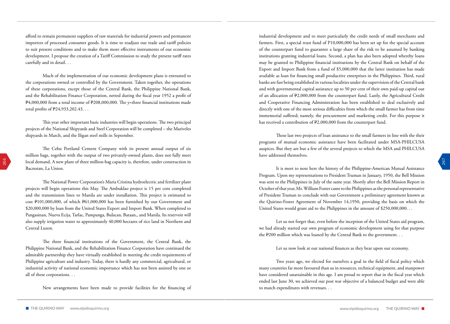afford to remain permanent suppliers of raw materials for industrial powers and permanent importers of processed consumer goods. It is time to readjust our trade and tariff policies to suit present conditions and to make them more effective instruments of our economic development. I propose the creation of a Tariff Commission to study the present tariff rates carefully and in detail. . .

Much of the implementation of our economic development plans is entrusted to the corporations owned or controlled by the Government. Taken together, the operations of these corporations, except those of the Central Bank, the Philippine National Bank, and the Rehabilitation Finance Corporation, netted during the fiscal year 1952 a profit of P4,000,000 from a total income of P208,000,000. The y=three financial institutions made total profits of P24,933,202.43. . .

This year other important basic industries will begin operations. The two principal projects of the National Shipyards and Steel Corporation will be completed – the Mariveles shipyards in March, and the Iligan steel mills in September.

The Cebu Portland Cement Company with its present annual output of six million bags, together with the output of two privately-owned plants, does not fully meet local demand. A new plant of three million-bag capacity is, therefore, under construction in Bacnotan, La Union.

The National Power Corporation's Maria Cristina hydroelectric and fertilizer plant projects will begin operations this May. The Ambuklao project is 15 per cent completed and the transmission lines to Manila are under installation. This project is estimated to cost P101,000,000, of which P61,000,000 has been furnished by our Government and \$20,000,000 by loan from the United States Export and Import Bank. When completed to Pangasinan, Nueva Ecija, Tarlac, Pampanga, Bulacan, Bataan,, and Manila. Its reservoir will also supply irrigation water to approximately 40,000 hectares of rice land in Northern and Central Luzon.

The three financial institutions of the Government, the Central Bank, the Philippine National Bank, and the Rehabilitation Finance Corporation have continued the admirable partnership they have virtually established in meeting the credit requirements of Philippine agriculture and industry. Today, there is hardly any commercial, agricultural, or industrial activity of national economic importance which has not been assisted by one or all of these corporations. . .

New arrangements have been made to provide facilities for the financing of

industrial development and to meet particularly the credit needs of small merchants and farmers. First, a special trust fund of P10,000,000 has been set up for the special account of the counterpart fund to guarantee a large share of the risk to be assumed by banking institutions granting industrial loans. Second, a plan has also been adopted whereby loans may be granted to Philippine financial institutions by the Central Bank on behalf of the Export and Import Bank from a fund of \$5,000,000 that the latter institution has made available as loan for financing small productive enterprises in the Philippines. Third, rural banks are fast being established in various localities under the supervision of the Central bank and with governmental capital assistance up to 50 per cent of their own paid-up capital out of an allocation of P2,000,000 from the counterpart fund. Lastly, the Agricultural Credit and Cooperative Financing Administration has been established to deal exclusively and directly with one of the most serious difficulties from which the small farmer has from time immemorial suffered; namely, the procurement and marketing credit. For this purpose it has received a contribution of P2,000,000 from the counterpart fund.

These last two projects of loan assistance to the small farmers in line with the their programs of mutual economic assistance have been facilitated under MSA-PHILCUSA auspices. But they are but a few of the several projects to which the MSA and PHILCUSA have addressed themselves.

It is meet to note here the history of the Philippine-American Mutual Assistance Program. Upon my representations to President Truman in January, 1950, the Bell Mission was sent to the Philippines in July of the same year. Shortly after the Bell Mission Report in October of that year, Mr. William Foster came to the Philippines as the personal representative of President Truman to conclude with our Government a preliminary agreement known as the Quirino-Foster Agreement of November 14,1950, providing the basis on which the United States would grant aid to the Philippines in the amount of \$250,000,000. . .

Let us not forget that, even before the inception of the United States aid program, we had already started our own program of economic development using for that purpose the P200 million which was loaned by the Central Bank to the government. . .

Let us now look at our national finances as they bear upon our economy.

Two years ago, we elected for ourselves a goal in the field of fiscal policy which many countries far more favoured than us in resources, technical equipment, and manpower have considered unattainable in this age. I am proud to report that in the fiscal year which ended last June 30, we achieved our post war objective of a balanced budget and were able to match expenditures with revenues. . .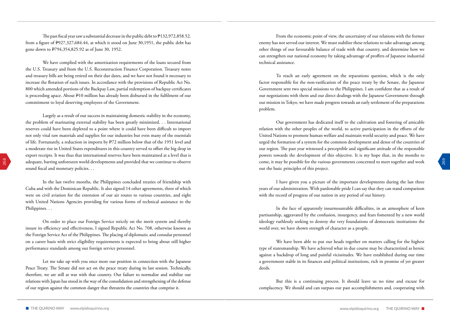The past fiscal year saw a substantial decrease in the public debt to P132,972,858.52. from a figure of P927,327,684.44, at which it stood on June 30,1951, the public debt has gone down to P794,354,825.92 as of June 30, 1952.

We have complied with the amortization requirements of the loans secured from the U.S. Treasury and from the U.S. Reconstruction Finance Corporation. Treasury notes and treasury bills are being retired on their due dates, and we have not found it necessary to increase the flotation of such issues. In accordance with the provisions of Republic Act No. 800 which amended portions of the Backpay Law, partial redemption of backpay certificates is proceeding apace. About P10 million has already been disbursed in the fulfilment of our commitment to loyal deserving employees of the Government.

Largely as a result of our success in maintaining domestic stability in the economy, the problem of marinating external stability has been greatly minimized. . . International reserves could have been depleted to a point where it could have been difficult to import not only vital raw materials and supplies for our industries but even many of the essentials of life. Fortunately, a reduction in imports by P72 million below that of the 1951 level and a moderate rise in United States expenditures in this country served to offset the big drop in export receipts. It was thus that international reserves have been maintained at a level that is adequate, barring unforeseen world developments and provided that we continue to observe sound fiscal and monetary policies. . .

In the last twelve months, the Philippines concluded treaties of friendship with Cuba and with the Dominican Republic. It also signed 14 other agreements, three of which were on civil aviation for the extension of our air routes to various countries, and eight with United Nations Agencies providing for various forms of technical assistance to the Philippines. . .

On order to place our Foreign Service strictly on the merit system and thereby insure its efficiency and effectiveness, I signed Republic Act No. 708, otherwise known as the Foreign Service Act of the Philippines. The placing of diplomatic and consular personnel on a career basis with strict eligibility requirements is expected to bring about still higher performance standards among our foreign service personnel.

Let me take up with you once more our position in connection with the Japanese Peace Treaty. The Senate did not act on the peace treaty during its last session. Technically, therefore, we are still at war with that country. Our failure to normalize and stabilize our relations with Japan has stood in the way of the consolidation and strengthening of the defense of our region against the common danger that threatens the countries that comprise it.

From the economic point of view, the uncertainty of our relations with the former enemy has not served our interest. We must stabilize these relations to take advantage among other things of our favourable balance of trade with that country, and determine how we can strengthen our national economy by taking advantage of proffers of Japanese industrial technical assistance.

To reach an early agreement on the reparations question, which is the only factor responsible for the non-ratification of the peace treaty by the Senate, the Japanese Government sent two special missions to the Philippines. I am confident that as a result of our negotiations with them and our direct dealings with the Japanese Government through our mission in Tokyo, we have made progress towards an early settlement of the preparations problem.

Our government has dedicated itself to the cultivation and fostering of amicable relation with the other peoples of the world, to active participation in the efforts of the United Nations to promote human welfare and maintain world security and peace. We have urged the formation of a system for the common development and dense of the countries of our region. The past year witnessed a perceptible and significant attitude of the responsible powers towards the development of this objective. It is my hope that, in the months to come, it may be possible for the various governments concerned to meet together and work out the basic principles of this project.

I have given you a picture of the important developments during the last three years of our administration. With pardonable pride I can say that they can stand comparison with the record of progress of our nation in any period of our history.

In the face of apparently insurmountable difficulties, in an atmosphere of keen partisanship, aggravated by the confusion, insurgency, and fears fomented by a new world ideology ruthlessly seeking to destroy the very foundations of democratic institutions the world over, we have shown strength of character as a people.

We have been able to put our heads together on matters calling for the highest type of statesmanship. We have achieved what in due course may be characterized as heroic against a backdrop of long and painful vicissitudes. We have established during our time a government stable in its finances and political institutions, rich in promise of yet greater deeds.

But this is a continuing process. It should leave us no time and excuse for complacency. We should and can surpass our past accomplishments and, cooperating with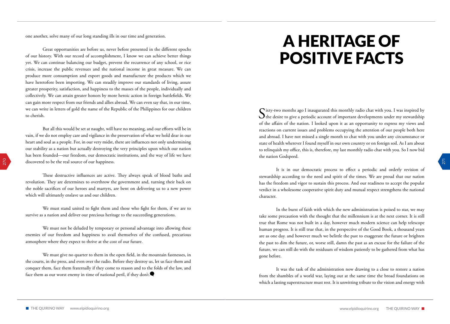one another, solve many of our long standing ills in our time and generation.

Great opportunities are before us, never before presented in the different epochs of our history. With our record of accomplishment, I know we can achieve better things yet. We can continue balancing our budget, prevent the recurrence of any school, or rice crisis, increase the public revenues and the national income in great measure. We can produce more consumption and export goods and manufacture the products which we have heretofore been importing. We can steadily improve our standards of living, assure greater prosperity, satisfaction, and happiness to the masses of the people, individually and collectively. We can attain greater honors by more heroic action in foreign battlefields. We can gain more respect from our friends and allies abroad. We can even say that, in our time, we can write in letters of gold the name of the Republic of the Philippines for our children to cherish.

But all this would be set at naught, will have no meaning, and our efforts will be in vain, if we do not employ care and vigilance in the preservation of what we hold dear in our heart and soul as a people. For, in our very midst, there are influences not only undermining our stability as a nation but actually destroying the very principles upon which our nation has been founded—our freedom, our democratic institutions, and the way of life we have discovered to be the real source of our happiness.

These destructive influences are active. They always speak of blood baths and revolution. They are determines to overthrow the government and, turning their back on the noble sacrifices of our heroes and martyrs, are bent on delivering us to a new power which will ultimately enslave us and our children.

We must stand united to fight them and those who fight for them, if we are to survive as a nation and deliver our precious heritage to the succeeding generations.

We must not be deluded by temporary or personal advantage into allowing these enemies of our freedom and happiness to avail themselves of the confused, precarious atmosphere where they expect to thrive at the cost of our future.

We must give no quarter to them in the open field, in the mountain fastnesses, in the courts, in the press, and even over the radio. Before they destroy us, let us face them and conquer them, face them fraternally if they come to reason and to the folds of the law, and face them as our worst enemy in time of national peril, if they don't.

# A HERITAGE OF POSITIVE FACTS

 $S$ ixty-two months ago I inaugurated this monthly radio chat with you. I was inspired by the desire to give a periodic account of important developments under my stewardship of the affairs of the nation. I looked upon it as an opportunity to express my views and reactions on current issues and problems occupying the attention of our people both here and abroad. I have not missed a single month to chat with you under any circumstance or state of health wherever I found myself in our own country or on foreign soil. As I am about to relinquish my office, this is, therefore, my last monthly radio chat with you. So I now bid the nation Godspeed.

It is in our democratic process to effect a periodic and orderly revision of stewardship according to the need and spirit of the times. We are proud that our nation has the freedom and vigor to sustain this process. And our readiness to accept the popular verdict in a wholesome cooperative spirit duty and mutual respect strengthens the national character.

In the burst of faith with which the new administration is poised to star, we may take some precaution with the thought that the millennium is at the next corner. It is still true that Rome was not built in a day, however much modern science can help telescope human progress. It is still true that, in the perspective of the Good Book, a thousand years are as one day. and however much we belittle the past to exaggerate the future or brighten the past to dim the future, or, worse still, damn the past as an excuse for the failure of the future, we can still do with the residuum of wisdom patiently to be gathered from what has gone before.

It was the task of the administration now drawing to a close to restore a nation from the shambles of a world war, laying out at the same time the broad foundations on which a lasting superstructure must rest. It is unwitting tribute to the vision and energy with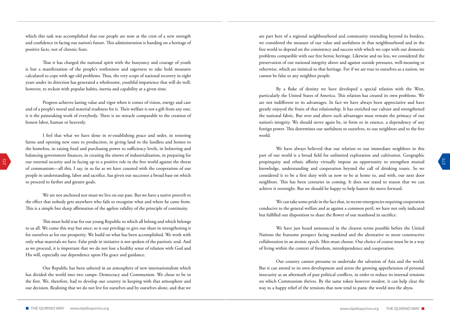which this task was accomplished that our people are now at the crest of a new strength and confidence in facing our nation's future. This administration is handing on a heritage of positive facts, not of chronic fears.

That it has charged the national spirit with the buoyancy and courage of youth is but a manifestation of the people's restlessness and eagerness to take bold measures calculated to cope with age-old problems. Thus, the very scope of national recovery in eight years under its direction has generated a wholesome, youthful impatience that will do well, however, to reckon with popular habits, inertia and capability at a given time.

Progress achieves lasting value and vigor when it comes of vision, energy and care and of a people's moral and material readiness for it. Their welfare is not a gift from any one; it is the painstaking work of everybody. There is no miracle comparable to the creation of honest labor, human or heavenly.

I feel that what we have done in re-establishing peace and order, in restoring farms and opening new ones to production, in giving land to the landless and homes to the homeless, in raising food and purchasing power to sufficiency levels, in bolstering and balancing government finances, in creating the sinews of industrialization, in preparing for our external security and in facing up to a positive role in the free world against the threat of communism—all this, I say, in so far as we have counted with the cooperation of our people in understanding, labor and sacrifice, has given our successor a broad base on which to proceed to farther and greater goals.

We are not anchored nor must we live on our past. But we have a native proverb to the effect that nobody gets anywhere who fails to recognize what and where he came from. This is a simple but sharp affirmation of the ageless validity of the principle of continuity.

This must hold true for our young Republic to which all belong and which belongs to us all. We come this way but once; so is our privilege to give our share in strengthening it for ourselves as for our prosperity. We build on what has been accomplished. We work with only what materials we have. False pride in initiative is not spoken of the patriotic soul. And as we proceed, it is important that we do not lose a healthy sense of relation with God and His will, especially our dependence upon His grace and guidance.

Our Republic has been ushered in an atmosphere of new internationalism which has divided the world into two camps: Democracy and Communism. We chose to be in the first. We, therefore, had to develop our country in keeping with that atmosphere and our decision. Realizing that we do not live for ourselves and by ourselves alone, and that we are part here of a regional neighbourhood and community extending beyond its borders, we considered the measure of our value and usefulness in that neighbourhood and in the free world to depend on the consistency and success with which we cope with our domestic problems compatible with our free heroic heritage. Likewise and no less, we considered the preservation of our national integrity above and against outside pressures, well-meaning or otherwise, which are inimical to that heritage. For if we are true to ourselves as a nation, we cannot be false to any neighbor people.

By a fluke of destiny we have developed a special relation with the West, particularly the United States of America. This relation has created its own problems. We are not indifferent to its advantages. In fact we have always been appreciative and have greatly enjoyed the fruits of that relationship. It has enriched our culture and strengthened the national fabric. But over and above such advantages must remain the primacy of our nation's integrity. We should never again be, in form or in essence, a dependency of any foreign power. This determines our usefulness to ourselves, to our neighbors and to the free world.

We have always believed that our relation to our immediate neighbors in this part of our world is a broad field for unlimited exploration and cultivation. Geographic propinquity and ethnic affinity virtually impose an opportunity to strengthen mutual knowledge, understanding and cooperation beyond the call of drinking toasts. So we considered it to be a first duty with us now to be at home to, and with, our next door neighbors. This has been centuries in coming. It does not stand to reason that we can achieve it overnight. But we should be happy to help hasten the move forward.

We can take some pride in the fact that, in recent emergencies requiring cooperation conducive to the general welfare and as against a common peril, we have not only indicated but fulfilled our disposition to share the flower of our manhood in sacrifice.

We have just heard announced in the clearest terms possible before the United Nations the fearsome prospect facing mankind and the alternative to more constructive collaboration in an atomic epoch. Men must choose. Our choice of course must lie in a way of living within the context of freedom, interdependence and cooperation.

Our country cannot presume to undertake the salvation of Asia and the world. But it can attend to its own development and arrest the growing apprehension of personal insecurity as an aftermath of past political conflicts, in order to reduce its internal tensions on which Communism thrives. By the same token however modest, it can help clear the way to a happy relief of the tensions that now tend to panic the world into the abyss.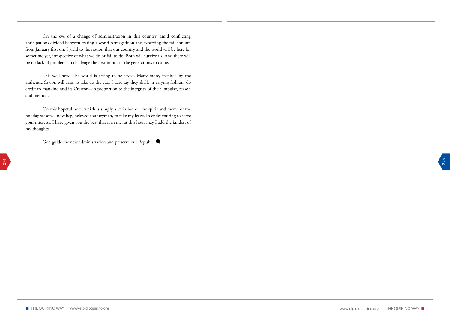On the eve of a change of administration in this country, amid conflicting anticipations divided between fearing a world Armageddon and expecting the millennium from January first on, I yield to the notion that our country and the world will be here for sometime yet, irrespective of what we do or fail to do. Both will survive us. And there will be no lack of problems to challenge the best minds of the generations to come.

This we know: The world is crying to be saved. Many more, inspired by the authentic Savior, will arise to take up the cue. I dare say they shall, in varying fashion, do credit to mankind and its Creator—in proportion to the integrity of their impulse, reason and method.

On this hopeful note, which is simply a variation on the spirit and theme of the holiday season, I now beg, beloved countrymen, to take my leave. In endeavouring to serve your interests, I have given you the best that is in me; at this hour may I add the kindest of my thoughts.

God guide the new administration and preserve our Republic.